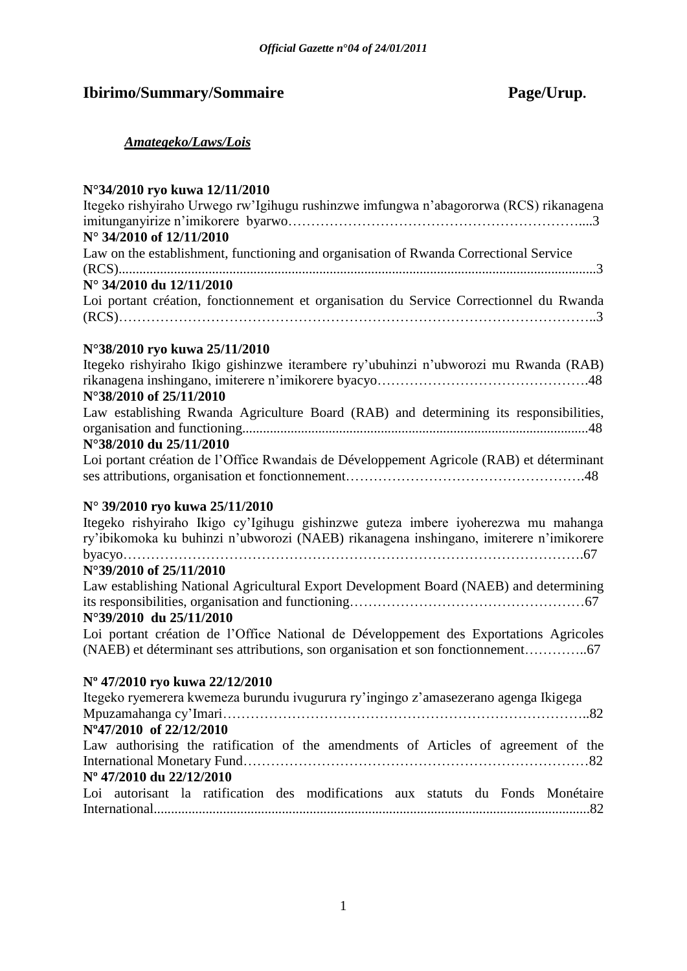# **Ibirimo/Summary/Sommaire Page/Urup.**

### *Amategeko/Laws/Lois*

## **N°34/2010 ryo kuwa 12/11/2010**

| Itegeko rishyiraho Urwego rw'Igihugu rushinzwe imfungwa n'abagororwa (RCS) rikanagena    |
|------------------------------------------------------------------------------------------|
|                                                                                          |
| N° 34/2010 of 12/11/2010                                                                 |
| Law on the establishment, functioning and organisation of Rwanda Correctional Service    |
|                                                                                          |
| N° 34/2010 du 12/11/2010                                                                 |
| Loi portant création, fonctionnement et organisation du Service Correctionnel du Rwanda  |
|                                                                                          |
|                                                                                          |
| N°38/2010 ryo kuwa 25/11/2010                                                            |
| Itegeko rishyiraho Ikigo gishinzwe iterambere ry'ubuhinzi n'ubworozi mu Rwanda (RAB)     |
|                                                                                          |
| N°38/2010 of 25/11/2010                                                                  |
| Law establishing Rwanda Agriculture Board (RAB) and determining its responsibilities,    |
|                                                                                          |
| N°38/2010 du 25/11/2010                                                                  |
| Loi portant création de l'Office Rwandais de Développement Agricole (RAB) et déterminant |
|                                                                                          |

### **N° 39/2010 ryo kuwa 25/11/2010**

Itegeko rishyiraho Ikigo cy"Igihugu gishinzwe guteza imbere iyoherezwa mu mahanga ry"ibikomoka ku buhinzi n"ubworozi (NAEB) rikanagena inshingano, imiterere n"imikorere byacyo……………………………………………………………………………………….67 **N°39/2010 of 25/11/2010**  Law establishing National Agricultural Export Development Board (NAEB) and determining

its responsibilities, organisation and functioning……………………………………………67 **N°39/2010 du 25/11/2010** 

Loi portant création de l"Office National de Développement des Exportations Agricoles (NAEB) et déterminant ses attributions, son organisation et son fonctionnement…………..67

### **Nº 47/2010 ryo kuwa 22/12/2010**

| Itegeko ryemerera kwemeza burundu ivugurura ry'ingingo z'amasezerano agenga Ikigega |  |
|-------------------------------------------------------------------------------------|--|
|                                                                                     |  |
| N°47/2010 of 22/12/2010                                                             |  |
| Law authorising the ratification of the amendments of Articles of agreement of the  |  |
|                                                                                     |  |
| Nº 47/2010 du 22/12/2010                                                            |  |
| Loi autorisant la ratification des modifications aux statuts du Fonds Monétaire     |  |
|                                                                                     |  |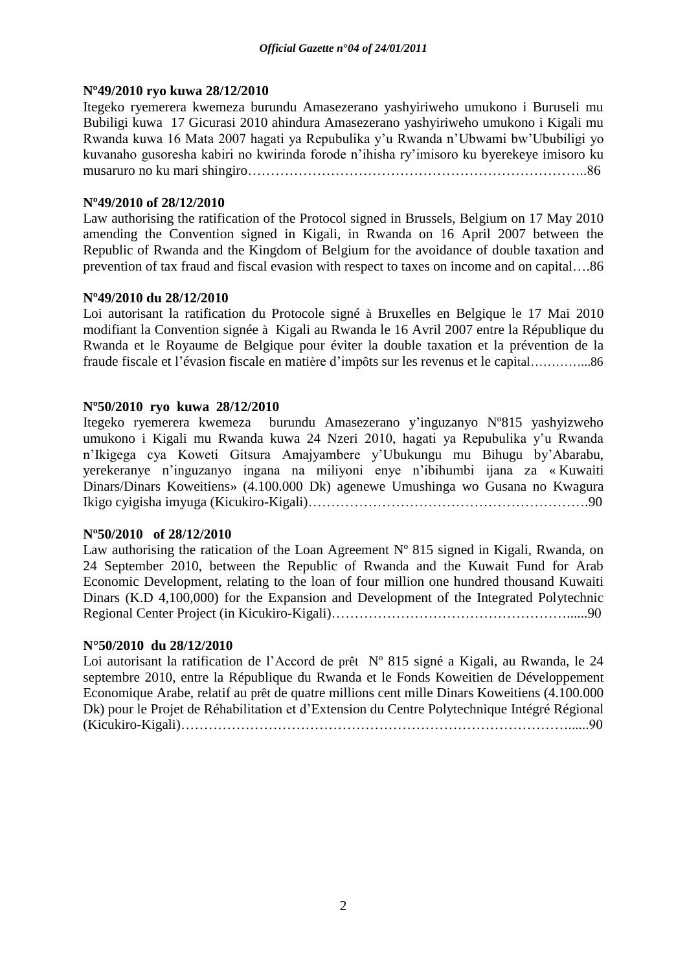### **Nº49/2010 ryo kuwa 28/12/2010**

Itegeko ryemerera kwemeza burundu Amasezerano yashyiriweho umukono i Buruseli mu Bubiligi kuwa 17 Gicurasi 2010 ahindura Amasezerano yashyiriweho umukono i Kigali mu Rwanda kuwa 16 Mata 2007 hagati ya Repubulika y"u Rwanda n"Ubwami bw"Ububiligi yo kuvanaho gusoresha kabiri no kwirinda forode n"ihisha ry"imisoro ku byerekeye imisoro ku musaruro no ku mari shingiro………………………………………………………………..86

### **Nº49/2010 of 28/12/2010**

Law authorising the ratification of the Protocol signed in Brussels, Belgium on 17 May 2010 amending the Convention signed in Kigali, in Rwanda on 16 April 2007 between the Republic of Rwanda and the Kingdom of Belgium for the avoidance of double taxation and prevention of tax fraud and fiscal evasion with respect to taxes on income and on capital….86

### **Nº49/2010 du 28/12/2010**

Loi autorisant la ratification du Protocole signé à Bruxelles en Belgique le 17 Mai 2010 modifiant la Convention signée à Kigali au Rwanda le 16 Avril 2007 entre la République du Rwanda et le Royaume de Belgique pour éviter la double taxation et la prévention de la fraude fiscale et l"évasion fiscale en matière d"impôts sur les revenus et le capital…………...86

### **Nº50/2010 ryo kuwa 28/12/2010**

Itegeko ryemerera kwemeza burundu Amasezerano y"inguzanyo Nº815 yashyizweho umukono i Kigali mu Rwanda kuwa 24 Nzeri 2010, hagati ya Repubulika y"u Rwanda n"Ikigega cya Koweti Gitsura Amajyambere y"Ubukungu mu Bihugu by"Abarabu, yerekeranye n"inguzanyo ingana na miliyoni enye n"ibihumbi ijana za « Kuwaiti Dinars/Dinars Koweitiens» (4.100.000 Dk) agenewe Umushinga wo Gusana no Kwagura Ikigo cyigisha imyuga (Kicukiro-Kigali)…………………………………………………….90

### **Nº50/2010 of 28/12/2010**

Law authorising the ratication of the Loan Agreement  $N^{\circ}$  815 signed in Kigali, Rwanda, on 24 September 2010, between the Republic of Rwanda and the Kuwait Fund for Arab Economic Development, relating to the loan of four million one hundred thousand Kuwaiti Dinars (K.D 4,100,000) for the Expansion and Development of the Integrated Polytechnic Regional Center Project (in Kicukiro-Kigali)……………………………………………......90

### **N°50/2010 du 28/12/2010**

Loi autorisant la ratification de l"Accord de prêt Nº 815 signé a Kigali, au Rwanda, le 24 septembre 2010, entre la République du Rwanda et le Fonds Koweitien de Développement Economique Arabe, relatif au prêt de quatre millions cent mille Dinars Koweitiens (4.100.000 Dk) pour le Projet de Réhabilitation et d"Extension du Centre Polytechnique Intégré Régional (Kicukiro-Kigali)…………………………………………………………………………......90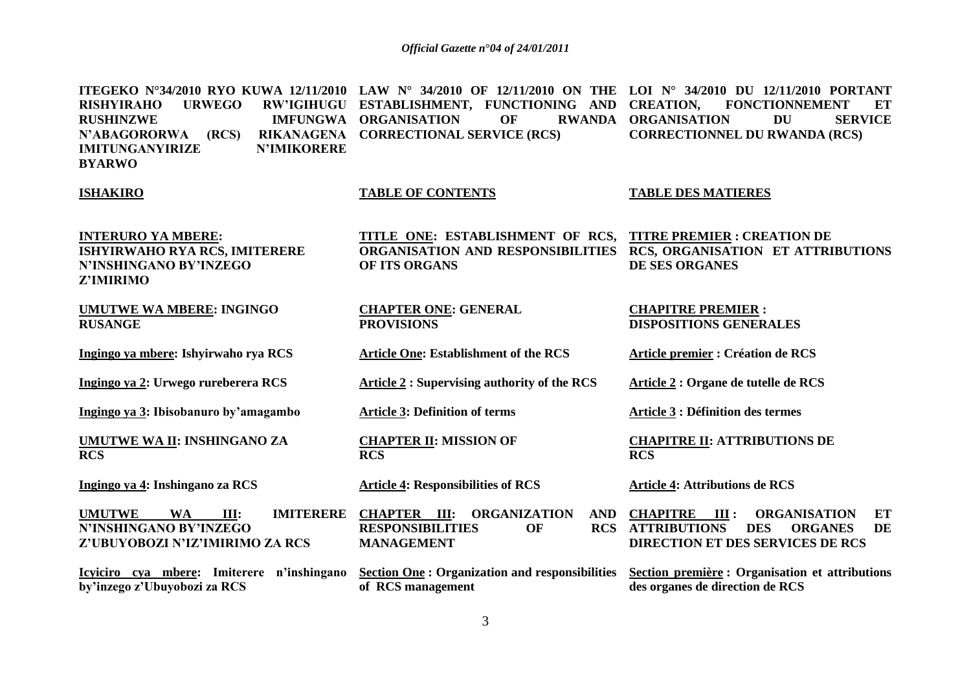**ITEGEKO N°34/2010 RYO KUWA 12/11/2010 LAW N° 34/2010 OF 12/11/2010 ON THE LOI N° 34/2010 DU 12/11/2010 PORTANT RISHYIRAHO URWEGO RW'IGIHUGU ESTABLISHMENT, FUNCTIONING AND RUSHINZWE IMFUNGWA ORGANISATION OF RWANDA N'ABAGORORWA (RCS) IMITUNGANYIRIZE N'IMIKORERE BYARWO CORRECTIONAL SERVICE (RCS) CREATION, FONCTIONNEMENT ET RWANDA ORGANISATION DU SERVICE CORRECTIONNEL DU RWANDA (RCS)**

#### **ISHAKIRO**

#### **TABLE OF CONTENTS**

#### **TABLE DES MATIERES**

**INTERURO YA MBERE: ISHYIRWAHO RYA RCS, IMITERERE N'INSHINGANO BY'INZEGO Z'IMIRIMO**

**UMUTWE WA MBERE: INGINGO RUSANGE**

**Ingingo ya mbere: Ishyirwaho rya RCS**

**Ingingo ya 2: Urwego rureberera RCS**

**Ingingo ya 3: Ibisobanuro by'amagambo**

**UMUTWE WA II: INSHINGANO ZA RCS**

**Ingingo ya 4: Inshingano za RCS**

UMUTWE WA III: IMITERERE CHAPTER III: **N'INSHINGANO BY'INZEGO Z'UBUYOBOZI N'IZ'IMIRIMO ZA RCS**

**Icyiciro cya mbere: Imiterere n'inshingano by'inzego z'Ubuyobozi za RCS**

**TITLE ONE: ESTABLISHMENT OF RCS, ORGANISATION AND RESPONSIBILITIES RCS, ORGANISATION ET ATTRIBUTIONS OF ITS ORGANS TITRE PREMIER : CREATION DE DE SES ORGANES**

**CHAPTER ONE: GENERAL PROVISIONS**

**Article One: Establishment of the RCS**

**Article 2 : Supervising authority of the RCS** 

**Article 3: Definition of terms**

**CHAPTER II: MISSION OF RCS**

**Article 4: Responsibilities of RCS**

**CHAPITRE RESPONSIBILITIES** OF **MANAGEMENT**

**Section One : Organization and responsibilities of RCS management**

**CHAPITRE PREMIER : DISPOSITIONS GENERALES** 

**Article premier : Création de RCS**

**Article 2 : Organe de tutelle de RCS**

**Article 3 : Définition des termes**

**CHAPITRE II: ATTRIBUTIONS DE RCS**

**Article 4: Attributions de RCS**

**CHAPITRE III : ORGANISATION ET ATTRIBUTIONS DES ORGANES DE DIRECTION ET DES SERVICES DE RCS** 

> **Section première : Organisation et attributions des organes de direction de RCS**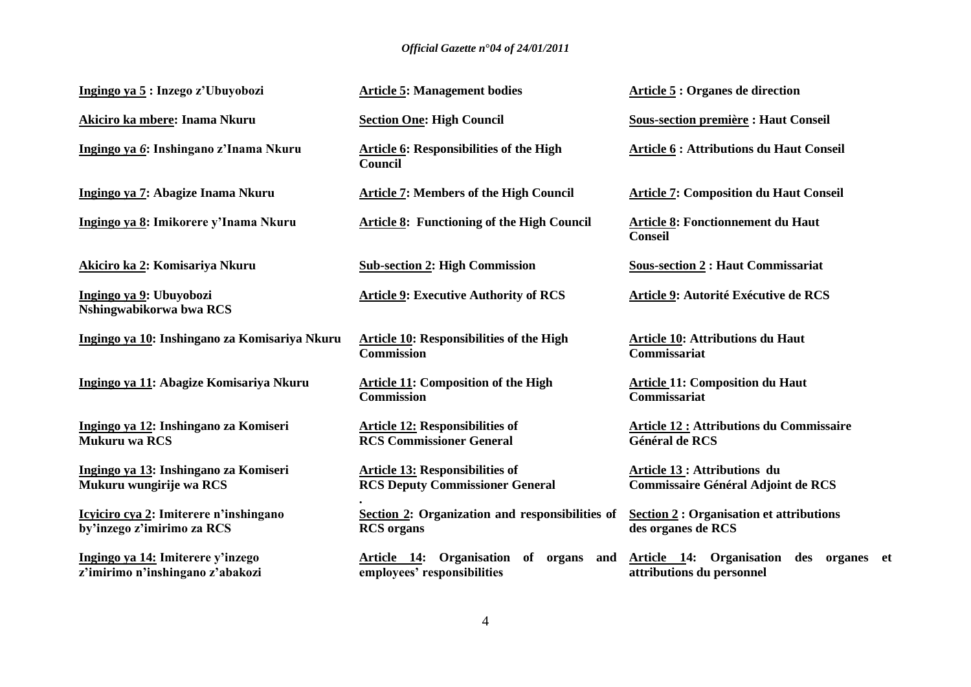| Ingingo ya 5: Inzego z'Ubuyobozi                                      | <b>Article 5: Management bodies</b>                                              | <b>Article 5 : Organes de direction</b>                                         |
|-----------------------------------------------------------------------|----------------------------------------------------------------------------------|---------------------------------------------------------------------------------|
| Akiciro ka mbere: Inama Nkuru                                         | <b>Section One: High Council</b>                                                 | <b>Sous-section première : Haut Conseil</b>                                     |
| Ingingo ya 6: Inshingano z'Inama Nkuru                                | <b>Article 6: Responsibilities of the High</b><br><b>Council</b>                 | <b>Article 6 : Attributions du Haut Conseil</b>                                 |
| Ingingo ya 7: Abagize Inama Nkuru                                     | <b>Article 7: Members of the High Council</b>                                    | <b>Article 7: Composition du Haut Conseil</b>                                   |
| Ingingo ya 8: Imikorere y'Inama Nkuru                                 | <b>Article 8: Functioning of the High Council</b>                                | Article 8: Fonctionnement du Haut<br><b>Conseil</b>                             |
| Akiciro ka 2: Komisariya Nkuru                                        | <b>Sub-section 2: High Commission</b>                                            | <b>Sous-section 2: Haut Commissariat</b>                                        |
| Ingingo ya 9: Ubuyobozi<br>Nshingwabikorwa bwa RCS                    | <b>Article 9: Executive Authority of RCS</b>                                     | Article 9: Autorité Exécutive de RCS                                            |
| Ingingo ya 10: Inshingano za Komisariya Nkuru                         | <b>Article 10: Responsibilities of the High</b><br><b>Commission</b>             | <b>Article 10: Attributions du Haut</b><br>Commissariat                         |
| Ingingo ya 11: Abagize Komisariya Nkuru                               | <b>Article 11: Composition of the High</b><br><b>Commission</b>                  | <b>Article 11: Composition du Haut</b><br><b>Commissariat</b>                   |
| Ingingo ya 12: Inshingano za Komiseri<br><b>Mukuru wa RCS</b>         | <b>Article 12: Responsibilities of</b><br><b>RCS Commissioner General</b>        | <b>Article 12 : Attributions du Commissaire</b><br>Général de RCS               |
| Ingingo ya 13: Inshingano za Komiseri<br>Mukuru wungirije wa RCS      | <b>Article 13: Responsibilities of</b><br><b>RCS Deputy Commissioner General</b> | <b>Article 13: Attributions du</b><br><b>Commissaire Général Adjoint de RCS</b> |
| Icyiciro cya 2: Imiterere n'inshingano<br>by'inzego z'imirimo za RCS  | Section 2: Organization and responsibilities of<br><b>RCS</b> organs             | <b>Section 2: Organisation et attributions</b><br>des organes de RCS            |
| Ingingo ya 14: Imiterere y'inzego<br>z'imirimo n'inshingano z'abakozi | Article 14: Organisation of organs and<br>employees' responsibilities            | Article 14: Organisation des organes et<br>attributions du personnel            |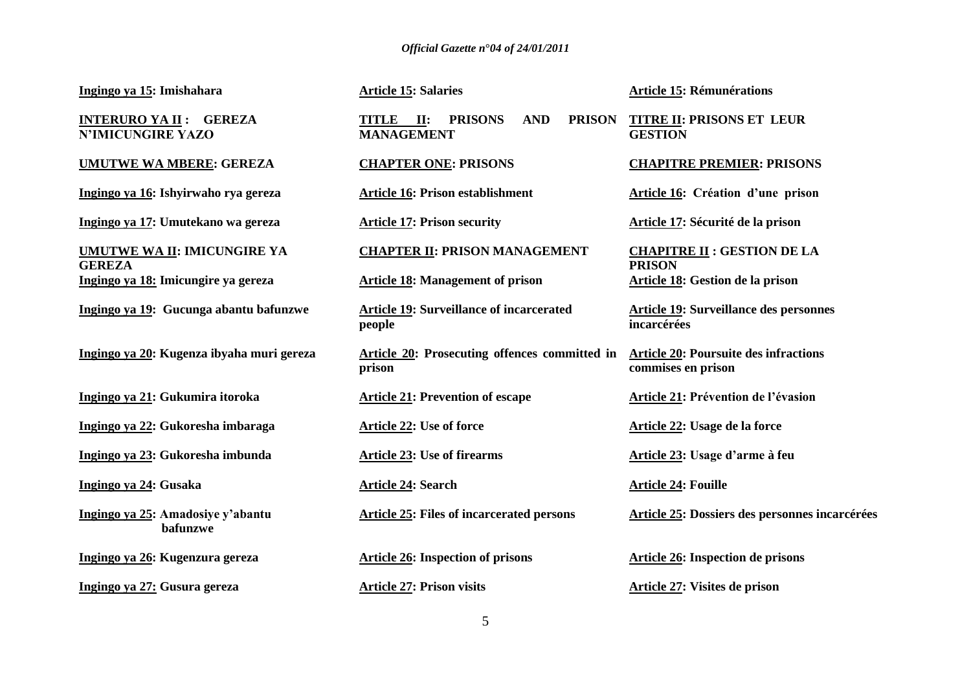**Ingingo ya 15: Imishahara** 

**INTERURO YA II : GEREZA N'IMICUNGIRE YAZO**

**UMUTWE WA MBERE: GEREZA**

**Ingingo ya 16: Ishyirwaho rya gereza**

**Ingingo ya 17: Umutekano wa gereza** 

**UMUTWE WA II: IMICUNGIRE YA GEREZA Ingingo ya 18: Imicungire ya gereza**

**Ingingo ya 19: Gucunga abantu bafunzwe**

**Ingingo ya 20: Kugenza ibyaha muri gereza** 

**Ingingo ya 21: Gukumira itoroka**

**Ingingo ya 22: Gukoresha imbaraga**

**Ingingo ya 23: Gukoresha imbunda**

**Ingingo ya 24: Gusaka**

**Ingingo ya 25: Amadosiye y'abantu bafunzwe**

**Ingingo ya 26: Kugenzura gereza**

**Ingingo ya 27: Gusura gereza**

**Article 15: Salaries**

**TITLE II: PRISONS AND MANAGEMENT**

**CHAPTER ONE: PRISONS**

**Article 16: Prison establishment**

**Article 17: Prison security**

**CHAPTER II: PRISON MANAGEMENT** 

**Article 18: Management of prison**

**Article 19: Surveillance of incarcerated people**

**Article 20: Prosecuting offences committed in prison**

**Article 21: Prevention of escape** 

**Article 22: Use of force**

**Article 23: Use of firearms**

**Article 24: Search**

**Article 25: Files of incarcerated persons** 

**Article 26: Inspection of prisons**

**Article 27: Prison visits** 

**Article 15: Rémunérations**

**PRISON TITRE II: PRISONS ET LEUR GESTION**

**CHAPITRE PREMIER: PRISONS**

**Article 16: Création d'une prison**

**Article 17: Sécurité de la prison**

**CHAPITRE II : GESTION DE LA PRISON Article 18: Gestion de la prison**

**Article 19: Surveillance des personnes incarcérées**

**Article 20: Poursuite des infractions commises en prison**

**Article 21: Prévention de l'évasion**

**Article 22: Usage de la force**

**Article 23: Usage d'arme à feu**

**Article 24: Fouille**

**Article 25: Dossiers des personnes incarcérées** 

**Article 26: Inspection de prisons**

**Article 27: Visites de prison**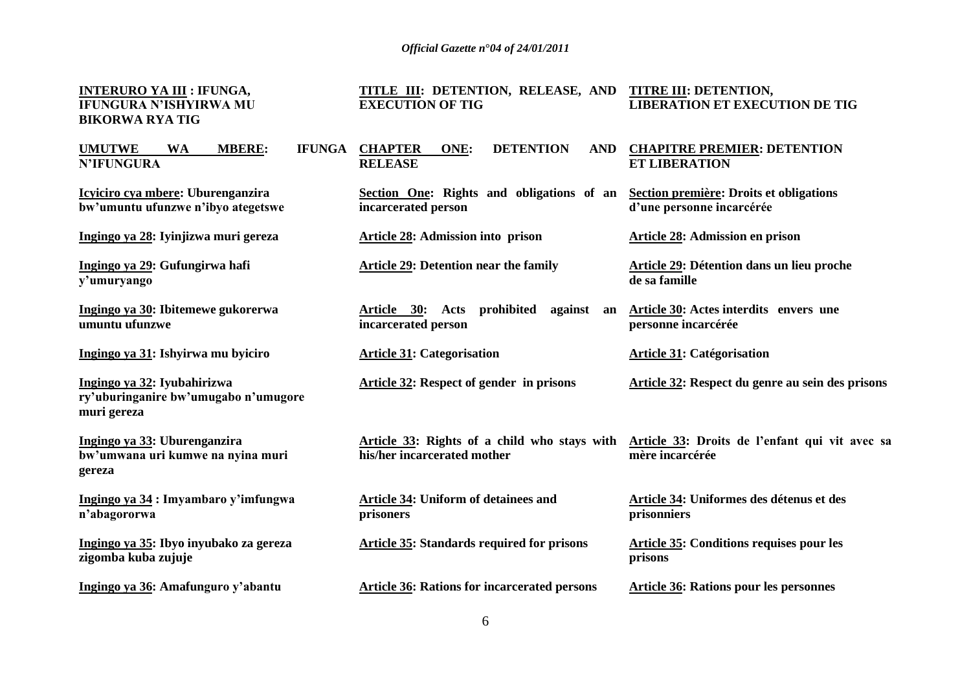**INTERURO YA III : IFUNGA, IFUNGURA N'ISHYIRWA MU BIKORWA RYA TIG**

#### **TITLE III: DETENTION, RELEASE, AND EXECUTION OF TIG TITRE III: DETENTION, LIBERATION ET EXECUTION DE TIG**

| <b>UMUTWE</b><br><b>MBERE:</b><br><b>WA</b><br><b>IFUNGA</b><br><b>N'IFUNGURA</b>  | <b>DETENTION</b><br><b>CHAPTER</b><br>ONE:<br><b>AND</b><br><b>RELEASE</b>  | <b>CHAPITRE PREMIER: DETENTION</b><br><b>ET LIBERATION</b>           |
|------------------------------------------------------------------------------------|-----------------------------------------------------------------------------|----------------------------------------------------------------------|
| Icyiciro cya mbere: Uburenganzira<br>bw'umuntu ufunzwe n'ibyo ategetswe            | Section One: Rights and obligations of an<br>incarcerated person            | Section première: Droits et obligations<br>d'une personne incarcérée |
| Ingingo ya 28: Iyinjizwa muri gereza                                               | <b>Article 28: Admission into prison</b>                                    | <b>Article 28: Admission en prison</b>                               |
| Ingingo ya 29: Gufungirwa hafi<br>y'umuryango                                      | <b>Article 29: Detention near the family</b>                                | Article 29: Détention dans un lieu proche<br>de sa famille           |
| Ingingo ya 30: Ibitemewe gukorerwa<br>umuntu ufunzwe                               | against<br>Article 30: Acts prohibited<br>an<br>incarcerated person         | Article 30: Actes interdits envers une<br>personne incarcérée        |
| Ingingo ya 31: Ishyirwa mu byiciro                                                 | <b>Article 31: Categorisation</b>                                           | <b>Article 31: Catégorisation</b>                                    |
| Ingingo ya 32: Iyubahirizwa<br>ry'uburinganire bw'umugabo n'umugore<br>muri gereza | <b>Article 32: Respect of gender in prisons</b>                             | Article 32: Respect du genre au sein des prisons                     |
| Ingingo ya 33: Uburenganzira<br>bw'umwana uri kumwe na nyina muri<br>gereza        | Article 33: Rights of a child who stays with<br>his/her incarcerated mother | Article 33: Droits de l'enfant qui vit avec sa<br>mère incarcérée    |
| Ingingo ya 34 : Imyambaro y'imfungwa<br>n'abagororwa                               | Article 34: Uniform of detainees and<br>prisoners                           | Article 34: Uniformes des détenus et des<br>prisonniers              |
| Ingingo ya 35: Ibyo inyubako za gereza<br>zigomba kuba zujuje                      | <b>Article 35: Standards required for prisons</b>                           | <b>Article 35: Conditions requises pour les</b><br>prisons           |
| Ingingo ya 36: Amafunguro y'abantu                                                 | <b>Article 36: Rations for incarcerated persons</b>                         | <b>Article 36: Rations pour les personnes</b>                        |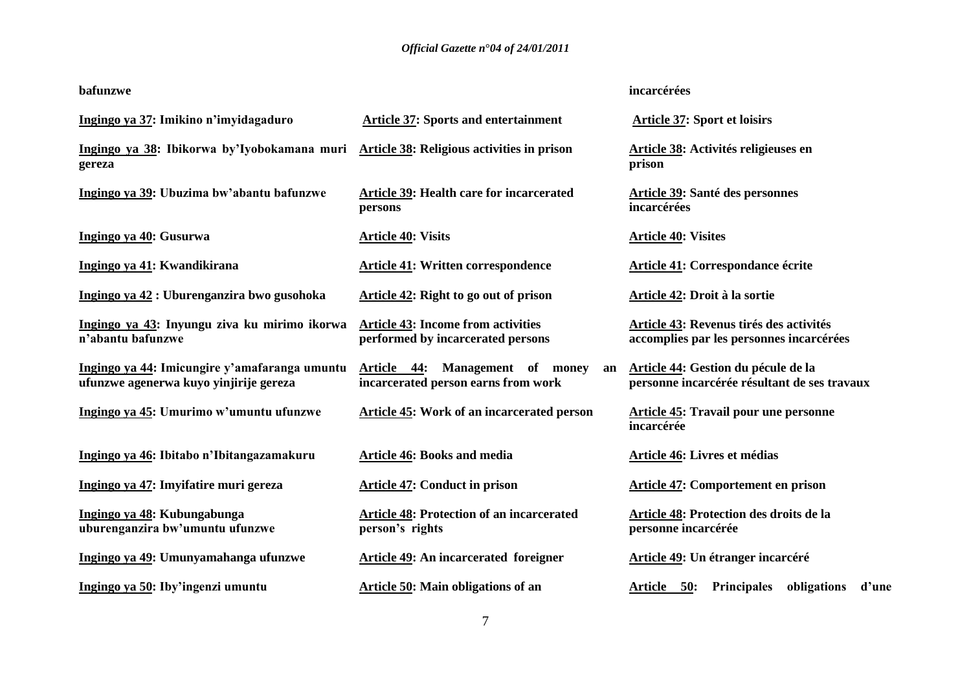| bafunzwe                                                                                |                                                                                | incarcérées                                                                         |
|-----------------------------------------------------------------------------------------|--------------------------------------------------------------------------------|-------------------------------------------------------------------------------------|
| Ingingo ya 37: Imikino n'imyidagaduro                                                   | <b>Article 37: Sports and entertainment</b>                                    | <b>Article 37: Sport et loisirs</b>                                                 |
| Ingingo ya 38: Ibikorwa by'Iyobokamana muri<br>gereza                                   | Article 38: Religious activities in prison                                     | Article 38: Activités religieuses en<br>prison                                      |
| Ingingo ya 39: Ubuzima bw'abantu bafunzwe                                               | <b>Article 39: Health care for incarcerated</b><br>persons                     | Article 39: Santé des personnes<br>incarcérées                                      |
| Ingingo ya 40: Gusurwa                                                                  | <b>Article 40: Visits</b>                                                      | <b>Article 40: Visites</b>                                                          |
| Ingingo ya 41: Kwandikirana                                                             | <b>Article 41: Written correspondence</b>                                      | <b>Article 41: Correspondance écrite</b>                                            |
| Ingingo ya 42 : Uburenganzira bwo gusohoka                                              | Article 42: Right to go out of prison                                          | Article 42: Droit à la sortie                                                       |
| Ingingo ya 43: Inyungu ziva ku mirimo ikorwa<br>n'abantu bafunzwe                       | <b>Article 43: Income from activities</b><br>performed by incarcerated persons | Article 43: Revenus tirés des activités<br>accomplies par les personnes incarcérées |
| Ingingo ya 44: Imicungire y'amafaranga umuntu<br>ufunzwe agenerwa kuyo yinjirije gereza | Article 44: Management of money<br>an<br>incarcerated person earns from work   | Article 44: Gestion du pécule de la<br>personne incarcérée résultant de ses travaux |
| Ingingo ya 45: Umurimo w'umuntu ufunzwe                                                 | Article 45: Work of an incarcerated person                                     | <b>Article 45: Travail pour une personne</b><br>incarcérée                          |
| Ingingo ya 46: Ibitabo n'Ibitangazamakuru                                               | <b>Article 46: Books and media</b>                                             | Article 46: Livres et médias                                                        |
| Ingingo ya 47: Imyifatire muri gereza                                                   | <b>Article 47: Conduct in prison</b>                                           | <b>Article 47: Comportement en prison</b>                                           |
| Ingingo ya 48: Kubungabunga<br>uburenganzira bw'umuntu ufunzwe                          | <b>Article 48: Protection of an incarcerated</b><br>person's rights            | Article 48: Protection des droits de la<br>personne incarcérée                      |
| Ingingo ya 49: Umunyamahanga ufunzwe                                                    | <b>Article 49: An incarcerated foreigner</b>                                   | Article 49: Un étranger incarcéré                                                   |
| Ingingo ya 50: Iby'ingenzi umuntu                                                       | <b>Article 50: Main obligations of an</b>                                      | obligations<br><b>Principales</b><br>d'une<br>Article 50:                           |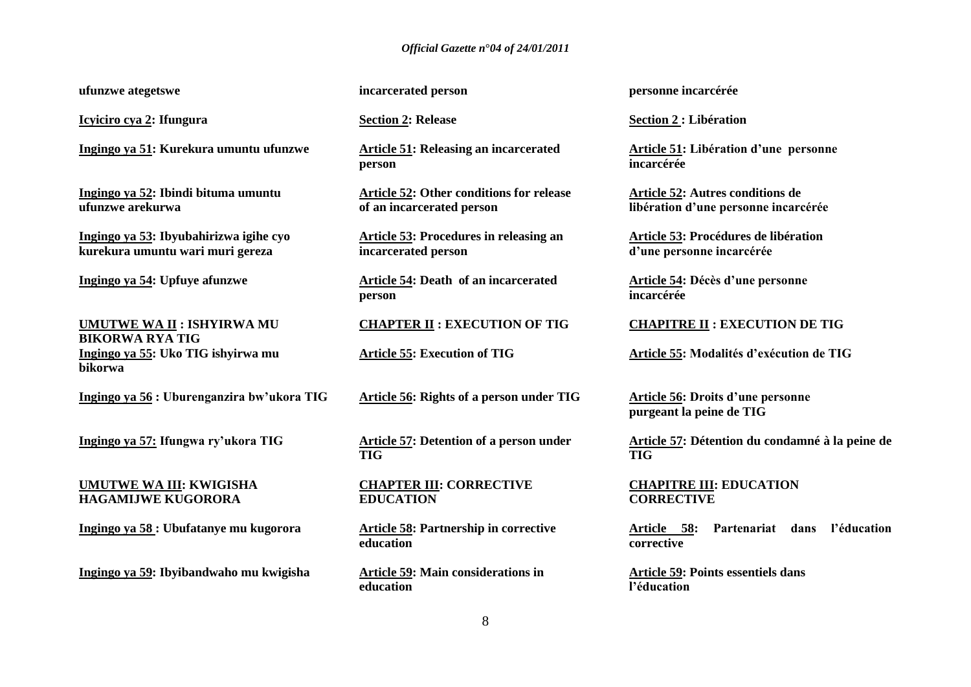**ufunzwe ategetswe**

**Icyiciro cya 2: Ifungura** 

**Ingingo ya 51: Kurekura umuntu ufunzwe**

**Ingingo ya 52: Ibindi bituma umuntu ufunzwe arekurwa**

**Ingingo ya 53: Ibyubahirizwa igihe cyo kurekura umuntu wari muri gereza**

**Ingingo ya 54: Upfuye afunzwe** 

**UMUTWE WA II : ISHYIRWA MU BIKORWA RYA TIG Ingingo ya 55: Uko TIG ishyirwa mu bikorwa**

**Ingingo ya 56 : Uburenganzira bw'ukora TIG**

**Ingingo ya 57: Ifungwa ry'ukora TIG** 

#### **UMUTWE WA III: KWIGISHA HAGAMIJWE KUGORORA**

**Ingingo ya 58 : Ubufatanye mu kugorora**

**Ingingo ya 59: Ibyibandwaho mu kwigisha**

**incarcerated person**

**Section 2: Release**

**Article 51: Releasing an incarcerated person**

**Article 52: Other conditions for release of an incarcerated person**

**Article 53: Procedures in releasing an incarcerated person**

**Article 54: Death of an incarcerated person**

**CHAPTER II : EXECUTION OF TIG**

**Article 55: Execution of TIG**

**Article 56: Rights of a person under TIG**

**Article 57: Detention of a person under TIG** 

**CHAPTER III: CORRECTIVE EDUCATION** 

**Article 58: Partnership in corrective education**

**Article 59: Main considerations in education**

**personne incarcérée**

**Section 2 : Libération**

**Article 51: Libération d'une personne incarcérée**

**Article 52: Autres conditions de libération d'une personne incarcérée**

**Article 53: Procédures de libération d'une personne incarcérée**

**Article 54: Décès d'une personne incarcérée** 

#### **CHAPITRE II : EXECUTION DE TIG**

**Article 55: Modalités d'exécution de TIG** 

**Article 56: Droits d'une personne purgeant la peine de TIG** 

**Article 57: Détention du condamné à la peine de TIG** 

**CHAPITRE III: EDUCATION CORRECTIVE** 

**Article 58: Partenariat dans l'éducation corrective** 

**Article 59: Points essentiels dans l'éducation**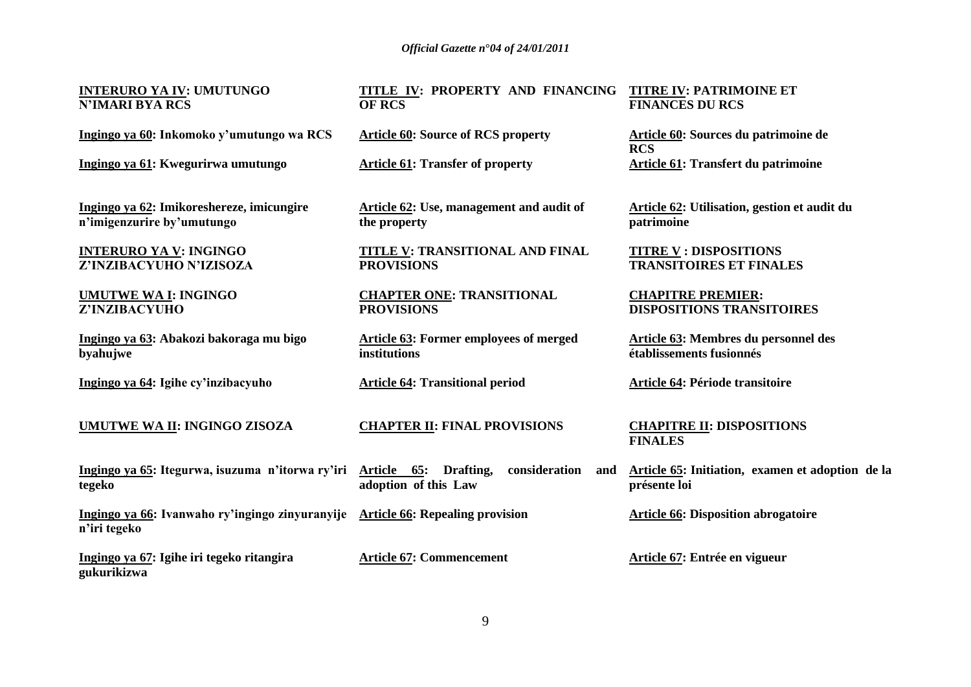**INTERURO YA IV: UMUTUNGO N'IMARI BYA RCS** 

**Ingingo ya 60: Inkomoko y'umutungo wa RCS**

**Ingingo ya 61: Kwegurirwa umutungo** 

**Ingingo ya 62: Imikoreshereze, imicungire n'imigenzurire by'umutungo**

**INTERURO YA V: INGINGO Z'INZIBACYUHO N'IZISOZA** 

**UMUTWE WA I: INGINGO Z'INZIBACYUHO** 

**Ingingo ya 63: Abakozi bakoraga mu bigo byahujwe** 

**Ingingo ya 64: Igihe cy'inzibacyuho** 

**UMUTWE WA II: INGINGO ZISOZA** 

Ingingo ya 65: Itegurwa, isuzuma n'itorwa ry'iri Article 65: Drafting, consideration and **tegeko**

**Ingingo ya 66: Ivanwaho ry'ingingo zinyuranyije Article 66: Repealing provision n'iri tegeko**

**Ingingo ya 67: Igihe iri tegeko ritangira gukurikizwa**

#### **TITLE IV: PROPERTY AND FINANCING TITRE IV: PATRIMOINE ET OF RCS FINANCES DU RCS**

**Article 60: Source of RCS property** 

**Article 61: Transfer of property**

**Article 62: Use, management and audit of the property** 

**TITLE V: TRANSITIONAL AND FINAL PROVISIONS**

**CHAPTER ONE: TRANSITIONAL PROVISIONS**

**Article 63: Former employees of merged institutions** 

**Article 64: Transitional period** 

**CHAPTER II: FINAL PROVISIONS**

**adoption of this Law**

**Article 67: Commencement**

**Article 60: Sources du patrimoine de RCS Article 61: Transfert du patrimoine** 

**Article 62: Utilisation, gestion et audit du patrimoine**

**TITRE V : DISPOSITIONS TRANSITOIRES ET FINALES** 

**CHAPITRE PREMIER: DISPOSITIONS TRANSITOIRES** 

**Article 63: Membres du personnel des établissements fusionnés** 

**Article 64: Période transitoire** 

**CHAPITRE II: DISPOSITIONS FINALES**

**Article 65: Initiation, examen et adoption de la présente loi**

**Article 66: Disposition abrogatoire** 

**Article 67: Entrée en vigueur**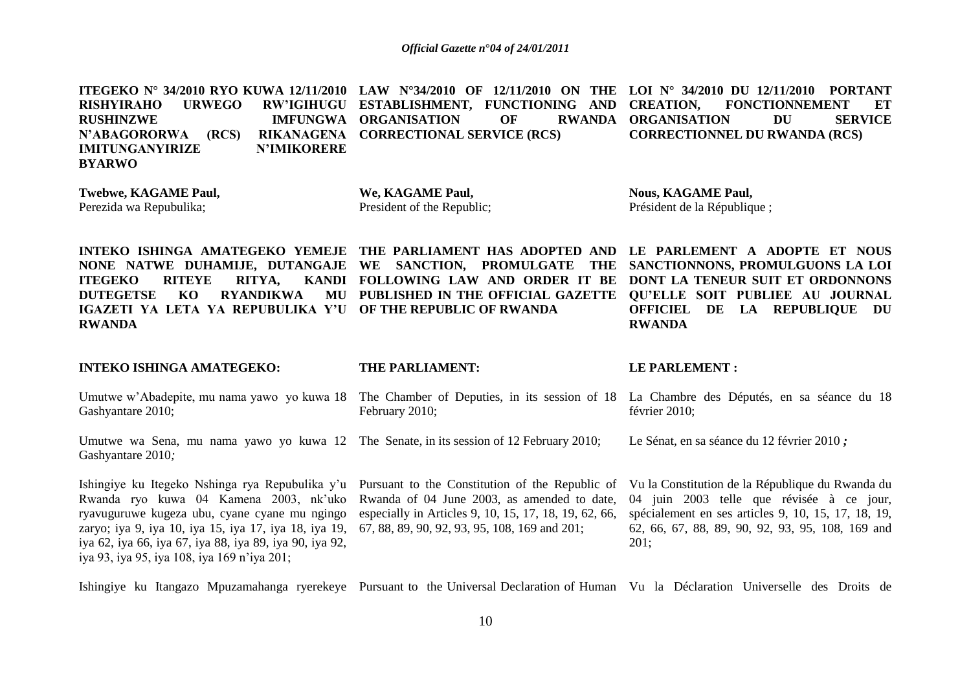**ITEGEKO N° 34/2010 RYO KUWA 12/11/2010 LAW N°34/2010 OF 12/11/2010 ON THE LOI N° 34/2010 DU 12/11/2010 PORTANT RISHYIRAHO URWEGO RW'IGIHUGU ESTABLISHMENT, FUNCTIONING AND RUSHINZWE IMFUNGWA ORGANISATION OF RWANDA N'ABAGORORWA (RCS) IMITUNGANYIRIZE N'IMIKORERE BYARWO CORRECTIONAL SERVICE (RCS) CREATION, FONCTIONNEMENT ET RWANDA ORGANISATION DU SERVICE CORRECTIONNEL DU RWANDA (RCS)**

**Twebwe, KAGAME Paul,**  Perezida wa Repubulika;

**We, KAGAME Paul,**  President of the Republic; **Nous, KAGAME Paul,**  Président de la République ;

**INTEKO ISHINGA AMATEGEKO YEMEJE THE PARLIAMENT HAS ADOPTED AND LE PARLEMENT A ADOPTE ET NOUS NONE NATWE DUHAMIJE, DUTANGAJE WE SANCTION, PROMULGATE THE ITEGEKO RITEYE RITYA, DUTEGETSE KO RYANDIKWA IGAZETI YA LETA YA REPUBULIKA Y'U OF THE REPUBLIC OF RWANDA RWANDA FOLLOWING LAW AND ORDER IT BE DONT LA TENEUR SUIT ET ORDONNONS PUBLISHED IN THE OFFICIAL GAZETTE QU'ELLE SOIT PUBLIEE AU JOURNAL SANCTIONNONS, PROMULGUONS LA LOI OFFICIEL DE LA REPUBLIQUE DU RWANDA**

**INTEKO ISHINGA AMATEGEKO:** 

**THE PARLIAMENT:**

#### **LE PARLEMENT :**

Umutwe w'Abadepite, mu nama yawo yo kuwa 18 The Chamber of Deputies, in its session of 18 La Chambre des Députés, en sa séance du 18 Gashyantare 2010; February 2010; février 2010;

Umutwe wa Sena, mu nama yawo yo kuwa 12 The Senate, in its session of 12 February 2010; Gashyantare 2010*;* Le Sénat, en sa séance du 12 février 2010 *;*

Ishingiye ku Itegeko Nshinga rya Repubulika y'u Pursuant to the Constitution of the Republic of Rwanda ryo kuwa 04 Kamena 2003, nk"uko ryavuguruwe kugeza ubu, cyane cyane mu ngingo zaryo; iya 9, iya 10, iya 15, iya 17, iya 18, iya 19, 67, 88, 89, 90, 92, 93, 95, 108, 169 and 201; iya 62, iya 66, iya 67, iya 88, iya 89, iya 90, iya 92, iya 93, iya 95, iya 108, iya 169 n"iya 201;

Rwanda of 04 June 2003, as amended to date, especially in Articles 9, 10, 15, 17, 18, 19, 62, 66, Vu la Constitution de la République du Rwanda du 04 juin 2003 telle que révisée à ce jour, spécialement en ses articles 9, 10, 15, 17, 18, 19, 62, 66, 67, 88, 89, 90, 92, 93, 95, 108, 169 and 201;

Ishingiye ku Itangazo Mpuzamahanga ryerekeye Pursuant to the Universal Declaration of Human Vu la Déclaration Universelle des Droits de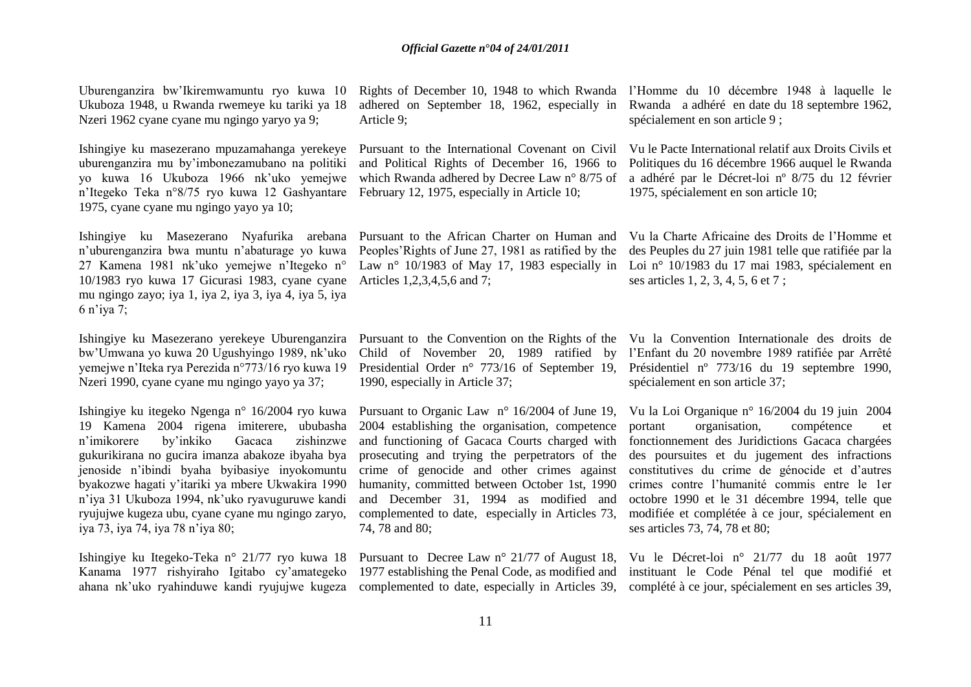Uburenganzira bw"Ikiremwamuntu ryo kuwa 10 Ukuboza 1948, u Rwanda rwemeye ku tariki ya 18 Nzeri 1962 cyane cyane mu ngingo yaryo ya 9;

Ishingiye ku masezerano mpuzamahanga yerekeye uburenganzira mu by"imbonezamubano na politiki yo kuwa 16 Ukuboza 1966 nk"uko yemejwe n"Itegeko Teka n°8/75 ryo kuwa 12 Gashyantare February 12, 1975, especially in Article 10; 1975, cyane cyane mu ngingo yayo ya 10;

Ishingiye ku Masezerano Nyafurika arebana Pursuant to the African Charter on Human and n"uburenganzira bwa muntu n"abaturage yo kuwa 27 Kamena 1981 nk"uko yemejwe n"Itegeko n° 10/1983 ryo kuwa 17 Gicurasi 1983, cyane cyane Articles 1,2,3,4,5,6 and 7; mu ngingo zayo; iya 1, iya 2, iya 3, iya 4, iya 5, iya 6 n"iya 7;

Ishingiye ku Masezerano yerekeye Uburenganzira bw"Umwana yo kuwa 20 Ugushyingo 1989, nk"uko yemejwe n"Iteka rya Perezida n°773/16 ryo kuwa 19 Nzeri 1990, cyane cyane mu ngingo yayo ya 37;

Ishingiye ku itegeko Ngenga n° 16/2004 ryo kuwa 19 Kamena 2004 rigena imiterere, ububasha n"imikorere by"inkiko Gacaca zishinzwe gukurikirana no gucira imanza abakoze ibyaha bya jenoside n"ibindi byaha byibasiye inyokomuntu byakozwe hagati y"itariki ya mbere Ukwakira 1990 n"iya 31 Ukuboza 1994, nk"uko ryavuguruwe kandi ryujujwe kugeza ubu, cyane cyane mu ngingo zaryo, iya 73, iya 74, iya 78 n"iya 80;

Ishingiye ku Itegeko-Teka n° 21/77 ryo kuwa 18 Kanama 1977 rishyiraho Igitabo cy"amategeko ahana nk"uko ryahinduwe kandi ryujujwe kugeza

Article 9;

Pursuant to the International Covenant on Civil and Political Rights of December 16, 1966 to which Rwanda adhered by Decree Law n° 8/75 of

Peoples"Rights of June 27, 1981 as ratified by the

1990, especially in Article 37;

Pursuant to Organic Law n° 16/2004 of June 19, 2004 establishing the organisation, competence and functioning of Gacaca Courts charged with prosecuting and trying the perpetrators of the crime of genocide and other crimes against humanity, committed between October 1st, 1990 and December 31, 1994 as modified and complemented to date, especially in Articles 73, 74, 78 and 80;

Pursuant to Decree Law n° 21/77 of August 18, 1977 establishing the Penal Code, as modified and

Rights of December 10, 1948 to which Rwanda l"Homme du 10 décembre 1948 à laquelle le adhered on September 18, 1962, especially in Rwanda a adhéré en date du 18 septembre 1962, spécialement en son article 9 ;

> Vu le Pacte International relatif aux Droits Civils et Politiques du 16 décembre 1966 auquel le Rwanda a adhéré par le Décret-loi nº 8/75 du 12 février 1975, spécialement en son article 10;

Law n° 10/1983 of May 17, 1983 especially in Loi n° 10/1983 du 17 mai 1983, spécialement en Vu la Charte Africaine des Droits de l"Homme et des Peuples du 27 juin 1981 telle que ratifiée par la ses articles 1, 2, 3, 4, 5, 6 et 7 ;

Pursuant to the Convention on the Rights of the Vu la Convention Internationale des droits de Child of November 20, 1989 ratified by l"Enfant du 20 novembre 1989 ratifiée par Arrêté Presidential Order n° 773/16 of September 19, Présidentiel n° 773/16 du 19 septembre 1990, spécialement en son article 37;

> Vu la Loi Organique n° 16/2004 du 19 juin 2004 portant organisation, compétence et fonctionnement des Juridictions Gacaca chargées des poursuites et du jugement des infractions constitutives du crime de génocide et d"autres crimes contre l"humanité commis entre le 1er octobre 1990 et le 31 décembre 1994, telle que modifiée et complétée à ce jour, spécialement en ses articles 73, 74, 78 et 80;

complemented to date, especially in Articles 39, complété à ce jour, spécialement en ses articles 39, Vu le Décret-loi n° 21/77 du 18 août 1977 instituant le Code Pénal tel que modifié et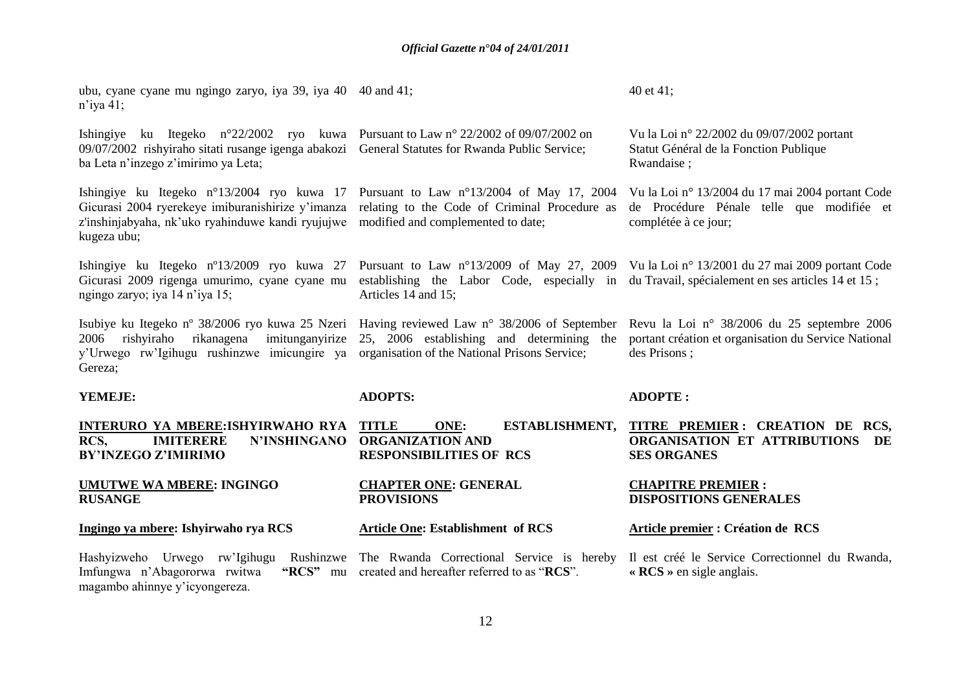| ubu, cyane cyane mu ngingo zaryo, iya 39, iya 40 40 and 41;<br>$n$ 'iya 41;                                                                                                                                                                                    |                                                                                                                                                    | 40 et 41;                                                                                                           |
|----------------------------------------------------------------------------------------------------------------------------------------------------------------------------------------------------------------------------------------------------------------|----------------------------------------------------------------------------------------------------------------------------------------------------|---------------------------------------------------------------------------------------------------------------------|
| Ishingiye ku Itegeko n°22/2002 ryo kuwa Pursuant to Law n° 22/2002 of 09/07/2002 on<br>09/07/2002 rishyiraho sitati rusange igenga abakozi General Statutes for Rwanda Public Service;<br>ba Leta n'inzego z'imirimo ya Leta;                                  |                                                                                                                                                    | Vu la Loi nº 22/2002 du 09/07/2002 portant<br>Statut Général de la Fonction Publique<br>Rwandaise;                  |
| Ishingiye ku Itegeko n°13/2004 ryo kuwa 17 Pursuant to Law n°13/2004 of May 17, 2004 Vu la Loi n° 13/2004 du 17 mai 2004 portant Code<br>Gicurasi 2004 ryerekeye imiburanishirize y'imanza<br>z'inshinjabyaha, nk'uko ryahinduwe kandi ryujujwe<br>kugeza ubu; | relating to the Code of Criminal Procedure as<br>modified and complemented to date;                                                                | de Procédure Pénale telle que modifiée et<br>complétée à ce jour;                                                   |
| Ishingiye ku Itegeko n°13/2009 ryo kuwa 27<br>Gicurasi 2009 rigenga umurimo, cyane cyane mu<br>ngingo zaryo; iya 14 n'iya 15;                                                                                                                                  | establishing the Labor Code, especially in du Travail, spécialement en ses articles 14 et 15;<br>Articles 14 and 15;                               | Pursuant to Law n°13/2009 of May 27, 2009 Vu la Loi n° 13/2001 du 27 mai 2009 portant Code                          |
| Isubiye ku Itegeko nº 38/2006 ryo kuwa 25 Nzeri<br>rikanagena<br>imitunganyirize<br>rishyiraho<br>2006<br>y'Urwego rw'Igihugu rushinzwe imicungire ya<br>Gereza;                                                                                               | Having reviewed Law $n^{\circ}$ 38/2006 of September<br>25, 2006 establishing and determining the<br>organisation of the National Prisons Service; | Revu la Loi nº 38/2006 du 25 septembre 2006<br>portant création et organisation du Service National<br>des Prisons; |
| YEMEJE:                                                                                                                                                                                                                                                        | <b>ADOPTS:</b>                                                                                                                                     | <b>ADOPTE:</b>                                                                                                      |
| INTERURO YA MBERE: ISHYIRWAHO RYA<br>RCS,<br><b>IMITERERE</b><br><b>N'INSHINGANO</b><br><b>BY'INZEGO Z'IMIRIMO</b>                                                                                                                                             | <b>TITLE</b><br>ONE:<br>ESTABLISHMENT,<br><b>ORGANIZATION AND</b><br><b>RESPONSIBILITIES OF RCS</b>                                                | TITRE PREMIER: CREATION DE RCS,<br>ORGANISATION ET ATTRIBUTIONS<br>DE<br><b>SES ORGANES</b>                         |
| <b>UMUTWE WA MBERE: INGINGO</b><br><b>RUSANGE</b>                                                                                                                                                                                                              | <b>CHAPTER ONE: GENERAL</b><br><b>PROVISIONS</b>                                                                                                   | <b>CHAPITRE PREMIER:</b><br><b>DISPOSITIONS GENERALES</b>                                                           |
| Ingingo ya mbere: Ishyirwaho rya RCS                                                                                                                                                                                                                           | <b>Article One: Establishment of RCS</b>                                                                                                           | <b>Article premier : Création de RCS</b>                                                                            |
| Hashyizweho Urwego rw'Igihugu Rushinzwe<br>Imfungwa n'Abagororwa rwitwa<br>"RCS" mu<br>magambo ahinnye y'icyongereza.                                                                                                                                          | The Rwanda Correctional Service is hereby<br>created and hereafter referred to as "RCS".                                                           | Il est créé le Service Correctionnel du Rwanda,<br>$\angle$ RCS $\angle$ en sigle anglais.                          |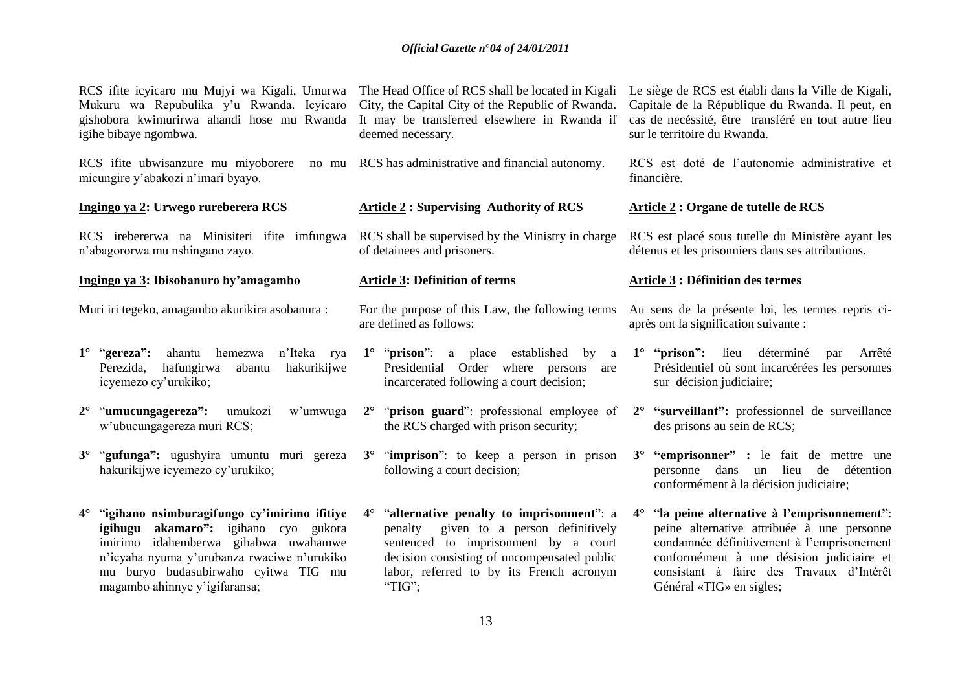| RCS ifite icyicaro mu Mujyi wa Kigali, Umurwa<br>Mukuru wa Repubulika y'u Rwanda. Icyicaro<br>gishobora kwimurirwa ahandi hose mu Rwanda<br>igihe bibaye ngombwa.                                                     | The Head Office of RCS shall be located in Kigali<br>City, the Capital City of the Republic of Rwanda.<br>It may be transferred elsewhere in Rwanda if<br>deemed necessary.                                                           | Le siège de RCS est établi dans la Ville de Kigali,<br>Capitale de la République du Rwanda. Il peut, en<br>cas de necéssité, être transféré en tout autre lieu<br>sur le territoire du Rwanda.                                                 |
|-----------------------------------------------------------------------------------------------------------------------------------------------------------------------------------------------------------------------|---------------------------------------------------------------------------------------------------------------------------------------------------------------------------------------------------------------------------------------|------------------------------------------------------------------------------------------------------------------------------------------------------------------------------------------------------------------------------------------------|
| RCS if ite ubwisanzure mu miyoborere<br>no mu<br>micungire y'abakozi n'imari byayo.                                                                                                                                   | RCS has administrative and financial autonomy.                                                                                                                                                                                        | RCS est doté de l'autonomie administrative et<br>financière.                                                                                                                                                                                   |
| Ingingo ya 2: Urwego rureberera RCS                                                                                                                                                                                   | <b>Article 2: Supervising Authority of RCS</b>                                                                                                                                                                                        | <b>Article 2 : Organe de tutelle de RCS</b>                                                                                                                                                                                                    |
| RCS irebererwa na Minisiteri ifite imfungwa<br>n'abagororwa mu nshingano zayo.                                                                                                                                        | RCS shall be supervised by the Ministry in charge<br>of detainees and prisoners.                                                                                                                                                      | RCS est placé sous tutelle du Ministère ayant les<br>détenus et les prisonniers dans ses attributions.                                                                                                                                         |
| Ingingo ya 3: Ibisobanuro by'amagambo                                                                                                                                                                                 | <b>Article 3: Definition of terms</b>                                                                                                                                                                                                 | <b>Article 3: Définition des termes</b>                                                                                                                                                                                                        |
| Muri iri tegeko, amagambo akurikira asobanura :                                                                                                                                                                       | For the purpose of this Law, the following terms<br>are defined as follows:                                                                                                                                                           | Au sens de la présente loi, les termes repris ci-<br>après ont la signification suivante :                                                                                                                                                     |
| $1^{\circ}$ "gereza":<br>ahantu<br>hemezwa<br>n'Iteka rya<br>hafungirwa<br>hakurikijwe<br>Perezida,<br>abantu<br>icyemezo cy'urukiko;                                                                                 | $1^{\circ}$ " <b>prison</b> ": a place established<br>by<br>a<br>Presidential Order where persons<br>are<br>incarcerated following a court decision;                                                                                  | $1^\circ$ "prison": lieu déterminé<br>Arrêté<br>par<br>Présidentiel où sont incarcérées les personnes<br>sur décision judiciaire;                                                                                                              |
| "umucungagereza":<br>umukozi<br>$2^{\circ}$<br>w'umwuga<br>w'ubucungagereza muri RCS;                                                                                                                                 | 2° "prison guard": professional employee of<br>the RCS charged with prison security;                                                                                                                                                  | "surveillant": professionnel de surveillance<br>$2^{\circ}$<br>des prisons au sein de RCS;                                                                                                                                                     |
| 3° "gufunga": ugushyira umuntu muri gereza<br>hakurikijwe icyemezo cy'urukiko;                                                                                                                                        | 3° "imprison": to keep a person in prison<br>following a court decision;                                                                                                                                                              | 3° "emprisonner" : le fait de mettre une<br>personne dans un lieu de détention<br>conformément à la décision judiciaire;                                                                                                                       |
| 4° "igihano nsimburagifungo cy'imirimo ifitiye<br>igihugu akamaro": igihano cyo gukora<br>imirimo idahemberwa gihabwa uwahamwe<br>n'icyaha nyuma y'urubanza rwaciwe n'urukiko<br>mu buryo budasubirwaho cyitwa TIG mu | "alternative penalty to imprisonment": a<br>$4^\circ$<br>given to a person definitively<br>penalty<br>sentenced to imprisonment by a court<br>decision consisting of uncompensated public<br>labor, referred to by its French acronym | "la peine alternative à l'emprisonnement":<br>$4^{\circ}$<br>peine alternative attribuée à une personne<br>condamnée définitivement à l'emprisonement<br>conformément à une désision judiciaire et<br>consistant à faire des Travaux d'Intérêt |

"TIG";

Général «TIG» en sigles;

magambo ahinnye y"igifaransa;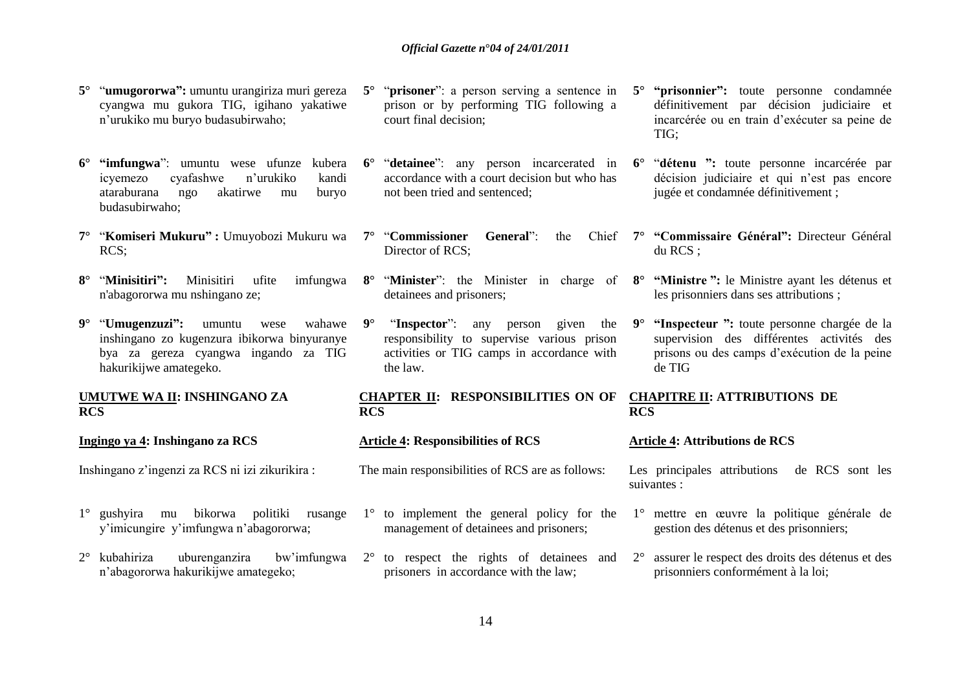- **5°** "**umugororwa":** umuntu urangiriza muri gereza cyangwa mu gukora TIG, igihano yakatiwe n"urukiko mu buryo budasubirwaho;
- **6° "imfungwa**": umuntu wese ufunze kubera icyemezo cyafashwe n"urukiko kandi ataraburana ngo akatirwe mu buryo budasubirwaho;
- **7°** "**Komiseri Mukuru" :** Umuyobozi Mukuru wa RCS;
- **8°** "**Minisitiri":** Minisitiri ufite imfungwa n'abagororwa mu nshingano ze;
- **9°** "**Umugenzuzi":** umuntu wese wahawe inshingano zo kugenzura ibikorwa binyuranye bya za gereza cyangwa ingando za TIG hakurikijwe amategeko.

### **UMUTWE WA II: INSHINGANO ZA RCS**

**Ingingo ya 4: Inshingano za RCS**

Inshingano z"ingenzi za RCS ni izi zikurikira :

- 1° gushyira mu bikorwa politiki rusange y"imicungire y"imfungwa n"abagororwa;
- 2° kubahiriza uburenganzira bw"imfungwa 2° to respect the rights of detainees and n"abagororwa hakurikijwe amategeko;
- **5°** "**prisoner**": a person serving a sentence in prison or by performing TIG following a court final decision;
- **6°** "**detainee**": any person incarcerated in accordance with a court decision but who has not been tried and sentenced;
- **7°** "Commissioner General": Director of RCS:
	- detainees and prisoners;
- **9°** "**Inspector**": any person given the responsibility to supervise various prison activities or TIG camps in accordance with the law.

### **CHAPTER II: RESPONSIBILITIES ON OF CHAPITRE II: ATTRIBUTIONS DE RCS**

### **Article 4: Responsibilities of RCS**

The main responsibilities of RCS are as follows:

- 1° to implement the general policy for the management of detainees and prisoners;
- prisoners in accordance with the law;
- **5° "prisonnier":** toute personne condamnée définitivement par décision judiciaire et incarcérée ou en train d"exécuter sa peine de TIG;
- **6°** "**détenu ":** toute personne incarcérée par décision judiciaire et qui n'est pas encore jugée et condamnée définitivement ;
- **7° "Commissaire Général":** Directeur Général du RCS ;
- **8°** "**Minister**": the Minister in charge of **8° "Ministre ":** le Ministre ayant les détenus et les prisonniers dans ses attributions ;
	- **9° "Inspecteur ":** toute personne chargée de la supervision des différentes activités des prisons ou des camps d"exécution de la peine de TIG

# **RCS**

#### **Article 4: Attributions de RCS**

Les principales attributions de RCS sont les suivantes :

- 1° mettre en œuvre la politique générale de gestion des détenus et des prisonniers;
- 2° assurer le respect des droits des détenus et des prisonniers conformément à la loi;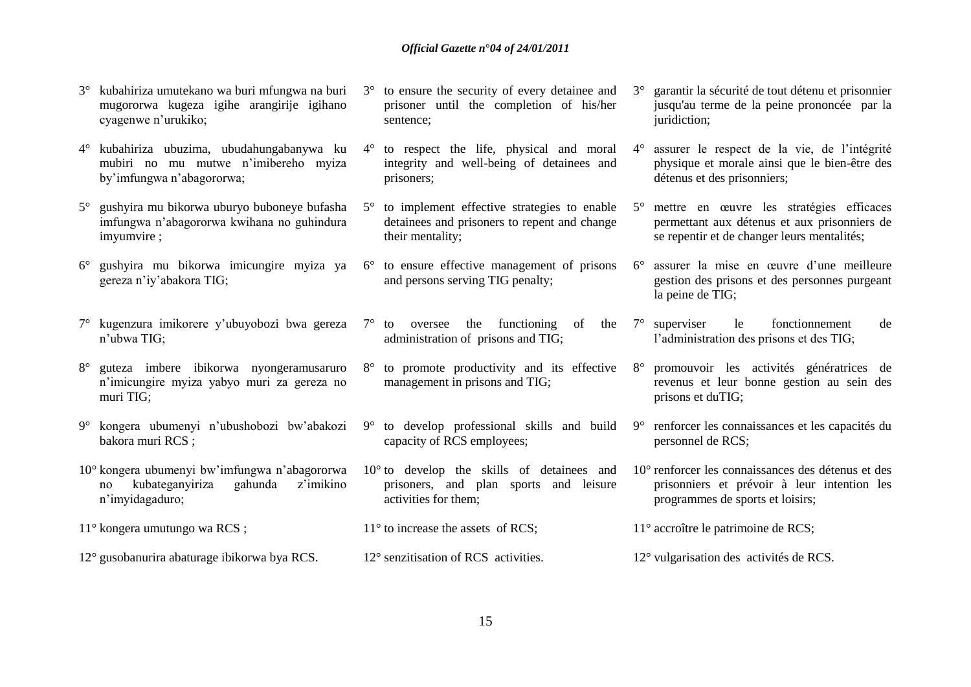- 3° kubahiriza umutekano wa buri mfungwa na buri mugororwa kugeza igihe arangirije igihano cyagenwe n"urukiko; sentence;
- 4° kubahiriza ubuzima, ubudahungabanywa ku mubiri no mu mutwe n"imibereho myiza by"imfungwa n"abagororwa;
- 5° gushyira mu bikorwa uburyo buboneye bufasha imfungwa n"abagororwa kwihana no guhindura imyumvire ;
- 6° gushyira mu bikorwa imicungire myiza ya 6° to ensure effective management of prisons gereza n"iy"abakora TIG;
- 7° kugenzura imikorere y"ubuyobozi bwa gereza n"ubwa TIG;
- 8° guteza imbere ibikorwa nyongeramusaruro n"imicungire myiza yabyo muri za gereza no muri TIG;
- 9° kongera ubumenyi n"ubushobozi bw"abakozi bakora muri RCS ;
- 10° kongera ubumenyi bw"imfungwa n"abagororwa no kubateganyiriza gahunda z"imikino n"imyidagaduro;
- 3° to ensure the security of every detainee and prisoner until the completion of his/her
	- 4° to respect the life, physical and moral integrity and well-being of detainees and prisoners;
	- 5° to implement effective strategies to enable detainees and prisoners to repent and change their mentality;
	- and persons serving TIG penalty;
	- $7^\circ$  to oversee the functioning of the  $7^\circ$  superviser administration of prisons and TIG;
	- 8° to promote productivity and its effective management in prisons and TIG;
	- 9° to develop professional skills and build capacity of RCS employees;
	- 10° to develop the skills of detainees and prisoners, and plan sports and leisure activities for them;
- 11° kongera umutungo wa RCS ; 12° gusobanurira abaturage ibikorwa bya RCS. 11<sup>°</sup> to increase the assets of RCS; 12° senzitisation of RCS activities. 11° accroître le patrimoine de RCS; 12° vulgarisation des activités de RCS.
- 3° garantir la sécurité de tout détenu et prisonnier jusqu'au terme de la peine prononcée par la juridiction;
- 4° assurer le respect de la vie, de l"intégrité physique et morale ainsi que le bien-être des détenus et des prisonniers;
- 5° mettre en œuvre les stratégies efficaces permettant aux détenus et aux prisonniers de se repentir et de changer leurs mentalités;
- 6° assurer la mise en œuvre d"une meilleure gestion des prisons et des personnes purgeant la peine de TIG;
- le fonctionnement de l"administration des prisons et des TIG;
- 8° promouvoir les activités génératrices de revenus et leur bonne gestion au sein des prisons et duTIG;
- 9° renforcer les connaissances et les capacités du personnel de RCS;
- 10° renforcer les connaissances des détenus et des prisonniers et prévoir à leur intention les programmes de sports et loisirs;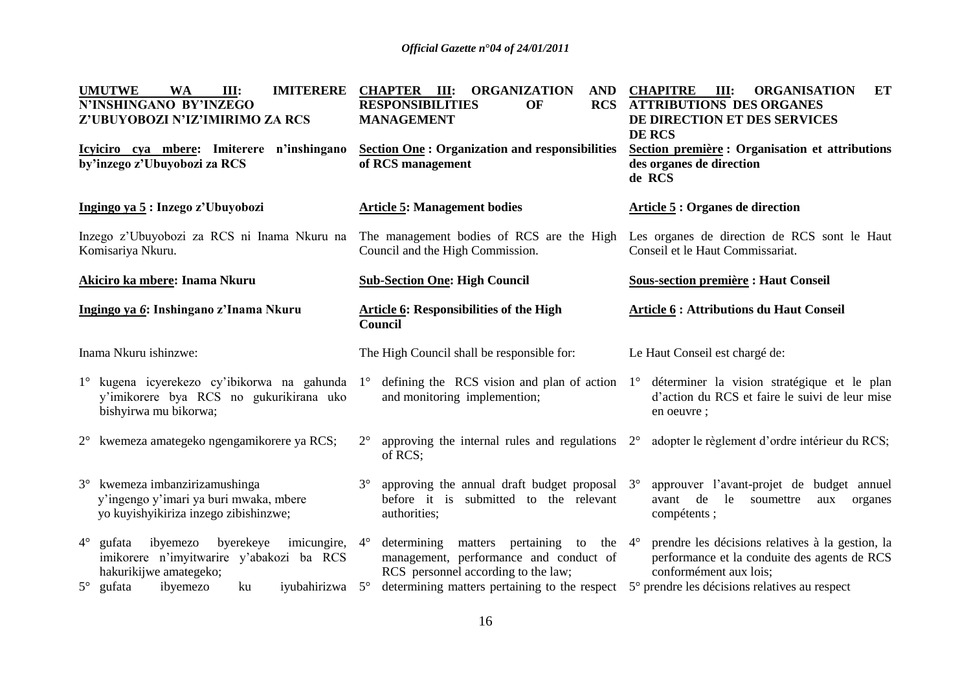| ET<br><b>ORGANISATION</b><br><b>ATTRIBUTIONS DES ORGANES</b><br>DE DIRECTION ET DES SERVICES<br>Section première : Organisation et attributions                                                 |
|-------------------------------------------------------------------------------------------------------------------------------------------------------------------------------------------------|
|                                                                                                                                                                                                 |
| Les organes de direction de RCS sont le Haut                                                                                                                                                    |
| <b>Sous-section première : Haut Conseil</b>                                                                                                                                                     |
| <b>Article 6: Attributions du Haut Conseil</b>                                                                                                                                                  |
|                                                                                                                                                                                                 |
| defining the RCS vision and plan of action $1^{\circ}$ déterminer la vision stratégique et le plan<br>d'action du RCS et faire le suivi de leur mise                                            |
| adopter le règlement d'ordre intérieur du RCS;                                                                                                                                                  |
| approuver l'avant-projet de budget annuel<br>aux<br>organes                                                                                                                                     |
| prendre les décisions relatives à la gestion, la<br>performance et la conduite des agents de RCS<br>determining matters pertaining to the respect 5° prendre les décisions relatives au respect |
|                                                                                                                                                                                                 |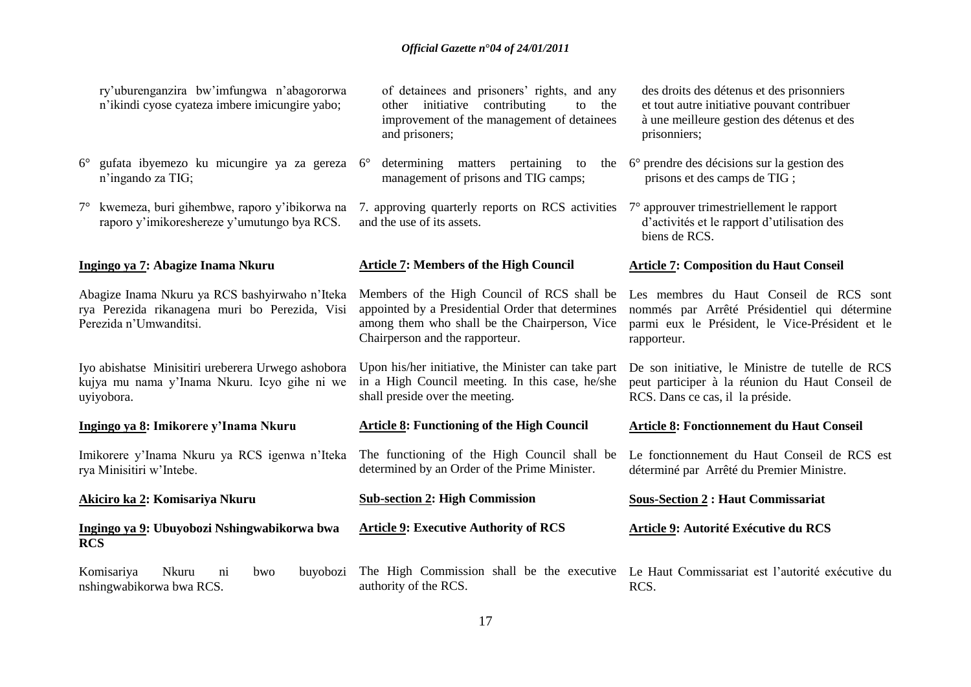| ry'uburenganzira bw'imfungwa n'abagororwa<br>n'ikindi cyose cyateza imbere imicungire yabo;                                | of detainees and prisoners' rights, and any<br>other initiative contributing<br>the<br>to<br>improvement of the management of detainees<br>and prisoners;                            | des droits des détenus et des prisonniers<br>et tout autre initiative pouvant contribuer<br>à une meilleure gestion des détenus et des<br>prisonniers;    |
|----------------------------------------------------------------------------------------------------------------------------|--------------------------------------------------------------------------------------------------------------------------------------------------------------------------------------|-----------------------------------------------------------------------------------------------------------------------------------------------------------|
| gufata ibyemezo ku micungire ya za gereza 6°<br>$6^{\circ}$<br>n'ingando za TIG;                                           | determining matters pertaining to<br>management of prisons and TIG camps;                                                                                                            | the 6° prendre des décisions sur la gestion des<br>prisons et des camps de TIG;                                                                           |
| kwemeza, buri gihembwe, raporo y'ibikorwa na<br>$7^{\circ}$<br>raporo y'imikoreshereze y'umutungo bya RCS.                 | 7. approving quarterly reports on RCS activities<br>and the use of its assets.                                                                                                       | 7° approuver trimestriellement le rapport<br>d'activités et le rapport d'utilisation des<br>biens de RCS.                                                 |
| Ingingo ya 7: Abagize Inama Nkuru                                                                                          | <b>Article 7: Members of the High Council</b>                                                                                                                                        | <b>Article 7: Composition du Haut Conseil</b>                                                                                                             |
| Abagize Inama Nkuru ya RCS bashyirwaho n'Iteka<br>rya Perezida rikanagena muri bo Perezida, Visi<br>Perezida n'Umwanditsi. | Members of the High Council of RCS shall be<br>appointed by a Presidential Order that determines<br>among them who shall be the Chairperson, Vice<br>Chairperson and the rapporteur. | Les membres du Haut Conseil de RCS sont<br>nommés par Arrêté Présidentiel qui détermine<br>parmi eux le Président, le Vice-Président et le<br>rapporteur. |
| Iyo abishatse Minisitiri ureberera Urwego ashobora<br>kujya mu nama y'Inama Nkuru. Icyo gihe ni we<br>uyiyobora.           | Upon his/her initiative, the Minister can take part<br>in a High Council meeting. In this case, he/she<br>shall preside over the meeting.                                            | De son initiative, le Ministre de tutelle de RCS<br>peut participer à la réunion du Haut Conseil de<br>RCS. Dans ce cas, il la préside.                   |
| Ingingo ya 8: Imikorere y'Inama Nkuru                                                                                      | <b>Article 8: Functioning of the High Council</b>                                                                                                                                    | <b>Article 8: Fonctionnement du Haut Conseil</b>                                                                                                          |
| Imikorere y'Inama Nkuru ya RCS igenwa n'Iteka<br>rya Minisitiri w'Intebe.                                                  | The functioning of the High Council shall be<br>determined by an Order of the Prime Minister.                                                                                        | Le fonctionnement du Haut Conseil de RCS est<br>déterminé par Arrêté du Premier Ministre.                                                                 |
| <u> Akiciro ka 2</u> : Komisariya Nkuru                                                                                    | <b>Sub-section 2: High Commission</b>                                                                                                                                                | <b>Sous-Section 2: Haut Commissariat</b>                                                                                                                  |
| Ingingo ya 9: Ubuyobozi Nshingwabikorwa bwa<br><b>RCS</b>                                                                  | <b>Article 9: Executive Authority of RCS</b>                                                                                                                                         | Article 9: Autorité Exécutive du RCS                                                                                                                      |
| Komisariya<br>Nkuru<br>buyobozi<br>$\overline{\text{ni}}$<br>bwo<br>nshingwabikorwa bwa RCS.                               | authority of the RCS.                                                                                                                                                                | The High Commission shall be the executive Le Haut Commissariat est l'autorité exécutive du<br>RCS.                                                       |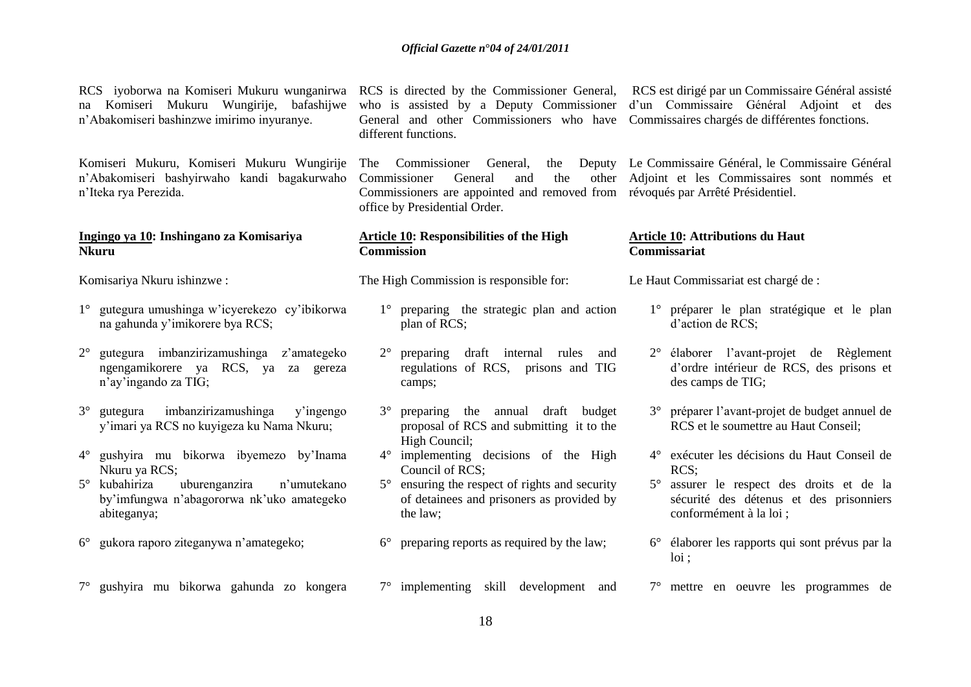na Komiseri Mukuru Wungirije, bafashijwe n"Abakomiseri bashinzwe imirimo inyuranye.

Komiseri Mukuru, Komiseri Mukuru Wungirije n"Abakomiseri bashyirwaho kandi bagakurwaho n"Iteka rya Perezida.

#### **Ingingo ya 10: Inshingano za Komisariya Nkuru**

Komisariya Nkuru ishinzwe :

- 1° gutegura umushinga w"icyerekezo cy"ibikorwa na gahunda y"imikorere bya RCS;
- 2° gutegura imbanzirizamushinga z"amategeko ngengamikorere ya RCS, ya za gereza n"ay"ingando za TIG;
- 3° gutegura imbanzirizamushinga y"ingengo y"imari ya RCS no kuyigeza ku Nama Nkuru;
- 4° gushyira mu bikorwa ibyemezo by"Inama Nkuru ya RCS;
- 5° kubahiriza uburenganzira n"umutekano by"imfungwa n"abagororwa nk"uko amategeko abiteganya;
- 6° gukora raporo ziteganywa n"amategeko;
- 7° gushyira mu bikorwa gahunda zo kongera

General and other Commissioners who have Commissaires chargés de différentes fonctions. different functions.

The Commissioner General, the Commissioner General and the Commissioners are appointed and removed from révoqués par Arrêté Présidentiel. office by Presidential Order.

#### **Article 10: Responsibilities of the High Commission**

The High Commission is responsible for:

- 1° preparing the strategic plan and action plan of RCS;
- 2° preparing draft internal rules and regulations of RCS, prisons and TIG camps;
- 3° preparing the annual draft budget proposal of RCS and submitting it to the High Council;
- 4° implementing decisions of the High Council of RCS;
- 5° ensuring the respect of rights and security of detainees and prisoners as provided by the law;
- 6° preparing reports as required by the law;
- 7° implementing skill development and

RCS iyoborwa na Komiseri Mukuru wunganirwa RCS is directed by the Commissioner General, RCS est dirigé par un Commissaire Général assisté who is assisted by a Deputy Commissioner d'un Commissaire Général Adjoint et des

> Le Commissaire Général, le Commissaire Général Adjoint et les Commissaires sont nommés et

#### **Article 10: Attributions du Haut Commissariat**

Le Haut Commissariat est chargé de :

- 1° préparer le plan stratégique et le plan d'action de RCS<sup>.</sup>
- 2° élaborer l"avant-projet de Règlement d"ordre intérieur de RCS, des prisons et des camps de TIG;
- 3° préparer l"avant-projet de budget annuel de RCS et le soumettre au Haut Conseil;
- 4° exécuter les décisions du Haut Conseil de RCS;
- 5° assurer le respect des droits et de la sécurité des détenus et des prisonniers conformément à la loi ;
- 6° élaborer les rapports qui sont prévus par la loi ;
- 7° mettre en oeuvre les programmes de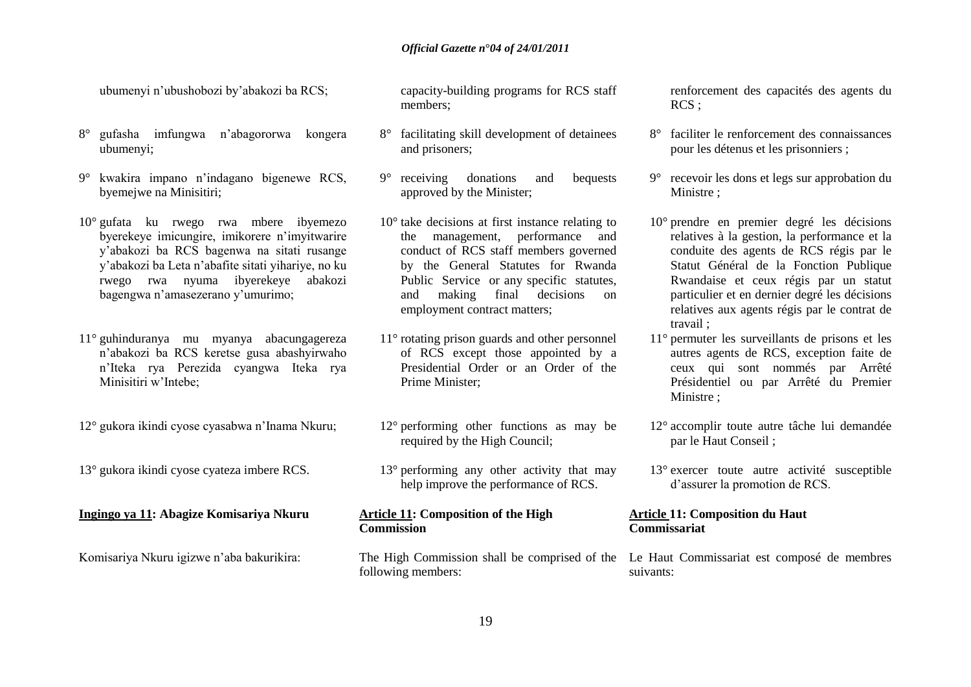ubumenyi n"ubushobozi by"abakozi ba RCS;

- 8° gufasha imfungwa n"abagororwa kongera ubumenyi;
- 9° kwakira impano n"indagano bigenewe RCS, byemejwe na Minisitiri;
- 10° gufata ku rwego rwa mbere ibyemezo byerekeye imicungire, imikorere n"imyitwarire y"abakozi ba RCS bagenwa na sitati rusange y"abakozi ba Leta n"abafite sitati yihariye, no ku rwego rwa nyuma ibyerekeye abakozi bagengwa n"amasezerano y"umurimo;
- 11° guhinduranya mu myanya abacungagereza n"abakozi ba RCS keretse gusa abashyirwaho n"Iteka rya Perezida cyangwa Iteka rya Minisitiri w"Intebe;
- 12° gukora ikindi cyose cyasabwa n"Inama Nkuru;
- 13° gukora ikindi cyose cyateza imbere RCS.

#### **Ingingo ya 11: Abagize Komisariya Nkuru**

Komisariya Nkuru igizwe n"aba bakurikira:

capacity-building programs for RCS staff members;

- 8° facilitating skill development of detainees and prisoners;
- 9° receiving donations and bequests approved by the Minister;
- 10° take decisions at first instance relating to the management, performance and conduct of RCS staff members governed by the General Statutes for Rwanda Public Service or any specific statutes, and making final decisions on employment contract matters;
- 11° rotating prison guards and other personnel of RCS except those appointed by a Presidential Order or an Order of the Prime Minister;
- 12° performing other functions as may be required by the High Council;
- 13° performing any other activity that may help improve the performance of RCS.

### **Article 11: Composition of the High Commission**

following members:

renforcement des capacités des agents du RCS ;

- 8° faciliter le renforcement des connaissances pour les détenus et les prisonniers ;
- 9° recevoir les dons et legs sur approbation du Ministre ;
- 10° prendre en premier degré les décisions relatives à la gestion, la performance et la conduite des agents de RCS régis par le Statut Général de la Fonction Publique Rwandaise et ceux régis par un statut particulier et en dernier degré les décisions relatives aux agents régis par le contrat de travail ;
- 11° permuter les surveillants de prisons et les autres agents de RCS, exception faite de ceux qui sont nommés par Arrêté Présidentiel ou par Arrêté du Premier Ministre ;
- 12° accomplir toute autre tâche lui demandée par le Haut Conseil ;
- 13° exercer toute autre activité susceptible d"assurer la promotion de RCS.

### **Article 11: Composition du Haut Commissariat**

The High Commission shall be comprised of the Le Haut Commissariat est composé de membres suivants: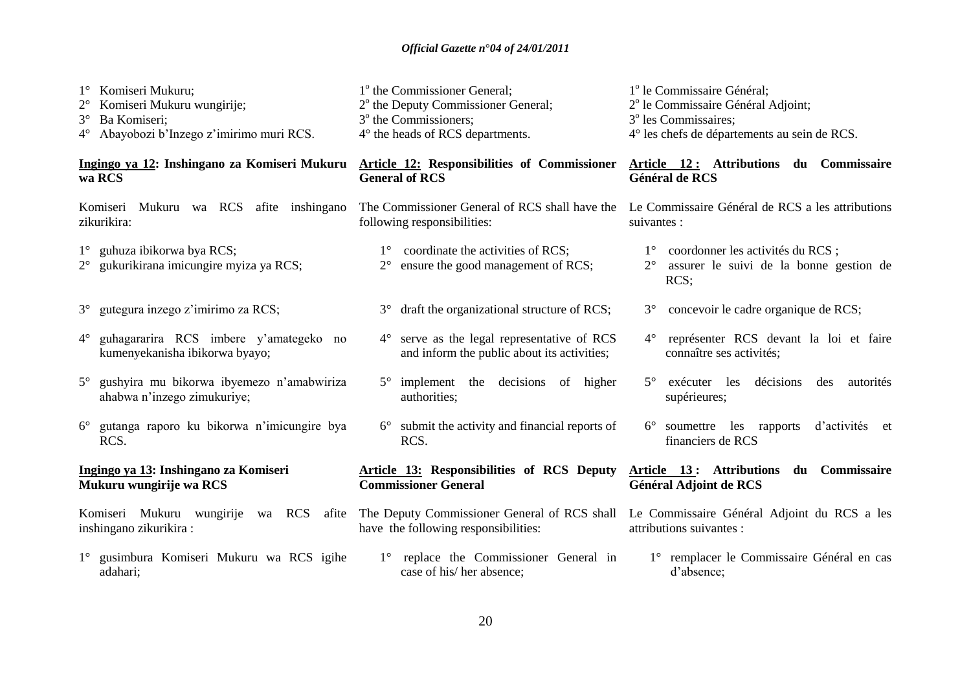| Komiseri Mukuru;<br>Komiseri Mukuru wungirije;<br>$2^{\circ}$<br>$3^\circ$<br>Ba Komiseri;<br>Abayobozi b'Inzego z'imirimo muri RCS.<br>$4^\circ$ | 1 <sup>°</sup> the Commissioner General;<br>2 <sup>°</sup> the Deputy Commissioner General;<br>3 <sup>°</sup> the Commissioners;<br>4° the heads of RCS departments. | 1 <sup>°</sup> le Commissaire Général;<br>2 <sup>°</sup> le Commissaire Général Adjoint;<br>3 <sup>°</sup> les Commissaires;<br>4° les chefs de départements au sein de RCS. |
|---------------------------------------------------------------------------------------------------------------------------------------------------|----------------------------------------------------------------------------------------------------------------------------------------------------------------------|------------------------------------------------------------------------------------------------------------------------------------------------------------------------------|
| Ingingo ya 12: Inshingano za Komiseri Mukuru                                                                                                      | <b>Article 12: Responsibilities of Commissioner</b>                                                                                                                  | Article 12: Attributions du Commissaire                                                                                                                                      |
| wa RCS                                                                                                                                            | <b>General of RCS</b>                                                                                                                                                | Général de RCS                                                                                                                                                               |
| Komiseri Mukuru wa RCS afite inshingano                                                                                                           | The Commissioner General of RCS shall have the                                                                                                                       | Le Commissaire Général de RCS a les attributions                                                                                                                             |
| zikurikira:                                                                                                                                       | following responsibilities:                                                                                                                                          | suivantes :                                                                                                                                                                  |
| 1° guhuza ibikorwa bya RCS;<br>gukurikirana imicungire myiza ya RCS;<br>$2^{\circ}$                                                               | coordinate the activities of RCS;<br>$1^{\circ}$<br>ensure the good management of RCS;<br>$2^{\circ}$                                                                | coordonner les activités du RCS ;<br>$1^{\circ}$<br>$2^{\circ}$<br>assurer le suivi de la bonne gestion de<br>RCS;                                                           |
| gutegura inzego z'imirimo za RCS;                                                                                                                 | draft the organizational structure of RCS;                                                                                                                           | concevoir le cadre organique de RCS;                                                                                                                                         |
| $3^\circ$                                                                                                                                         | $3^\circ$                                                                                                                                                            | $3^\circ$                                                                                                                                                                    |
| guhagararira RCS imbere y'amategeko no                                                                                                            | serve as the legal representative of RCS                                                                                                                             | représenter RCS devant la loi et faire                                                                                                                                       |
| $4^{\circ}$                                                                                                                                       | $4^{\circ}$                                                                                                                                                          | $4^{\circ}$                                                                                                                                                                  |
| kumenyekanisha ibikorwa byayo;                                                                                                                    | and inform the public about its activities;                                                                                                                          | connaître ses activités;                                                                                                                                                     |
| gushyira mu bikorwa ibyemezo n'amabwiriza<br>$5^\circ$<br>ahabwa n'inzego zimukuriye;                                                             | implement the decisions of higher<br>$5^\circ$<br>authorities;                                                                                                       | $5^\circ$<br>exécuter les<br>décisions<br>autorités<br>des<br>supérieures;                                                                                                   |
| gutanga raporo ku bikorwa n'imicungire bya<br>$6^{\circ}$<br>RCS.                                                                                 | submit the activity and financial reports of<br>$6^{\circ}$<br>RCS.                                                                                                  | soumettre les rapports<br>d'activités et<br>$6^{\circ}$<br>financiers de RCS                                                                                                 |
| Ingingo ya 13: Inshingano za Komiseri                                                                                                             | <b>Article 13: Responsibilities of RCS Deputy</b>                                                                                                                    | Article 13: Attributions du Commissaire                                                                                                                                      |
| Mukuru wungirije wa RCS                                                                                                                           | <b>Commissioner General</b>                                                                                                                                          | Général Adjoint de RCS                                                                                                                                                       |
| Komiseri Mukuru wungirije wa RCS afite<br>inshingano zikurikira:                                                                                  | have the following responsibilities:                                                                                                                                 | The Deputy Commissioner General of RCS shall Le Commissaire Général Adjoint du RCS a les<br>attributions suivantes :                                                         |
| 1° gusimbura Komiseri Mukuru wa RCS igihe                                                                                                         | replace the Commissioner General in                                                                                                                                  | 1 <sup>°</sup> remplacer le Commissaire Général en cas                                                                                                                       |
| adahari;                                                                                                                                          | case of his/her absence;                                                                                                                                             | d'absence;                                                                                                                                                                   |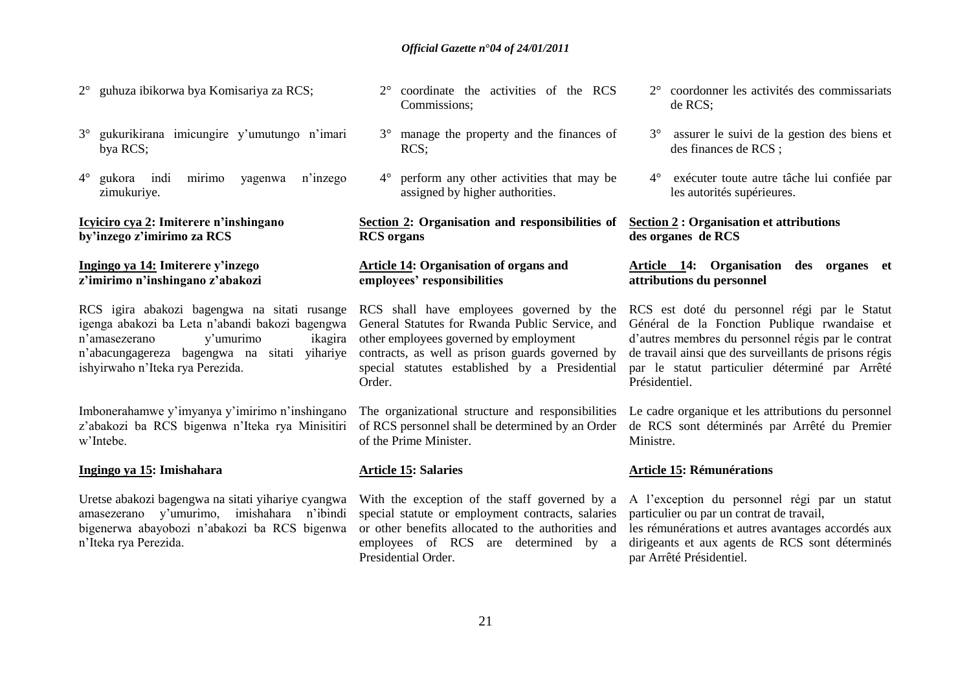- 2° guhuza ibikorwa bya Komisariya za RCS;
- 3° gukurikirana imicungire y"umutungo n"imari bya RCS;
- 4° gukora indi mirimo yagenwa n"inzego zimukuriye.

### **Icyiciro cya 2: Imiterere n'inshingano by'inzego z'imirimo za RCS**

### **Ingingo ya 14: Imiterere y'inzego z'imirimo n'inshingano z'abakozi**

RCS igira abakozi bagengwa na sitati rusange RCS shall have employees governed by the igenga abakozi ba Leta n"abandi bakozi bagengwa General Statutes for Rwanda Public Service, and n'amasezerano v'umurimo n"abacungagereza bagengwa na sitati yihariye contracts, as well as prison guards governed by ishyirwaho n"Iteka rya Perezida.

Imbonerahamwe y"imyanya y"imirimo n"inshingano z"abakozi ba RCS bigenwa n"Iteka rya Minisitiri w"Intebe.

### **Ingingo ya 15: Imishahara**

Uretse abakozi bagengwa na sitati yihariye cyangwa amasezerano y"umurimo, imishahara n"ibindi bigenerwa abayobozi n"abakozi ba RCS bigenwa n"Iteka rya Perezida.

- 2° coordinate the activities of the RCS Commissions;
- 3° manage the property and the finances of RCS;
- 4° perform any other activities that may be assigned by higher authorities.

### **Section 2: Organisation and responsibilities of RCS organs**

### **Article 14: Organisation of organs and employees' responsibilities**

ikagira other employees governed by employment special statutes established by a Presidential Order.

> of RCS personnel shall be determined by an Order of the Prime Minister.

### **Article 15: Salaries**

With the exception of the staff governed by a special statute or employment contracts, salaries or other benefits allocated to the authorities and employees of RCS are determined by a Presidential Order.

- 2° coordonner les activités des commissariats de RCS;
- 3° assurer le suivi de la gestion des biens et des finances de RCS ;
- 4° exécuter toute autre tâche lui confiée par les autorités supérieures.

### **Section 2 : Organisation et attributions des organes de RCS**

### **Article 14: Organisation des organes et attributions du personnel**

RCS est doté du personnel régi par le Statut Général de la Fonction Publique rwandaise et d"autres membres du personnel régis par le contrat de travail ainsi que des surveillants de prisons régis par le statut particulier déterminé par Arrêté Présidentiel.

The organizational structure and responsibilities Le cadre organique et les attributions du personnel de RCS sont déterminés par Arrêté du Premier Ministre.

#### **Article 15: Rémunérations**

A l"exception du personnel régi par un statut particulier ou par un contrat de travail,

les rémunérations et autres avantages accordés aux dirigeants et aux agents de RCS sont déterminés par Arrêté Présidentiel.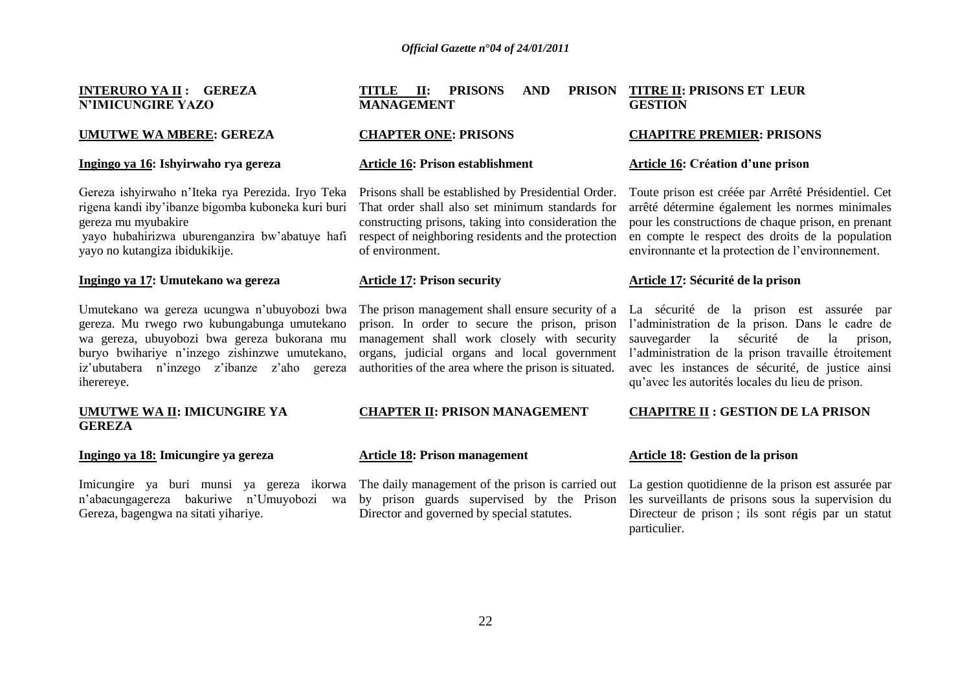**INTERURO YA II : GEREZA N'IMICUNGIRE YAZO**

### **UMUTWE WA MBERE: GEREZA**

#### **Ingingo ya 16: Ishyirwaho rya gereza**

Gereza ishyirwaho n"Iteka rya Perezida. Iryo Teka rigena kandi iby"ibanze bigomba kuboneka kuri buri gereza mu myubakire

yayo hubahirizwa uburenganzira bw"abatuye hafi yayo no kutangiza ibidukikije.

#### **Ingingo ya 17: Umutekano wa gereza**

Umutekano wa gereza ucungwa n"ubuyobozi bwa gereza. Mu rwego rwo kubungabunga umutekano wa gereza, ubuyobozi bwa gereza bukorana mu buryo bwihariye n"inzego zishinzwe umutekano, iz"ubutabera n"inzego z"ibanze z"aho gereza iherereye.

#### **UMUTWE WA II: IMICUNGIRE YA GEREZA**

#### **Ingingo ya 18: Imicungire ya gereza**

Imicungire ya buri munsi ya gereza ikorwa n"abacungagereza bakuriwe n"Umuyobozi wa Gereza, bagengwa na sitati yihariye.

#### **TITLE II: PRISONS AND MANAGEMENT PRISON TITRE II: PRISONS ET LEUR GESTION**

#### **CHAPTER ONE: PRISONS**

#### **Article 16: Prison establishment**

Prisons shall be established by Presidential Order. That order shall also set minimum standards for constructing prisons, taking into consideration the respect of neighboring residents and the protection of environment.

#### **Article 17: Prison security**

The prison management shall ensure security of a prison. In order to secure the prison, prison management shall work closely with security organs, judicial organs and local government authorities of the area where the prison is situated.

#### **CHAPTER II: PRISON MANAGEMENT**

#### **Article 18: Prison management**

by prison guards supervised by the Prison Director and governed by special statutes.

# **CHAPITRE PREMIER: PRISONS**

#### **Article 16: Création d'une prison**

Toute prison est créée par Arrêté Présidentiel. Cet arrêté détermine également les normes minimales pour les constructions de chaque prison, en prenant en compte le respect des droits de la population environnante et la protection de l"environnement.

#### **Article 17: Sécurité de la prison**

La sécurité de la prison est assurée par l"administration de la prison. Dans le cadre de sauvegarder la sécurité de la prison, l"administration de la prison travaille étroitement avec les instances de sécurité, de justice ainsi qu"avec les autorités locales du lieu de prison.

#### **CHAPITRE II : GESTION DE LA PRISON**

#### **Article 18: Gestion de la prison**

The daily management of the prison is carried out La gestion quotidienne de la prison est assurée par les surveillants de prisons sous la supervision du Directeur de prison ; ils sont régis par un statut particulier.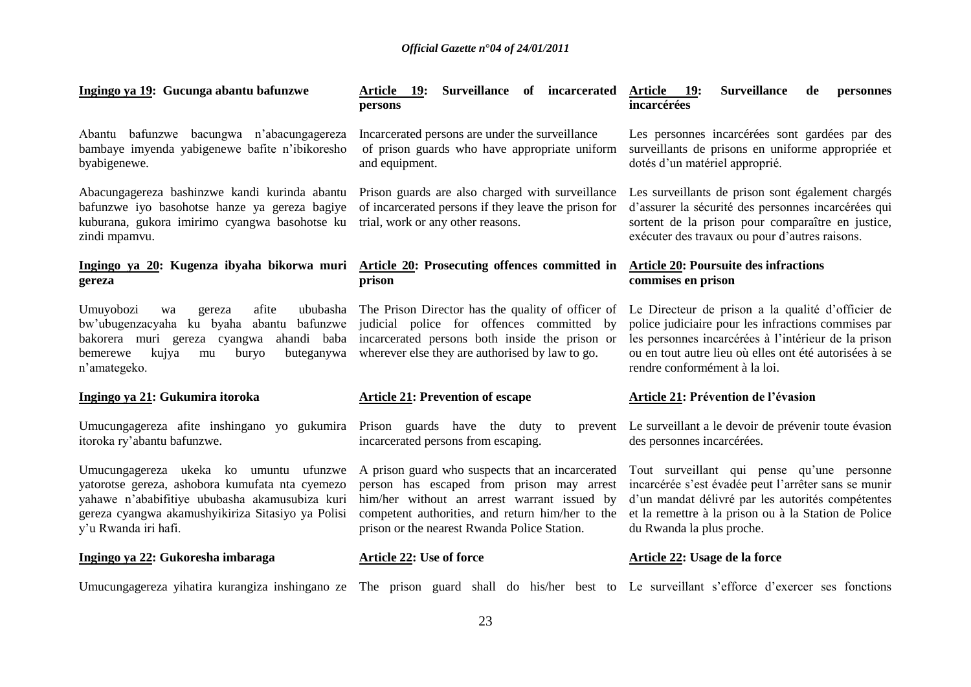| Ingingo ya 19: Gucunga abantu bafunzwe                                                                                                                                                                                   | Surveillance of incarcerated<br>Article 19:<br>persons                                                                                                                                                                                           | <b>Surveillance</b><br><b>Article</b><br><b>19:</b><br>de<br>personnes<br>incarcérées                                                                                                                                                                       |
|--------------------------------------------------------------------------------------------------------------------------------------------------------------------------------------------------------------------------|--------------------------------------------------------------------------------------------------------------------------------------------------------------------------------------------------------------------------------------------------|-------------------------------------------------------------------------------------------------------------------------------------------------------------------------------------------------------------------------------------------------------------|
| Abantu bafunzwe bacungwa n'abacungagereza<br>bambaye imyenda yabigenewe bafite n'ibikoresho<br>byabigenewe.                                                                                                              | Incarcerated persons are under the surveillance<br>of prison guards who have appropriate uniform<br>and equipment.                                                                                                                               | Les personnes incarcérées sont gardées par des<br>surveillants de prisons en uniforme appropriée et<br>dotés d'un matériel approprié.                                                                                                                       |
| Abacungagereza bashinzwe kandi kurinda abantu<br>bafunzwe iyo basohotse hanze ya gereza bagiye<br>kuburana, gukora imirimo cyangwa basohotse ku<br>zindi mpamvu.                                                         | Prison guards are also charged with surveillance<br>of incarcerated persons if they leave the prison for<br>trial, work or any other reasons.                                                                                                    | Les surveillants de prison sont également chargés<br>d'assurer la sécurité des personnes incarcérées qui<br>sortent de la prison pour comparaître en justice,<br>exécuter des travaux ou pour d'autres raisons.                                             |
| Ingingo ya 20: Kugenza ibyaha bikorwa muri Article 20: Prosecuting offences committed in<br>gereza                                                                                                                       | prison                                                                                                                                                                                                                                           | <b>Article 20: Poursuite des infractions</b><br>commises en prison                                                                                                                                                                                          |
| Umuyobozi<br>afite<br>wa<br>gereza<br>bafunzwe<br>bw'ubugenzacyaha ku byaha abantu<br>ahandi baba<br>bakorera muri gereza cyangwa<br>kujya<br>buteganywa<br>buryo<br>bemerewe<br>mu<br>n'amategeko.                      | ububasha The Prison Director has the quality of officer of<br>judicial police for offences committed by<br>incarcerated persons both inside the prison or<br>wherever else they are authorised by law to go.                                     | Le Directeur de prison a la qualité d'officier de<br>police judiciaire pour les infractions commises par<br>les personnes incarcérées à l'intérieur de la prison<br>ou en tout autre lieu où elles ont été autorisées à se<br>rendre conformément à la loi. |
| Ingingo ya 21: Gukumira itoroka                                                                                                                                                                                          | <b>Article 21: Prevention of escape</b>                                                                                                                                                                                                          | Article 21: Prévention de l'évasion                                                                                                                                                                                                                         |
| Umucungagereza afite inshingano yo gukumira<br>itoroka ry'abantu bafunzwe.                                                                                                                                               | Prison guards have the duty<br>prevent<br>to<br>incarcerated persons from escaping.                                                                                                                                                              | Le surveillant a le devoir de prévenir toute évasion<br>des personnes incarcérées.                                                                                                                                                                          |
| Umucungagereza ukeka ko umuntu ufunzwe<br>yatorotse gereza, ashobora kumufata nta cyemezo<br>yahawe n'ababifitiye ububasha akamusubiza kuri<br>gereza cyangwa akamushyikiriza Sitasiyo ya Polisi<br>y'u Rwanda iri hafi. | A prison guard who suspects that an incarcerated<br>person has escaped from prison may arrest<br>him/her without an arrest warrant issued by<br>competent authorities, and return him/her to the<br>prison or the nearest Rwanda Police Station. | Tout surveillant qui pense qu'une personne<br>incarcérée s'est évadée peut l'arrêter sans se munir<br>d'un mandat délivré par les autorités compétentes<br>et la remettre à la prison ou à la Station de Police<br>du Rwanda la plus proche.                |
| Ingingo ya 22: Gukoresha imbaraga                                                                                                                                                                                        | <b>Article 22: Use of force</b>                                                                                                                                                                                                                  | Article 22: Usage de la force                                                                                                                                                                                                                               |
| Umucungagereza yihatira kurangiza inshingano ze The prison guard shall do his/her best to Le surveillant s'efforce d'exercer ses fonctions                                                                               |                                                                                                                                                                                                                                                  |                                                                                                                                                                                                                                                             |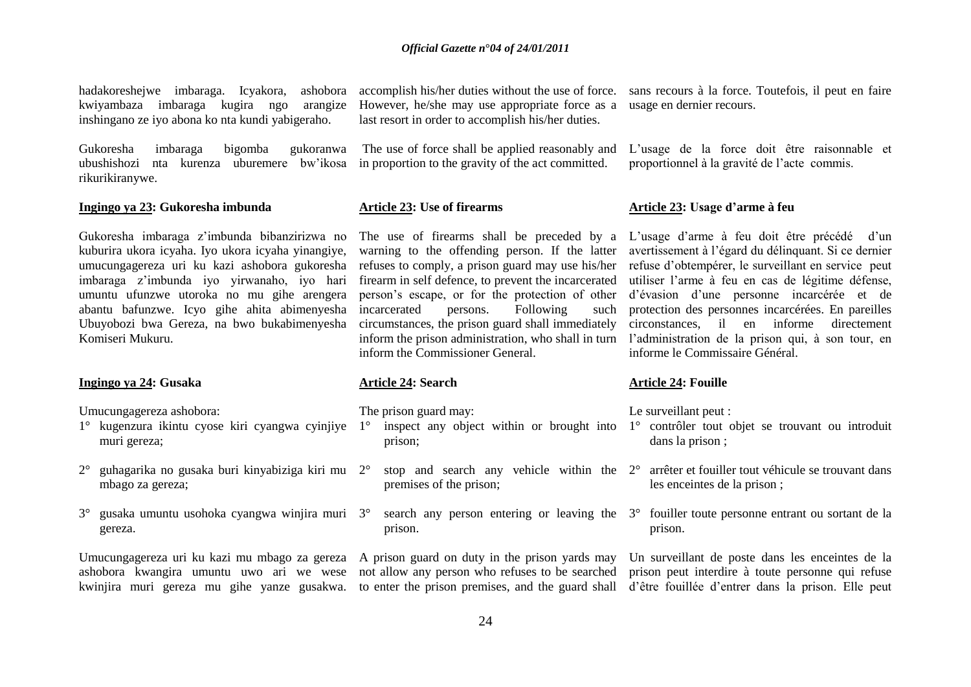kwiyambaza imbaraga kugira ngo arangize inshingano ze iyo abona ko nta kundi yabigeraho.

Gukoresha imbaraga bigomba gukoranwa ubushishozi nta kurenza uburemere bw"ikosa in proportion to the gravity of the act committed. rikurikiranywe.

#### **Ingingo ya 23: Gukoresha imbunda**

Gukoresha imbaraga z"imbunda bibanzirizwa no kuburira ukora icyaha. Iyo ukora icyaha yinangiye, umucungagereza uri ku kazi ashobora gukoresha imbaraga z"imbunda iyo yirwanaho, iyo hari umuntu ufunzwe utoroka no mu gihe arengera abantu bafunzwe. Icyo gihe ahita abimenyesha Ubuyobozi bwa Gereza, na bwo bukabimenyesha Komiseri Mukuru.

#### **Ingingo ya 24: Gusaka**

Umucungagereza ashobora:

- muri gereza;
- 2° guhagarika no gusaka buri kinyabiziga kiri mu mbago za gereza;
- 3° gusaka umuntu usohoka cyangwa winjira muri gereza.

However, he/she may use appropriate force as a usage en dernier recours. last resort in order to accomplish his/her duties.

### **Article 23: Use of firearms**

firearm in self defence, to prevent the incarcerated person"s escape, or for the protection of other incarcerated persons. Following such circumstances, the prison guard shall immediately inform the Commissioner General.

#### **Article 24: Search**

The prison guard may:

- 1° kugenzura ikintu cyose kiri cyangwa cyinjiye 1° inspect any object within or brought into 1° contrôler tout objet se trouvant ou introduit prison;
	- $2^{\circ}$  stop and search any vehicle within the  $2^{\circ}$  arrêter et fouiller tout véhicule se trouvant dans premises of the prison;
	- 3° search any person entering or leaving the 3° fouiller toute personne entrant ou sortant de la prison.

hadakoreshejwe imbaraga. Icyakora, ashobora accomplish his/her duties without the use of force. sans recours à la force. Toutefois, il peut en faire

The use of force shall be applied reasonably and L"usage de la force doit être raisonnable et proportionnel à la gravité de l"acte commis.

### **Article 23: Usage d'arme à feu**

The use of firearms shall be preceded by a L'usage d'arme à feu doit être précédé d'un warning to the offending person. If the latter avertissement à l'égard du délinquant. Si ce dernier refuses to comply, a prison guard may use his/her refuse d'obtempérer, le surveillant en service peut inform the prison administration, who shall in turn l"administration de la prison qui, à son tour, en utiliser l"arme à feu en cas de légitime défense, d"évasion d"une personne incarcérée et de protection des personnes incarcérées. En pareilles circonstances, il en informe directement informe le Commissaire Général.

#### **Article 24: Fouille**

Le surveillant peut :

- dans la prison ;
- les enceintes de la prison ;
- prison.

Umucungagereza uri ku kazi mu mbago za gereza A prison guard on duty in the prison yards may Un surveillant de poste dans les enceintes de la ashobora kwangira umuntu uwo ari we wese not allow any person who refuses to be searched prison peut interdire à toute personne qui refuse kwinjira muri gereza mu gihe yanze gusakwa. to enter the prison premises, and the guard shall d'être fouillée d'entrer dans la prison. Elle peut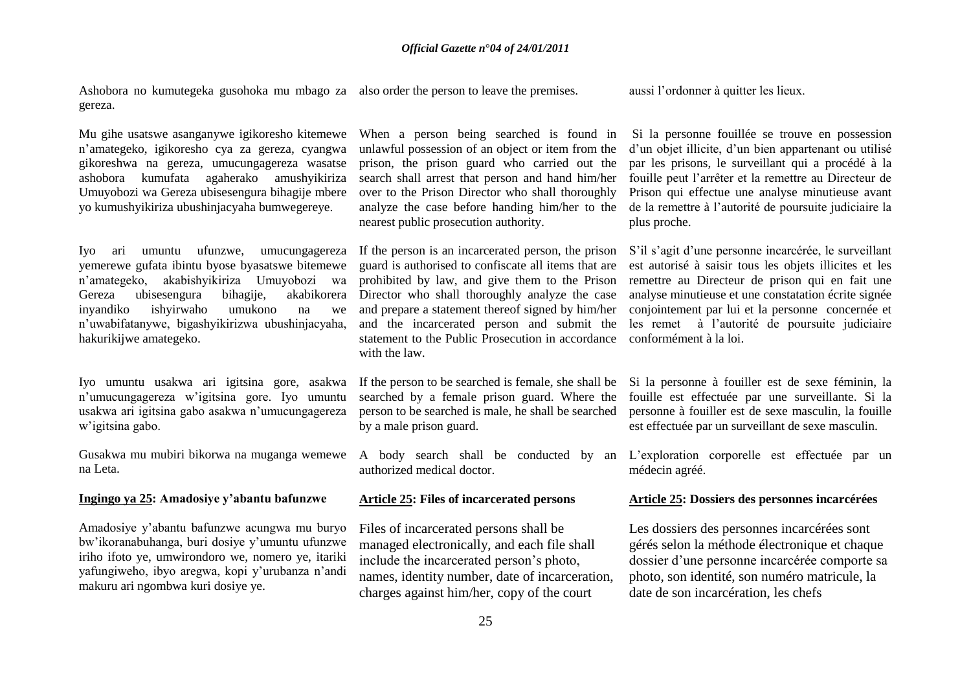Ashobora no kumutegeka gusohoka mu mbago za also order the person to leave the premises. gereza.

Mu gihe usatswe asanganywe igikoresho kitemewe n"amategeko, igikoresho cya za gereza, cyangwa gikoreshwa na gereza, umucungagereza wasatse ashobora kumufata agaherako amushyikiriza Umuyobozi wa Gereza ubisesengura bihagije mbere yo kumushyikiriza ubushinjacyaha bumwegereye.

Iyo ari umuntu ufunzwe, umucungagereza yemerewe gufata ibintu byose byasatswe bitemewe n"amategeko, akabishyikiriza Umuyobozi wa Gereza ubisesengura bihagije, akabikorera inyandiko ishyirwaho umukono na we n"uwabifatanywe, bigashyikirizwa ubushinjacyaha, hakurikijwe amategeko.

Iyo umuntu usakwa ari igitsina gore, asakwa n"umucungagereza w"igitsina gore. Iyo umuntu usakwa ari igitsina gabo asakwa n"umucungagereza w"igitsina gabo.

Gusakwa mu mubiri bikorwa na muganga wemewe na Leta.

### **Ingingo ya 25: Amadosiye y'abantu bafunzwe**

Amadosiye y"abantu bafunzwe acungwa mu buryo bw"ikoranabuhanga, buri dosiye y"umuntu ufunzwe iriho ifoto ye, umwirondoro we, nomero ye, itariki yafungiweho, ibyo aregwa, kopi y"urubanza n"andi makuru ari ngombwa kuri dosiye ye.

When a person being searched is found in unlawful possession of an object or item from the prison, the prison guard who carried out the search shall arrest that person and hand him/her over to the Prison Director who shall thoroughly analyze the case before handing him/her to the nearest public prosecution authority.

If the person is an incarcerated person, the prison guard is authorised to confiscate all items that are prohibited by law, and give them to the Prison Director who shall thoroughly analyze the case and prepare a statement thereof signed by him/her and the incarcerated person and submit the statement to the Public Prosecution in accordance with the law.

If the person to be searched is female, she shall be searched by a female prison guard. Where the person to be searched is male, he shall be searched by a male prison guard.

A body search shall be conducted by an authorized medical doctor.

#### **Article 25: Files of incarcerated persons**

Files of incarcerated persons shall be managed electronically, and each file shall include the incarcerated person"s photo, names, identity number, date of incarceration, charges against him/her, copy of the court

aussi l"ordonner à quitter les lieux.

Si la personne fouillée se trouve en possession d"un objet illicite, d"un bien appartenant ou utilisé par les prisons, le surveillant qui a procédé à la fouille peut l"arrêter et la remettre au Directeur de Prison qui effectue une analyse minutieuse avant de la remettre à l"autorité de poursuite judiciaire la plus proche.

S"il s"agit d"une personne incarcérée, le surveillant est autorisé à saisir tous les objets illicites et les remettre au Directeur de prison qui en fait une analyse minutieuse et une constatation écrite signée conjointement par lui et la personne concernée et les remet à l"autorité de poursuite judiciaire conformément à la loi.

Si la personne à fouiller est de sexe féminin, la fouille est effectuée par une surveillante. Si la personne à fouiller est de sexe masculin, la fouille est effectuée par un surveillant de sexe masculin.

L"exploration corporelle est effectuée par un médecin agréé.

#### **Article 25: Dossiers des personnes incarcérées**

Les dossiers des personnes incarcérées sont gérés selon la méthode électronique et chaque dossier d"une personne incarcérée comporte sa photo, son identité, son numéro matricule, la date de son incarcération, les chefs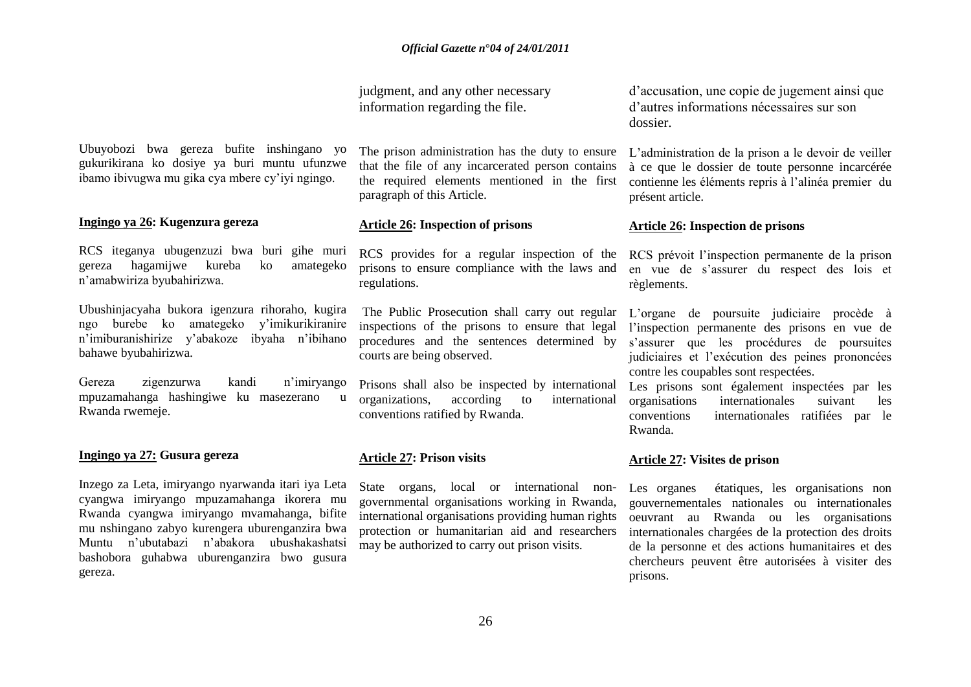judgment, and any other necessary information regarding the file.

Ubuyobozi bwa gereza bufite inshingano yo gukurikirana ko dosiye ya buri muntu ufunzwe ibamo ibivugwa mu gika cya mbere cy"iyi ngingo.

### **Ingingo ya 26: Kugenzura gereza**

RCS iteganya ubugenzuzi bwa buri gihe muri gereza hagamijwe kureba ko amategeko n"amabwiriza byubahirizwa.

Ubushinjacyaha bukora igenzura rihoraho, kugira ngo burebe ko amategeko y"imikurikiranire n"imiburanishirize y"abakoze ibyaha n"ibihano bahawe byubahirizwa.

Gereza zigenzurwa kandi n"imiryango mpuzamahanga hashingiwe ku masezerano u Rwanda rwemeje.

#### **Ingingo ya 27: Gusura gereza**

Inzego za Leta, imiryango nyarwanda itari iya Leta cyangwa imiryango mpuzamahanga ikorera mu Rwanda cyangwa imiryango mvamahanga, bifite mu nshingano zabyo kurengera uburenganzira bwa Muntu n"ubutabazi n"abakora ubushakashatsi bashobora guhabwa uburenganzira bwo gusura gereza.

The prison administration has the duty to ensure that the file of any incarcerated person contains the required elements mentioned in the first paragraph of this Article.

#### **Article 26: Inspection of prisons**

RCS provides for a regular inspection of the prisons to ensure compliance with the laws and regulations.

The Public Prosecution shall carry out regular inspections of the prisons to ensure that legal procedures and the sentences determined by courts are being observed.

organizations, according to international conventions ratified by Rwanda.

#### **Article 27: Prison visits**

State organs, local or international nongovernmental organisations working in Rwanda, international organisations providing human rights protection or humanitarian aid and researchers may be authorized to carry out prison visits.

d"accusation, une copie de jugement ainsi que d"autres informations nécessaires sur son dossier.

L"administration de la prison a le devoir de veiller à ce que le dossier de toute personne incarcérée contienne les éléments repris à l"alinéa premier du présent article.

### **Article 26: Inspection de prisons**

RCS prévoit l'inspection permanente de la prison en vue de s"assurer du respect des lois et règlements.

L"organe de poursuite judiciaire procède à l"inspection permanente des prisons en vue de s"assurer que les procédures de poursuites judiciaires et l"exécution des peines prononcées contre les coupables sont respectées.

Prisons shall also be inspected by international Les prisons sont également inspectées par les organisations internationales suivant les conventions internationales ratifiées par le Rwanda.

#### **Article 27: Visites de prison**

Les organes étatiques, les organisations non gouvernementales nationales ou internationales oeuvrant au Rwanda ou les organisations internationales chargées de la protection des droits de la personne et des actions humanitaires et des chercheurs peuvent être autorisées à visiter des prisons.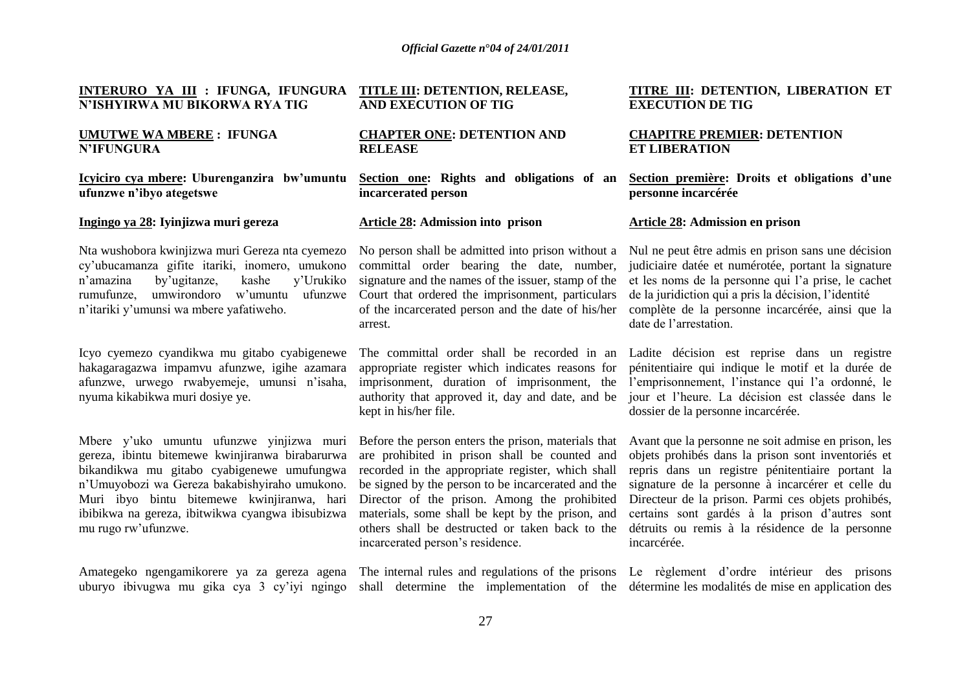#### **INTERURO YA III : IFUNGA, IFUNGURA TITLE III: DETENTION, RELEASE, N'ISHYIRWA MU BIKORWA RYA TIG AND EXECUTION OF TIG**

### **UMUTWE WA MBERE : IFUNGA N'IFUNGURA**

#### **Icyiciro cya mbere: Uburenganzira bw'umuntu ufunzwe n'ibyo ategetswe**

#### **Ingingo ya 28: Iyinjizwa muri gereza**

Nta wushobora kwinjizwa muri Gereza nta cyemezo cy"ubucamanza gifite itariki, inomero, umukono n"amazina by"ugitanze, kashe y"Urukiko rumufunze, umwirondoro w'umuntu ufunzwe Court that ordered the imprisonment, particulars n"itariki y"umunsi wa mbere yafatiweho.

Icyo cyemezo cyandikwa mu gitabo cyabigenewe hakagaragazwa impamvu afunzwe, igihe azamara afunzwe, urwego rwabyemeje, umunsi n"isaha, nyuma kikabikwa muri dosiye ye.

Mbere y"uko umuntu ufunzwe yinjizwa muri gereza, ibintu bitemewe kwinjiranwa birabarurwa bikandikwa mu gitabo cyabigenewe umufungwa n"Umuyobozi wa Gereza bakabishyiraho umukono. Muri ibyo bintu bitemewe kwinjiranwa, hari ibibikwa na gereza, ibitwikwa cyangwa ibisubizwa mu rugo rw"ufunzwe.

uburyo ibivugwa mu gika cya 3 cy"iyi ngingo shall determine the implementation of the détermine les modalités de mise en application des

#### **CHAPTER ONE: DETENTION AND RELEASE**

**Section one: Rights and obligations of an incarcerated person**

#### **Article 28: Admission into prison**

No person shall be admitted into prison without a committal order bearing the date, number, signature and the names of the issuer, stamp of the of the incarcerated person and the date of his/her arrest.

The committal order shall be recorded in an appropriate register which indicates reasons for imprisonment, duration of imprisonment, the authority that approved it, day and date, and be kept in his/her file.

Before the person enters the prison, materials that are prohibited in prison shall be counted and recorded in the appropriate register, which shall be signed by the person to be incarcerated and the Director of the prison. Among the prohibited materials, some shall be kept by the prison, and others shall be destructed or taken back to the incarcerated person"s residence.

Amategeko ngengamikorere ya za gereza agena The internal rules and regulations of the prisons Le règlement d'ordre intérieur des prisons

#### **TITRE III: DETENTION, LIBERATION ET EXECUTION DE TIG**

### **CHAPITRE PREMIER: DETENTION ET LIBERATION**

**Section première: Droits et obligations d'une personne incarcérée**

#### **Article 28: Admission en prison**

Nul ne peut être admis en prison sans une décision judiciaire datée et numérotée, portant la signature et les noms de la personne qui l"a prise, le cachet de la juridiction qui a pris la décision, l"identité complète de la personne incarcérée, ainsi que la date de l"arrestation.

Ladite décision est reprise dans un registre pénitentiaire qui indique le motif et la durée de l"emprisonnement, l"instance qui l"a ordonné, le jour et l"heure. La décision est classée dans le dossier de la personne incarcérée.

Avant que la personne ne soit admise en prison, les objets prohibés dans la prison sont inventoriés et repris dans un registre pénitentiaire portant la signature de la personne à incarcérer et celle du Directeur de la prison. Parmi ces objets prohibés, certains sont gardés à la prison d"autres sont détruits ou remis à la résidence de la personne incarcérée.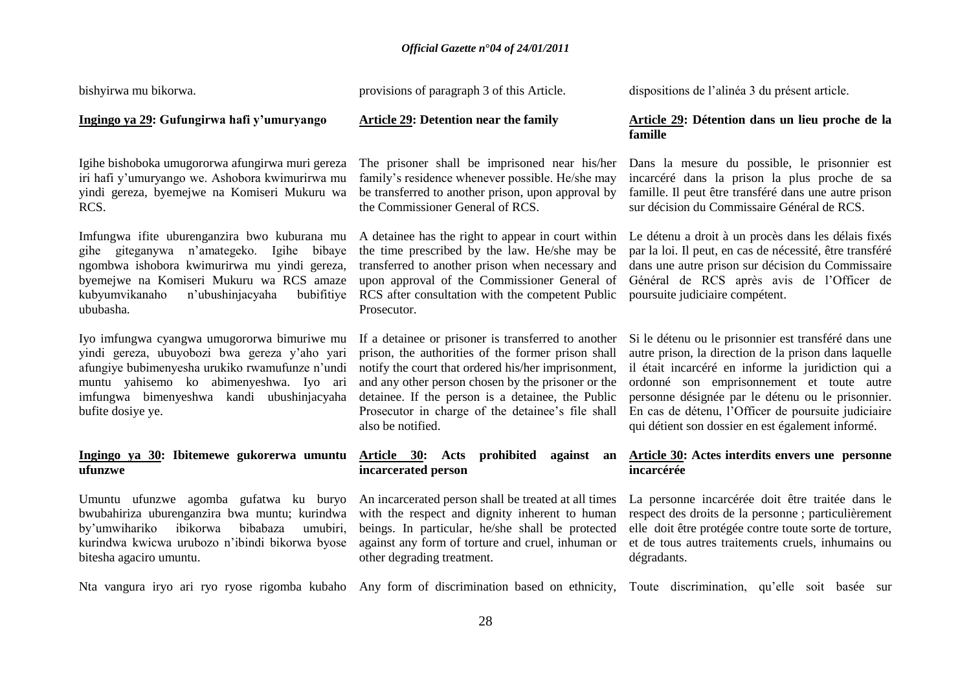| bishyirwa mu bikorwa.                                                                                                                                                                                                                                        | provisions of paragraph 3 of this Article.                                                                                                                                                                                                                                                                                                            | dispositions de l'alinéa 3 du présent article.                                                                                                                                                                                                                                                                                                                                    |
|--------------------------------------------------------------------------------------------------------------------------------------------------------------------------------------------------------------------------------------------------------------|-------------------------------------------------------------------------------------------------------------------------------------------------------------------------------------------------------------------------------------------------------------------------------------------------------------------------------------------------------|-----------------------------------------------------------------------------------------------------------------------------------------------------------------------------------------------------------------------------------------------------------------------------------------------------------------------------------------------------------------------------------|
| Ingingo ya 29: Gufungirwa hafi y'umuryango                                                                                                                                                                                                                   | <b>Article 29: Detention near the family</b>                                                                                                                                                                                                                                                                                                          | Article 29: Détention dans un lieu proche de la<br>famille                                                                                                                                                                                                                                                                                                                        |
| Igihe bishoboka umugororwa afungirwa muri gereza<br>iri hafi y'umuryango we. Ashobora kwimurirwa mu<br>yindi gereza, byemejwe na Komiseri Mukuru wa<br>RCS.                                                                                                  | The prisoner shall be imprisoned near his/her<br>family's residence whenever possible. He/she may<br>be transferred to another prison, upon approval by<br>the Commissioner General of RCS.                                                                                                                                                           | Dans la mesure du possible, le prisonnier est<br>incarcéré dans la prison la plus proche de sa<br>famille. Il peut être transféré dans une autre prison<br>sur décision du Commissaire Général de RCS.                                                                                                                                                                            |
| Imfungwa ifite uburenganzira bwo kuburana mu<br>gihe giteganywa n'amategeko.<br>Igihe<br>bibaye<br>ngombwa ishobora kwimurirwa mu yindi gereza,<br>byemejwe na Komiseri Mukuru wa RCS amaze<br>kubyumvikanaho<br>n'ubushinjacyaha<br>bubifitiye<br>ububasha. | A detainee has the right to appear in court within<br>the time prescribed by the law. He/she may be<br>transferred to another prison when necessary and<br>upon approval of the Commissioner General of<br>RCS after consultation with the competent Public<br>Prosecutor.                                                                            | Le détenu a droit à un procès dans les délais fixés<br>par la loi. Il peut, en cas de nécessité, être transféré<br>dans une autre prison sur décision du Commissaire<br>Général de RCS après avis de l'Officer de<br>poursuite judiciaire compétent.                                                                                                                              |
| Iyo imfungwa cyangwa umugororwa bimuriwe mu<br>yindi gereza, ubuyobozi bwa gereza y'aho yari<br>afungiye bubimenyesha urukiko rwamufunze n'undi<br>muntu yahisemo ko abimenyeshwa. Iyo ari<br>imfungwa bimenyeshwa kandi ubushinjacyaha<br>bufite dosiye ye. | If a detainee or prisoner is transferred to another<br>prison, the authorities of the former prison shall<br>notify the court that ordered his/her imprisonment,<br>and any other person chosen by the prisoner or the<br>detainee. If the person is a detainee, the Public<br>Prosecutor in charge of the detainee's file shall<br>also be notified. | Si le détenu ou le prisonnier est transféré dans une<br>autre prison, la direction de la prison dans laquelle<br>il était incarcéré en informe la juridiction qui a<br>ordonné son emprisonnement et toute autre<br>personne désignée par le détenu ou le prisonnier.<br>En cas de détenu, l'Officer de poursuite judiciaire<br>qui détient son dossier en est également informé. |
| Ingingo ya 30: Ibitemewe gukorerwa umuntu<br>ufunzwe                                                                                                                                                                                                         | Article 30: Acts<br>prohibited<br>against<br>an<br>incarcerated person                                                                                                                                                                                                                                                                                | <b>Article 30:</b> Actes interdits envers une personne<br>incarcérée                                                                                                                                                                                                                                                                                                              |
| Umuntu ufunzwe agomba gufatwa ku buryo<br>bwubahiriza uburenganzira bwa muntu; kurindwa<br>ibikorwa<br>by'umwihariko<br>bibabaza<br>umubiri.<br>kurindwa kwicwa urubozo n'ibindi bikorwa byose<br>bitesha agaciro umuntu.                                    | An incarcerated person shall be treated at all times<br>with the respect and dignity inherent to human<br>beings. In particular, he/she shall be protected<br>against any form of torture and cruel, inhuman or<br>other degrading treatment.                                                                                                         | La personne incarcérée doit être traitée dans le<br>respect des droits de la personne; particulièrement<br>elle doit être protégée contre toute sorte de torture,<br>et de tous autres traitements cruels, inhumains ou<br>dégradants.                                                                                                                                            |
| Nta vangura iryo ari ryo ryose rigomba kubaho                                                                                                                                                                                                                | Any form of discrimination based on ethnicity, Toute discrimination, qu'elle soit basée                                                                                                                                                                                                                                                               | – sur                                                                                                                                                                                                                                                                                                                                                                             |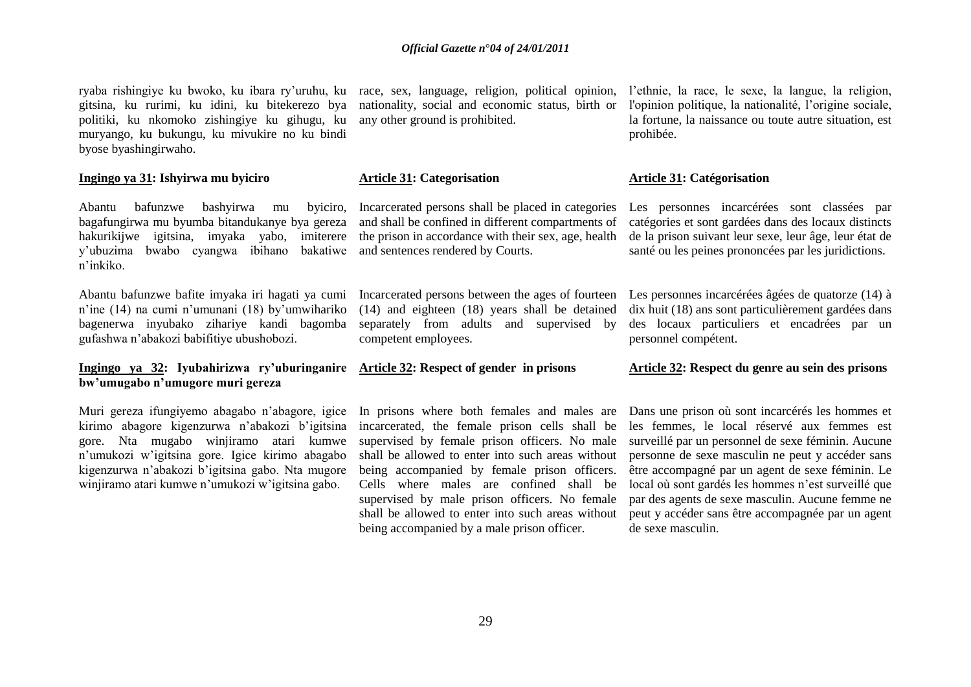ryaba rishingiye ku bwoko, ku ibara ry'uruhu, ku race, sex, language, religion, political opinion, l'ethnie, la race, le sexe, la langue, la religion, gitsina, ku rurimi, ku idini, ku bitekerezo bya politiki, ku nkomoko zishingiye ku gihugu, ku muryango, ku bukungu, ku mivukire no ku bindi byose byashingirwaho.

#### **Ingingo ya 31: Ishyirwa mu byiciro**

Abantu bafunzwe bashyirwa mu byiciro, bagafungirwa mu byumba bitandukanye bya gereza hakurikijwe igitsina, imyaka yabo, imiterere the prison in accordance with their sex, age, health y"ubuzima bwabo cyangwa ibihano bakatiwe and sentences rendered by Courts. n"inkiko.

Abantu bafunzwe bafite imyaka iri hagati ya cumi n"ine (14) na cumi n"umunani (18) by"umwihariko bagenerwa inyubako zihariye kandi bagomba gufashwa n"abakozi babifitiye ubushobozi.

#### **Ingingo ya 32: Iyubahirizwa ry'uburinganire Article 32: Respect of gender in prisons bw'umugabo n'umugore muri gereza**

Muri gereza ifungiyemo abagabo n"abagore, igice kirimo abagore kigenzurwa n"abakozi b"igitsina gore. Nta mugabo winjiramo atari kumwe n"umukozi w"igitsina gore. Igice kirimo abagabo kigenzurwa n"abakozi b"igitsina gabo. Nta mugore winjiramo atari kumwe n"umukozi w"igitsina gabo.

nationality, social and economic status, birth or any other ground is prohibited.

#### **Article 31: Categorisation**

Incarcerated persons shall be placed in categories and shall be confined in different compartments of

Incarcerated persons between the ages of fourteen (14) and eighteen (18) years shall be detained separately from adults and supervised by competent employees.

In prisons where both females and males are incarcerated, the female prison cells shall be supervised by female prison officers. No male shall be allowed to enter into such areas without being accompanied by female prison officers. Cells where males are confined shall be supervised by male prison officers. No female shall be allowed to enter into such areas without being accompanied by a male prison officer.

l'opinion politique, la nationalité, l"origine sociale, la fortune, la naissance ou toute autre situation, est prohibée.

#### **Article 31: Catégorisation**

Les personnes incarcérées sont classées par catégories et sont gardées dans des locaux distincts de la prison suivant leur sexe, leur âge, leur état de santé ou les peines prononcées par les juridictions.

Les personnes incarcérées âgées de quatorze (14) à dix huit (18) ans sont particulièrement gardées dans des locaux particuliers et encadrées par un personnel compétent.

### **Article 32: Respect du genre au sein des prisons**

Dans une prison où sont incarcérés les hommes et les femmes, le local réservé aux femmes est surveillé par un personnel de sexe féminin. Aucune personne de sexe masculin ne peut y accéder sans être accompagné par un agent de sexe féminin. Le local où sont gardés les hommes n"est surveillé que par des agents de sexe masculin. Aucune femme ne peut y accéder sans être accompagnée par un agent de sexe masculin.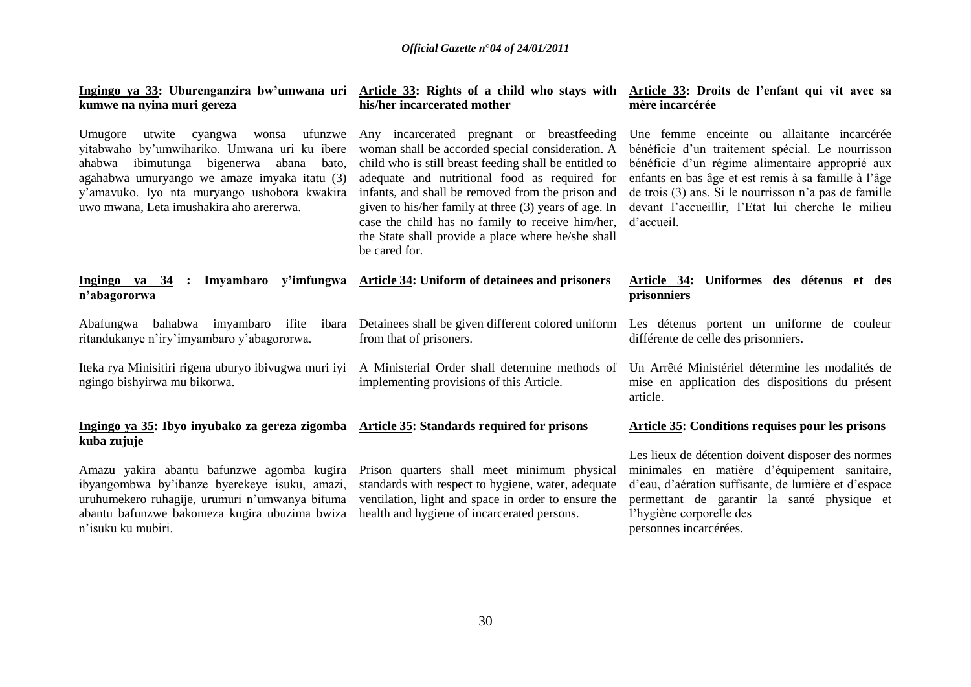| Ingingo ya 33: Uburenganzira bw'umwana uri Article 33: Rights of a child who stays with Article 33: Droits de l'enfant qui vit avec sa<br>kumwe na nyina muri gereza                                                                                                                             | his/her incarcerated mother                                                                                                                                                                                                                                                                                                                                                                                                                        | mère incarcérée                                                                                                                                                                                                                                                                                                                        |
|--------------------------------------------------------------------------------------------------------------------------------------------------------------------------------------------------------------------------------------------------------------------------------------------------|----------------------------------------------------------------------------------------------------------------------------------------------------------------------------------------------------------------------------------------------------------------------------------------------------------------------------------------------------------------------------------------------------------------------------------------------------|----------------------------------------------------------------------------------------------------------------------------------------------------------------------------------------------------------------------------------------------------------------------------------------------------------------------------------------|
| Umugore<br>ufunzwe<br>utwite cyangwa<br>wonsa<br>yitabwaho by'umwihariko. Umwana uri ku ibere<br>ibimutunga<br>bigenerwa<br>ahabwa<br>abana<br>bato,<br>agahabwa umuryango we amaze imyaka itatu (3)<br>y'amavuko. Iyo nta muryango ushobora kwakira<br>uwo mwana, Leta imushakira aho arererwa. | Any incarcerated pregnant or breastfeeding<br>woman shall be accorded special consideration. A<br>child who is still breast feeding shall be entitled to<br>adequate and nutritional food as required for<br>infants, and shall be removed from the prison and<br>given to his/her family at three (3) years of age. In<br>case the child has no family to receive him/her,<br>the State shall provide a place where he/she shall<br>be cared for. | Une femme enceinte ou allaitante incarcérée<br>bénéficie d'un traitement spécial. Le nourrisson<br>bénéficie d'un régime alimentaire approprié aux<br>enfants en bas âge et est remis à sa famille à l'âge<br>de trois (3) ans. Si le nourrisson n'a pas de famille<br>devant l'accueillir, l'Etat lui cherche le milieu<br>d'accueil. |
| Ingingo ya $34$ :<br>n'abagororwa                                                                                                                                                                                                                                                                | Imyambaro y'imfungwa Article 34: Uniform of detainees and prisoners                                                                                                                                                                                                                                                                                                                                                                                | Article 34: Uniformes des détenus et des<br>prisonniers                                                                                                                                                                                                                                                                                |
| Abafungwa bahabwa imyambaro ifite ibara<br>ritandukanye n'iry'imyambaro y'abagororwa.                                                                                                                                                                                                            | from that of prisoners.                                                                                                                                                                                                                                                                                                                                                                                                                            | Detainees shall be given different colored uniform Les détenus portent un uniforme de couleur<br>différente de celle des prisonniers.                                                                                                                                                                                                  |
| Iteka rya Minisitiri rigena uburyo ibivugwa muri iyi<br>ngingo bishyirwa mu bikorwa.                                                                                                                                                                                                             | A Ministerial Order shall determine methods of<br>implementing provisions of this Article.                                                                                                                                                                                                                                                                                                                                                         | Un Arrêté Ministériel détermine les modalités de<br>mise en application des dispositions du présent<br>article.                                                                                                                                                                                                                        |
| Ingingo ya 35: Ibyo inyubako za gereza zigomba Article 35: Standards required for prisons<br>kuba zujuje                                                                                                                                                                                         |                                                                                                                                                                                                                                                                                                                                                                                                                                                    | Article 35: Conditions requises pour les prisons                                                                                                                                                                                                                                                                                       |
| Amazu yakira abantu bafunzwe agomba kugira<br>ibyangombwa by'ibanze byerekeye isuku, amazi,<br>uruhumekero ruhagije, urumuri n'umwanya bituma<br>abantu bafunzwe bakomeza kugira ubuzima bwiza<br>n'isuku ku mubiri.                                                                             | Prison quarters shall meet minimum physical<br>standards with respect to hygiene, water, adequate<br>ventilation, light and space in order to ensure the<br>health and hygiene of incarcerated persons.                                                                                                                                                                                                                                            | Les lieux de détention doivent disposer des normes<br>minimales en matière d'équipement sanitaire,<br>d'eau, d'aération suffisante, de lumière et d'espace<br>permettant de garantir la santé physique et<br>l'hygiène corporelle des<br>personnes incarcérées.                                                                        |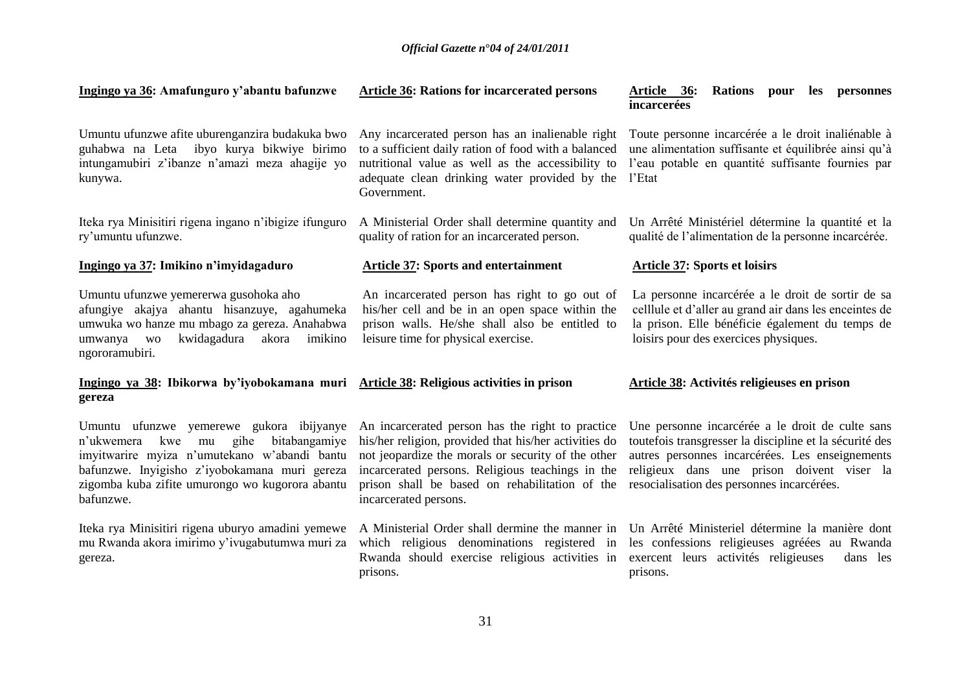| Ingingo ya 36: Amafunguro y'abantu bafunzwe                                                                                                                                                                                                                   | <b>Article 36: Rations for incarcerated persons</b>                                                                                                                                                                                                                                            | Article 36:<br><b>Rations</b><br>pour les personnes<br>incarcerées                                                                                                                                                                                         |
|---------------------------------------------------------------------------------------------------------------------------------------------------------------------------------------------------------------------------------------------------------------|------------------------------------------------------------------------------------------------------------------------------------------------------------------------------------------------------------------------------------------------------------------------------------------------|------------------------------------------------------------------------------------------------------------------------------------------------------------------------------------------------------------------------------------------------------------|
| Umuntu ufunzwe afite uburenganzira budakuka bwo<br>guhabwa na Leta ibyo kurya bikwiye birimo<br>intungamubiri z'ibanze n'amazi meza ahagije yo<br>kunywa.                                                                                                     | Any incarcerated person has an inalienable right<br>to a sufficient daily ration of food with a balanced<br>nutritional value as well as the accessibility to<br>adequate clean drinking water provided by the<br>Government.                                                                  | Toute personne incarcérée a le droit inaliénable à<br>une alimentation suffisante et équilibrée ainsi qu'à<br>l'eau potable en quantité suffisante fournies par<br>l'Etat                                                                                  |
| Iteka rya Minisitiri rigena ingano n'ibigize ifunguro<br>ry'umuntu ufunzwe.                                                                                                                                                                                   | A Ministerial Order shall determine quantity and<br>quality of ration for an incarcerated person.                                                                                                                                                                                              | Un Arrêté Ministériel détermine la quantité et la<br>qualité de l'alimentation de la personne incarcérée.                                                                                                                                                  |
| Ingingo ya 37: Imikino n'imyidagaduro                                                                                                                                                                                                                         | <b>Article 37: Sports and entertainment</b>                                                                                                                                                                                                                                                    | <b>Article 37: Sports et loisirs</b>                                                                                                                                                                                                                       |
| Umuntu ufunzwe yemererwa gusohoka aho<br>afungiye akajya ahantu hisanzuye, agahumeka<br>umwuka wo hanze mu mbago za gereza. Anahabwa<br>kwidagadura<br>imikino<br>umwanya<br><b>WO</b><br>akora<br>ngororamubiri.                                             | An incarcerated person has right to go out of<br>his/her cell and be in an open space within the<br>prison walls. He/she shall also be entitled to<br>leisure time for physical exercise.                                                                                                      | La personne incarcérée a le droit de sortir de sa<br>celllule et d'aller au grand air dans les enceintes de<br>la prison. Elle bénéficie également du temps de<br>loisirs pour des exercices physiques.                                                    |
| Ingingo ya 38: Ibikorwa by'iyobokamana muri Article 38: Religious activities in prison<br>gereza                                                                                                                                                              |                                                                                                                                                                                                                                                                                                | Article 38: Activités religieuses en prison                                                                                                                                                                                                                |
| Umuntu ufunzwe yemerewe gukora ibijyanye<br>gihe<br>bitabangamiye<br>n'ukwemera<br>kwe<br>mu<br>imyitwarire myiza n'umutekano w'abandi bantu<br>bafunzwe. Inyigisho z'iyobokamana muri gereza<br>zigomba kuba zifite umurongo wo kugorora abantu<br>bafunzwe. | An incarcerated person has the right to practice<br>his/her religion, provided that his/her activities do<br>not jeopardize the morals or security of the other<br>incarcerated persons. Religious teachings in the<br>prison shall be based on rehabilitation of the<br>incarcerated persons. | Une personne incarcérée a le droit de culte sans<br>toutefois transgresser la discipline et la sécurité des<br>autres personnes incarcérées. Les enseignements<br>religieux dans une prison doivent viser la<br>resocialisation des personnes incarcérées. |
| Iteka rya Minisitiri rigena uburyo amadini yemewe<br>mu Rwanda akora imirimo y'ivugabutumwa muri za<br>gereza.                                                                                                                                                | A Ministerial Order shall dermine the manner in<br>which religious denominations registered in<br>Rwanda should exercise religious activities in<br>prisons.                                                                                                                                   | Un Arrêté Ministeriel détermine la manière dont<br>les confessions religieuses agréées au Rwanda<br>exercent leurs activités religieuses<br>dans les<br>prisons.                                                                                           |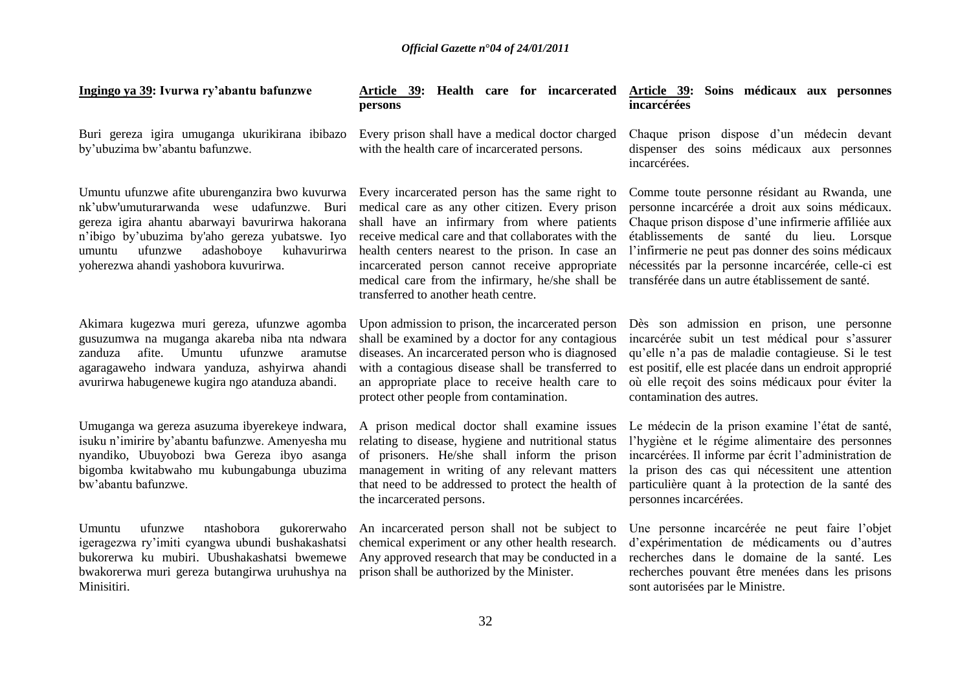| Ingingo ya 39: Ivurwa ry'abantu bafunzwe                                                                                                                                                                                                                                                    | persons                                                                                                                                                                                                                                                                                                                                                                                                    | Article 39: Health care for incarcerated Article 39: Soins médicaux aux personnes<br>incarcérées                                                                                                                                                                                                                                                                    |
|---------------------------------------------------------------------------------------------------------------------------------------------------------------------------------------------------------------------------------------------------------------------------------------------|------------------------------------------------------------------------------------------------------------------------------------------------------------------------------------------------------------------------------------------------------------------------------------------------------------------------------------------------------------------------------------------------------------|---------------------------------------------------------------------------------------------------------------------------------------------------------------------------------------------------------------------------------------------------------------------------------------------------------------------------------------------------------------------|
| Buri gereza igira umuganga ukurikirana ibibazo<br>by'ubuzima bw'abantu bafunzwe.                                                                                                                                                                                                            | Every prison shall have a medical doctor charged<br>with the health care of incarcerated persons.                                                                                                                                                                                                                                                                                                          | Chaque prison dispose d'un médecin devant<br>dispenser des soins médicaux aux personnes<br>incarcérées.                                                                                                                                                                                                                                                             |
| Umuntu ufunzwe afite uburenganzira bwo kuvurwa<br>nk'ubw'umuturarwanda wese udafunzwe. Buri<br>gereza igira ahantu abarwayi bayurirwa hakorana<br>n'ibigo by'ubuzima by'aho gereza yubatswe. Iyo<br>adashoboye<br>ufunzwe<br>kuhavurirwa<br>umuntu<br>yoherezwa ahandi yashobora kuvurirwa. | Every incarcerated person has the same right to<br>medical care as any other citizen. Every prison<br>shall have an infirmary from where patients<br>receive medical care and that collaborates with the<br>health centers nearest to the prison. In case an<br>incarcerated person cannot receive appropriate<br>medical care from the infirmary, he/she shall be<br>transferred to another heath centre. | Comme toute personne résidant au Rwanda, une<br>personne incarcérée a droit aux soins médicaux.<br>Chaque prison dispose d'une infirmerie affiliée aux<br>établissements de santé du lieu. Lorsque<br>l'infirmerie ne peut pas donner des soins médicaux<br>nécessités par la personne incarcérée, celle-ci est<br>transférée dans un autre établissement de santé. |
| Akimara kugezwa muri gereza, ufunzwe agomba<br>gusuzumwa na muganga akareba niba nta ndwara<br>afite. Umuntu<br>ufunzwe<br>zanduza<br>aramutse<br>agaragaweho indwara yanduza, ashyirwa ahandi<br>avurirwa habugenewe kugira ngo atanduza abandi.                                           | Upon admission to prison, the incarcerated person<br>shall be examined by a doctor for any contagious<br>diseases. An incarcerated person who is diagnosed<br>with a contagious disease shall be transferred to<br>an appropriate place to receive health care to<br>protect other people from contamination.                                                                                              | Dès son admission en prison, une personne<br>incarcérée subit un test médical pour s'assurer<br>qu'elle n'a pas de maladie contagieuse. Si le test<br>est positif, elle est placée dans un endroit approprié<br>où elle reçoit des soins médicaux pour éviter la<br>contamination des autres.                                                                       |
| Umuganga wa gereza asuzuma ibyerekeye indwara,<br>isuku n'imirire by'abantu bafunzwe. Amenyesha mu<br>nyandiko, Ubuyobozi bwa Gereza ibyo asanga<br>bigomba kwitabwaho mu kubungabunga ubuzima<br>bw'abantu bafunzwe.                                                                       | A prison medical doctor shall examine issues<br>relating to disease, hygiene and nutritional status<br>of prisoners. He/she shall inform the prison<br>management in writing of any relevant matters<br>that need to be addressed to protect the health of<br>the incarcerated persons.                                                                                                                    | Le médecin de la prison examine l'état de santé,<br>l'hygiène et le régime alimentaire des personnes<br>incarcérées. Il informe par écrit l'administration de<br>la prison des cas qui nécessitent une attention<br>particulière quant à la protection de la santé des<br>personnes incarcérées.                                                                    |
| ufunzwe<br>ntashobora<br>Umuntu<br>gukorerwaho<br>igeragezwa ry'imiti cyangwa ubundi bushakashatsi<br>bukorerwa ku mubiri. Ubushakashatsi bwemewe<br>bwakorerwa muri gereza butangirwa uruhushya na<br>Minisitiri.                                                                          | An incarcerated person shall not be subject to<br>chemical experiment or any other health research.<br>Any approved research that may be conducted in a<br>prison shall be authorized by the Minister.                                                                                                                                                                                                     | Une personne incarcérée ne peut faire l'objet<br>d'expérimentation de médicaments ou d'autres<br>recherches dans le domaine de la santé. Les<br>recherches pouvant être menées dans les prisons<br>sont autorisées par le Ministre.                                                                                                                                 |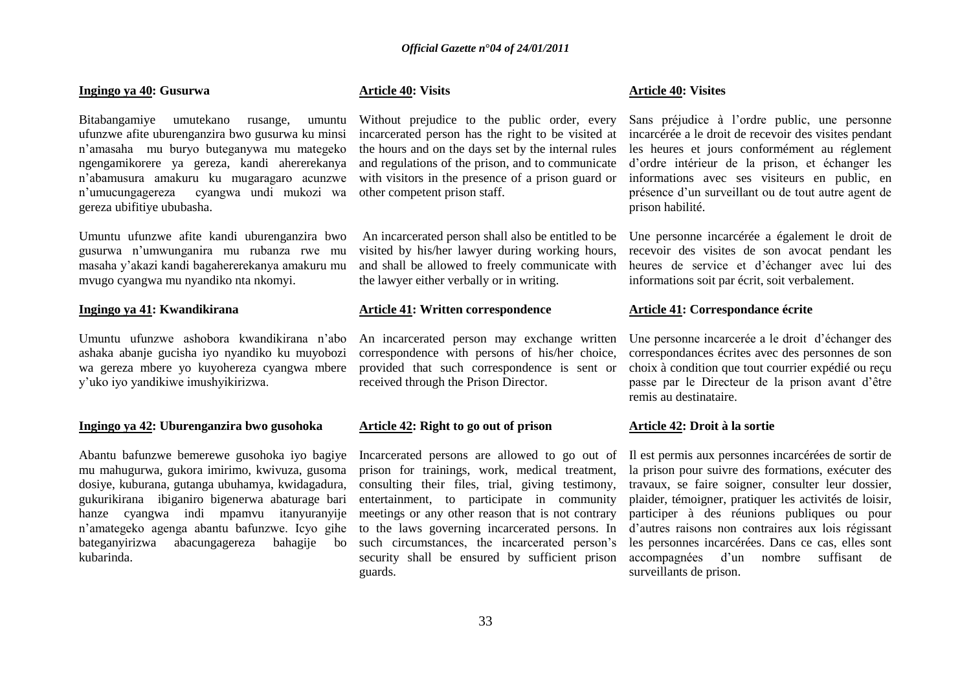#### **Ingingo ya 40: Gusurwa**

Bitabangamiye umutekano rusange, umuntu ufunzwe afite uburenganzira bwo gusurwa ku minsi n"amasaha mu buryo buteganywa mu mategeko ngengamikorere ya gereza, kandi ahererekanya n"abamusura amakuru ku mugaragaro acunzwe n"umucungagereza cyangwa undi mukozi wa gereza ubifitiye ububasha.

Umuntu ufunzwe afite kandi uburenganzira bwo gusurwa n"umwunganira mu rubanza rwe mu masaha y"akazi kandi bagahererekanya amakuru mu mvugo cyangwa mu nyandiko nta nkomyi.

#### **Ingingo ya 41: Kwandikirana**

Umuntu ufunzwe ashobora kwandikirana n"abo ashaka abanje gucisha iyo nyandiko ku muyobozi wa gereza mbere yo kuyohereza cyangwa mbere y"uko iyo yandikiwe imushyikirizwa.

#### **Ingingo ya 42: Uburenganzira bwo gusohoka**

Abantu bafunzwe bemerewe gusohoka iyo bagiye mu mahugurwa, gukora imirimo, kwivuza, gusoma dosiye, kuburana, gutanga ubuhamya, kwidagadura, gukurikirana ibiganiro bigenerwa abaturage bari hanze cyangwa indi mpamvu itanyuranyije n"amategeko agenga abantu bafunzwe. Icyo gihe bateganyirizwa abacungagereza bahagije bo kubarinda.

### **Article 40: Visits**

Without prejudice to the public order, every incarcerated person has the right to be visited at the hours and on the days set by the internal rules and regulations of the prison, and to communicate with visitors in the presence of a prison guard or other competent prison staff.

An incarcerated person shall also be entitled to be visited by his/her lawyer during working hours, and shall be allowed to freely communicate with the lawyer either verbally or in writing.

#### **Article 41: Written correspondence**

An incarcerated person may exchange written correspondence with persons of his/her choice, provided that such correspondence is sent or received through the Prison Director.

### **Article 42: Right to go out of prison**

Incarcerated persons are allowed to go out of prison for trainings, work, medical treatment, consulting their files, trial, giving testimony, entertainment, to participate in community meetings or any other reason that is not contrary to the laws governing incarcerated persons. In such circumstances, the incarcerated person's security shall be ensured by sufficient prison guards.

#### **Article 40: Visites**

Sans préjudice à l"ordre public, une personne incarcérée a le droit de recevoir des visites pendant les heures et jours conformément au réglement d"ordre intérieur de la prison, et échanger les informations avec ses visiteurs en public, en présence d"un surveillant ou de tout autre agent de prison habilité.

Une personne incarcérée a également le droit de recevoir des visites de son avocat pendant les heures de service et d"échanger avec lui des informations soit par écrit, soit verbalement.

#### **Article 41: Correspondance écrite**

Une personne incarcerée a le droit d"échanger des correspondances écrites avec des personnes de son choix à condition que tout courrier expédié ou reçu passe par le Directeur de la prison avant d"être remis au destinataire.

#### **Article 42: Droit à la sortie**

Il est permis aux personnes incarcérées de sortir de la prison pour suivre des formations, exécuter des travaux, se faire soigner, consulter leur dossier, plaider, témoigner, pratiquer les activités de loisir, participer à des réunions publiques ou pour d"autres raisons non contraires aux lois régissant les personnes incarcérées. Dans ce cas, elles sont accompagnées d"un nombre suffisant de surveillants de prison.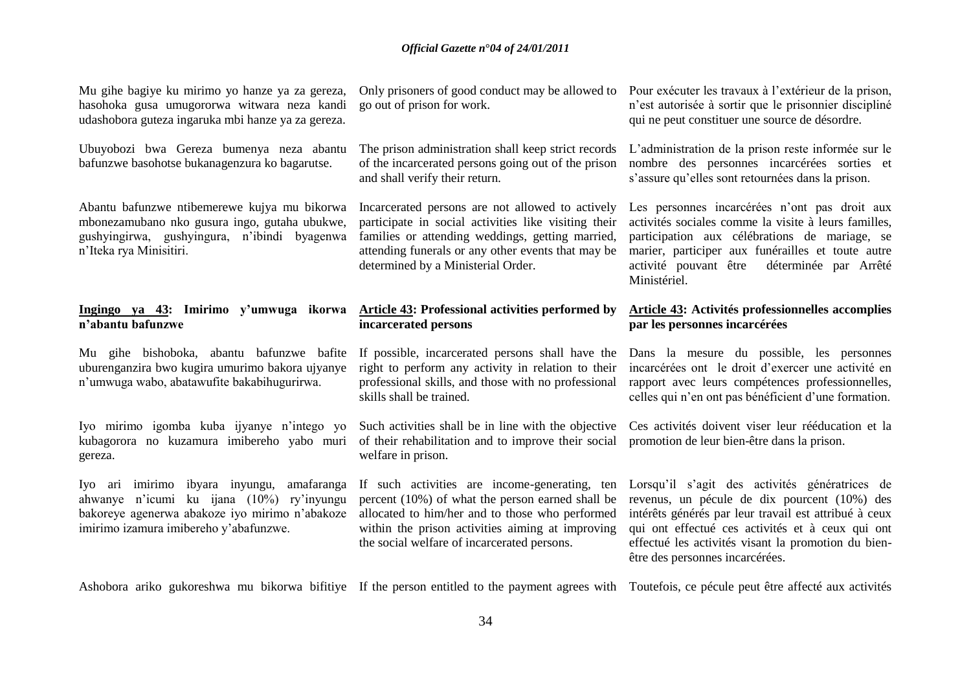| Mu gihe bagiye ku mirimo yo hanze ya za gereza,<br>hasohoka gusa umugororwa witwara neza kandi<br>udashobora guteza ingaruka mbi hanze ya za gereza.                                   | Only prisoners of good conduct may be allowed to<br>go out of prison for work.                                                                                                                                                                           | Pour exécuter les travaux à l'extérieur de la prison,<br>n'est autorisée à sortir que le prisonnier discipliné<br>qui ne peut constituer une source de désordre.                                                                                                                                      |
|----------------------------------------------------------------------------------------------------------------------------------------------------------------------------------------|----------------------------------------------------------------------------------------------------------------------------------------------------------------------------------------------------------------------------------------------------------|-------------------------------------------------------------------------------------------------------------------------------------------------------------------------------------------------------------------------------------------------------------------------------------------------------|
| Ubuyobozi bwa Gereza bumenya neza abantu<br>bafunzwe basohotse bukanagenzura ko bagarutse.                                                                                             | The prison administration shall keep strict records<br>of the incarcerated persons going out of the prison<br>and shall verify their return.                                                                                                             | L'administration de la prison reste informée sur le<br>nombre des personnes incarcérées sorties et<br>s'assure qu'elles sont retournées dans la prison.                                                                                                                                               |
| Abantu bafunzwe ntibemerewe kujya mu bikorwa<br>mbonezamubano nko gusura ingo, gutaha ubukwe,<br>gushyingirwa, gushyingura, n'ibindi byagenwa<br>n'Iteka rya Minisitiri.               | Incarcerated persons are not allowed to actively<br>participate in social activities like visiting their<br>families or attending weddings, getting married,<br>attending funerals or any other events that may be<br>determined by a Ministerial Order. | Les personnes incarcérées n'ont pas droit aux<br>activités sociales comme la visite à leurs familles,<br>participation aux célébrations de mariage, se<br>marier, participer aux funérailles et toute autre<br>activité pouvant être<br>déterminée par Arrêté<br>Ministériel.                         |
| Ingingo ya 43: Imirimo y'umwuga ikorwa<br>n'abantu bafunzwe                                                                                                                            | Article 43: Professional activities performed by<br>incarcerated persons                                                                                                                                                                                 | Article 43: Activités professionnelles accomplies<br>par les personnes incarcérées                                                                                                                                                                                                                    |
|                                                                                                                                                                                        |                                                                                                                                                                                                                                                          |                                                                                                                                                                                                                                                                                                       |
| Mu gihe bishoboka, abantu bafunzwe bafite<br>uburenganzira bwo kugira umurimo bakora ujyanye<br>n'umwuga wabo, abatawufite bakabihugurirwa.                                            | If possible, incarcerated persons shall have the<br>right to perform any activity in relation to their<br>professional skills, and those with no professional<br>skills shall be trained.                                                                | Dans la mesure du possible, les personnes<br>incarcérées ont le droit d'exercer une activité en<br>rapport avec leurs compétences professionnelles,<br>celles qui n'en ont pas bénéficient d'une formation.                                                                                           |
| Iyo mirimo igomba kuba ijyanye n'intego yo<br>kubagorora no kuzamura imibereho yabo muri<br>gereza.                                                                                    | Such activities shall be in line with the objective<br>of their rehabilitation and to improve their social<br>welfare in prison.                                                                                                                         | Ces activités doivent viser leur rééducation et la<br>promotion de leur bien-être dans la prison.                                                                                                                                                                                                     |
| Iyo ari imirimo ibyara inyungu,<br>amafaranga<br>ahwanye n'icumi ku ijana (10%) ry'inyungu<br>bakoreye agenerwa abakoze iyo mirimo n'abakoze<br>imirimo izamura imibereho y'abafunzwe. | If such activities are income-generating, ten<br>percent (10%) of what the person earned shall be<br>allocated to him/her and to those who performed<br>within the prison activities aiming at improving<br>the social welfare of incarcerated persons.  | Lorsqu'il s'agit des activités génératrices de<br>revenus, un pécule de dix pourcent (10%) des<br>intérêts générés par leur travail est attribué à ceux<br>qui ont effectué ces activités et à ceux qui ont<br>effectué les activités visant la promotion du bien-<br>être des personnes incarcérées. |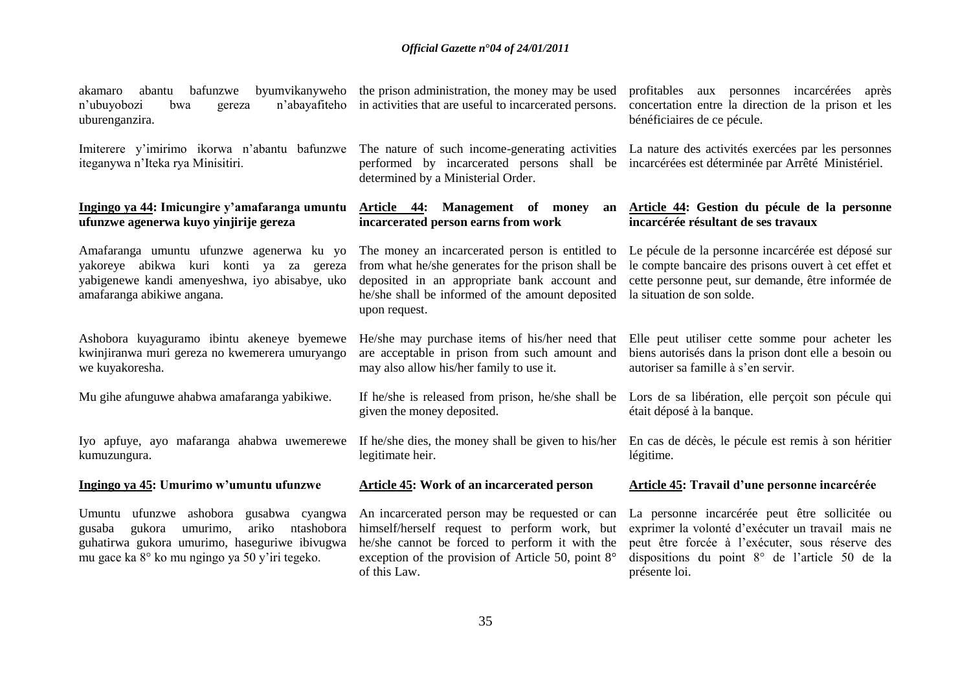| bafunzwe<br>byumvikanyweho<br>abantu<br>akamaro<br>n'abayafiteho<br>n'ubuyobozi<br>bwa<br>gereza<br>uburenganzira.                                                                                | the prison administration, the money may be used<br>in activities that are useful to incarcerated persons.                                                                                                                    | profitables aux personnes incarcérées après<br>concertation entre la direction de la prison et les<br>bénéficiaires de ce pécule.                                                                                         |
|---------------------------------------------------------------------------------------------------------------------------------------------------------------------------------------------------|-------------------------------------------------------------------------------------------------------------------------------------------------------------------------------------------------------------------------------|---------------------------------------------------------------------------------------------------------------------------------------------------------------------------------------------------------------------------|
| Imiterere y'imirimo ikorwa n'abantu bafunzwe<br>iteganywa n'Iteka rya Minisitiri.                                                                                                                 | The nature of such income-generating activities<br>performed by incarcerated persons shall be<br>determined by a Ministerial Order.                                                                                           | La nature des activités exercées par les personnes<br>incarcérées est déterminée par Arrêté Ministériel.                                                                                                                  |
| Ingingo ya 44: Imicungire y'amafaranga umuntu<br>ufunzwe agenerwa kuyo yinjirije gereza                                                                                                           | Article 44: Management of money<br>an<br>incarcerated person earns from work                                                                                                                                                  | Article 44: Gestion du pécule de la personne<br>incarcérée résultant de ses travaux                                                                                                                                       |
| Amafaranga umuntu ufunzwe agenerwa ku yo<br>yakoreye abikwa kuri konti ya za gereza<br>yabigenewe kandi amenyeshwa, iyo abisabye, uko<br>amafaranga abikiwe angana.                               | The money an incarcerated person is entitled to<br>from what he/she generates for the prison shall be<br>deposited in an appropriate bank account and<br>he/she shall be informed of the amount deposited<br>upon request.    | Le pécule de la personne incarcérée est déposé sur<br>le compte bancaire des prisons ouvert à cet effet et<br>cette personne peut, sur demande, être informée de<br>la situation de son solde.                            |
| Ashobora kuyaguramo ibintu akeneye byemewe<br>kwinjiranwa muri gereza no kwemerera umuryango<br>we kuyakoresha.                                                                                   | He/she may purchase items of his/her need that<br>are acceptable in prison from such amount and<br>may also allow his/her family to use it.                                                                                   | Elle peut utiliser cette somme pour acheter les<br>biens autorisés dans la prison dont elle a besoin ou<br>autoriser sa famille à s'en servir.                                                                            |
| Mu gihe afunguwe ahabwa amafaranga yabikiwe.                                                                                                                                                      | If he/she is released from prison, he/she shall be<br>given the money deposited.                                                                                                                                              | Lors de sa libération, elle perçoit son pécule qui<br>était déposé à la banque.                                                                                                                                           |
| Iyo apfuye, ayo mafaranga ahabwa uwemerewe<br>kumuzungura.                                                                                                                                        | If he/she dies, the money shall be given to his/her<br>legitimate heir.                                                                                                                                                       | En cas de décès, le pécule est remis à son héritier<br>légitime.                                                                                                                                                          |
| Ingingo ya 45: Umurimo w'umuntu ufunzwe                                                                                                                                                           | Article 45: Work of an incarcerated person                                                                                                                                                                                    | Article 45: Travail d'une personne incarcérée                                                                                                                                                                             |
| Umuntu ufunzwe ashobora gusabwa cyangwa<br>ariko<br>ntashobora<br>gukora<br>umurimo,<br>gusaba<br>guhatirwa gukora umurimo, haseguriwe ibivugwa<br>mu gace ka 8° ko mu ngingo ya 50 y'iri tegeko. | An incarcerated person may be requested or can<br>himself/herself request to perform work, but<br>he/she cannot be forced to perform it with the<br>exception of the provision of Article 50, point $8^\circ$<br>of this Law. | La personne incarcérée peut être sollicitée ou<br>exprimer la volonté d'exécuter un travail mais ne<br>peut être forcée à l'exécuter, sous réserve des<br>dispositions du point 8° de l'article 50 de la<br>présente loi. |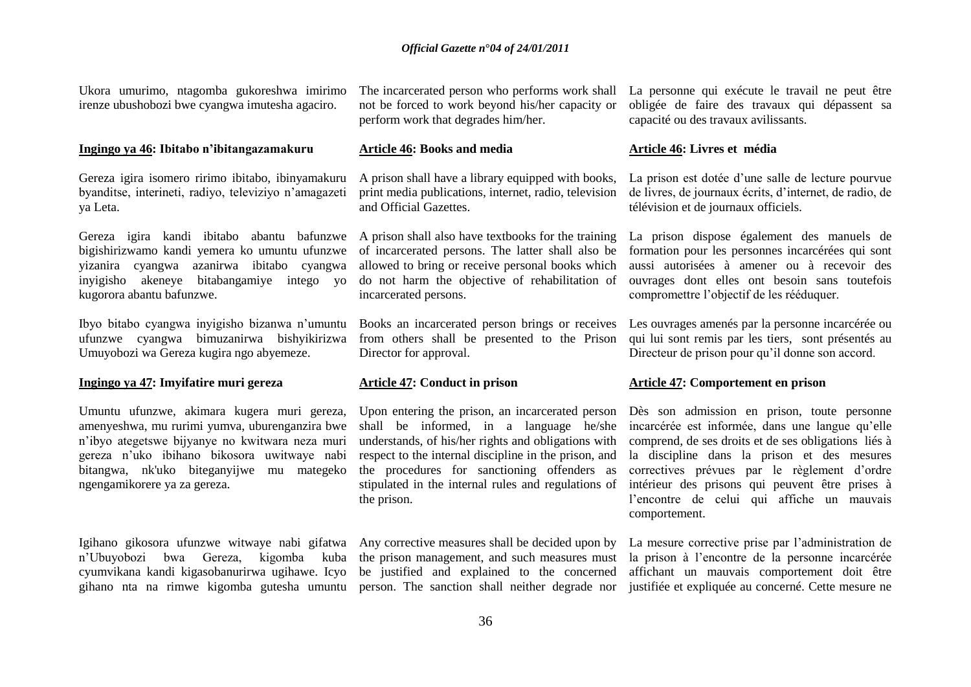Ukora umurimo, ntagomba gukoreshwa imirimo irenze ubushobozi bwe cyangwa imutesha agaciro.

#### **Ingingo ya 46: Ibitabo n'ibitangazamakuru**

Gereza igira isomero ririmo ibitabo, ibinyamakuru byanditse, interineti, radiyo, televiziyo n"amagazeti ya Leta.

Gereza igira kandi ibitabo abantu bafunzwe A prison shall also have textbooks for the training bigishirizwamo kandi yemera ko umuntu ufunzwe yizanira cyangwa azanirwa ibitabo cyangwa inyigisho akeneye bitabangamiye intego yo kugorora abantu bafunzwe.

Ibyo bitabo cyangwa inyigisho bizanwa n"umuntu ufunzwe cyangwa bimuzanirwa bishyikirizwa Umuyobozi wa Gereza kugira ngo abyemeze.

#### **Ingingo ya 47: Imyifatire muri gereza**

Umuntu ufunzwe, akimara kugera muri gereza, amenyeshwa, mu rurimi yumva, uburenganzira bwe n"ibyo ategetswe bijyanye no kwitwara neza muri gereza n"uko ibihano bikosora uwitwaye nabi bitangwa, nk'uko biteganyijwe mu mategeko ngengamikorere ya za gereza.

Igihano gikosora ufunzwe witwaye nabi gifatwa Any corrective measures shall be decided upon by cyumvikana kandi kigasobanurirwa ugihawe. Icyo

not be forced to work beyond his/her capacity or perform work that degrades him/her.

#### **Article 46: Books and media**

A prison shall have a library equipped with books, print media publications, internet, radio, television and Official Gazettes.

of incarcerated persons. The latter shall also be allowed to bring or receive personal books which do not harm the objective of rehabilitation of incarcerated persons.

from others shall be presented to the Prison Director for approval.

#### **Article 47: Conduct in prison**

Upon entering the prison, an incarcerated person shall be informed, in a language he/she understands, of his/her rights and obligations with respect to the internal discipline in the prison, and the procedures for sanctioning offenders as stipulated in the internal rules and regulations of the prison.

The incarcerated person who performs work shall La personne qui exécute le travail ne peut être obligée de faire des travaux qui dépassent sa capacité ou des travaux avilissants.

#### **Article 46: Livres et média**

La prison est dotée d"une salle de lecture pourvue de livres, de journaux écrits, d"internet, de radio, de télévision et de journaux officiels.

La prison dispose également des manuels de formation pour les personnes incarcérées qui sont aussi autorisées à amener ou à recevoir des ouvrages dont elles ont besoin sans toutefois compromettre l"objectif de les rééduquer.

Books an incarcerated person brings or receives Les ouvrages amenés par la personne incarcérée ou qui lui sont remis par les tiers, sont présentés au Directeur de prison pour qu"il donne son accord.

#### **Article 47: Comportement en prison**

Dès son admission en prison, toute personne incarcérée est informée, dans une langue qu"elle comprend, de ses droits et de ses obligations liés à la discipline dans la prison et des mesures correctives prévues par le règlement d'ordre intérieur des prisons qui peuvent être prises à l"encontre de celui qui affiche un mauvais comportement.

n"Ubuyobozi bwa Gereza, kigomba kuba the prison management, and such measures must la prison à l"encontre de la personne incarcérée gihano nta na rimwe kigomba gutesha umuntu person. The sanction shall neither degrade nor justifiée et expliquée au concerné. Cette mesure ne be justified and explained to the concerned affichant un mauvais comportement doit être La mesure corrective prise par l"administration de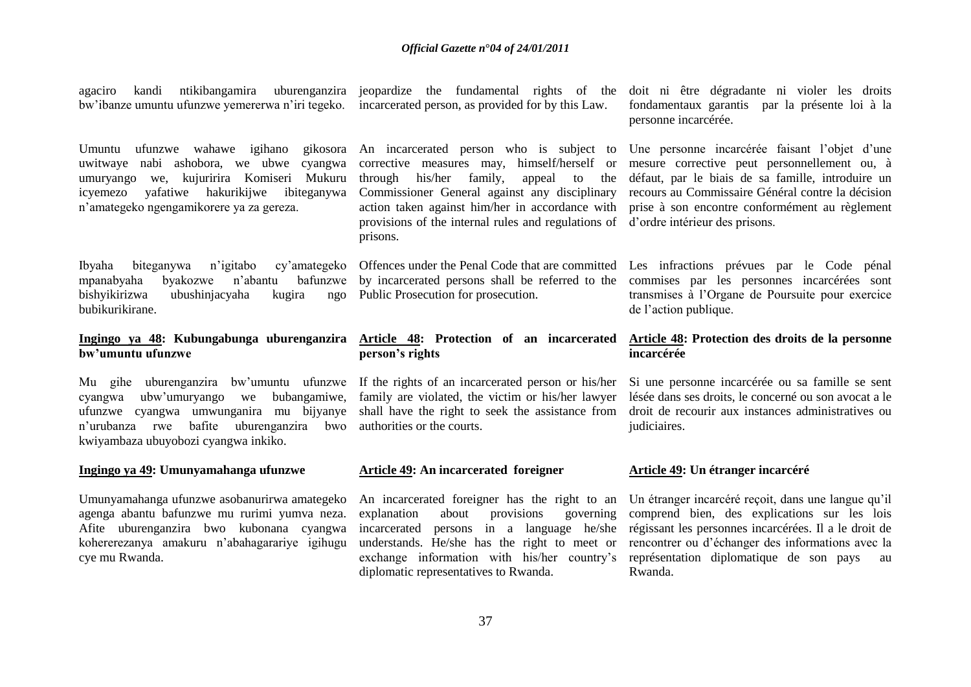agaciro kandi ntikibangamira uburenganzira jeopardize the fundamental rights of the bw"ibanze umuntu ufunzwe yemererwa n"iri tegeko. incarcerated person, as provided for by this Law.

uwitwaye nabi ashobora, we ubwe cyangwa umuryango we, kujuririra Komiseri Mukuru icyemezo yafatiwe hakurikijwe ibiteganywa n"amategeko ngengamikorere ya za gereza.

Ibyaha biteganywa n'igitabo mpanabyaha byakozwe n"abantu bafunzwe by incarcerated persons shall be referred to the bishyikirizwa ubushinjacyaha kugira bubikurikirane.

#### **Ingingo ya 48: Kubungabunga uburenganzira Article 48: Protection of an incarcerated bw'umuntu ufunzwe**

cyangwa ubw"umuryango we bubangamiwe, ufunzwe cyangwa umwunganira mu bijyanye shall have the right to seek the assistance from droit de recourir aux instances administratives ou n"urubanza rwe bafite uburenganzira bwo kwiyambaza ubuyobozi cyangwa inkiko.

#### **Ingingo ya 49: Umunyamahanga ufunzwe**

Umunyamahanga ufunzwe asobanurirwa amategeko agenga abantu bafunzwe mu rurimi yumva neza. Afite uburenganzira bwo kubonana cyangwa kohererezanya amakuru n"abahagarariye igihugu cye mu Rwanda.

corrective measures may, himself/herself or through his/her family, appeal to the provisions of the internal rules and regulations of d"ordre intérieur des prisons. prisons.

ngo Public Prosecution for prosecution.

# **person's rights**

family are violated, the victim or his/her lawyer authorities or the courts.

#### **Article 49: An incarcerated foreigner**

An incarcerated foreigner has the right to an explanation about provisions governing understands. He/she has the right to meet or diplomatic representatives to Rwanda.

doit ni être dégradante ni violer les droits fondamentaux garantis par la présente loi à la personne incarcérée.

Umuntu ufunzwe wahawe igihano gikosora An incarcerated person who is subject to Une personne incarcérée faisant l'objet d'une Commissioner General against any disciplinary recours au Commissaire Général contre la décision action taken against him/her in accordance with prise à son encontre conformément au règlement mesure corrective peut personnellement ou, à défaut, par le biais de sa famille, introduire un

> Offences under the Penal Code that are committed Les infractions prévues par le Code pénal commises par les personnes incarcérées sont transmises à l"Organe de Poursuite pour exercice de l"action publique.

#### **Article 48: Protection des droits de la personne incarcérée**

Mu gihe uburenganzira bw"umuntu ufunzwe If the rights of an incarcerated person or his/her Si une personne incarcérée ou sa famille se sent lésée dans ses droits, le concerné ou son avocat a le judiciaires.

#### **Article 49: Un étranger incarcéré**

incarcerated persons in a language he/she régissant les personnes incarcérées. Il a le droit de exchange information with his/her country's représentation diplomatique de son pays au Un étranger incarcéré reçoit, dans une langue qu"il comprend bien, des explications sur les lois rencontrer ou d"échanger des informations avec la Rwanda.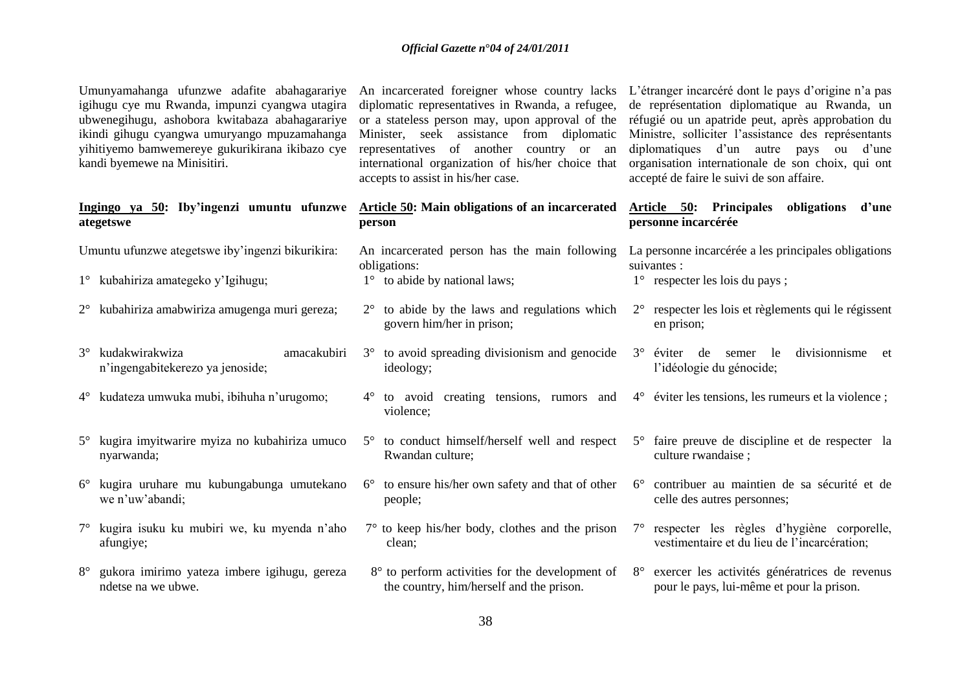| Umunyamahanga ufunzwe adafite abahagarariye<br>igihugu cye mu Rwanda, impunzi cyangwa utagira<br>ubwenegihugu, ashobora kwitabaza abahagarariye<br>ikindi gihugu cyangwa umuryango mpuzamahanga<br>yihitiyemo bamwemereye gukurikirana ikibazo cye<br>kandi byemewe na Minisitiri. |                                                                    |           | An incarcerated foreigner whose country lacks<br>diplomatic representatives in Rwanda, a refugee,<br>or a stateless person may, upon approval of the<br>Minister, seek assistance from diplomatic<br>representatives of another country or an<br>international organization of his/her choice that<br>accepts to assist in his/her case. |             | L'étranger incarcéré dont le pays d'origine n'a pas<br>de représentation diplomatique au Rwanda, un<br>réfugié ou un apatride peut, après approbation du<br>Ministre, solliciter l'assistance des représentants<br>diplomatiques d'un autre pays ou d'une<br>organisation internationale de son choix, qui ont<br>accepté de faire le suivi de son affaire. |
|------------------------------------------------------------------------------------------------------------------------------------------------------------------------------------------------------------------------------------------------------------------------------------|--------------------------------------------------------------------|-----------|------------------------------------------------------------------------------------------------------------------------------------------------------------------------------------------------------------------------------------------------------------------------------------------------------------------------------------------|-------------|-------------------------------------------------------------------------------------------------------------------------------------------------------------------------------------------------------------------------------------------------------------------------------------------------------------------------------------------------------------|
|                                                                                                                                                                                                                                                                                    | Ingingo ya 50: Iby'ingenzi umuntu ufunzwe<br>ategetswe             |           | <b>Article 50:</b> Main obligations of an incarcerated<br>person                                                                                                                                                                                                                                                                         |             | Article 50: Principales<br>obligations d'une<br>personne incarcérée                                                                                                                                                                                                                                                                                         |
|                                                                                                                                                                                                                                                                                    | Umuntu ufunzwe ategetswe iby'ingenzi bikurikira:                   |           | An incarcerated person has the main following                                                                                                                                                                                                                                                                                            |             | La personne incarcérée a les principales obligations                                                                                                                                                                                                                                                                                                        |
|                                                                                                                                                                                                                                                                                    | 1° kubahiriza amategeko y'Igihugu;                                 |           | obligations:<br>$1^\circ$ to abide by national laws;                                                                                                                                                                                                                                                                                     |             | suivantes :<br>1° respecter les lois du pays;                                                                                                                                                                                                                                                                                                               |
|                                                                                                                                                                                                                                                                                    | 2° kubahiriza amabwiriza amugenga muri gereza;                     |           | $2^{\circ}$ to abide by the laws and regulations which<br>govern him/her in prison;                                                                                                                                                                                                                                                      |             | 2° respecter les lois et règlements qui le régissent<br>en prison;                                                                                                                                                                                                                                                                                          |
| $3^\circ$                                                                                                                                                                                                                                                                          | kudakwirakwiza<br>amacakubiri<br>n'ingengabitekerezo ya jenoside;  | $3^\circ$ | to avoid spreading divisionism and genocide<br>ideology;                                                                                                                                                                                                                                                                                 | $3^\circ$   | divisionnisme et<br>semer le<br>éviter de<br>l'idéologie du génocide;                                                                                                                                                                                                                                                                                       |
| $4^{\circ}$                                                                                                                                                                                                                                                                        | kudateza umwuka mubi, ibihuha n'urugomo;                           | $4^\circ$ | to avoid creating tensions, rumors and<br>violence;                                                                                                                                                                                                                                                                                      |             | $4^{\circ}$ éviter les tensions, les rumeurs et la violence;                                                                                                                                                                                                                                                                                                |
|                                                                                                                                                                                                                                                                                    | kugira imyitwarire myiza no kubahiriza umuco<br>nyarwanda;         |           | 5° to conduct himself/herself well and respect<br>Rwandan culture;                                                                                                                                                                                                                                                                       |             | 5° faire preuve de discipline et de respecter la<br>culture rwandaise;                                                                                                                                                                                                                                                                                      |
| $6^{\circ}$                                                                                                                                                                                                                                                                        | kugira uruhare mu kubungabunga umutekano<br>we n'uw'abandi;        |           | $6^{\circ}$ to ensure his/her own safety and that of other<br>people;                                                                                                                                                                                                                                                                    | $6^{\circ}$ | contribuer au maintien de sa sécurité et de<br>celle des autres personnes;                                                                                                                                                                                                                                                                                  |
|                                                                                                                                                                                                                                                                                    | kugira isuku ku mubiri we, ku myenda n'aho<br>afungiye;            |           | $7^{\circ}$ to keep his/her body, clothes and the prison<br>clean;                                                                                                                                                                                                                                                                       |             | respecter les règles d'hygiène corporelle,<br>vestimentaire et du lieu de l'incarcération;                                                                                                                                                                                                                                                                  |
|                                                                                                                                                                                                                                                                                    | gukora imirimo yateza imbere igihugu, gereza<br>ndetse na we ubwe. |           | 8° to perform activities for the development of<br>the country, him/herself and the prison.                                                                                                                                                                                                                                              | $8^{\circ}$ | exercer les activités génératrices de revenus<br>pour le pays, lui-même et pour la prison.                                                                                                                                                                                                                                                                  |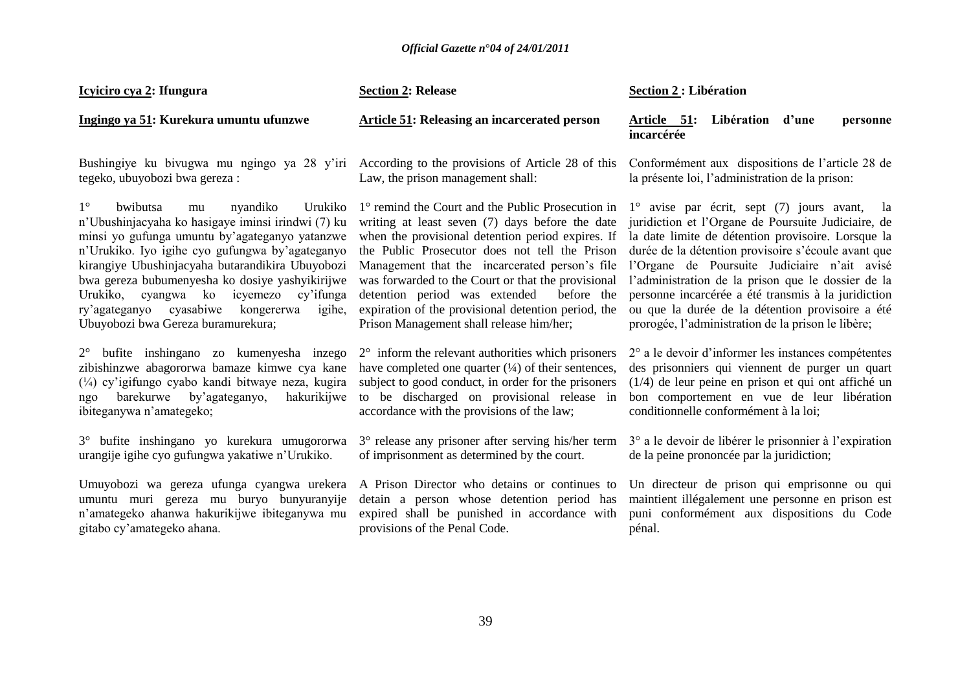| Icyiciro cya 2: Ifungura                                                                                                                                                                                                                                                                                                                                                                                                                                        | <b>Section 2: Release</b>                                                                                                                                                                                                                                                                                                                                                                                                                                             | Section 2: Libération                                                                                                                                                                                                                                                                                                                                                                                                                                                                                 |  |
|-----------------------------------------------------------------------------------------------------------------------------------------------------------------------------------------------------------------------------------------------------------------------------------------------------------------------------------------------------------------------------------------------------------------------------------------------------------------|-----------------------------------------------------------------------------------------------------------------------------------------------------------------------------------------------------------------------------------------------------------------------------------------------------------------------------------------------------------------------------------------------------------------------------------------------------------------------|-------------------------------------------------------------------------------------------------------------------------------------------------------------------------------------------------------------------------------------------------------------------------------------------------------------------------------------------------------------------------------------------------------------------------------------------------------------------------------------------------------|--|
| Ingingo ya 51: Kurekura umuntu ufunzwe                                                                                                                                                                                                                                                                                                                                                                                                                          | <b>Article 51: Releasing an incarcerated person</b>                                                                                                                                                                                                                                                                                                                                                                                                                   | Libération<br>Article 51:<br>d'une<br>personne<br>incarcérée                                                                                                                                                                                                                                                                                                                                                                                                                                          |  |
| Bushingiye ku biyugwa mu ngingo ya 28 y'iri<br>tegeko, ubuyobozi bwa gereza:                                                                                                                                                                                                                                                                                                                                                                                    | According to the provisions of Article 28 of this<br>Law, the prison management shall:                                                                                                                                                                                                                                                                                                                                                                                | Conformément aux dispositions de l'article 28 de<br>la présente loi, l'administration de la prison:                                                                                                                                                                                                                                                                                                                                                                                                   |  |
| $1^{\circ}$<br>bwibutsa<br>nyandiko<br>Urukiko<br>mu<br>n'Ubushinjacyaha ko hasigaye iminsi irindwi (7) ku<br>minsi yo gufunga umuntu by'agateganyo yatanzwe<br>n'Urukiko. Iyo igihe cyo gufungwa by'agateganyo<br>kirangiye Ubushinjacyaha butarandikira Ubuyobozi<br>bwa gereza bubumenyesha ko dosiye yashyikirijwe<br>Urukiko, cyangwa ko icyemezo<br>cy'ifunga<br>cyasabiwe<br>kongererwa<br>ry'agateganyo<br>igihe,<br>Ubuyobozi bwa Gereza buramurekura; | 1° remind the Court and the Public Prosecution in<br>writing at least seven (7) days before the date<br>when the provisional detention period expires. If<br>the Public Prosecutor does not tell the Prison<br>Management that the incarcerated person's file<br>was forwarded to the Court or that the provisional<br>detention period was extended<br>before the<br>expiration of the provisional detention period, the<br>Prison Management shall release him/her; | $1^{\circ}$ avise par écrit, sept (7) jours avant,<br>- la<br>juridiction et l'Organe de Poursuite Judiciaire, de<br>la date limite de détention provisoire. Lorsque la<br>durée de la détention provisoire s'écoule avant que<br>l'Organe de Poursuite Judiciaire n'ait avisé<br>l'administration de la prison que le dossier de la<br>personne incarcérée a été transmis à la juridiction<br>ou que la durée de la détention provisoire a été<br>prorogée, l'administration de la prison le libère; |  |
| 2° bufite inshingano zo kumenyesha inzego<br>zibishinzwe abagororwa bamaze kimwe cya kane<br>$(\frac{1}{4})$ cy'igifungo cyabo kandi bitwaye neza, kugira<br>barekurwe by'agateganyo,<br>hakurikijwe<br>ngo<br>ibiteganywa n'amategeko;                                                                                                                                                                                                                         | $2^{\circ}$ inform the relevant authorities which prisoners<br>have completed one quarter $(1/4)$ of their sentences,<br>subject to good conduct, in order for the prisoners<br>to be discharged on provisional release in<br>accordance with the provisions of the law;                                                                                                                                                                                              | 2° a le devoir d'informer les instances compétentes<br>des prisonniers qui viennent de purger un quart<br>$(1/4)$ de leur peine en prison et qui ont affiché un<br>bon comportement en vue de leur libération<br>conditionnelle conformément à la loi;                                                                                                                                                                                                                                                |  |
| 3° bufite inshingano yo kurekura umugororwa<br>urangije igihe cyo gufungwa yakatiwe n'Urukiko.                                                                                                                                                                                                                                                                                                                                                                  | 3° release any prisoner after serving his/her term<br>of imprisonment as determined by the court.                                                                                                                                                                                                                                                                                                                                                                     | 3° a le devoir de libérer le prisonnier à l'expiration<br>de la peine prononcée par la juridiction;                                                                                                                                                                                                                                                                                                                                                                                                   |  |
| Umuyobozi wa gereza ufunga cyangwa urekera<br>umuntu muri gereza mu buryo bunyuranyije<br>n'amategeko ahanwa hakurikijwe ibiteganywa mu<br>gitabo cy'amategeko ahana.                                                                                                                                                                                                                                                                                           | A Prison Director who detains or continues to<br>detain a person whose detention period has<br>expired shall be punished in accordance with<br>provisions of the Penal Code.                                                                                                                                                                                                                                                                                          | Un directeur de prison qui emprisonne ou qui<br>maintient illégalement une personne en prison est<br>puni conformément aux dispositions du Code<br>pénal.                                                                                                                                                                                                                                                                                                                                             |  |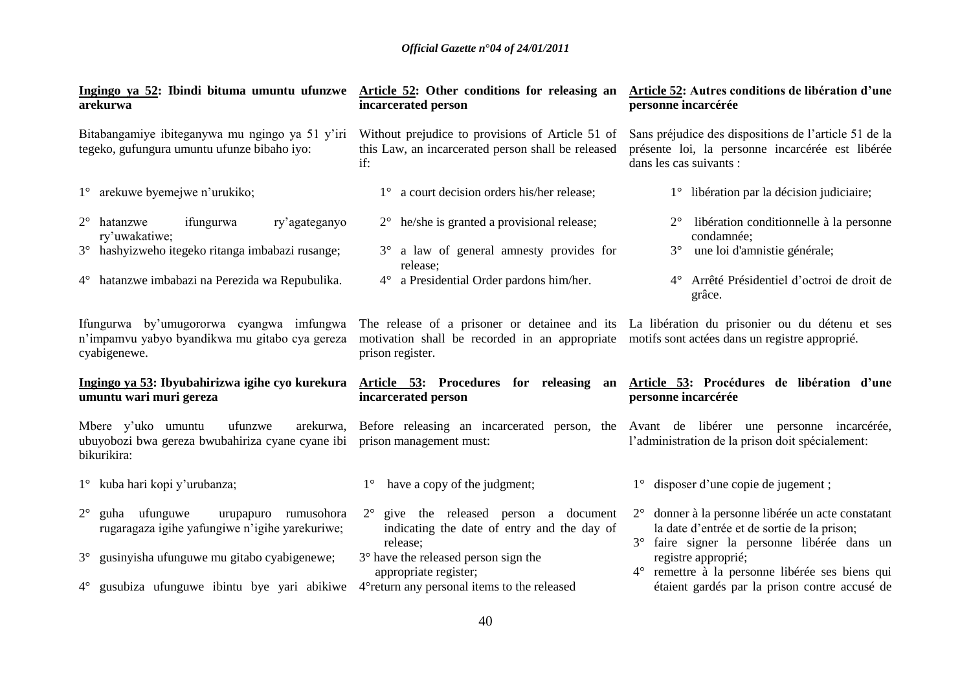| Ingingo ya 52: Ibindi bituma umuntu ufunzwe Article 52: Other conditions for releasing an<br>arekurwa                                                                      | incarcerated person                                                                                                                                      | Article 52: Autres conditions de libération d'une<br>personne incarcérée                                                                                                   |
|----------------------------------------------------------------------------------------------------------------------------------------------------------------------------|----------------------------------------------------------------------------------------------------------------------------------------------------------|----------------------------------------------------------------------------------------------------------------------------------------------------------------------------|
| Bitabangamiye ibiteganywa mu ngingo ya 51 y'iri<br>tegeko, gufungura umuntu ufunze bibaho iyo:                                                                             | Without prejudice to provisions of Article 51 of<br>this Law, an incarcerated person shall be released<br>if:                                            | Sans préjudice des dispositions de l'article 51 de la<br>présente loi, la personne incarcérée est libérée<br>dans les cas suivants :                                       |
| 1° arekuwe byemejwe n'urukiko;                                                                                                                                             | 1° a court decision orders his/her release;                                                                                                              | 1° libération par la décision judiciaire;                                                                                                                                  |
| $2^{\circ}$ hatanzwe<br>ifungurwa<br>ry'agateganyo<br>ry'uwakatiwe;<br>3° hashyizweho itegeko ritanga imbabazi rusange;<br>4° hatanzwe imbabazi na Perezida wa Repubulika. | $2^{\circ}$ he/she is granted a provisional release;<br>3° a law of general amnesty provides for<br>release;<br>4° a Presidential Order pardons him/her. | libération conditionnelle à la personne<br>$2^{\circ}$<br>condamnée;<br>une loi d'amnistie générale;<br>$3^\circ$<br>4° Arrêté Présidentiel d'octroi de droit de<br>grâce. |
| Ifungurwa by'umugororwa cyangwa imfungwa<br>n'impamvu yabyo byandikwa mu gitabo cya gereza                                                                                 | motivation shall be recorded in an appropriate motifs sont actées dans un registre approprié.                                                            | The release of a prisoner or detainee and its La libération du prisonier ou du détenu et ses                                                                               |
| cyabigenewe.                                                                                                                                                               | prison register.                                                                                                                                         |                                                                                                                                                                            |
| Ingingo ya 53: Ibyubahirizwa igihe cyo kurekura<br>umuntu wari muri gereza                                                                                                 | incarcerated person                                                                                                                                      | Article 53: Procedures for releasing an Article 53: Procédures de libération d'une<br>personne incarcérée                                                                  |
| ufunzwe<br>arekurwa,<br>Mbere y'uko umuntu<br>ubuyobozi bwa gereza bwubahiriza cyane cyane ibi<br>bikurikira:                                                              | prison management must:                                                                                                                                  | Before releasing an incarcerated person, the Avant de libérer une personne incarcérée,<br>l'administration de la prison doit spécialement:                                 |
| 1° kuba hari kopi y'urubanza;                                                                                                                                              | have a copy of the judgment;<br>$1^{\circ}$                                                                                                              | 1° disposer d'une copie de jugement ;                                                                                                                                      |
| guha ufunguwe<br>$2^{\circ}$<br>urupapuro rumusohora<br>rugaragaza igihe yafungiwe n'igihe yarekuriwe;                                                                     | $2^{\circ}$ give the released person a document<br>indicating the date of entry and the day of                                                           | 2° donner à la personne libérée un acte constatant<br>la date d'entrée et de sortie de la prison;<br>$3^\circ$                                                             |
| gusinyisha ufunguwe mu gitabo cyabigenewe;<br>$3^\circ$                                                                                                                    | release;<br>$3^\circ$ have the released person sign the<br>appropriate register;                                                                         | faire signer la personne libérée dans un<br>registre approprié;<br>remettre à la personne libérée ses biens qui<br>$4^{\circ}$                                             |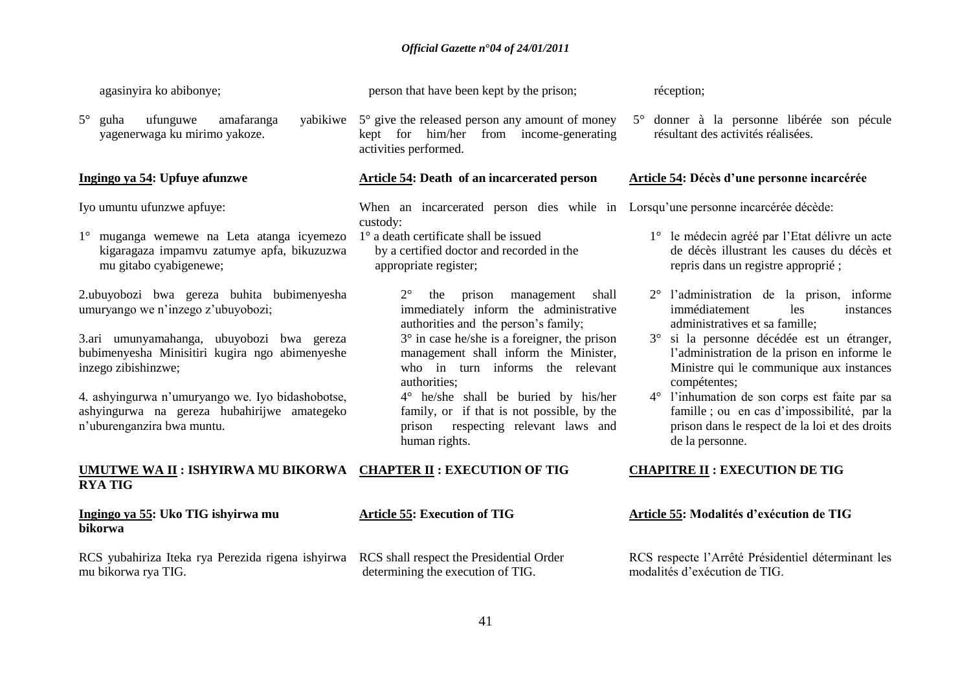| agasinyira ko abibonye;                                                                                                                                                                                                                                                                                                                                                                                                                                      | person that have been kept by the prison;                                                                                                                                                                                                                                                                                                                                                                                                                                                                                                                                                   | réception;                                                                                                                                                                                                                                                                                                                                                                                                                                                                                                      |
|--------------------------------------------------------------------------------------------------------------------------------------------------------------------------------------------------------------------------------------------------------------------------------------------------------------------------------------------------------------------------------------------------------------------------------------------------------------|---------------------------------------------------------------------------------------------------------------------------------------------------------------------------------------------------------------------------------------------------------------------------------------------------------------------------------------------------------------------------------------------------------------------------------------------------------------------------------------------------------------------------------------------------------------------------------------------|-----------------------------------------------------------------------------------------------------------------------------------------------------------------------------------------------------------------------------------------------------------------------------------------------------------------------------------------------------------------------------------------------------------------------------------------------------------------------------------------------------------------|
| ufunguwe<br>$5^{\circ}$<br>amafaranga<br>guha<br>yagenerwaga ku mirimo yakoze.                                                                                                                                                                                                                                                                                                                                                                               | yabikiwe $5^\circ$ give the released person any amount of money<br>kept for him/her from income-generating<br>activities performed.                                                                                                                                                                                                                                                                                                                                                                                                                                                         | 5° donner à la personne libérée son pécule<br>résultant des activités réalisées.                                                                                                                                                                                                                                                                                                                                                                                                                                |
| Ingingo ya 54: Upfuye afunzwe                                                                                                                                                                                                                                                                                                                                                                                                                                | <b>Article 54: Death of an incarcerated person</b>                                                                                                                                                                                                                                                                                                                                                                                                                                                                                                                                          | Article 54: Décès d'une personne incarcérée                                                                                                                                                                                                                                                                                                                                                                                                                                                                     |
| Iyo umuntu ufunzwe apfuye:<br>1° muganga wemewe na Leta atanga icyemezo<br>kigaragaza impamvu zatumye apfa, bikuzuzwa<br>mu gitabo cyabigenewe;<br>2.ubuyobozi bwa gereza buhita bubimenyesha<br>umuryango we n'inzego z'ubuyobozi;<br>3.ari umunyamahanga, ubuyobozi bwa gereza<br>bubimenyesha Minisitiri kugira ngo abimenyeshe<br>inzego zibishinzwe;<br>4. ashyingurwa n'umuryango we. Iyo bidashobotse,<br>ashyingurwa na gereza hubahirijwe amategeko | When an incarcerated person dies while in Lorsqu'une personne incarcérée décède:<br>custody:<br>1° a death certificate shall be issued<br>by a certified doctor and recorded in the<br>appropriate register;<br>$2^{\circ}$<br>the prison<br>management<br>shall<br>immediately inform the administrative<br>authorities and the person's family;<br>$3^\circ$ in case he/she is a foreigner, the prison<br>management shall inform the Minister,<br>who in turn informs the relevant<br>authorities;<br>4° he/she shall be buried by his/her<br>family, or if that is not possible, by the | 1° le médecin agréé par l'Etat délivre un acte<br>de décès illustrant les causes du décès et<br>repris dans un registre approprié ;<br>2° l'administration de la prison, informe<br>immédiatement<br>les<br>instances<br>administratives et sa famille;<br>3° si la personne décédée est un étranger,<br>l'administration de la prison en informe le<br>Ministre qui le communique aux instances<br>compétentes;<br>4° l'inhumation de son corps est faite par sa<br>famille; ou en cas d'impossibilité, par la |
| n'uburenganzira bwa muntu.                                                                                                                                                                                                                                                                                                                                                                                                                                   | prison respecting relevant laws and<br>human rights.                                                                                                                                                                                                                                                                                                                                                                                                                                                                                                                                        | prison dans le respect de la loi et des droits<br>de la personne.                                                                                                                                                                                                                                                                                                                                                                                                                                               |
| UMUTWE WA II : ISHYIRWA MU BIKORWA CHAPTER II : EXECUTION OF TIG<br><b>RYA TIG</b>                                                                                                                                                                                                                                                                                                                                                                           |                                                                                                                                                                                                                                                                                                                                                                                                                                                                                                                                                                                             | <b>CHAPITRE II: EXECUTION DE TIG</b>                                                                                                                                                                                                                                                                                                                                                                                                                                                                            |
| Ingingo ya 55: Uko TIG ishyirwa mu<br>bikorwa                                                                                                                                                                                                                                                                                                                                                                                                                | <b>Article 55: Execution of TIG</b>                                                                                                                                                                                                                                                                                                                                                                                                                                                                                                                                                         | Article 55: Modalités d'exécution de TIG                                                                                                                                                                                                                                                                                                                                                                                                                                                                        |
| RCS yubahiriza Iteka rya Perezida rigena ishyirwa<br>mu bikorwa rya TIG.                                                                                                                                                                                                                                                                                                                                                                                     | RCS shall respect the Presidential Order<br>determining the execution of TIG.                                                                                                                                                                                                                                                                                                                                                                                                                                                                                                               | RCS respecte l'Arrêté Présidentiel déterminant les<br>modalités d'exécution de TIG.                                                                                                                                                                                                                                                                                                                                                                                                                             |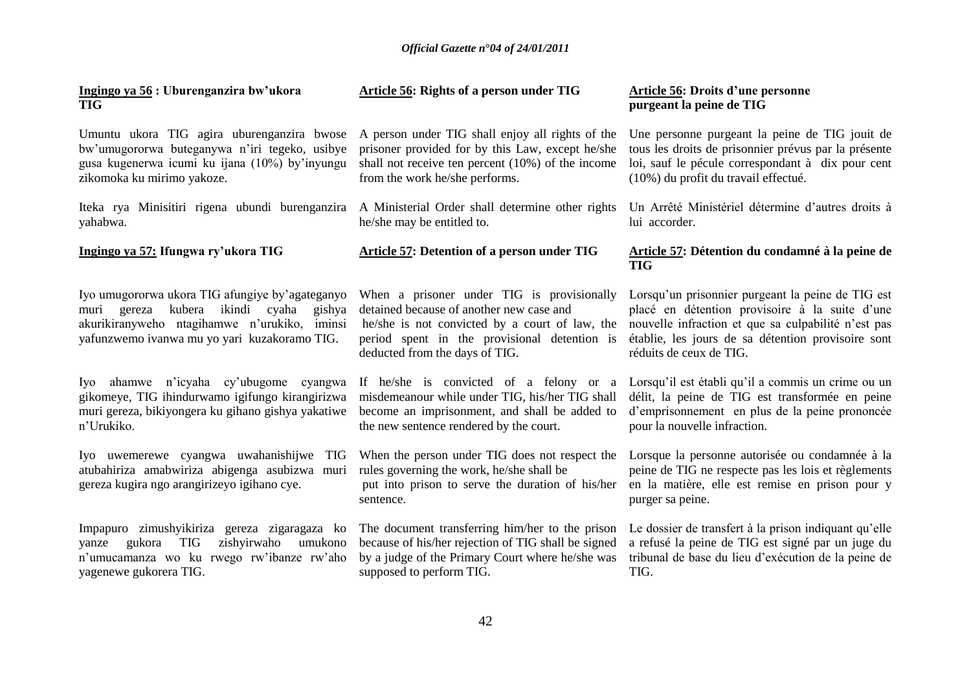**Ingingo ya 56 : Uburenganzira bw'ukora TIG**

Umuntu ukora TIG agira uburenganzira bwose bw"umugororwa buteganywa n"iri tegeko, usibye gusa kugenerwa icumi ku ijana (10%) by"inyungu zikomoka ku mirimo yakoze.

Iteka rya Minisitiri rigena ubundi burenganzira yahabwa.

**Ingingo ya 57: Ifungwa ry'ukora TIG** 

Iyo umugororwa ukora TIG afungiye by"agateganyo muri gereza kubera ikindi cyaha gishya akurikiranyweho ntagihamwe n'urukiko, iminsi yafunzwemo ivanwa mu yo yari kuzakoramo TIG.

Iyo ahamwe n"icyaha cy"ubugome cyangwa gikomeye, TIG ihindurwamo igifungo kirangirizwa muri gereza, bikiyongera ku gihano gishya yakatiwe n"Urukiko.

Iyo uwemerewe cyangwa uwahanishijwe TIG atubahiriza amabwiriza abigenga asubizwa muri gereza kugira ngo arangirizeyo igihano cye.

Impapuro zimushyikiriza gereza zigaragaza ko yanze gukora TIG zishyirwaho umukono n"umucamanza wo ku rwego rw"ibanze rw"aho yagenewe gukorera TIG.

# **Article 56: Rights of a person under TIG**

A person under TIG shall enjoy all rights of the prisoner provided for by this Law, except he/she shall not receive ten percent (10%) of the income from the work he/she performs.

A Ministerial Order shall determine other rights he/she may be entitled to.

# **Article 57: Detention of a person under TIG**

When a prisoner under TIG is provisionally detained because of another new case and he/she is not convicted by a court of law, the period spent in the provisional detention is deducted from the days of TIG.

If he/she is convicted of a felony or a misdemeanour while under TIG, his/her TIG shall become an imprisonment, and shall be added to the new sentence rendered by the court.

When the person under TIG does not respect the rules governing the work, he/she shall be

put into prison to serve the duration of his/her sentence.

The document transferring him/her to the prison because of his/her rejection of TIG shall be signed by a judge of the Primary Court where he/she was supposed to perform TIG.

### **Article 56: Droits d'une personne purgeant la peine de TIG**

Une personne purgeant la peine de TIG jouit de tous les droits de prisonnier prévus par la présente loi, sauf le pécule correspondant à dix pour cent (10%) du profit du travail effectué.

Un Arrêté Ministériel détermine d"autres droits à lui accorder.

# **Article 57: Détention du condamné à la peine de TIG**

Lorsqu"un prisonnier purgeant la peine de TIG est placé en détention provisoire à la suite d"une nouvelle infraction et que sa culpabilité n"est pas établie, les jours de sa détention provisoire sont réduits de ceux de TIG.

Lorsqu'il est établi qu'il a commis un crime ou un délit, la peine de TIG est transformée en peine d"emprisonnement en plus de la peine prononcée pour la nouvelle infraction.

Lorsque la personne autorisée ou condamnée à la peine de TIG ne respecte pas les lois et règlements en la matière, elle est remise en prison pour y purger sa peine.

Le dossier de transfert à la prison indiquant qu'elle a refusé la peine de TIG est signé par un juge du tribunal de base du lieu d"exécution de la peine de TIG.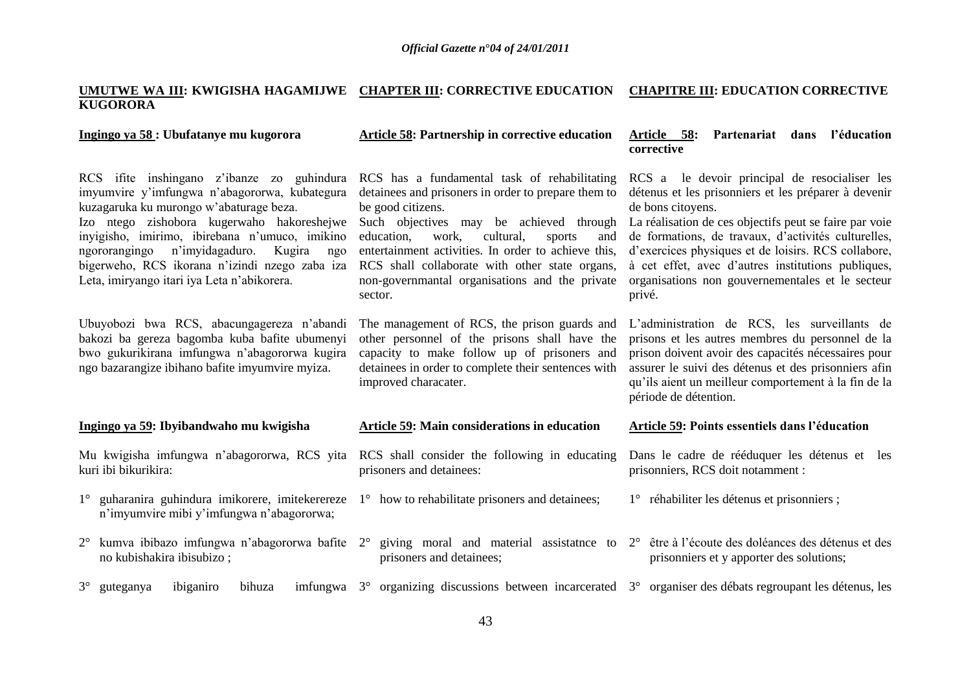#### **UMUTWE WA III: KWIGISHA HAGAMIJWE CHAPTER III: CORRECTIVE EDUCATION CHAPITRE III: EDUCATION CORRECTIVE KUGORORA**

| Ingingo ya 58 : Ubufatanye mu kugorora                                                                                                                                                                                                                                                                                                                                                     | <b>Article 58: Partnership in corrective education</b>                                                                                                                                                                                                                                                                                                                                         | Partenariat dans l'éducation<br>Article 58:<br>corrective                                                                                                                                                                                                                                                                                                                                                              |
|--------------------------------------------------------------------------------------------------------------------------------------------------------------------------------------------------------------------------------------------------------------------------------------------------------------------------------------------------------------------------------------------|------------------------------------------------------------------------------------------------------------------------------------------------------------------------------------------------------------------------------------------------------------------------------------------------------------------------------------------------------------------------------------------------|------------------------------------------------------------------------------------------------------------------------------------------------------------------------------------------------------------------------------------------------------------------------------------------------------------------------------------------------------------------------------------------------------------------------|
| RCS if ite inshingano z'ibanze zo guhindura<br>imyumvire y'imfungwa n'abagororwa, kubategura<br>kuzagaruka ku murongo w'abaturage beza.<br>Izo ntego zishobora kugerwaho hakoreshejwe<br>invigisho, imirimo, ibirebana n'umuco, imikino<br>ngororangingo n'imyidagaduro.<br>Kugira<br>ngo<br>bigerweho, RCS ikorana n'izindi nzego zaba iza<br>Leta, imiryango itari iya Leta n'abikorera. | RCS has a fundamental task of rehabilitating<br>detainees and prisoners in order to prepare them to<br>be good citizens.<br>Such objectives may be achieved through<br>work,<br>cultural,<br>education,<br>sports<br>and<br>entertainment activities. In order to achieve this,<br>RCS shall collaborate with other state organs,<br>non-governmantal organisations and the private<br>sector. | RCS a le devoir principal de resocialiser les<br>détenus et les prisonniers et les préparer à devenir<br>de bons citoyens.<br>La réalisation de ces objectifs peut se faire par voie<br>de formations, de travaux, d'activités culturelles,<br>d'exercices physiques et de loisirs. RCS collabore,<br>à cet effet, avec d'autres institutions publiques,<br>organisations non gouvernementales et le secteur<br>privé. |
| Ubuyobozi bwa RCS, abacungagereza n'abandi<br>bakozi ba gereza bagomba kuba bafite ubumenyi<br>bwo gukurikirana imfungwa n'abagororwa kugira<br>ngo bazarangize ibihano bafite imyumvire myiza.                                                                                                                                                                                            | The management of RCS, the prison guards and<br>other personnel of the prisons shall have the<br>capacity to make follow up of prisoners and<br>detainees in order to complete their sentences with<br>improved characater.                                                                                                                                                                    | L'administration de RCS, les surveillants de<br>prisons et les autres membres du personnel de la<br>prison doivent avoir des capacités nécessaires pour<br>assurer le suivi des détenus et des prisonniers afin<br>qu'ils aient un meilleur comportement à la fin de la<br>période de détention.                                                                                                                       |
| Ingingo ya 59: Ibyibandwaho mu kwigisha                                                                                                                                                                                                                                                                                                                                                    | <b>Article 59: Main considerations in education</b>                                                                                                                                                                                                                                                                                                                                            | Article 59: Points essentiels dans l'éducation                                                                                                                                                                                                                                                                                                                                                                         |
| Mu kwigisha imfungwa n'abagororwa, RCS yita<br>kuri ibi bikurikira:                                                                                                                                                                                                                                                                                                                        | RCS shall consider the following in educating<br>prisoners and detainees:                                                                                                                                                                                                                                                                                                                      | Dans le cadre de rééduquer les détenus et les<br>prisonniers, RCS doit notamment :                                                                                                                                                                                                                                                                                                                                     |
| 1° guharanira guhindura imikorere, imitekerereze 1° how to rehabilitate prisoners and detainees;<br>n'imyumvire mibi y'imfungwa n'abagororwa;                                                                                                                                                                                                                                              |                                                                                                                                                                                                                                                                                                                                                                                                | 1° réhabiliter les détenus et prisonniers;                                                                                                                                                                                                                                                                                                                                                                             |
| 2° kumva ibibazo imfungwa n'abagororwa bafite 2° giving moral and material assistatione to 2° être à l'écoute des doléances des détenus et des<br>no kubishakira ibisubizo;                                                                                                                                                                                                                | prisoners and detainees;                                                                                                                                                                                                                                                                                                                                                                       | prisonniers et y apporter des solutions;                                                                                                                                                                                                                                                                                                                                                                               |
| $3^\circ$ guteganya<br>ibiganiro<br>bihuza                                                                                                                                                                                                                                                                                                                                                 | imfungwa 3° organizing discussions between incarcerated 3° organiser des débats regroupant les détenus, les                                                                                                                                                                                                                                                                                    |                                                                                                                                                                                                                                                                                                                                                                                                                        |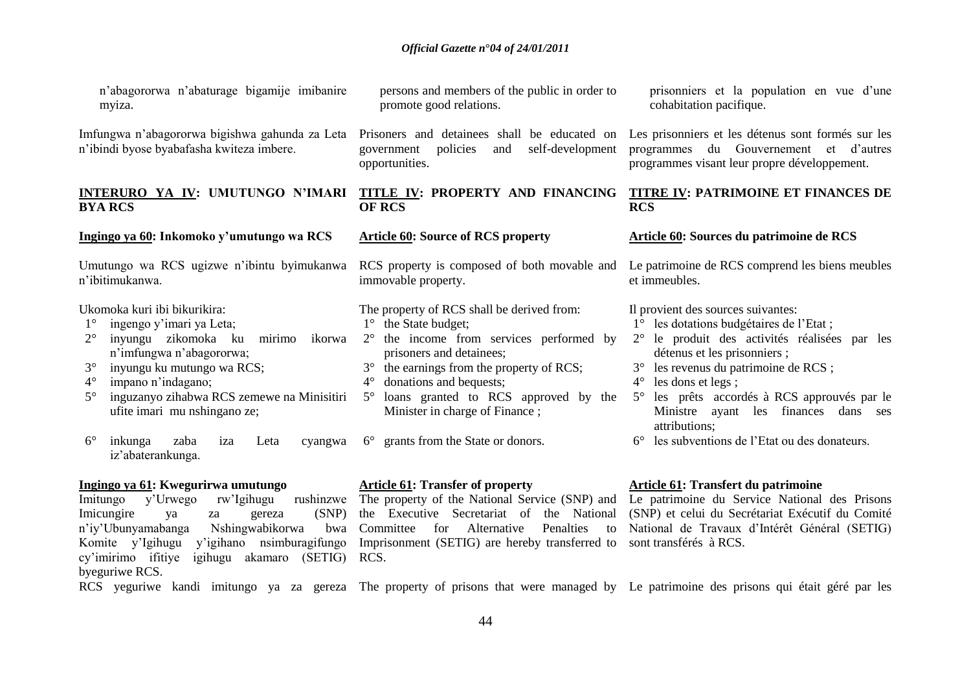| n'abagororwa n'abaturage bigamije imibanire<br>myiza.                                                                                                                                                                                                                                                                                                                                                      | persons and members of the public in order to<br>promote good relations.                                                                                                                                                                                                                                                                                                                       | prisonniers et la population en vue d'une<br>cohabitation pacifique.                                                                                                                                                                                                                                                                                                                                                                   |
|------------------------------------------------------------------------------------------------------------------------------------------------------------------------------------------------------------------------------------------------------------------------------------------------------------------------------------------------------------------------------------------------------------|------------------------------------------------------------------------------------------------------------------------------------------------------------------------------------------------------------------------------------------------------------------------------------------------------------------------------------------------------------------------------------------------|----------------------------------------------------------------------------------------------------------------------------------------------------------------------------------------------------------------------------------------------------------------------------------------------------------------------------------------------------------------------------------------------------------------------------------------|
| Imfungwa n'abagororwa bigishwa gahunda za Leta<br>n'ibindi byose byabafasha kwiteza imbere.                                                                                                                                                                                                                                                                                                                | Prisoners and detainees shall be educated on<br>self-development<br>policies<br>government<br>and<br>opportunities.                                                                                                                                                                                                                                                                            | Les prisonniers et les détenus sont formés sur les<br>programmes du Gouvernement et d'autres<br>programmes visant leur propre développement.                                                                                                                                                                                                                                                                                           |
| INTERURO YA IV: UMUTUNGO N'IMARI<br><b>BYA RCS</b>                                                                                                                                                                                                                                                                                                                                                         | TITLE IV: PROPERTY AND FINANCING<br><b>OF RCS</b>                                                                                                                                                                                                                                                                                                                                              | <b>TITRE IV: PATRIMOINE ET FINANCES DE</b><br><b>RCS</b>                                                                                                                                                                                                                                                                                                                                                                               |
| Ingingo ya 60: Inkomoko y'umutungo wa RCS                                                                                                                                                                                                                                                                                                                                                                  | <b>Article 60: Source of RCS property</b>                                                                                                                                                                                                                                                                                                                                                      | <b>Article 60: Sources du patrimoine de RCS</b>                                                                                                                                                                                                                                                                                                                                                                                        |
| Umutungo wa RCS ugizwe n'ibintu byimukanwa<br>n'ibitimukanwa.                                                                                                                                                                                                                                                                                                                                              | RCS property is composed of both movable and<br>immovable property.                                                                                                                                                                                                                                                                                                                            | Le patrimoine de RCS comprend les biens meubles<br>et immeubles.                                                                                                                                                                                                                                                                                                                                                                       |
| Ukomoka kuri ibi bikurikira:<br>ingengo y'imari ya Leta;<br>$1^{\circ}$<br>inyungu zikomoka ku<br>mirimo<br>ikorwa<br>n'imfungwa n'abagororwa;<br>$3^\circ$<br>inyungu ku mutungo wa RCS;<br>$4^\circ$<br>impano n'indagano;<br>inguzanyo zihabwa RCS zemewe na Minisitiri<br>$5^{\circ}$<br>ufite imari mu nshingano ze;<br>$6^{\circ}$<br>inkunga<br>zaba<br>Leta<br>cyangwa<br>iza<br>iz'abaterankunga. | The property of RCS shall be derived from:<br>$1^\circ$ the State budget;<br>the income from services performed by<br>$2^{\circ}$<br>prisoners and detainees;<br>the earnings from the property of RCS;<br>$3^\circ$<br>donations and bequests;<br>$4^{\circ}$<br>$5^{\circ}$<br>loans granted to RCS approved by the<br>Minister in charge of Finance;<br>6° grants from the State or donors. | Il provient des sources suivantes:<br>1° les dotations budgétaires de l'Etat;<br>le produit des activités réalisées par les<br>$2^{\circ}$<br>détenus et les prisonniers;<br>les revenus du patrimoine de RCS ;<br>les dons et legs;<br>$4^{\circ}$<br>les prêts accordés à RCS approuvés par le<br>$5^{\circ}$<br>Ministre ayant les finances dans ses<br>attributions;<br>les subventions de l'Etat ou des donateurs.<br>$6^{\circ}$ |
| Ingingo ya 61: Kwegurirwa umutungo                                                                                                                                                                                                                                                                                                                                                                         | <b>Article 61: Transfer of property</b>                                                                                                                                                                                                                                                                                                                                                        | Article 61: Transfert du patrimoine                                                                                                                                                                                                                                                                                                                                                                                                    |

Imicungire ya za gereza<br>n'iy'Ubunyamabanga Nshingwabikor n'iy'Ubunyamabanga Nshingwabikorwa bwa Committee for Alternative Penalties to National de Travaux d'Intérêt Général (SETIG) Komite y'Igihugu y'igihano nsimburagifungo Imprisonment (SETIG) are hereby transferred to sont transférés à RCS. cy"imirimo ifitiye igihugu akamaro (SETIG) RCS. byeguriwe RCS.

Imitungo y'Urwego rw'Igihugu rushinzwe The property of the National Service (SNP) and Le patrimoine du Service National des Prisons

the Executive Secretariat of the National (SNP) et celui du Secrétariat Exécutif du Comité

RCS yeguriwe kandi imitungo ya za gereza The property of prisons that were managed by Le patrimoine des prisons qui était géré par les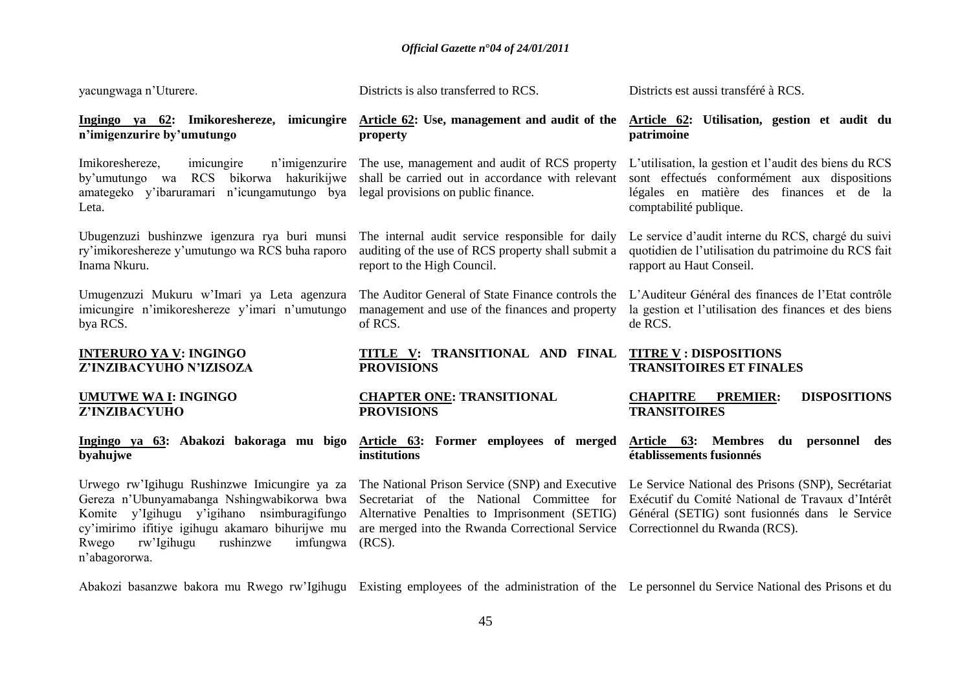| yacungwaga n'Uturere.                                                                                                                                                                                                                                           | Districts is also transferred to RCS.                                                                                                                                                                         | Districts est aussi transféré à RCS.                                                                                                                                                       |
|-----------------------------------------------------------------------------------------------------------------------------------------------------------------------------------------------------------------------------------------------------------------|---------------------------------------------------------------------------------------------------------------------------------------------------------------------------------------------------------------|--------------------------------------------------------------------------------------------------------------------------------------------------------------------------------------------|
| Ingingo ya 62: Imikoreshereze, imicungire<br>n'imigenzurire by'umutungo                                                                                                                                                                                         | Article 62: Use, management and audit of the<br>property                                                                                                                                                      | Article 62: Utilisation, gestion et audit du<br>patrimoine                                                                                                                                 |
| Imikoreshereze,<br>n'imigenzurire<br>imicungire<br>bikorwa hakurikijwe<br>by'umutungo wa RCS<br>amategeko y'ibaruramari n'icungamutungo bya<br>Leta.                                                                                                            | The use, management and audit of RCS property<br>shall be carried out in accordance with relevant<br>legal provisions on public finance.                                                                      | L'utilisation, la gestion et l'audit des biens du RCS<br>sont effectués conformément aux dispositions<br>légales en matière des finances et de la<br>comptabilité publique.                |
| Ubugenzuzi bushinzwe igenzura rya buri munsi<br>ry'imikoreshereze y'umutungo wa RCS buha raporo<br>Inama Nkuru.                                                                                                                                                 | The internal audit service responsible for daily<br>auditing of the use of RCS property shall submit a<br>report to the High Council.                                                                         | Le service d'audit interne du RCS, chargé du suivi<br>quotidien de l'utilisation du patrimoine du RCS fait<br>rapport au Haut Conseil.                                                     |
| Umugenzuzi Mukuru w'Imari ya Leta agenzura<br>imicungire n'imikoreshereze y'imari n'umutungo<br>bya RCS.                                                                                                                                                        | The Auditor General of State Finance controls the<br>management and use of the finances and property<br>of RCS.                                                                                               | L'Auditeur Général des finances de l'Etat contrôle<br>la gestion et l'utilisation des finances et des biens<br>de RCS.                                                                     |
| <b>INTERURO YA V: INGINGO</b><br>Z'INZIBACYUHO N'IZISOZA                                                                                                                                                                                                        | TITLE V: TRANSITIONAL AND FINAL<br><b>PROVISIONS</b>                                                                                                                                                          | <b>TITRE V : DISPOSITIONS</b><br><b>TRANSITOIRES ET FINALES</b>                                                                                                                            |
| <b>UMUTWE WA I: INGINGO</b><br>Z'INZIBACYUHO                                                                                                                                                                                                                    | <b>CHAPTER ONE: TRANSITIONAL</b><br><b>PROVISIONS</b>                                                                                                                                                         | <b>CHAPITRE</b><br><b>PREMIER:</b><br><b>DISPOSITIONS</b><br><b>TRANSITOIRES</b>                                                                                                           |
| Ingingo ya 63: Abakozi bakoraga mu bigo<br>byahujwe                                                                                                                                                                                                             | Article 63: Former employees of merged<br>institutions                                                                                                                                                        | Article 63:<br><b>Membres</b><br>du personnel<br>des<br>établissements fusionnés                                                                                                           |
| Urwego rw'Igihugu Rushinzwe Imicungire ya za<br>Gereza n'Ubunyamabanga Nshingwabikorwa bwa<br>y'Igihugu y'igihano nsimburagifungo<br>Komite<br>cy'imirimo ifitiye igihugu akamaro bihurijwe mu<br>rw'Igihugu<br>rushinzwe<br>imfungwa<br>Rwego<br>n'abagororwa. | The National Prison Service (SNP) and Executive<br>Secretariat of the National Committee for<br>Alternative Penalties to Imprisonment (SETIG)<br>are merged into the Rwanda Correctional Service<br>$(RCS)$ . | Le Service National des Prisons (SNP), Secrétariat<br>Exécutif du Comité National de Travaux d'Intérêt<br>Général (SETIG) sont fusionnés dans le Service<br>Correctionnel du Rwanda (RCS). |

Abakozi basanzwe bakora mu Rwego rw"Igihugu Existing employees of the administration of the Le personnel du Service National des Prisons et du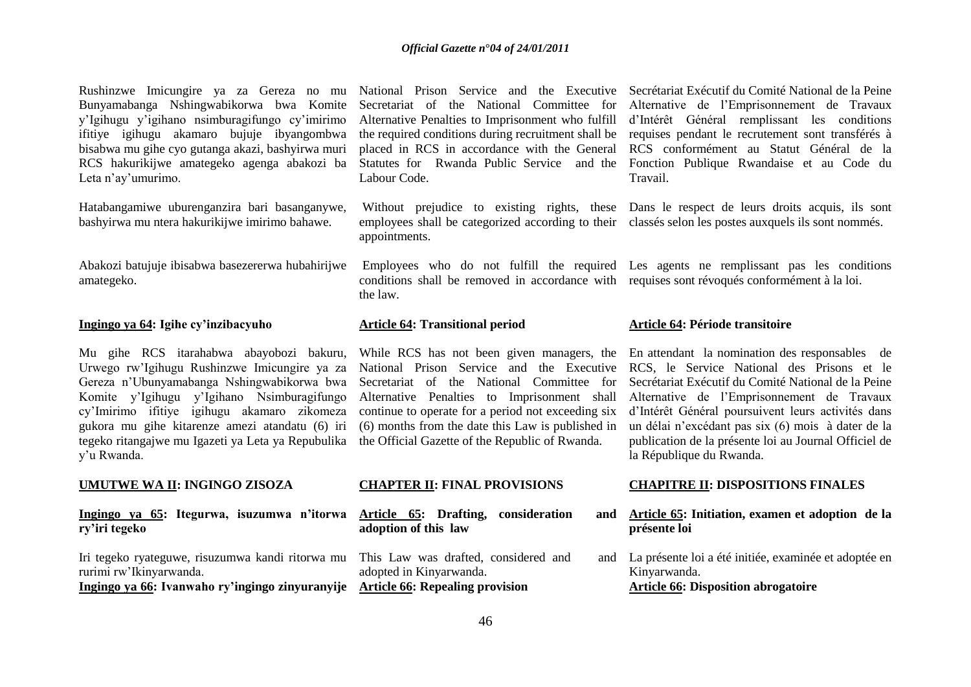Rushinzwe Imicungire ya za Gereza no mu Bunyamabanga Nshingwabikorwa bwa Komite y"Igihugu y"igihano nsimburagifungo cy"imirimo ifitiye igihugu akamaro bujuje ibyangombwa bisabwa mu gihe cyo gutanga akazi, bashyirwa muri RCS hakurikijwe amategeko agenga abakozi ba Leta n'av'umurimo.

Hatabangamiwe uburenganzira bari basanganywe, bashyirwa mu ntera hakurikijwe imirimo bahawe.

Abakozi batujuje ibisabwa basezererwa hubahirijwe amategeko.

#### **Ingingo ya 64: Igihe cy'inzibacyuho**

Mu gihe RCS itarahabwa abayobozi bakuru, Urwego rw"Igihugu Rushinzwe Imicungire ya za Gereza n"Ubunyamabanga Nshingwabikorwa bwa Komite y"Igihugu y"Igihano Nsimburagifungo cy"Imirimo ifitiye igihugu akamaro zikomeza gukora mu gihe kitarenze amezi atandatu (6) iri tegeko ritangajwe mu Igazeti ya Leta ya Repubulika the Official Gazette of the Republic of Rwanda. y"u Rwanda.

#### **UMUTWE WA II: INGINGO ZISOZA**

**Ingingo ya 65: Itegurwa, isuzumwa n'itorwa ry'iri tegeko**

Iri tegeko ryateguwe, risuzumwa kandi ritorwa mu rurimi rw"Ikinyarwanda. **Ingingo ya 66: Ivanwaho ry'ingingo zinyuranyije Article 66: Repealing provision** 

Labour Code.

appointments.

conditions shall be removed in accordance with requises sont révoqués conformément à la loi. the law.

#### **Article 64: Transitional period**

(6) months from the date this Law is published in

#### **CHAPTER II: FINAL PROVISIONS**

**Article 65: Drafting, consideration and adoption of this law**

This Law was drafted, considered and and adopted in Kinyarwanda.

National Prison Service and the Executive Secrétariat Exécutif du Comité National de la Peine Secretariat of the National Committee for Alternative de l"Emprisonnement de Travaux Alternative Penalties to Imprisonment who fulfill d"Intérêt Général remplissant les conditions the required conditions during recruitment shall be requises pendant le recrutement sont transférés à placed in RCS in accordance with the General RCS conformément au Statut Général de la Statutes for Rwanda Public Service and the Fonction Publique Rwandaise et au Code du Travail.

Without prejudice to existing rights, these Dans le respect de leurs droits acquis, ils sont employees shall be categorized according to their classés selon les postes auxquels ils sont nommés.

Employees who do not fulfill the required Les agents ne remplissant pas les conditions

#### **Article 64: Période transitoire**

While RCS has not been given managers, the En attendant la nomination des responsables de National Prison Service and the Executive RCS, le Service National des Prisons et le Secretariat of the National Committee for Secrétariat Exécutif du Comité National de la Peine Alternative Penalties to Imprisonment shall Alternative de l"Emprisonnement de Travaux continue to operate for a period not exceeding six d"Intérêt Général poursuivent leurs activités dans un délai n"excédant pas six (6) mois à dater de la publication de la présente loi au Journal Officiel de la République du Rwanda.

#### **CHAPITRE II: DISPOSITIONS FINALES**

- **Article 65: Initiation, examen et adoption de la présente loi**
- La présente loi a été initiée, examinée et adoptée en Kinyarwanda. **Article 66: Disposition abrogatoire**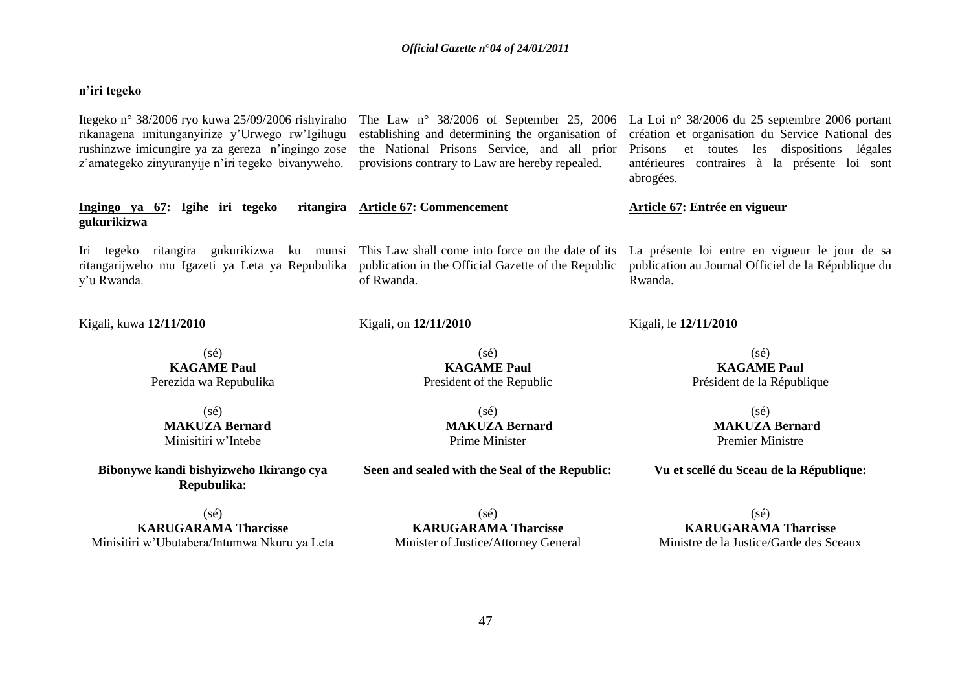# **n'iri tegeko**

| Itegeko n° 38/2006 ryo kuwa 25/09/2006 rishyiraho<br>rikanagena imitunganyirize y'Urwego rw'Igihugu<br>rushinzwe imicungire ya za gereza n'ingingo zose<br>z'amategeko zinyuranyije n'iri tegeko bivanyweho. | establishing and determining the organisation of<br>the National Prisons Service, and all prior<br>provisions contrary to Law are hereby repealed. | The Law n° 38/2006 of September 25, 2006 La Loi n° 38/2006 du 25 septembre 2006 portant<br>création et organisation du Service National des<br>les dispositions légales<br>Prisons<br>et toutes<br>antérieures contraires à la présente loi sont<br>abrogées. |
|--------------------------------------------------------------------------------------------------------------------------------------------------------------------------------------------------------------|----------------------------------------------------------------------------------------------------------------------------------------------------|---------------------------------------------------------------------------------------------------------------------------------------------------------------------------------------------------------------------------------------------------------------|
| Ingingo ya 67: Igihe iri tegeko<br>gukurikizwa                                                                                                                                                               | ritangira Article 67: Commencement                                                                                                                 | Article 67: Entrée en vigueur                                                                                                                                                                                                                                 |
| Iri tegeko ritangira gukurikizwa ku munsi<br>ritangarijweho mu Igazeti ya Leta ya Repubulika<br>y'u Rwanda.                                                                                                  | This Law shall come into force on the date of its<br>publication in the Official Gazette of the Republic<br>of Rwanda.                             | La présente loi entre en vigueur le jour de sa<br>publication au Journal Officiel de la République du<br>Rwanda.                                                                                                                                              |
| Kigali, kuwa 12/11/2010                                                                                                                                                                                      | Kigali, on 12/11/2010                                                                                                                              | Kigali, le 12/11/2010                                                                                                                                                                                                                                         |
| $(s\acute{e})$                                                                                                                                                                                               | $(s\acute{e})$                                                                                                                                     | $(s\acute{e})$                                                                                                                                                                                                                                                |
| <b>KAGAME Paul</b>                                                                                                                                                                                           | <b>KAGAME Paul</b>                                                                                                                                 | <b>KAGAME Paul</b>                                                                                                                                                                                                                                            |
| Perezida wa Repubulika                                                                                                                                                                                       | President of the Republic                                                                                                                          | Président de la République                                                                                                                                                                                                                                    |
| $(s\acute{e})$                                                                                                                                                                                               | $(s\acute{e})$                                                                                                                                     | $(s\acute{e})$                                                                                                                                                                                                                                                |
| <b>MAKUZA Bernard</b>                                                                                                                                                                                        | <b>MAKUZA Bernard</b>                                                                                                                              | <b>MAKUZA Bernard</b>                                                                                                                                                                                                                                         |
| Minisitiri w'Intebe                                                                                                                                                                                          | Prime Minister                                                                                                                                     | <b>Premier Ministre</b>                                                                                                                                                                                                                                       |
| Bibonywe kandi bishyizweho Ikirango cya<br>Repubulika:                                                                                                                                                       | Seen and sealed with the Seal of the Republic:                                                                                                     | Vu et scellé du Sceau de la République:                                                                                                                                                                                                                       |

(sé) **KARUGARAMA Tharcisse** Minisitiri w"Ubutabera/Intumwa Nkuru ya Leta

(sé) **KARUGARAMA Tharcisse** Minister of Justice/Attorney General

(sé) **KARUGARAMA Tharcisse** Ministre de la Justice/Garde des Sceaux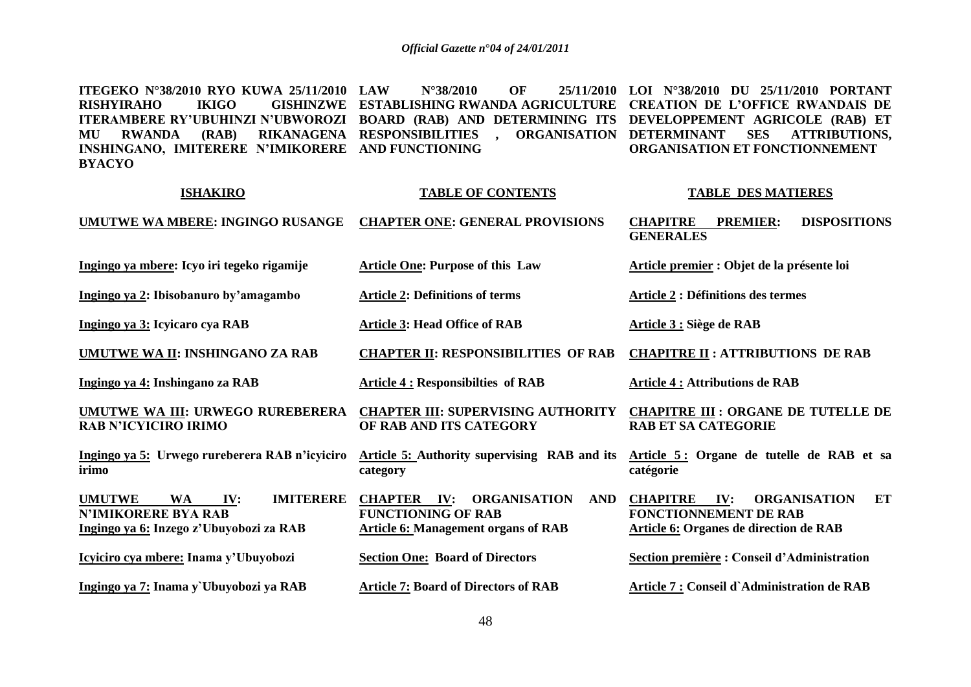**ITEGEKO N°38/2010 RYO KUWA 25/11/2010 RISHYIRAHO ITERAMBERE RY'UBUHINZI N'UBWOROZI BOARD (RAB) AND DETERMINING ITS DEVELOPPEMENT AGRICOLE (RAB) ET MU RWANDA (RAB) RIKANAGENA RESPONSIBILITIES , ORGANISATION DETERMINANT SES ATTRIBUTIONS, INSHINGANO, IMITERERE N'IMIKORERE AND FUNCTIONING BYACYO LAW N°38/2010 OF 25/11/2010 LOI N°38/2010 DU 25/11/2010 PORTANT ESTABLISHING RWANDA AGRICULTURE CREATION DE L'OFFICE RWANDAIS DE ORGANISATION ET FONCTIONNEMENT** 

| <b>ISHAKIRO</b>                                                                                                                | <b>TABLE OF CONTENTS</b>                                                                                                    | <b>TABLE DES MATIERES</b>                                                                                                            |
|--------------------------------------------------------------------------------------------------------------------------------|-----------------------------------------------------------------------------------------------------------------------------|--------------------------------------------------------------------------------------------------------------------------------------|
| <b>UMUTWE WA MBERE: INGINGO RUSANGE</b>                                                                                        | <b>CHAPTER ONE: GENERAL PROVISIONS</b>                                                                                      | <b>CHAPITRE</b><br><b>DISPOSITIONS</b><br><b>PREMIER:</b><br><b>GENERALES</b>                                                        |
| Ingingo ya mbere: Icyo iri tegeko rigamije                                                                                     | <b>Article One: Purpose of this Law</b>                                                                                     | Article premier : Objet de la présente loi                                                                                           |
| Ingingo ya 2: Ibisobanuro by'amagambo                                                                                          | <b>Article 2: Definitions of terms</b>                                                                                      | <b>Article 2 : Définitions des termes</b>                                                                                            |
| Ingingo ya 3: Icyicaro cya RAB                                                                                                 | <b>Article 3: Head Office of RAB</b>                                                                                        | Article 3 : Siège de RAB                                                                                                             |
| <b>UMUTWE WA II: INSHINGANO ZA RAB</b>                                                                                         | <b>CHAPTER II: RESPONSIBILITIES OF RAB</b>                                                                                  | <b>CHAPITRE II : ATTRIBUTIONS DE RAB</b>                                                                                             |
| Ingingo ya 4: Inshingano za RAB                                                                                                | <b>Article 4: Responsibilties of RAB</b>                                                                                    | <b>Article 4 : Attributions de RAB</b>                                                                                               |
| UMUTWE WA III: URWEGO RUREBERERA<br><b>RAB N'ICYICIRO IRIMO</b>                                                                | <b>CHAPTER III: SUPERVISING AUTHORITY</b><br>OF RAB AND ITS CATEGORY                                                        | <b>CHAPITRE III : ORGANE DE TUTELLE DE</b><br><b>RAB ET SA CATEGORIE</b>                                                             |
| Ingingo ya 5: Urwego rureberera RAB n'icyiciro<br>irimo                                                                        | <b>Article 5: Authority supervising RAB and its</b><br>category                                                             | Article 5: Organe de tutelle de RAB et sa<br>catégorie                                                                               |
| <b>UMUTWE</b><br><b>IMITERERE</b><br><b>WA</b><br>IV:<br><b>N'IMIKORERE BYA RAB</b><br>Ingingo ya 6: Inzego z'Ubuyobozi za RAB | <b>CHAPTER IV:</b><br>ORGANISATION<br><b>AND</b><br><b>FUNCTIONING OF RAB</b><br><b>Article 6: Management organs of RAB</b> | <b>CHAPITRE</b><br>IV:<br><b>ORGANISATION</b><br>ET<br><b>FONCTIONNEMENT DE RAB</b><br><b>Article 6: Organes de direction de RAB</b> |
| Icyiciro cya mbere: Inama y'Ubuyobozi                                                                                          | <b>Section One: Board of Directors</b>                                                                                      | Section première : Conseil d'Administration                                                                                          |
| Ingingo ya 7: Inama y`Ubuyobozi ya RAB                                                                                         | <b>Article 7: Board of Directors of RAB</b>                                                                                 | Article 7 : Conseil d'Administration de RAB                                                                                          |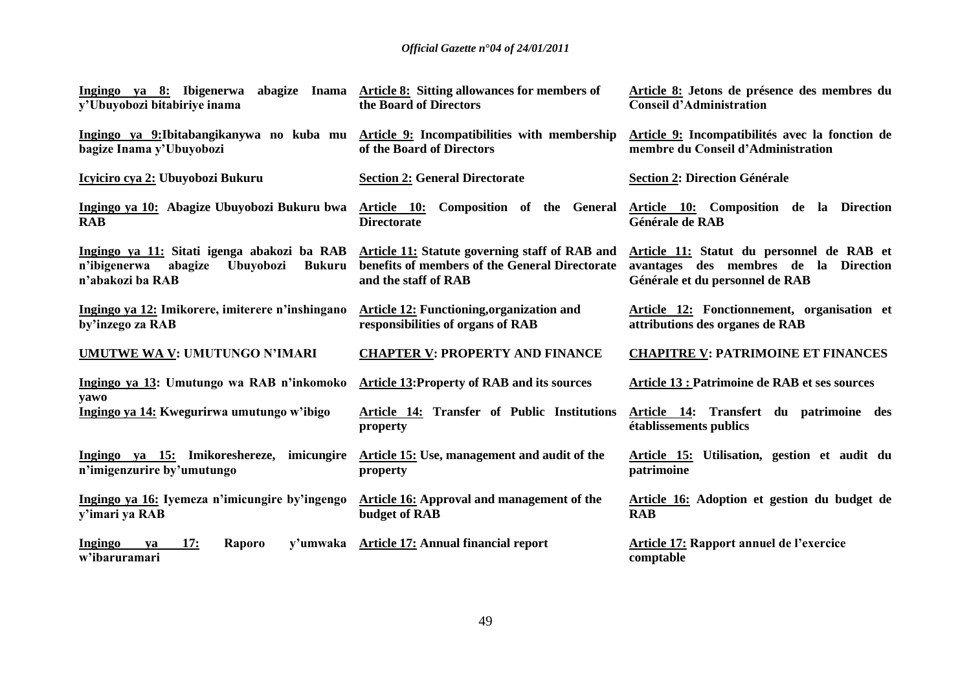| Ingingo ya 8: Ibigenerwa                                                                                                        | abagize Inama Article 8: Sitting allowances for members of                                                               | Article 8: Jetons de présence des membres du                                                                          |
|---------------------------------------------------------------------------------------------------------------------------------|--------------------------------------------------------------------------------------------------------------------------|-----------------------------------------------------------------------------------------------------------------------|
| v'Ubuyobozi bitabiriye inama                                                                                                    | the Board of Directors                                                                                                   | <b>Conseil d'Administration</b>                                                                                       |
| Ingingo ya 9:Ibitabangikanywa no kuba mu                                                                                        | Article 9: Incompatibilities with membership                                                                             | Article 9: Incompatibilités avec la fonction de                                                                       |
| bagize Inama y'Ubuyobozi                                                                                                        | of the Board of Directors                                                                                                | membre du Conseil d'Administration                                                                                    |
| Icyiciro cya 2: Ubuyobozi Bukuru                                                                                                | <b>Section 2: General Directorate</b>                                                                                    | <b>Section 2: Direction Générale</b>                                                                                  |
| Ingingo ya 10: Abagize Ubuyobozi Bukuru bwa                                                                                     | Article 10: Composition of the General                                                                                   | Article 10: Composition de la Direction                                                                               |
| <b>RAB</b>                                                                                                                      | <b>Directorate</b>                                                                                                       | Générale de RAB                                                                                                       |
| Ingingo ya 11: Sitati igenga abakozi ba RAB<br>n'ibigenerwa<br>abagize<br><b>Ubuyobozi</b><br><b>Bukuru</b><br>n'abakozi ba RAB | Article 11: Statute governing staff of RAB and<br>benefits of members of the General Directorate<br>and the staff of RAB | Article 11: Statut du personnel de RAB et<br>avantages des membres de la Direction<br>Générale et du personnel de RAB |
| Ingingo ya 12: Imikorere, imiterere n'inshingano                                                                                | <b>Article 12: Functioning, organization and</b>                                                                         | Article 12: Fonctionnement, organisation et                                                                           |
| by'inzego za RAB                                                                                                                | responsibilities of organs of RAB                                                                                        | attributions des organes de RAB                                                                                       |
| <b>UMUTWE WA V: UMUTUNGO N'IMARI</b>                                                                                            | <b>CHAPTER V: PROPERTY AND FINANCE</b>                                                                                   | <b>CHAPITRE V: PATRIMOINE ET FINANCES</b>                                                                             |
| Ingingo ya 13: Umutungo wa RAB n'inkomoko<br>yawo                                                                               | <b>Article 13: Property of RAB and its sources</b>                                                                       | <b>Article 13 : Patrimoine de RAB et ses sources</b>                                                                  |
| Ingingo ya 14: Kwegurirwa umutungo w'ibigo                                                                                      | Article 14: Transfer of Public Institutions<br>property                                                                  | Article 14: Transfert du patrimoine des<br>établissements publics                                                     |
| Ingingo ya 15: Imikoreshereze, imicungire                                                                                       | Article 15: Use, management and audit of the                                                                             | Article 15: Utilisation, gestion et audit du                                                                          |
| n'imigenzurire by'umutungo                                                                                                      | property                                                                                                                 | patrimoine                                                                                                            |
| Ingingo ya 16: Iyemeza n'imicungire by'ingengo                                                                                  | <b>Article 16:</b> Approval and management of the                                                                        | Article 16: Adoption et gestion du budget de                                                                          |
| y'imari ya RAB                                                                                                                  | budget of RAB                                                                                                            | <b>RAB</b>                                                                                                            |
| 17:<br>Ingingo<br>Raporo<br>y'umwaka<br>ya<br>w'ibaruramari                                                                     | <b>Article 17: Annual financial report</b>                                                                               | <b>Article 17: Rapport annuel de l'exercice</b><br>comptable                                                          |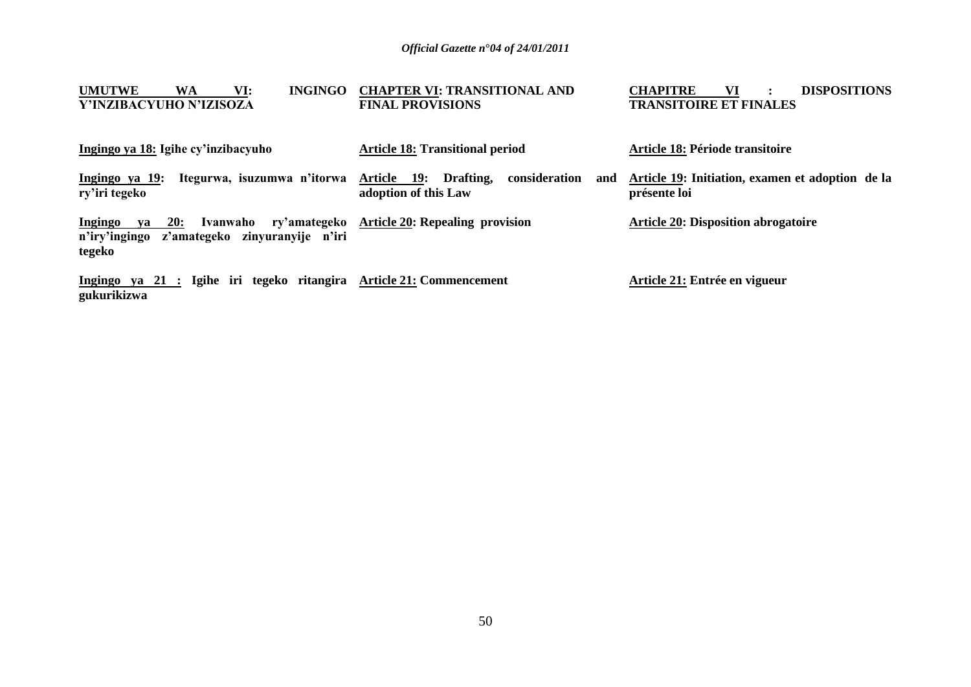| <b>UMUTWE</b><br>VI:<br><b>INGINGO</b><br>WA<br>Y'INZIBACYUHO N'IZISOZA                                           | <b>CHAPTER VI: TRANSITIONAL AND</b><br><b>FINAL PROVISIONS</b>           | <b>CHAPITRE</b><br>VI<br><b>DISPOSITIONS</b><br><b>TRANSITOIRE ET FINALES</b> |
|-------------------------------------------------------------------------------------------------------------------|--------------------------------------------------------------------------|-------------------------------------------------------------------------------|
| Ingingo ya 18: Igihe cy'inzibacyuho                                                                               | <b>Article 18: Transitional period</b>                                   | Article 18: Période transitoire                                               |
| Itegurwa, isuzumwa n'itorwa<br>Ingingo ya 19:<br>ry'iri tegeko                                                    | Article 19:<br>Drafting,<br>consideration<br>and<br>adoption of this Law | Article 19: Initiation, examen et adoption de la<br>présente loi              |
| ry'amategeko<br>Ingingo<br><b>20:</b><br>Ivanwaho<br>va<br>n'iry'ingingo z'amategeko zinyuranyije n'iri<br>tegeko | <b>Article 20: Repealing provision</b>                                   | <b>Article 20: Disposition abrogatoire</b>                                    |
| Ingingo ya 21 : Igihe iri tegeko ritangira Article 21: Commencement<br>gukurikizwa                                |                                                                          | Article 21: Entrée en vigueur                                                 |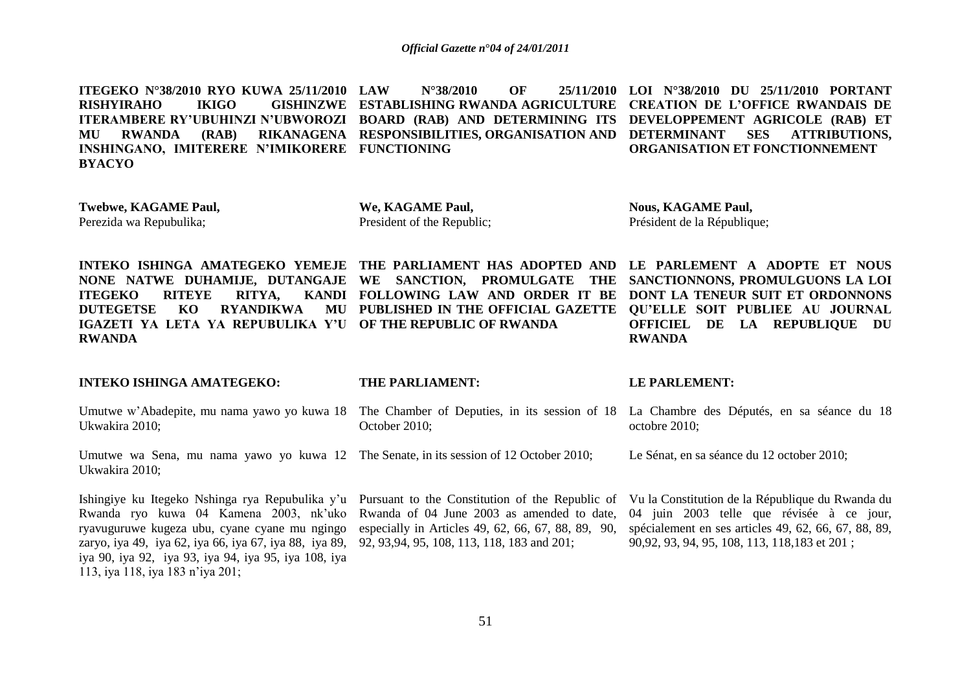**ITEGEKO N°38/2010 RYO KUWA 25/11/2010 RISHYIRAHO IKIGO ITERAMBERE RY'UBUHINZI N'UBWOROZI BOARD (RAB) AND DETERMINING ITS DEVELOPPEMENT AGRICOLE (RAB) ET MU RWANDA (RAB) RIKANAGENA RESPONSIBILITIES, ORGANISATION AND DETERMINANT SES ATTRIBUTIONS, INSHINGANO, IMITERERE N'IMIKORERE FUNCTIONING BYACYO LAW N°38/2010 OF 25/11/2010 LOI N°38/2010 DU 25/11/2010 PORTANT ESTABLISHING RWANDA AGRICULTURE CREATION DE L'OFFICE RWANDAIS DE ORGANISATION ET FONCTIONNEMENT** 

**Twebwe, KAGAME Paul,**  Perezida wa Repubulika;

**INTEKO ISHINGA AMATEGEKO:** 

**We, KAGAME Paul,**  President of the Republic;

**THE PARTIAL PROPERTY** 

**Nous, KAGAME Paul,**  Président de la République;

**LE PARLEMENT:** 

**INTEKO ISHINGA AMATEGEKO YEMEJE THE PARLIAMENT HAS ADOPTED AND LE PARLEMENT A ADOPTE ET NOUS NONE NATWE DUHAMIJE, DUTANGAJE WE SANCTION, PROMULGATE THE SANCTIONNONS, PROMULGUONS LA LOI ITEGEKO RITEYE RITYA. DUTEGETSE KO RYANDIKWA MU PUBLISHED IN THE OFFICIAL GAZETTE QU'ELLE SOIT PUBLIEE AU JOURNAL IGAZETI YA LETA YA REPUBULIKA Y'U OF THE REPUBLIC OF RWANDA RWANDA**

**FOLLOWING LAW AND ORDER IT BE DONT LA TENEUR SUIT ET ORDONNONS OFFICIEL DE LA REPUBLIQUE DU RWANDA**

| INTERO ISHINGA AMATEGERO:                                                                                                                                                                                                                                                                                                                                                                                                                                                                                                                  | THE PARLIAMENT: | LE PARLEMENT:                                                                                                                                      |
|--------------------------------------------------------------------------------------------------------------------------------------------------------------------------------------------------------------------------------------------------------------------------------------------------------------------------------------------------------------------------------------------------------------------------------------------------------------------------------------------------------------------------------------------|-----------------|----------------------------------------------------------------------------------------------------------------------------------------------------|
| Umutwe w'Abadepite, mu nama yawo yo kuwa 18 The Chamber of Deputies, in its session of 18 La Chambre des Députés, en sa séance du 18<br>Ukwakira 2010;                                                                                                                                                                                                                                                                                                                                                                                     | October 2010;   | octobre 2010;                                                                                                                                      |
| Umutwe wa Sena, mu nama yawo yo kuwa 12 The Senate, in its session of 12 October 2010;<br>Ukwakira 2010;                                                                                                                                                                                                                                                                                                                                                                                                                                   |                 | Le Sénat, en sa séance du 12 october 2010;                                                                                                         |
| Ishingiye ku Itegeko Nshinga rya Repubulika y'u Pursuant to the Constitution of the Republic of Vu la Constitution de la République du Rwanda du<br>Rwanda ryo kuwa 04 Kamena 2003, nk'uko Rwanda of 04 June 2003 as amended to date,<br>ryavuguruwe kugeza ubu, cyane cyane mu ngingo especially in Articles 49, 62, 66, 67, 88, 89, 90,<br>zaryo, iya 49, iya 62, iya 66, iya 67, iya 88, iya 89, 92, 93,94, 95, 108, 113, 118, 183 and 201;<br>iya 90, iya 92, iya 93, iya 94, iya 95, iya 108, iya<br>113, iya 118, iya 183 n'iya 201; |                 | 04 juin 2003 telle que révisée à ce jour,<br>spécialement en ses articles 49, 62, 66, 67, 88, 89,<br>90,92, 93, 94, 95, 108, 113, 118, 183 et 201; |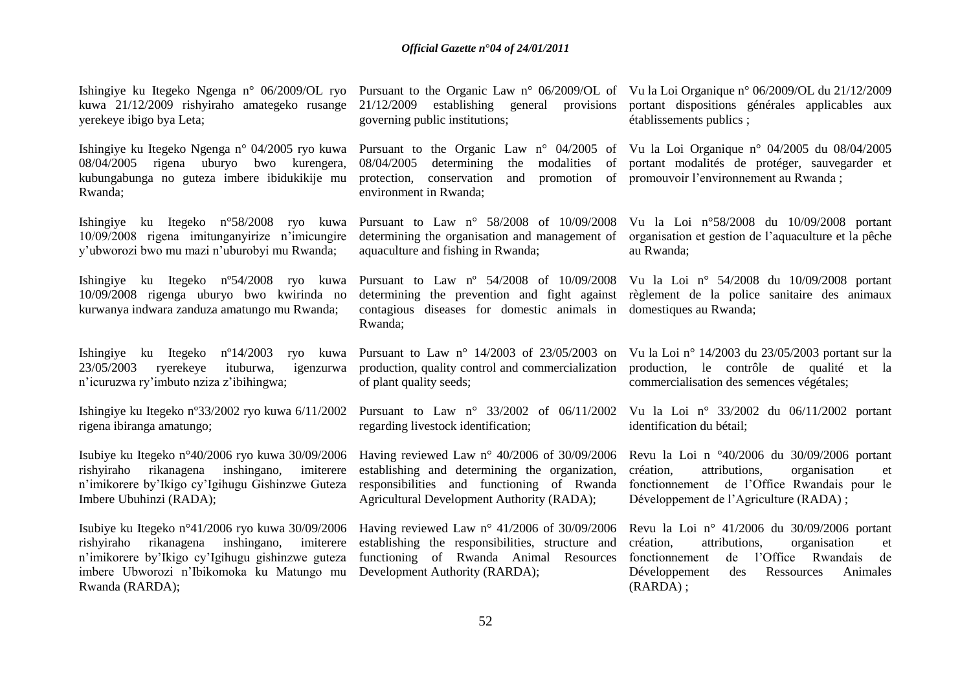| Ishingiye ku Itegeko Ngenga n° 06/2009/OL ryo<br>kuwa 21/12/2009 rishyiraho amategeko rusange<br>yerekeye ibigo bya Leta;                                                                                              | 21/12/2009<br>governing public institutions;                                                                                                                                                        | Pursuant to the Organic Law n° 06/2009/OL of Vu la Loi Organique n° 06/2009/OL du 21/12/2009<br>establishing general provisions portant dispositions générales applicables aux<br>établissements publics;              |
|------------------------------------------------------------------------------------------------------------------------------------------------------------------------------------------------------------------------|-----------------------------------------------------------------------------------------------------------------------------------------------------------------------------------------------------|------------------------------------------------------------------------------------------------------------------------------------------------------------------------------------------------------------------------|
| Ishingiye ku Itegeko Ngenga n° 04/2005 ryo kuwa<br>08/04/2005 rigena uburyo bwo kurengera,<br>kubungabunga no guteza imbere ibidukikije mu<br>Rwanda;                                                                  | 08/04/2005<br>determining<br>modalities<br>the<br>protection,<br>conservation<br>and<br>promotion<br>environment in Rwanda;                                                                         | Pursuant to the Organic Law n° 04/2005 of Vu la Loi Organique n° 04/2005 du 08/04/2005<br>of portant modalités de protéger, sauvegarder et<br>of promouvoir l'environnement au Rwanda;                                 |
| Ishingiye ku Itegeko n°58/2008 ryo kuwa<br>10/09/2008 rigena imitunganyirize n'imicungire<br>y'ubworozi bwo mu mazi n'uburobyi mu Rwanda;                                                                              | Pursuant to Law n° 58/2008 of 10/09/2008<br>determining the organisation and management of<br>aquaculture and fishing in Rwanda;                                                                    | Vu la Loi nº58/2008 du 10/09/2008 portant<br>organisation et gestion de l'aquaculture et la pêche<br>au Rwanda;                                                                                                        |
| Ishingiye ku Itegeko n°54/2008 ryo kuwa<br>10/09/2008 rigenga uburyo bwo kwirinda no<br>kurwanya indwara zanduza amatungo mu Rwanda;                                                                                   | contagious diseases for domestic animals in<br>Rwanda;                                                                                                                                              | Pursuant to Law nº 54/2008 of 10/09/2008 Vu la Loi nº 54/2008 du 10/09/2008 portant<br>determining the prevention and fight against règlement de la police sanitaire des animaux<br>domestiques au Rwanda;             |
| Ishingiye ku Itegeko $n^{\circ}14/2003$<br>ryo kuwa<br>23/05/2003<br>ryerekeye<br>ituburwa,<br>igenzurwa<br>n'icuruzwa ry'imbuto nziza z'ibihingwa;                                                                    | Pursuant to Law $n^{\circ}$ 14/2003 of 23/05/2003 on<br>production, quality control and commercialization<br>of plant quality seeds;                                                                | Vu la Loi nº 14/2003 du 23/05/2003 portant sur la<br>production, le contrôle de qualité et la<br>commercialisation des semences végétales;                                                                             |
| Ishingiye ku Itegeko n°33/2002 ryo kuwa 6/11/2002<br>rigena ibiranga amatungo;                                                                                                                                         | Pursuant to Law n° 33/2002 of 06/11/2002<br>regarding livestock identification;                                                                                                                     | Vu la Loi nº 33/2002 du 06/11/2002 portant<br>identification du bétail;                                                                                                                                                |
| Isubiye ku Itegeko n°40/2006 ryo kuwa 30/09/2006<br>rishyiraho<br>rikanagena<br>inshingano,<br>imiterere<br>n'imikorere by'Ikigo cy'Igihugu Gishinzwe Guteza<br>Imbere Ubuhinzi (RADA);                                | Having reviewed Law $n^{\circ}$ 40/2006 of 30/09/2006<br>establishing and determining the organization,<br>responsibilities and functioning of Rwanda<br>Agricultural Development Authority (RADA); | Revu la Loi n $\degree 40/2006$ du $30/09/2006$ portant<br>attributions,<br>création.<br>organisation<br>et<br>fonctionnement de l'Office Rwandais pour le<br>Développement de l'Agriculture (RADA);                   |
| Isubiye ku Itegeko n°41/2006 ryo kuwa 30/09/2006<br>rishyiraho rikanagena inshingano,<br>imiterere<br>n'imikorere by'Ikigo cy'Igihugu gishinzwe guteza<br>imbere Ubworozi n'Ibikomoka ku Matungo mu<br>Rwanda (RARDA); | Having reviewed Law $n^{\circ}$ 41/2006 of 30/09/2006<br>establishing the responsibilities, structure and<br>functioning of Rwanda Animal Resources<br>Development Authority (RARDA);               | Revu la Loi nº 41/2006 du $30/09/2006$ portant<br>attributions,<br>création,<br>organisation<br>et<br>fonctionnement<br>de l'Office<br>Rwandais<br>de<br>Développement<br>Ressources<br>Animales<br>des<br>$(RARDA)$ ; |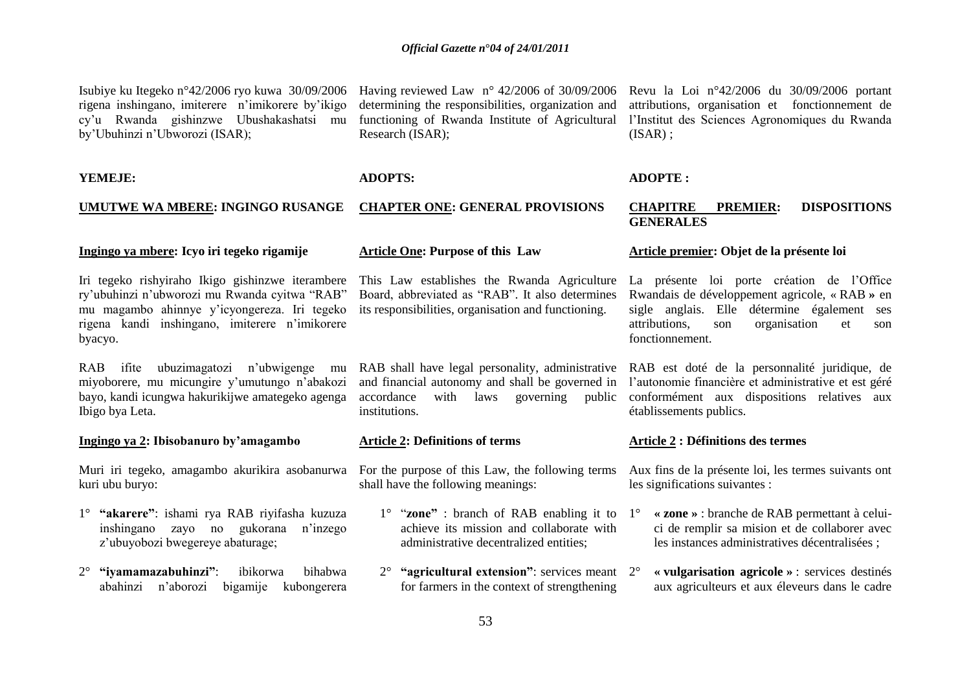Isubiye ku Itegeko n°42/2006 ryo kuwa 30/09/2006 rigena inshingano, imiterere n"imikorere by"ikigo cy"u Rwanda gishinzwe Ubushakashatsi mu by"Ubuhinzi n"Ubworozi (ISAR);

determining the responsibilities, organization and functioning of Rwanda Institute of Agricultural l'Institut des Sciences Agronomiques du Rwanda Research (ISAR);

Having reviewed Law n° 42/2006 of 30/09/2006

#### **YEMEJE:**

#### **UMUTWE WA MBERE: INGINGO RUSANGE**

#### **Ingingo ya mbere: Icyo iri tegeko rigamije**

Iri tegeko rishyiraho Ikigo gishinzwe iterambere ry"ubuhinzi n"ubworozi mu Rwanda cyitwa "RAB" mu magambo ahinnye y"icyongereza. Iri tegeko rigena kandi inshingano, imiterere n"imikorere byacyo.

RAB ifite ubuzimagatozi n"ubwigenge mu miyoborere, mu micungire y"umutungo n"abakozi bayo, kandi icungwa hakurikijwe amategeko agenga Ibigo bya Leta.

#### **Ingingo ya 2: Ibisobanuro by'amagambo**

Muri iri tegeko, amagambo akurikira asobanurwa kuri ubu buryo:

- 1° **"akarere"**: ishami rya RAB riyifasha kuzuza inshingano zayo no gukorana n"inzego z"ubuyobozi bwegereye abaturage;
- 2° **"iyamamazabuhinzi"**: ibikorwa bihabwa abahinzi n"aborozi bigamije kubongerera

# **Article One: Purpose of this Law**

**ADOPTS:** 

This Law establishes the Rwanda Agriculture Board, abbreviated as "RAB". It also determines its responsibilities, organisation and functioning.

**CHAPTER ONE: GENERAL PROVISIONS**

RAB shall have legal personality, administrative RAB est doté de la personnalité juridique, de accordance with laws governing public institutions.

#### **Article 2: Definitions of terms**

For the purpose of this Law, the following terms shall have the following meanings:

- 1° "**zone"** : branch of RAB enabling it to achieve its mission and collaborate with administrative decentralized entities;
- **"agricultural extension":** services meant 2° for farmers in the context of strengthening

Revu la Loi n°42/2006 du 30/09/2006 portant attributions, organisation et fonctionnement de  $(ISAR)$ :

#### **ADOPTE :**

#### **CHAPITRE PREMIER: DISPOSITIONS GENERALES**

#### **Article premier: Objet de la présente loi**

La présente loi porte création de l"Office Rwandais de développement agricole, « RAB **»** en sigle anglais. Elle détermine également ses attributions, son organisation et son fonctionnement.

and financial autonomy and shall be governed in l"autonomie financière et administrative et est géré conformément aux dispositions relatives aux établissements publics.

#### **Article 2 : Définitions des termes**

Aux fins de la présente loi, les termes suivants ont les significations suivantes :

- 1° **« zone »** : branche de RAB permettant à celuici de remplir sa mision et de collaborer avec les instances administratives décentralisées ;
- 2° **« vulgarisation agricole »** : services destinés aux agriculteurs et aux éleveurs dans le cadre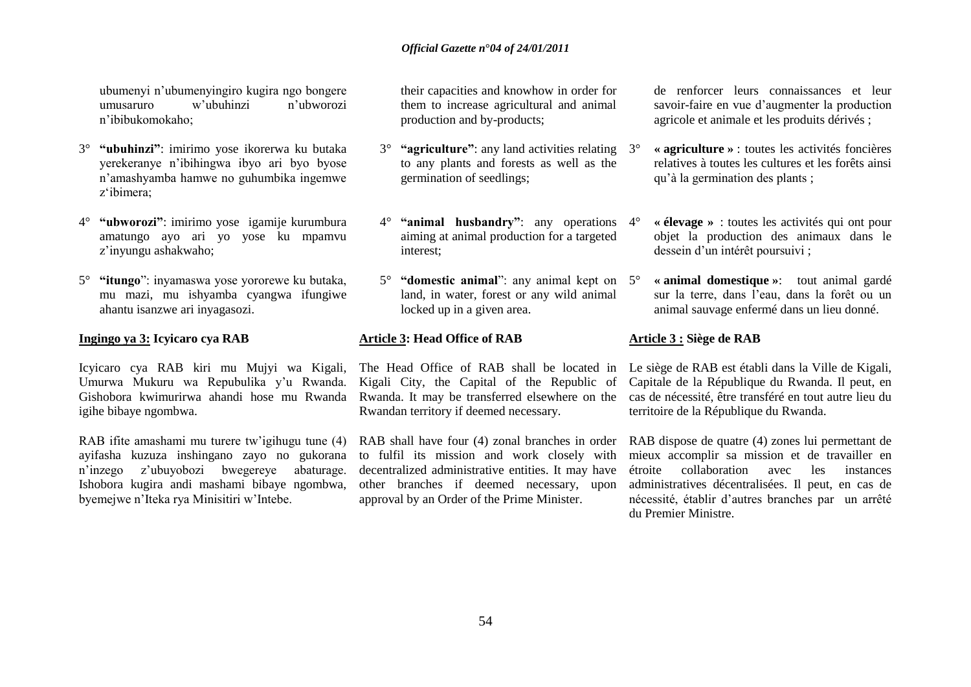ubumenyi n"ubumenyingiro kugira ngo bongere umusaruro w"ubuhinzi n"ubworozi n"ibibukomokaho;

- 3° **"ubuhinzi"**: imirimo yose ikorerwa ku butaka yerekeranye n"ibihingwa ibyo ari byo byose n"amashyamba hamwe no guhumbika ingemwe z"ibimera;
- 4° **"ubworozi"**: imirimo yose igamije kurumbura amatungo ayo ari yo yose ku mpamvu z"inyungu ashakwaho;
- 5° **"itungo**": inyamaswa yose yororewe ku butaka, mu mazi, mu ishyamba cyangwa ifungiwe ahantu isanzwe ari inyagasozi.

### **Ingingo ya 3: Icyicaro cya RAB**

Icyicaro cya RAB kiri mu Mujyi wa Kigali, Umurwa Mukuru wa Repubulika y"u Rwanda. Gishobora kwimurirwa ahandi hose mu Rwanda igihe bibaye ngombwa.

RAB ifite amashami mu turere tw'igihugu tune (4) ayifasha kuzuza inshingano zayo no gukorana n"inzego z"ubuyobozi bwegereye abaturage. Ishobora kugira andi mashami bibaye ngombwa, byemejwe n"Iteka rya Minisitiri w"Intebe.

their capacities and knowhow in order for them to increase agricultural and animal production and by-products;

- 3° **"agriculture"**: any land activities relating to any plants and forests as well as the germination of seedlings;
- **"animal husbandry"**: any operations 4<sup>°</sup> aiming at animal production for a targeted interest;
- 5° **"domestic animal**": any animal kept on land, in water, forest or any wild animal locked up in a given area.

#### **Article 3: Head Office of RAB**

Kigali City, the Capital of the Republic of Rwanda. It may be transferred elsewhere on the Rwandan territory if deemed necessary.

RAB shall have four (4) zonal branches in order to fulfil its mission and work closely with decentralized administrative entities. It may have other branches if deemed necessary, upon approval by an Order of the Prime Minister.

de renforcer leurs connaissances et leur savoir-faire en vue d"augmenter la production agricole et animale et les produits dérivés ;

- 3° **« agriculture »** : toutes les activités foncières relatives à toutes les cultures et les forêts ainsi qu"à la germination des plants ;
- 4° **« élevage »** : toutes les activités qui ont pour objet la production des animaux dans le dessein d'un intérêt poursuivi ;
- 5° **« animal domestique »**: tout animal gardé sur la terre, dans l"eau, dans la forêt ou un animal sauvage enfermé dans un lieu donné.

#### **Article 3 : Siège de RAB**

The Head Office of RAB shall be located in Le siège de RAB est établi dans la Ville de Kigali, Capitale de la République du Rwanda. Il peut, en cas de nécessité, être transféré en tout autre lieu du territoire de la République du Rwanda.

> RAB dispose de quatre (4) zones lui permettant de mieux accomplir sa mission et de travailler en étroite collaboration avec les instances administratives décentralisées. Il peut, en cas de nécessité, établir d"autres branches par un arrêté du Premier Ministre.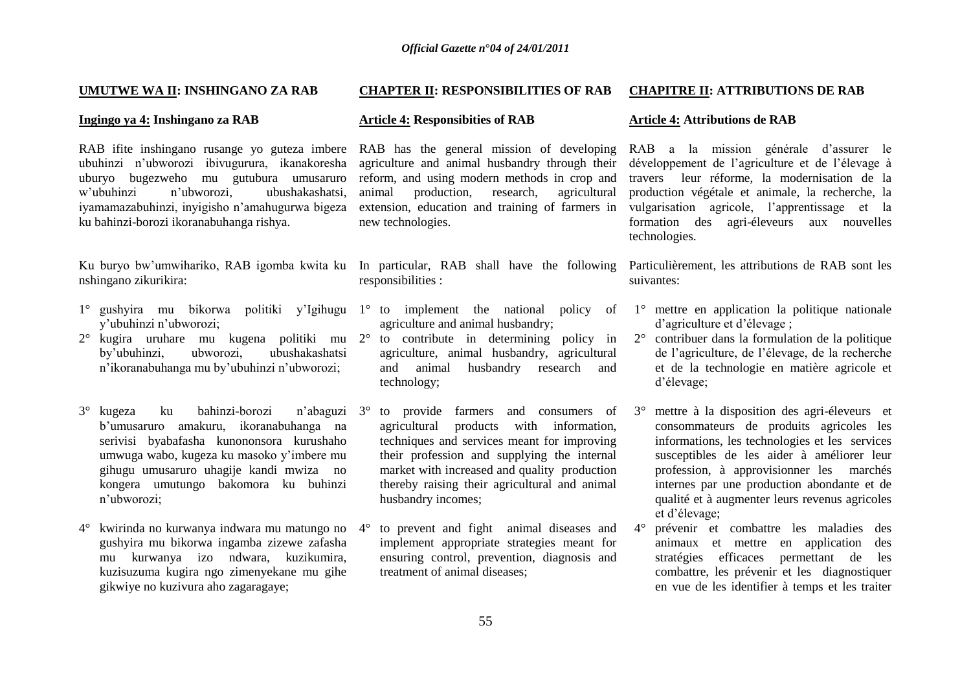#### **UMUTWE WA II: INSHINGANO ZA RAB**

#### **Ingingo ya 4: Inshingano za RAB**

RAB ifite inshingano rusange yo guteza imbere RAB has the general mission of developing ubuhinzi n"ubworozi ibivugurura, ikanakoresha uburyo bugezweho mu gutubura umusaruro<br>w'ubuhinzi n'ubworozi ubushakashatsi. n'ubworozi, ubushakashatsi, iyamamazabuhinzi, inyigisho n"amahugurwa bigeza ku bahinzi-borozi ikoranabuhanga rishya.

nshingano zikurikira:

- 1° gushyira mu bikorwa politiki y"Igihugu 1° to implement the national policy of y"ubuhinzi n"ubworozi;
- 2° kugira uruhare mu kugena politiki mu 2° to contribute in determining policy in by"ubuhinzi, ubworozi, ubushakashatsi n"ikoranabuhanga mu by"ubuhinzi n"ubworozi;
- 3° kugeza ku bahinzi-borozi b"umusaruro amakuru, ikoranabuhanga na serivisi byabafasha kunononsora kurushaho umwuga wabo, kugeza ku masoko y"imbere mu gihugu umusaruro uhagije kandi mwiza no kongera umutungo bakomora ku buhinzi n"ubworozi;
- 4° kwirinda no kurwanya indwara mu matungo no gushyira mu bikorwa ingamba zizewe zafasha mu kurwanya izo ndwara, kuzikumira, kuzisuzuma kugira ngo zimenyekane mu gihe gikwiye no kuzivura aho zagaragaye;

#### **CHAPTER II: RESPONSIBILITIES OF RAB CHAPITRE II: ATTRIBUTIONS DE RAB**

#### **Article 4: Responsibities of RAB**

agriculture and animal husbandry through their reform, and using modern methods in crop and<br>animal production. research. agricultural animal production, research, extension, education and training of farmers in new technologies.

- responsibilities :
	- agriculture and animal husbandry;
	- agriculture, animal husbandry, agricultural and animal husbandry research and technology;
- n'abaguzi 3° to provide farmers and consumers of 3° agricultural products with information, techniques and services meant for improving their profession and supplying the internal market with increased and quality production thereby raising their agricultural and animal husbandry incomes;
	- to prevent and fight animal diseases and implement appropriate strategies meant for ensuring control, prevention, diagnosis and treatment of animal diseases;

#### **Article 4: Attributions de RAB**

RAB a la mission générale d"assurer le développement de l"agriculture et de l"élevage à travers leur réforme, la modernisation de la production végétale et animale, la recherche, la vulgarisation agricole, l"apprentissage et la formation des agri-éleveurs aux nouvelles technologies.

Ku buryo bw'umwihariko, RAB igomba kwita ku In particular, RAB shall have the following Particulièrement, les attributions de RAB sont les suivantes:

- 1° mettre en application la politique nationale d"agriculture et d"élevage ;
- 2° contribuer dans la formulation de la politique de l"agriculture, de l"élevage, de la recherche et de la technologie en matière agricole et d"élevage;
- 3° mettre à la disposition des agri-éleveurs et consommateurs de produits agricoles les informations, les technologies et les services susceptibles de les aider à améliorer leur profession, à approvisionner les marchés internes par une production abondante et de qualité et à augmenter leurs revenus agricoles et d"élevage;
- 4° prévenir et combattre les maladies des animaux et mettre en application des stratégies efficaces permettant de les combattre, les prévenir et les diagnostiquer en vue de les identifier à temps et les traiter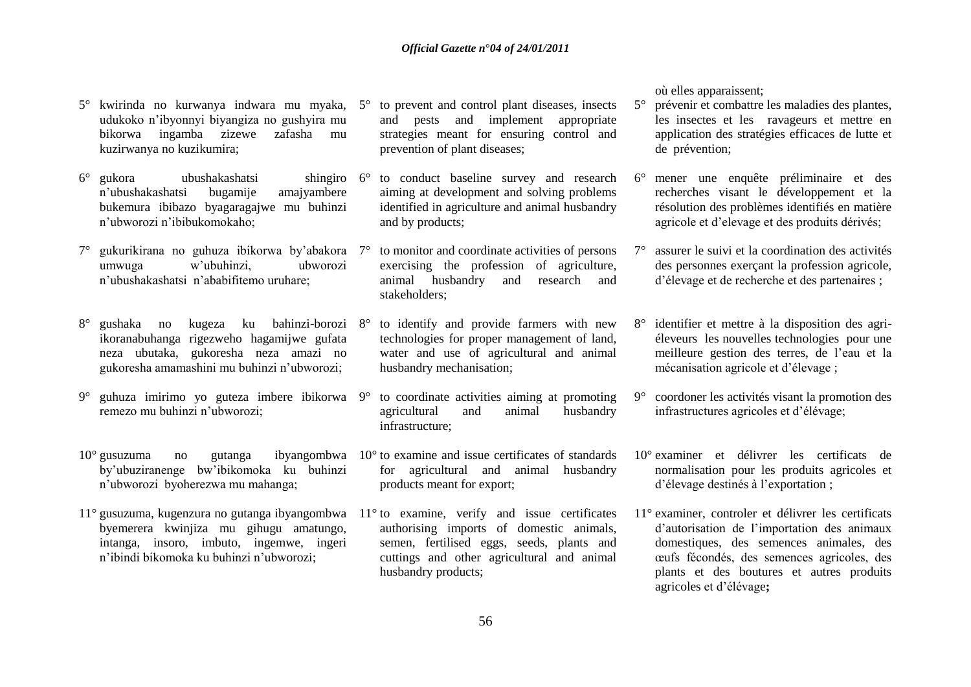- 5° kwirinda no kurwanya indwara mu myaka, 5° to prevent and control plant diseases, insects udukoko n"ibyonnyi biyangiza no gushyira mu bikorwa ingamba zizewe zafasha mu kuzirwanya no kuzikumira;
- 6° gukora ubushakashatsi shingiro n'ubushakashatsi bugamije bukemura ibibazo byagaragajwe mu buhinzi n"ubworozi n"ibibukomokaho;
- 7° gukurikirana no guhuza ibikorwa by"abakora umwuga w"ubuhinzi, ubworozi n"ubushakashatsi n"ababifitemo uruhare;
- 8° gushaka no kugeza ku bahinzi-borozi ikoranabuhanga rigezweho hagamijwe gufata neza ubutaka, gukoresha neza amazi no gukoresha amamashini mu buhinzi n"ubworozi;
- 9° guhuza imirimo yo guteza imbere ibikorwa remezo mu buhinzi n"ubworozi;
- 10° gusuzuma no gutanga ibyangombwa 10° to examine and issue certificates of standards by"ubuziranenge bw"ibikomoka ku buhinzi n"ubworozi byoherezwa mu mahanga;
- 11° gusuzuma, kugenzura no gutanga ibyangombwa 11° to examine, verify and issue certificates byemerera kwinjiza mu gihugu amatungo, intanga, insoro, imbuto, ingemwe, ingeri n"ibindi bikomoka ku buhinzi n"ubworozi;
- and pests and implement appropriate strategies meant for ensuring control and prevention of plant diseases;
- 6° to conduct baseline survey and research aiming at development and solving problems identified in agriculture and animal husbandry and by products;
- to monitor and coordinate activities of persons exercising the profession of agriculture, animal husbandry and research and stakeholders;
- to identify and provide farmers with new technologies for proper management of land, water and use of agricultural and animal husbandry mechanisation;
- 9° to coordinate activities aiming at promoting agricultural and animal husbandry infrastructure;
- for agricultural and animal husbandry products meant for export;
- authorising imports of domestic animals, semen, fertilised eggs, seeds, plants and cuttings and other agricultural and animal husbandry products;

où elles apparaissent;

- 5° prévenir et combattre les maladies des plantes, les insectes et les ravageurs et mettre en application des stratégies efficaces de lutte et de prévention;
- 6° mener une enquête préliminaire et des recherches visant le développement et la résolution des problèmes identifiés en matière agricole et d"elevage et des produits dérivés;
- 7° assurer le suivi et la coordination des activités des personnes exerçant la profession agricole, d"élevage et de recherche et des partenaires ;
- 8° identifier et mettre à la disposition des agriéleveurs les nouvelles technologies pour une meilleure gestion des terres, de l"eau et la mécanisation agricole et d"élevage ;
- 9° coordoner les activités visant la promotion des infrastructures agricoles et d"élévage;
- 10° examiner et délivrer les certificats de normalisation pour les produits agricoles et d'élevage destinés à l'exportation;
- 11° examiner, controler et délivrer les certificats d"autorisation de l"importation des animaux domestiques, des semences animales, des œufs fécondés, des semences agricoles, des plants et des boutures et autres produits agricoles et d"élévage**;**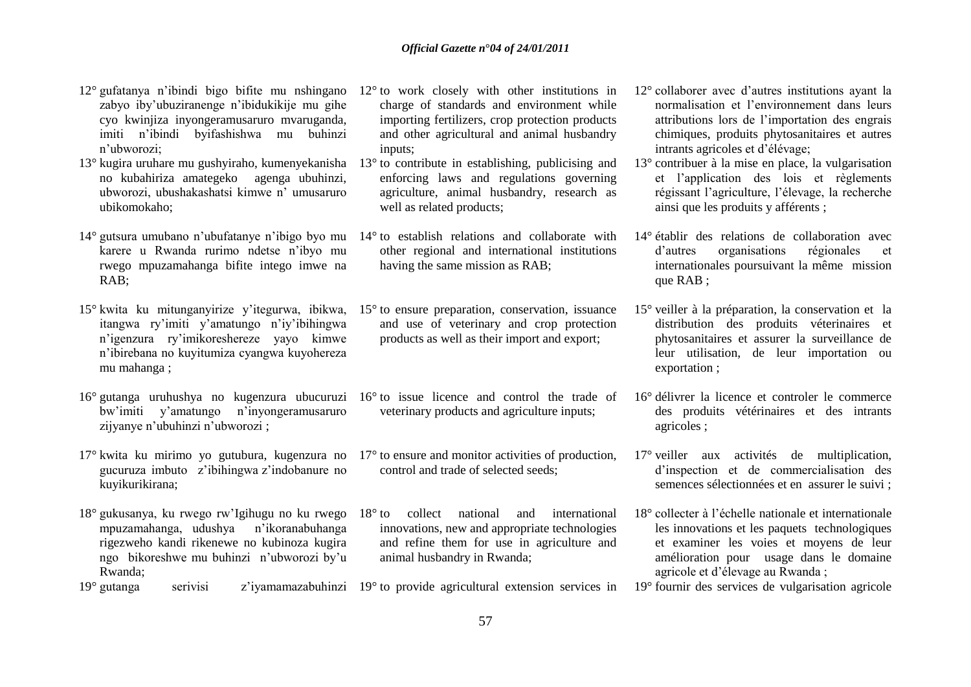charge of standards and environment while importing fertilizers, crop protection products and other agricultural and animal husbandry

enforcing laws and regulations governing agriculture, animal husbandry, research as

- 12° gufatanya n"ibindi bigo bifite mu nshingano 12° to work closely with other institutions in zabyo iby"ubuziranenge n"ibidukikije mu gihe cyo kwinjiza inyongeramusaruro mvaruganda, imiti n"ibindi byifashishwa mu buhinzi n"ubworozi;
- 13° kugira uruhare mu gushyiraho, kumenyekanisha 13° to contribute in establishing, publicising and no kubahiriza amategeko agenga ubuhinzi, ubworozi, ubushakashatsi kimwe n" umusaruro ubikomokaho;
- karere u Rwanda rurimo ndetse n"ibyo mu rwego mpuzamahanga bifite intego imwe na RAB;
- 15° kwita ku mitunganyirize y"itegurwa, ibikwa, 15° to ensure preparation, conservation, issuance itangwa ry"imiti y"amatungo n"iy"ibihingwa n"igenzura ry"imikoreshereze yayo kimwe n"ibirebana no kuyitumiza cyangwa kuyohereza mu mahanga ;
- 16° gutanga uruhushya no kugenzura ubucuruzi 16° to issue licence and control the trade of bw"imiti y"amatungo n"inyongeramusaruro zijyanye n'ubuhinzi n'ubworozi ;
- 17° kwita ku mirimo yo gutubura, kugenzura no gucuruza imbuto z"ibihingwa z"indobanure no kuyikurikirana;
- 18° gukusanya, ku rwego rw"Igihugu no ku rwego mpuzamahanga, udushya n"ikoranabuhanga rigezweho kandi rikenewe no kubinoza kugira ngo bikoreshwe mu buhinzi n"ubworozi by"u Rwanda;

14° gutsura umubano n"ubufatanye n"ibigo byo mu 14° to establish relations and collaborate with well as related products; other regional and international institutions having the same mission as RAB;

inputs;

- and use of veterinary and crop protection products as well as their import and export;
- veterinary products and agriculture inputs;
- 17<sup>°</sup> to ensure and monitor activities of production, control and trade of selected seeds;
- 18° to collect national and international innovations, new and appropriate technologies and refine them for use in agriculture and animal husbandry in Rwanda;
- 19° gutanga serivisi z'iyamamazabuhinzi 19° to provide agricultural extension services in
- 12° collaborer avec d"autres institutions ayant la normalisation et l"environnement dans leurs attributions lors de l"importation des engrais chimiques, produits phytosanitaires et autres intrants agricoles et d"élévage;
- 13° contribuer à la mise en place, la vulgarisation et l"application des lois et règlements régissant l"agriculture, l"élevage, la recherche ainsi que les produits y afférents ;
- 14° établir des relations de collaboration avec d"autres organisations régionales et internationales poursuivant la même mission que RAB ;
- 15° veiller à la préparation, la conservation et la distribution des produits véterinaires et phytosanitaires et assurer la surveillance de leur utilisation, de leur importation ou exportation ;
- 16° délivrer la licence et controler le commerce des produits vétérinaires et des intrants agricoles ;
- 17° veiller aux activités de multiplication, d"inspection et de commercialisation des semences sélectionnées et en assurer le suivi ;
- 18° collecter à l"échelle nationale et internationale les innovations et les paquets technologiques et examiner les voies et moyens de leur amélioration pour usage dans le domaine agricole et d"élevage au Rwanda ;
- 19° fournir des services de vulgarisation agricole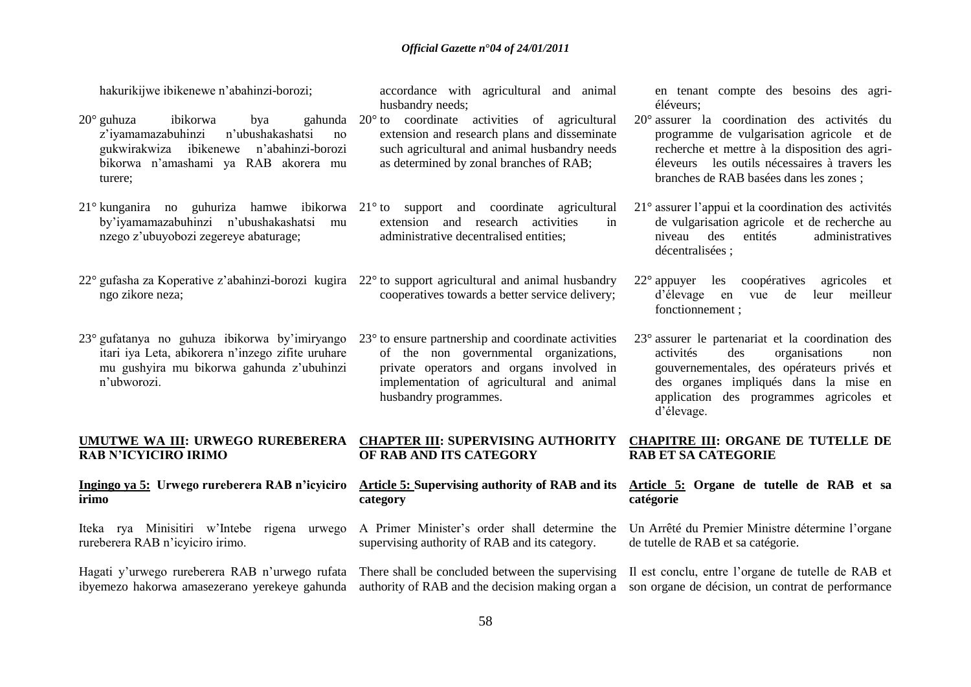hakurikijwe ibikenewe n"abahinzi-borozi;

- $20^{\circ}$  guhuza ibikorwa bya z"iyamamazabuhinzi n"ubushakashatsi no gukwirakwiza ibikenewe n"abahinzi-borozi bikorwa n"amashami ya RAB akorera mu turere;
- 21° kunganira no guhuriza hamwe ibikorwa 21° to support and coordinate agricultural by"iyamamazabuhinzi n"ubushakashatsi mu nzego z"ubuyobozi zegereye abaturage;
- 22° gufasha za Koperative z"abahinzi-borozi kugira 22° to support agricultural and animal husbandry ngo zikore neza;
- 23° gufatanya no guhuza ibikorwa by"imiryango itari iya Leta, abikorera n"inzego zifite uruhare mu gushyira mu bikorwa gahunda z"ubuhinzi n"ubworozi.

# **RAB N'ICYICIRO IRIMO**

#### **Ingingo ya 5: Urwego rureberera RAB n'icyiciro irimo**

Iteka rya Minisitiri w"Intebe rigena urwego rureberera RAB n"icyiciro irimo.

Hagati y'urwego rureberera RAB n'urwego rufata There shall be concluded between the supervising ibyemezo hakorwa amasezerano yerekeye gahunda authority of RAB and the decision making organ a son organe de décision, un contrat de performance

accordance with agricultural and animal husbandry needs;

- 20° to coordinate activities of agricultural extension and research plans and disseminate such agricultural and animal husbandry needs as determined by zonal branches of RAB;
	- extension and research activities in administrative decentralised entities;
	- cooperatives towards a better service delivery;

23° to ensure partnership and coordinate activities of the non governmental organizations, private operators and organs involved in implementation of agricultural and animal husbandry programmes.

en tenant compte des besoins des agriéléveurs;

- 20° assurer la coordination des activités du programme de vulgarisation agricole et de recherche et mettre à la disposition des agriéleveurs les outils nécessaires à travers les branches de RAB basées dans les zones ;
- 21° assurer l"appui et la coordination des activités de vulgarisation agricole et de recherche au niveau des entités administratives décentralisées ;
- 22° appuyer les coopératives agricoles et d"élevage en vue de leur meilleur fonctionnement ;
- 23° assurer le partenariat et la coordination des activités des organisations non gouvernementales, des opérateurs privés et des organes impliqués dans la mise en application des programmes agricoles et d"élevage.

#### **UMUTWE WA III: URWEGO RUREBERERA CHAPTER III: SUPERVISING AUTHORITY OF RAB AND ITS CATEGORY CHAPITRE III: ORGANE DE TUTELLE DE RAB ET SA CATEGORIE**

#### **Article 5: Supervising authority of RAB and its category**

A Primer Minister"s order shall determine the supervising authority of RAB and its category.

#### **Article 5: Organe de tutelle de RAB et sa catégorie**

Un Arrêté du Premier Ministre détermine l"organe de tutelle de RAB et sa catégorie.

Il est conclu, entre l"organe de tutelle de RAB et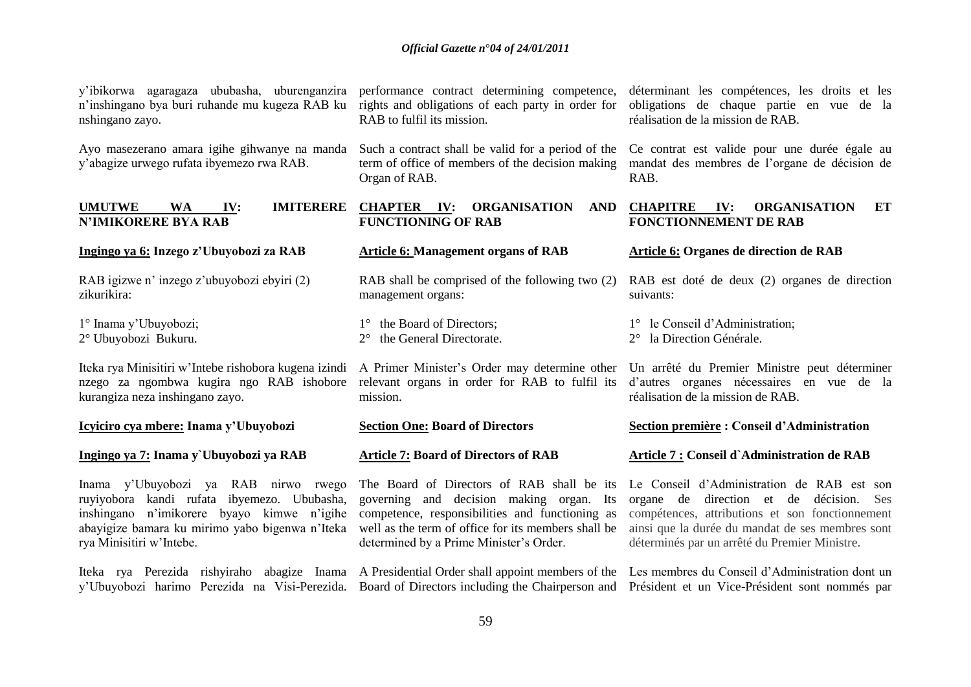| y'ibikorwa agaragaza ububasha, uburenganzira<br>n'inshingano bya buri ruhande mu kugeza RAB ku<br>nshingano zayo.                                                                                                | performance contract determining competence,<br>rights and obligations of each party in order for<br>RAB to fulfil its mission.                                                                                                             | déterminant les compétences, les droits et les<br>obligations de chaque partie en vue de la<br>réalisation de la mission de RAB.                                                                                                                 |
|------------------------------------------------------------------------------------------------------------------------------------------------------------------------------------------------------------------|---------------------------------------------------------------------------------------------------------------------------------------------------------------------------------------------------------------------------------------------|--------------------------------------------------------------------------------------------------------------------------------------------------------------------------------------------------------------------------------------------------|
| Ayo masezerano amara igihe gihwanye na manda<br>y'abagize urwego rufata ibyemezo rwa RAB.                                                                                                                        | Such a contract shall be valid for a period of the<br>term of office of members of the decision making<br>Organ of RAB.                                                                                                                     | Ce contrat est valide pour une durée égale au<br>mandat des membres de l'organe de décision de<br>RAB.                                                                                                                                           |
| <b>UMUTWE</b><br><b>IMITERERE</b><br><b>WA</b><br>IV:<br><b>N'IMIKORERE BYA RAB</b>                                                                                                                              | <b>CHAPTER IV:</b><br><b>ORGANISATION</b><br><b>AND</b><br><b>FUNCTIONING OF RAB</b>                                                                                                                                                        | <b>CHAPITRE</b><br><b>ORGANISATION</b><br>IV:<br>ET<br><b>FONCTIONNEMENT DE RAB</b>                                                                                                                                                              |
| Ingingo ya 6: Inzego z'Ubuyobozi za RAB                                                                                                                                                                          | <b>Article 6: Management organs of RAB</b>                                                                                                                                                                                                  | Article 6: Organes de direction de RAB                                                                                                                                                                                                           |
| RAB igizwe n' inzego z'ubuyobozi ebyiri (2)<br>zikurikira:                                                                                                                                                       | RAB shall be comprised of the following two (2)<br>management organs:                                                                                                                                                                       | RAB est doté de deux (2) organes de direction<br>suivants:                                                                                                                                                                                       |
| 1° Inama y'Ubuyobozi;<br>2° Ubuyobozi Bukuru.                                                                                                                                                                    | 1° the Board of Directors;<br>the General Directorate.<br>$2^{\circ}$                                                                                                                                                                       | 1° le Conseil d'Administration;<br>2° la Direction Générale.                                                                                                                                                                                     |
| Iteka rya Minisitiri w'Intebe rishobora kugena izindi<br>nzego za ngombwa kugira ngo RAB ishobore<br>kurangiza neza inshingano zayo.                                                                             | A Primer Minister's Order may determine other<br>relevant organs in order for RAB to fulfil its<br>mission.                                                                                                                                 | Un arrêté du Premier Ministre peut déterminer<br>d'autres organes nécessaires en vue de la<br>réalisation de la mission de RAB.                                                                                                                  |
| Icyiciro cya mbere: Inama y'Ubuyobozi                                                                                                                                                                            | <b>Section One: Board of Directors</b>                                                                                                                                                                                                      | Section première : Conseil d'Administration                                                                                                                                                                                                      |
| Ingingo ya 7: Inama y`Ubuyobozi ya RAB                                                                                                                                                                           | <b>Article 7: Board of Directors of RAB</b>                                                                                                                                                                                                 | Article 7 : Conseil d'Administration de RAB                                                                                                                                                                                                      |
| Inama y'Ubuyobozi ya RAB nirwo rwego<br>ruyiyobora kandi rufata ibyemezo. Ububasha,<br>inshingano n'imikorere byayo kimwe n'igihe<br>abayigize bamara ku mirimo yabo bigenwa n'Iteka<br>rya Minisitiri w'Intebe. | The Board of Directors of RAB shall be its<br>governing and decision making organ. Its<br>competence, responsibilities and functioning as<br>well as the term of office for its members shall be<br>determined by a Prime Minister's Order. | Le Conseil d'Administration de RAB est son<br>organe de direction et de décision.<br>Ses<br>compétences, attributions et son fonctionnement<br>ainsi que la durée du mandat de ses membres sont<br>déterminés par un arrêté du Premier Ministre. |
| Iteka rya Perezida rishyiraho abagize Inama A Presidential Order shall appoint members of the Les membres du Conseil d'Administration dont un<br>y'Ubuyobozi harimo Perezida na Visi-Perezida.                   |                                                                                                                                                                                                                                             | Board of Directors including the Chairperson and Président et un Vice-Président sont nommés par                                                                                                                                                  |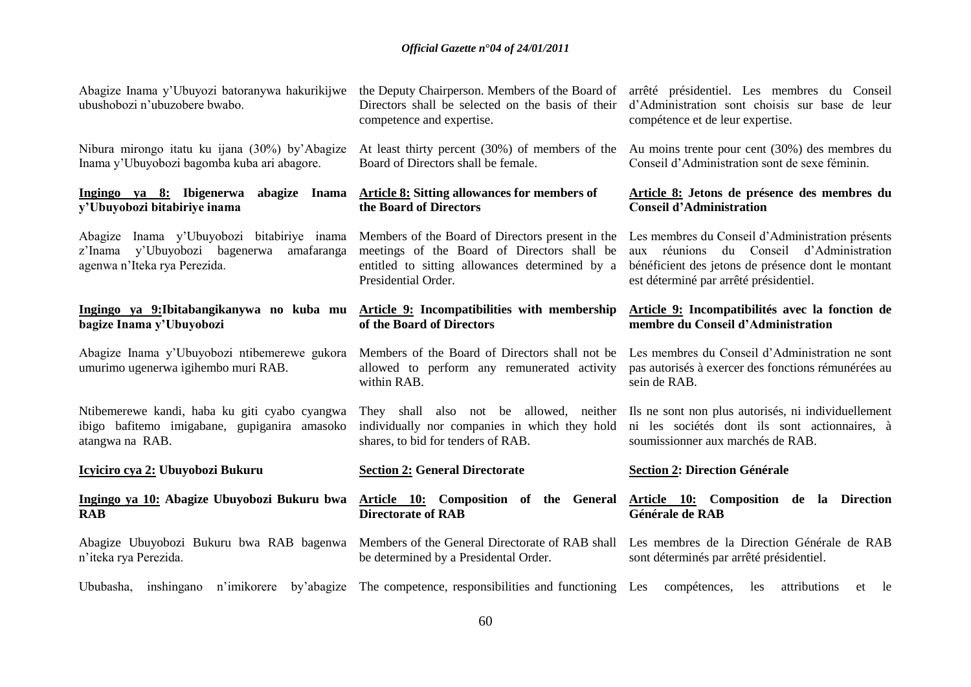| Abagize Inama y'Ubuyozi batoranywa hakurikijwe<br>ubushobozi n'ubuzobere bwabo.     | the Deputy Chairperson. Members of the Board of<br>Directors shall be selected on the basis of their<br>competence and expertise. | arrêté présidentiel. Les membres du Conseil<br>d'Administration sont choisis sur base de leur<br>compétence et de leur expertise. |
|-------------------------------------------------------------------------------------|-----------------------------------------------------------------------------------------------------------------------------------|-----------------------------------------------------------------------------------------------------------------------------------|
| Nibura mirongo itatu ku ijana (30%) by'Abagize                                      | At least thirty percent (30%) of members of the                                                                                   | Au moins trente pour cent (30%) des membres du                                                                                    |
| Inama y'Ubuyobozi bagomba kuba ari abagore.                                         | Board of Directors shall be female.                                                                                               | Conseil d'Administration sont de sexe féminin.                                                                                    |
| Ingingo ya 8: Ibigenerwa<br>abagize Inama<br>y'Ubuyobozi bitabiriye inama           | <b>Article 8: Sitting allowances for members of</b><br>the Board of Directors                                                     | Article 8: Jetons de présence des membres du<br><b>Conseil d'Administration</b>                                                   |
| Abagize Inama y'Ubuyobozi bitabiriye inama                                          | Members of the Board of Directors present in the                                                                                  | Les membres du Conseil d'Administration présents                                                                                  |
| z'Inama y'Ubuyobozi bagenerwa                                                       | meetings of the Board of Directors shall be                                                                                       | aux réunions du Conseil d'Administration                                                                                          |
| amafaranga                                                                          | entitled to sitting allowances determined by a                                                                                    | bénéficient des jetons de présence dont le montant                                                                                |
| agenwa n'Iteka rya Perezida.                                                        | Presidential Order.                                                                                                               | est déterminé par arrêté présidentiel.                                                                                            |
| Ingingo ya 9: Ibitabangikanywa no kuba mu                                           | Article 9: Incompatibilities with membership                                                                                      | Article 9: Incompatibilités avec la fonction de                                                                                   |
| bagize Inama y'Ubuyobozi                                                            | of the Board of Directors                                                                                                         | membre du Conseil d'Administration                                                                                                |
| Abagize Inama y'Ubuyobozi ntibemerewe gukora<br>umurimo ugenerwa igihembo muri RAB. | Members of the Board of Directors shall not be<br>allowed to perform any remunerated activity<br>within RAB.                      | Les membres du Conseil d'Administration ne sont<br>pas autorisés à exercer des fonctions rémunérées au<br>sein de RAB.            |
| Ntibemerewe kandi, haba ku giti cyabo cyangwa                                       | They shall also not be allowed, neither                                                                                           | Ils ne sont non plus autorisés, ni individuellement                                                                               |
| ibigo bafitemo imigabane, gupiganira amasoko                                        | individually nor companies in which they hold                                                                                     | ni les sociétés dont ils sont actionnaires, à                                                                                     |
| atangwa na RAB.                                                                     | shares, to bid for tenders of RAB.                                                                                                | soumissionner aux marchés de RAB.                                                                                                 |
| <u> Icyiciro cya 2:</u> Ubuyobozi Bukuru                                            | <b>Section 2: General Directorate</b>                                                                                             | <b>Section 2: Direction Générale</b>                                                                                              |
| Ingingo ya 10: Abagize Ubuyobozi Bukuru bwa                                         | Article 10: Composition of the General                                                                                            | Article 10: Composition de la Direction                                                                                           |
| <b>RAB</b>                                                                          | <b>Directorate of RAB</b>                                                                                                         | Générale de RAB                                                                                                                   |
| Abagize Ubuyobozi Bukuru bwa RAB bagenwa                                            | Members of the General Directorate of RAB shall                                                                                   | Les membres de la Direction Générale de RAB                                                                                       |
| n'iteka rya Perezida.                                                               | be determined by a Presidental Order.                                                                                             | sont déterminés par arrêté présidentiel.                                                                                          |
| Ububasha, inshingano n'imikorere<br>by'abagize                                      | The competence, responsibilities and functioning Les                                                                              | compétences,<br>attributions<br>les<br>le<br>et                                                                                   |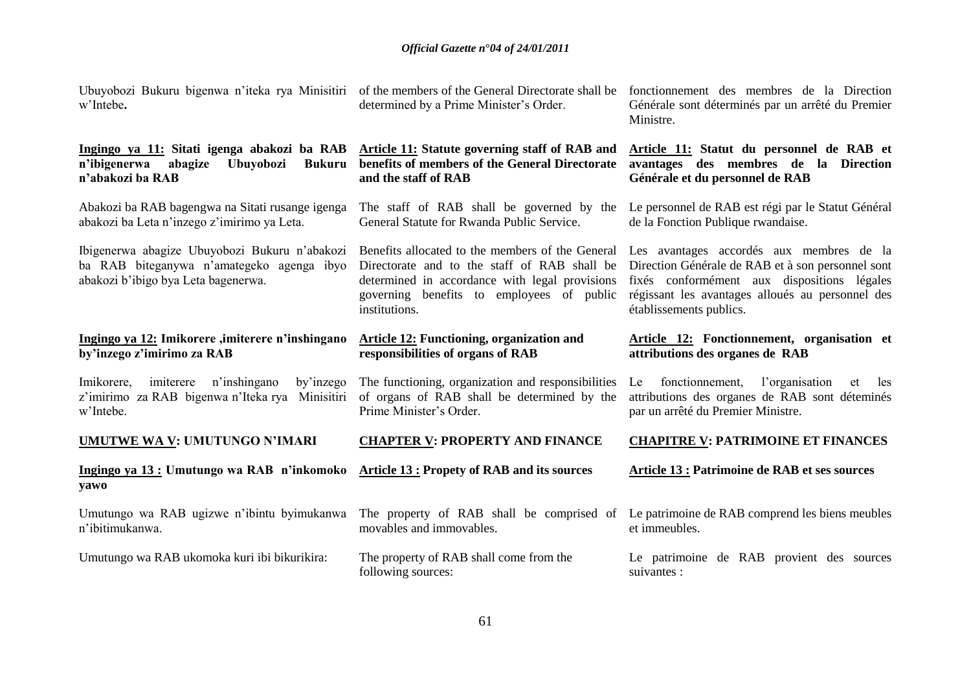| Ubuyobozi Bukuru bigenwa n'iteka rya Minisitiri of the members of the General Directorate shall be fonctionnement des membres de la Direction<br>w'Intebe. | determined by a Prime Minister's Order.                                                                                                                      | Générale sont déterminés par un arrêté du Premier<br>Ministre.                                                                                                                                                                                                               |
|------------------------------------------------------------------------------------------------------------------------------------------------------------|--------------------------------------------------------------------------------------------------------------------------------------------------------------|------------------------------------------------------------------------------------------------------------------------------------------------------------------------------------------------------------------------------------------------------------------------------|
| Ingingo ya 11: Sitati igenga abakozi ba RAB<br>n'ibigenerwa<br>abagize<br><b>Bukuru</b><br>Ubuyobozi<br>n'abakozi ba RAB                                   | Article 11: Statute governing staff of RAB and<br>benefits of members of the General Directorate<br>and the staff of RAB                                     | Article 11: Statut du personnel de RAB et<br>avantages des membres de la Direction<br>Générale et du personnel de RAB                                                                                                                                                        |
| Abakozi ba RAB bagengwa na Sitati rusange igenga<br>abakozi ba Leta n'inzego z'imirimo ya Leta.                                                            | General Statute for Rwanda Public Service.                                                                                                                   | The staff of RAB shall be governed by the Le personnel de RAB est régi par le Statut Général<br>de la Fonction Publique rwandaise.                                                                                                                                           |
| Ibigenerwa abagize Ubuyobozi Bukuru n'abakozi<br>ba RAB biteganywa n'amategeko agenga ibyo<br>abakozi b'ibigo bya Leta bagenerwa.                          | Directorate and to the staff of RAB shall be<br>determined in accordance with legal provisions<br>governing benefits to employees of public<br>institutions. | Benefits allocated to the members of the General Les avantages accordés aux membres de la<br>Direction Générale de RAB et à son personnel sont<br>fixés conformément aux dispositions légales<br>régissant les avantages alloués au personnel des<br>établissements publics. |
| Ingingo ya 12: Imikorere , imiterere n'inshingano<br>by'inzego z'imirimo za RAB                                                                            | <b>Article 12: Functioning, organization and</b><br>responsibilities of organs of RAB                                                                        | Article 12: Fonctionnement, organisation et<br>attributions des organes de RAB                                                                                                                                                                                               |
| Imikorere,<br>imiterere n'inshingano<br>by'inzego<br>z'imirimo za RAB bigenwa n'Iteka rya Minisitiri<br>w'Intebe.                                          | The functioning, organization and responsibilities<br>of organs of RAB shall be determined by the<br>Prime Minister's Order.                                 | Le fonctionnement, l'organisation<br>et<br>les<br>attributions des organes de RAB sont déteminés<br>par un arrêté du Premier Ministre.                                                                                                                                       |
| <b>UMUTWE WA V: UMUTUNGO N'IMARI</b>                                                                                                                       | <b>CHAPTER V: PROPERTY AND FINANCE</b>                                                                                                                       | <b>CHAPITRE V: PATRIMOINE ET FINANCES</b>                                                                                                                                                                                                                                    |
| Ingingo ya 13 : Umutungo wa RAB n'inkomoko<br>yawo                                                                                                         | <b>Article 13: Propety of RAB and its sources</b>                                                                                                            | <b>Article 13 : Patrimoine de RAB et ses sources</b>                                                                                                                                                                                                                         |
| Umutungo wa RAB ugizwe n'ibintu byimukanwa<br>n'ibitimukanwa.                                                                                              | movables and immovables.                                                                                                                                     | The property of RAB shall be comprised of Le patrimoine de RAB comprend les biens meubles<br>et immeubles.                                                                                                                                                                   |
| Umutungo wa RAB ukomoka kuri ibi bikurikira:                                                                                                               | The property of RAB shall come from the<br>following sources:                                                                                                | Le patrimoine de RAB provient des sources<br>suivantes :                                                                                                                                                                                                                     |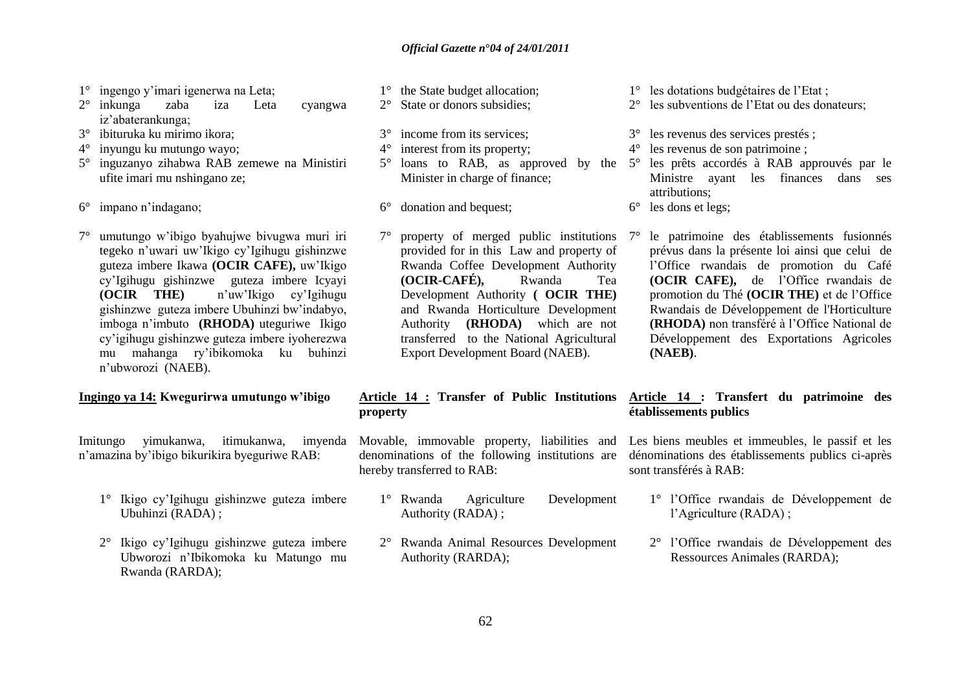- 1° ingengo y"imari igenerwa na Leta;
- 2° inkunga zaba iza Leta cyangwa iz"abaterankunga;
- 3° ibituruka ku mirimo ikora;
- 4° inyungu ku mutungo wayo;
- 5° inguzanyo zihabwa RAB zemewe na Ministiri ufite imari mu nshingano ze;
- 6° impano n"indagano;
- 7° umutungo w"ibigo byahujwe bivugwa muri iri tegeko n"uwari uw"Ikigo cy"Igihugu gishinzwe guteza imbere Ikawa **(OCIR CAFE),** uw"Ikigo cy"Igihugu gishinzwe guteza imbere Icyayi **(OCIR THE)** n"uw"Ikigo cy"Igihugu gishinzwe guteza imbere Ubuhinzi bw"indabyo, imboga n"imbuto **(RHODA)** uteguriwe Ikigo cy"igihugu gishinzwe guteza imbere iyoherezwa mu mahanga ry"ibikomoka ku buhinzi n"ubworozi (NAEB).

# **Ingingo ya 14: Kwegurirwa umutungo w'ibigo**

Imitungo yimukanwa, itimukanwa, imyenda n"amazina by"ibigo bikurikira byeguriwe RAB:

- 1° Ikigo cy"Igihugu gishinzwe guteza imbere Ubuhinzi (RADA) ;
- 2° Ikigo cy"Igihugu gishinzwe guteza imbere Ubworozi n"Ibikomoka ku Matungo mu Rwanda (RARDA);
- 1° the State budget allocation; 2° State or donors subsidies;
- 
- 3° income from its services;
- 4° interest from its property;
- Minister in charge of finance;
- 6° donation and bequest;
- property of merged public institutions  $7^\circ$ provided for in this Law and property of Rwanda Coffee Development Authority<br>
(OCIR-CAFÉ), Rwanda Tea **(OCIR-CAFÉ),** Rwanda Tea Development Authority **( OCIR THE)**  and Rwanda Horticulture Development Authority **(RHODA)** which are not transferred to the National Agricultural Export Development Board (NAEB).

### **Article 14 : Transfer of Public Institutions property**

- denominations of the following institutions are hereby transferred to RAB:
	- 1° Rwanda Agriculture Development Authority (RADA) ;
	- 2° Rwanda Animal Resources Development Authority (RARDA);
- 1° les dotations budgétaires de l"Etat ;
- 2° les subventions de l"Etat ou des donateurs;
- 3° les revenus des services prestés ;
- 4° les revenus de son patrimoine ;
- 5° loans to RAB, as approved by the 5° les prêts accordés à RAB approuvés par le Ministre ayant les finances dans ses attributions;
	- 6° les dons et legs;
		- 7° le patrimoine des établissements fusionnés prévus dans la présente loi ainsi que celui de l"Office rwandais de promotion du Café **(OCIR CAFE),** de l"Office rwandais de promotion du Thé **(OCIR THE)** et de l"Office Rwandais de Développement de l'Horticulture **(RHODA)** non transféré à l"Office National de Développement des Exportations Agricoles **(NAEB)**.

# **Article 14 : Transfert du patrimoine des établissements publics**

Movable, immovable property, liabilities and Les biens meubles et immeubles, le passif et les dénominations des établissements publics ci-après sont transférés à RAB:

- 1° l"Office rwandais de Développement de l"Agriculture (RADA) ;
- 2° l"Office rwandais de Développement des Ressources Animales (RARDA);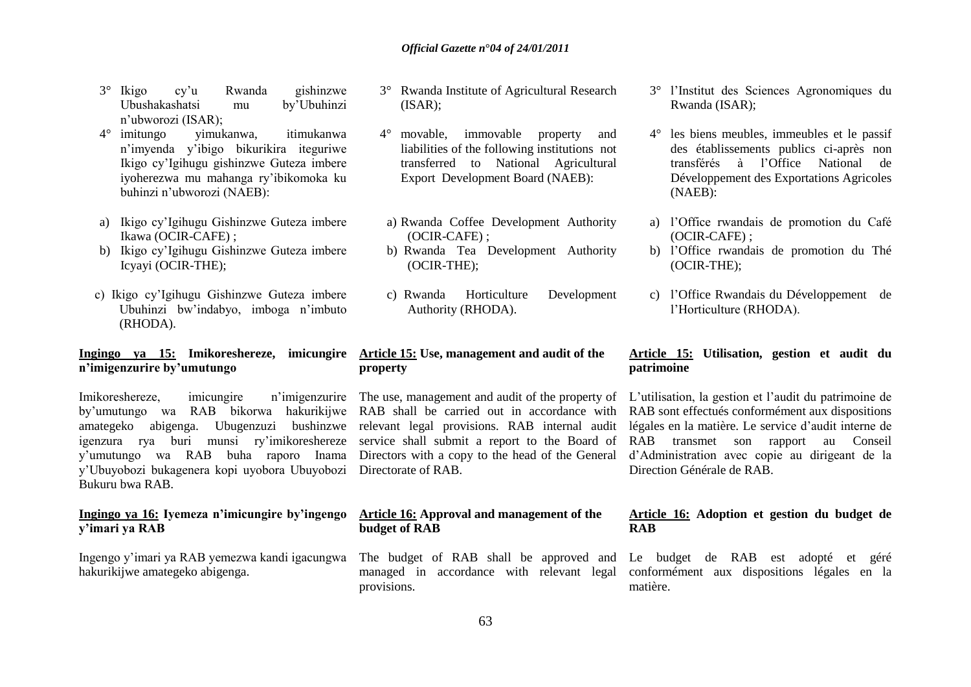- 3° Ikigo cy"u Rwanda gishinzwe Ubushakashatsi mu by"Ubuhinzi n"ubworozi (ISAR);
- 4° imitungo yimukanwa, itimukanwa n"imyenda y"ibigo bikurikira iteguriwe Ikigo cy"Igihugu gishinzwe Guteza imbere iyoherezwa mu mahanga ry"ibikomoka ku buhinzi n"ubworozi (NAEB):
- a) Ikigo cy"Igihugu Gishinzwe Guteza imbere Ikawa (OCIR-CAFE) ;
- b) Ikigo cy"Igihugu Gishinzwe Guteza imbere Icyayi (OCIR-THE);
- c) Ikigo cy"Igihugu Gishinzwe Guteza imbere Ubuhinzi bw"indabyo, imboga n"imbuto (RHODA).

#### **Ingingo ya 15: Imikoreshereze, imicungire Article 15: Use, management and audit of the n'imigenzurire by'umutungo**

by"umutungo wa RAB bikorwa hakurikijwe RAB shall be carried out in accordance with amategeko abigenga. Ubugenzuzi bushinzwe relevant legal provisions. RAB internal audit igenzura rya buri munsi ry"imikoreshereze y"umutungo wa RAB buha raporo Inama Directors with a copy to the head of the General y"Ubuyobozi bukagenera kopi uyobora Ubuyobozi Bukuru bwa RAB.

## **Ingingo ya 16: Iyemeza n'imicungire by'ingengo y'imari ya RAB**

Ingengo y"imari ya RAB yemezwa kandi igacungwa hakurikijwe amategeko abigenga.

- 3° Rwanda Institute of Agricultural Research (ISAR);
- movable, immovable property and liabilities of the following institutions not transferred to National Agricultural Export Development Board (NAEB):
- a) Rwanda Coffee Development Authority (OCIR-CAFE) ;
- b) Rwanda Tea Development Authority (OCIR-THE);
- c) Rwanda Horticulture Development Authority (RHODA).

# **property**

Directorate of RAB.

#### **Article 16: Approval and management of the budget of RAB**

The budget of RAB shall be approved and managed in accordance with relevant legal provisions.

- 3° l"Institut des Sciences Agronomiques du Rwanda (ISAR);
- 4° les biens meubles, immeubles et le passif des établissements publics ci-après non transférés à l"Office National de Développement des Exportations Agricoles (NAEB):
- a) l"Office rwandais de promotion du Café (OCIR-CAFE) ;
- b) l"Office rwandais de promotion du Thé (OCIR-THE);
- c) l"Office Rwandais du Développement de l"Horticulture (RHODA).

#### **Article 15: Utilisation, gestion et audit du patrimoine**

Imikoreshereze, imicungire n'imigenzurire The use, management and audit of the property of L'utilisation, la gestion et l'audit du patrimoine de service shall submit a report to the Board of RAB transmet son rapport au Conseil RAB sont effectués conformément aux dispositions légales en la matière. Le service d"audit interne de d"Administration avec copie au dirigeant de la Direction Générale de RAB.

#### **Article 16: Adoption et gestion du budget de RAB**

Le budget de RAB est adopté et géré conformément aux dispositions légales en la matière.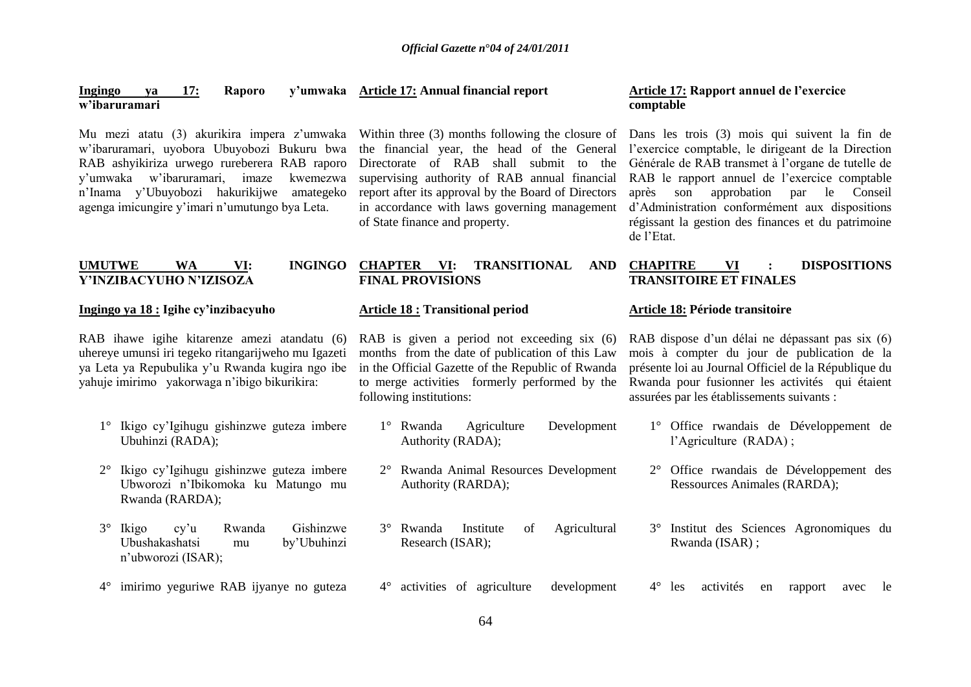#### **Ingingo ya 17: Raporo y'umwaka Article 17: Annual financial report w'ibaruramari**

Mu mezi atatu (3) akurikira impera z"umwaka w"ibaruramari, uyobora Ubuyobozi Bukuru bwa RAB ashyikiriza urwego rureberera RAB raporo y"umwaka w"ibaruramari, imaze kwemezwa n"Inama y"Ubuyobozi hakurikijwe amategeko agenga imicungire y"imari n"umutungo bya Leta.

Within three (3) months following the closure of the financial year, the head of the General Directorate of RAB shall submit to the supervising authority of RAB annual financial report after its approval by the Board of Directors in accordance with laws governing management of State finance and property.

#### **UMUTWE WA VI: Y'INZIBACYUHO N'IZISOZA**

#### **Ingingo ya 18 : Igihe cy'inzibacyuho**

RAB ihawe igihe kitarenze amezi atandatu (6) uhereye umunsi iri tegeko ritangarijweho mu Igazeti ya Leta ya Repubulika y"u Rwanda kugira ngo ibe yahuje imirimo yakorwaga n"ibigo bikurikira:

- 1° Ikigo cy"Igihugu gishinzwe guteza imbere Ubuhinzi (RADA);
- 2° Ikigo cy"Igihugu gishinzwe guteza imbere Ubworozi n"Ibikomoka ku Matungo mu Rwanda (RARDA);
- 3° Ikigo cy"u Rwanda Gishinzwe Ubushakashatsi mu by"Ubuhinzi n"ubworozi (ISAR);
- 4° imirimo yeguriwe RAB ijyanye no guteza

#### **Article 18 : Transitional period**

**FINAL PROVISIONS**

RAB is given a period not exceeding six (6) months from the date of publication of this Law in the Official Gazette of the Republic of Rwanda to merge activities formerly performed by the following institutions:

- 1° Rwanda Agriculture Development Authority (RADA);
- 2° Rwanda Animal Resources Development Authority (RARDA);
- 3° Rwanda Institute of Agricultural Research (ISAR);

4° activities of agriculture development

#### **Article 17: Rapport annuel de l'exercice comptable**

Dans les trois (3) mois qui suivent la fin de l"exercice comptable, le dirigeant de la Direction Générale de RAB transmet à l"organe de tutelle de RAB le rapport annuel de l"exercice comptable après son approbation par le Conseil d"Administration conformément aux dispositions régissant la gestion des finances et du patrimoine de l"Etat.

#### **CHAPTER VI: TRANSITIONAL AND CHAPITRE VI : DISPOSITIONS TRANSITOIRE ET FINALES**

#### **Article 18: Période transitoire**

RAB dispose d"un délai ne dépassant pas six (6) mois à compter du jour de publication de la présente loi au Journal Officiel de la République du Rwanda pour fusionner les activités qui étaient assurées par les établissements suivants :

- 1° Office rwandais de Développement de l"Agriculture (RADA) ;
- 2° Office rwandais de Développement des Ressources Animales (RARDA);
- 3° Institut des Sciences Agronomiques du Rwanda (ISAR) ;
- 4° les activités en rapport avec le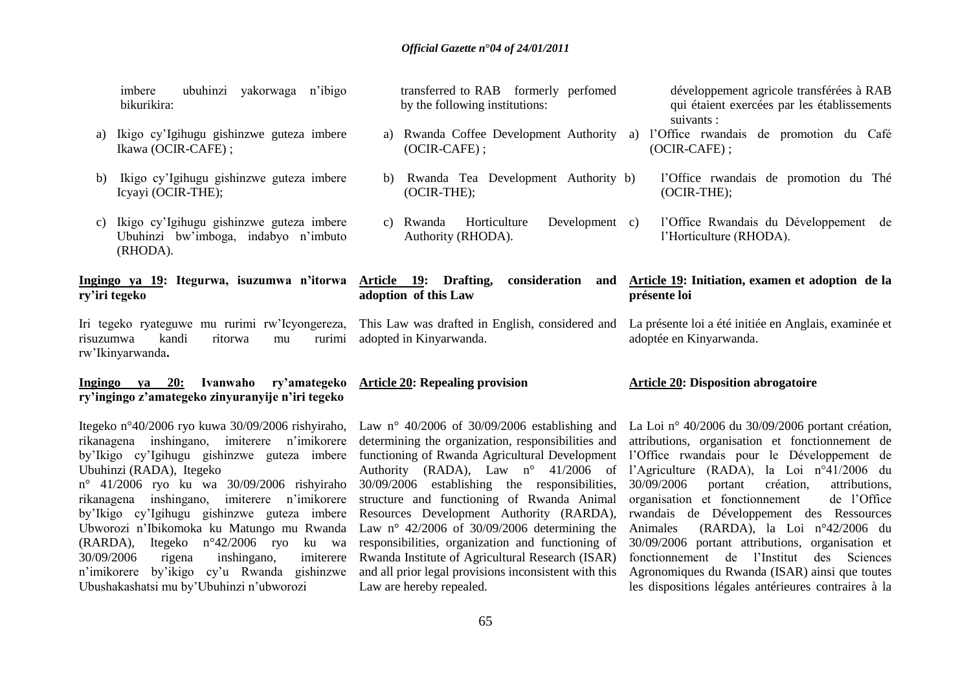| ubuhinzi<br>yakorwaga n'ibigo<br>imbere<br>bikurikira:                                                              | transferred to RAB formerly perfomed<br>by the following institutions:     | développement agricole transférées à RAB<br>qui étaient exercées par les établissements<br>suivants : |
|---------------------------------------------------------------------------------------------------------------------|----------------------------------------------------------------------------|-------------------------------------------------------------------------------------------------------|
| Ikigo cy'Igihugu gishinzwe guteza imbere<br>a)<br>Ikawa (OCIR-CAFE);                                                | a) Rwanda Coffee Development Authority a)<br>$(OCIR-CAFE)$ ;               | l'Office rwandais de promotion du Café<br>(OCIR-CAFE);                                                |
| Ikigo cy'Igihugu gishinzwe guteza imbere<br>b)<br>Icyayi (OCIR-THE);                                                | Rwanda Tea Development Authority b)<br>b)<br>$(OCIR-THE);$                 | l'Office rwandais de promotion du Thé<br>$(OCIR-THE);$                                                |
| Ikigo cy'Igihugu gishinzwe guteza imbere<br>C)<br>Ubuhinzi bw'imboga, indabyo n'imbuto<br>(RHODA).                  | Development c)<br>Horticulture<br>c) Rwanda<br>Authority (RHODA).          | l'Office Rwandais du Développement de<br>l'Horticulture (RHODA).                                      |
| Ingingo ya 19: Itegurwa, isuzumwa n'itorwa Article 19: Drafting,<br>ry'iri tegeko                                   | consideration<br>and<br>adoption of this Law                               | Article 19: Initiation, examen et adoption de la<br>présente loi                                      |
| Iri tegeko ryateguwe mu rurimi rw'Icyongereza,<br>kandi<br>ritorwa<br>risuzumwa<br>rurimi<br>mu<br>rw'Ikinyarwanda. | This Law was drafted in English, considered and<br>adopted in Kinyarwanda. | La présente loi a été initiée en Anglais, examinée et<br>adoptée en Kinyarwanda.                      |
|                                                                                                                     |                                                                            |                                                                                                       |

#### **Ingingo ya 20: Ivanwaho ry'amategeko Article 20: Repealing provision ry'ingingo z'amategeko zinyuranyije n'iri tegeko**

Itegeko n°40/2006 ryo kuwa 30/09/2006 rishyiraho, Law n° 40/2006 of 30/09/2006 establishing and rikanagena inshingano, imiterere n'imikorere determining the organization, responsibilities and by"Ikigo cy"Igihugu gishinzwe guteza imbere functioning of Rwanda Agricultural Development Ubuhinzi (RADA), Itegeko

n° 41/2006 ryo ku wa 30/09/2006 rishyiraho rikanagena inshingano, imiterere n"imikorere by"Ikigo cy"Igihugu gishinzwe guteza imbere Ubworozi n"Ibikomoka ku Matungo mu Rwanda (RARDA), Itegeko n°42/2006 ryo ku wa 30/09/2006 rigena inshingano, imiterere n"imikorere by"ikigo cy"u Rwanda gishinzwe Ubushakashatsi mu by"Ubuhinzi n"ubworozi

30/09/2006 establishing the responsibilities, structure and functioning of Rwanda Animal Resources Development Authority (RARDA), Law n° 42/2006 of 30/09/2006 determining the responsibilities, organization and functioning of Rwanda Institute of Agricultural Research (ISAR) and all prior legal provisions inconsistent with this Law are hereby repealed.

#### **Article 20: Disposition abrogatoire**

Authority (RADA), Law n° 41/2006 of l"Agriculture (RADA), la Loi n°41/2006 du La Loi n° 40/2006 du 30/09/2006 portant création, attributions, organisation et fonctionnement de l"Office rwandais pour le Développement de 30/09/2006 portant création, attributions, organisation et fonctionnement de l"Office rwandais de Développement des Ressources Animales (RARDA), la Loi n°42/2006 du 30/09/2006 portant attributions, organisation et fonctionnement de l"Institut des Sciences Agronomiques du Rwanda (ISAR) ainsi que toutes les dispositions légales antérieures contraires à la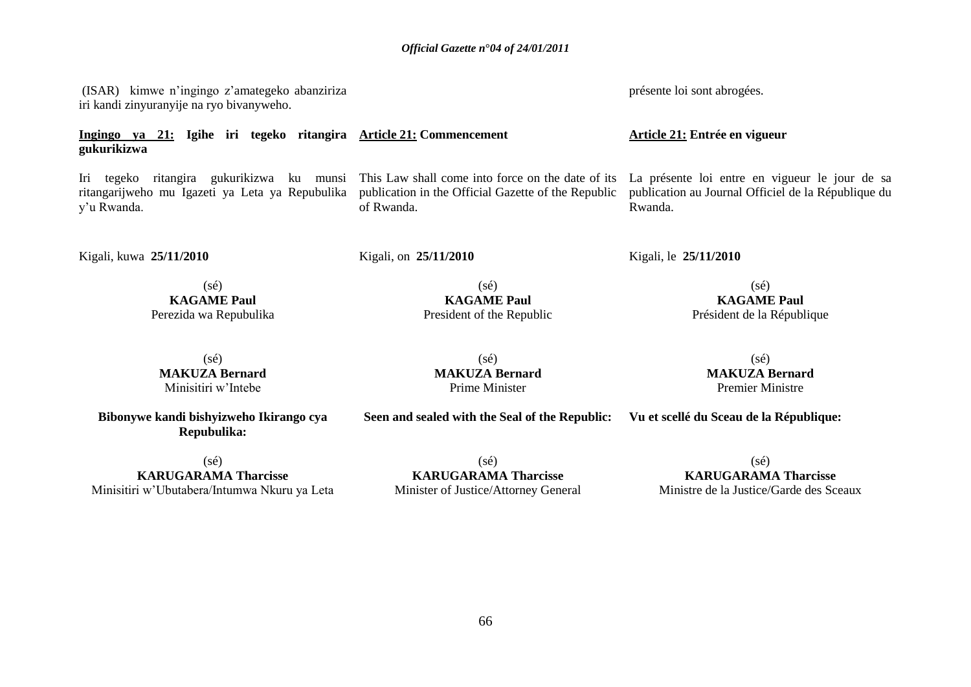(ISAR) kimwe n"ingingo z"amategeko abanziriza iri kandi zinyuranyije na ryo bivanyweho.

**Ingingo ya 21: Igihe iri tegeko ritangira Article 21: Commencement gukurikizwa** 

Iri tegeko ritangira gukurikizwa ku munsi ritangarijweho mu Igazeti ya Leta ya Repubulika publication in the Official Gazette of the Republic y"u Rwanda.

Kigali, kuwa **25/11/2010** 

Kigali, on **25/11/2010** 

of Rwanda.

 $(sé)$ **KAGAME Paul** Perezida wa Repubulika

(sé) **MAKUZA Bernard** Minisitiri w"Intebe

**Bibonywe kandi bishyizweho Ikirango cya Repubulika:**

(sé) **KAGAME Paul** President of the Republic

 $(sé)$ **MAKUZA Bernard** Prime Minister

 $(s\acute{e})$ **KARUGARAMA Tharcisse** Minisitiri w"Ubutabera/Intumwa Nkuru ya Leta

(sé) **KARUGARAMA Tharcisse** Minister of Justice/Attorney General

This Law shall come into force on the date of its La présente loi entre en vigueur le jour de sa publication au Journal Officiel de la République du Rwanda.

Kigali, le **25/11/2010** 

(sé) **KAGAME Paul** Président de la République

> (sé) **MAKUZA Bernard** Premier Ministre

**Seen and sealed with the Seal of the Republic: Vu et scellé du Sceau de la République:**

(sé) **KARUGARAMA Tharcisse** Ministre de la Justice/Garde des Sceaux

présente loi sont abrogées.

**Article 21: Entrée en vigueur**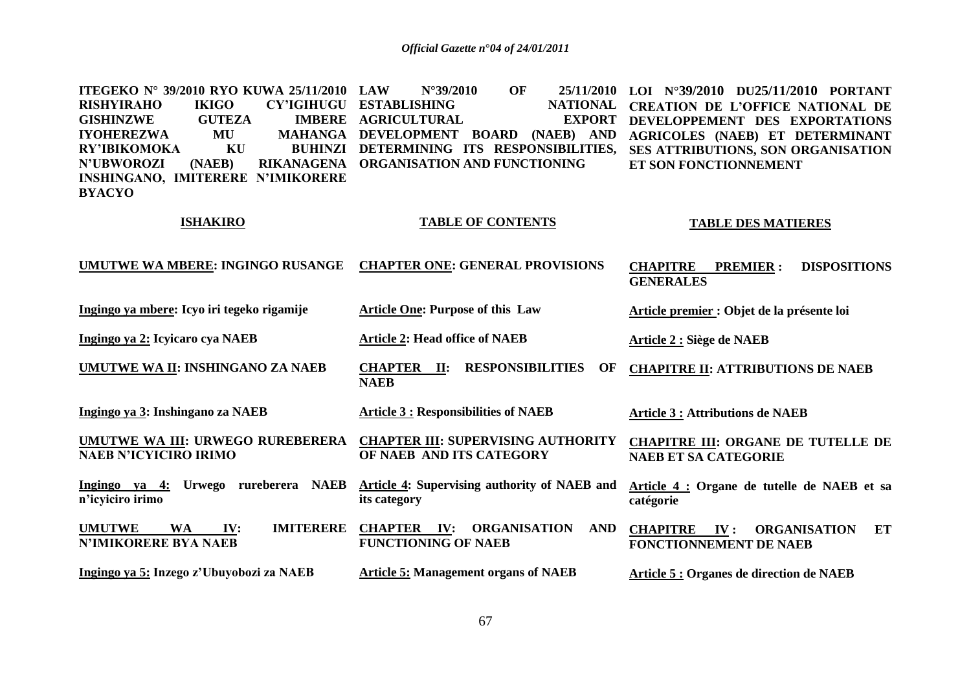| <b>ITEGEKO N° 39/2010 RYO KUWA 25/11/2010</b><br><b>IKIGO</b><br><b>CY'IGIHUGU</b><br><b>RISHYIRAHO</b><br><b>IMBERE</b><br><b>GISHINZWE</b><br><b>GUTEZA</b><br><b>IYOHEREZWA</b><br>MU<br><b>MAHANGA</b><br>KU<br><b>RY'IBIKOMOKA</b><br><b>BUHINZI</b> | <b>OF</b><br>25/11/2010<br><b>LAW</b><br>$N^{\circ}39/2010$<br><b>ESTABLISHING</b><br><b>NATIONAL</b><br><b>AGRICULTURAL</b><br><b>EXPORT</b><br>DEVELOPMENT BOARD (NAEB) AND<br>DETERMINING ITS RESPONSIBILITIES, | LOI N°39/2010 DU25/11/2010 PORTANT<br><b>CREATION DE L'OFFICE NATIONAL DE</b><br>DEVELOPPEMENT DES EXPORTATIONS<br><b>AGRICOLES (NAEB) ET DETERMINANT</b><br>SES ATTRIBUTIONS, SON ORGANISATION |
|-----------------------------------------------------------------------------------------------------------------------------------------------------------------------------------------------------------------------------------------------------------|--------------------------------------------------------------------------------------------------------------------------------------------------------------------------------------------------------------------|-------------------------------------------------------------------------------------------------------------------------------------------------------------------------------------------------|
| <b>N'UBWOROZI</b><br>(NAEB)<br>RIKANAGENA<br>INSHINGANO, IMITERERE N'IMIKORERE<br><b>BYACYO</b>                                                                                                                                                           | ORGANISATION AND FUNCTIONING                                                                                                                                                                                       | ET SON FONCTIONNEMENT                                                                                                                                                                           |
| <b>ISHAKIRO</b>                                                                                                                                                                                                                                           | <b>TABLE OF CONTENTS</b>                                                                                                                                                                                           | <b>TABLE DES MATIERES</b>                                                                                                                                                                       |
| <b>UMUTWE WA MBERE: INGINGO RUSANGE</b>                                                                                                                                                                                                                   | <b>CHAPTER ONE: GENERAL PROVISIONS</b>                                                                                                                                                                             | <b>CHAPITRE</b><br><b>DISPOSITIONS</b><br><b>PREMIER:</b><br><b>GENERALES</b>                                                                                                                   |
| Ingingo ya mbere: Icyo iri tegeko rigamije                                                                                                                                                                                                                | <b>Article One: Purpose of this Law</b>                                                                                                                                                                            | Article premier : Objet de la présente loi                                                                                                                                                      |
| Ingingo ya 2: Icyicaro cya NAEB                                                                                                                                                                                                                           | <b>Article 2: Head office of NAEB</b>                                                                                                                                                                              | Article 2 : Siège de NAEB                                                                                                                                                                       |
| UMUTWE WA II: INSHINGANO ZA NAEB                                                                                                                                                                                                                          | <b>CHAPTER II:</b><br><b>RESPONSIBILITIES</b><br>OF<br><b>NAEB</b>                                                                                                                                                 | <b>CHAPITRE II: ATTRIBUTIONS DE NAEB</b>                                                                                                                                                        |
| Ingingo ya 3: Inshingano za NAEB                                                                                                                                                                                                                          | <b>Article 3 : Responsibilities of NAEB</b>                                                                                                                                                                        | <b>Article 3 : Attributions de NAEB</b>                                                                                                                                                         |
| <b>UMUTWE WA III: URWEGO RUREBERERA</b><br><b>NAEB N'ICYICIRO IRIMO</b>                                                                                                                                                                                   | <b>CHAPTER III: SUPERVISING AUTHORITY</b><br>OF NAEB AND ITS CATEGORY                                                                                                                                              | <b>CHAPITRE III: ORGANE DE TUTELLE DE</b><br><b>NAEB ET SA CATEGORIE</b>                                                                                                                        |
| Ingingo ya 4: Urwego rureberera NAEB<br>n'icyiciro irimo                                                                                                                                                                                                  | Article 4: Supervising authority of NAEB and<br>its category                                                                                                                                                       | Article 4 : Organe de tutelle de NAEB et sa<br>catégorie                                                                                                                                        |
| <b>IMITERERE</b><br><b>UMUTWE</b><br><b>WA</b><br>IV:<br><b>N'IMIKORERE BYA NAEB</b>                                                                                                                                                                      | <b>CHAPTER IV:</b><br><b>AND</b><br>ORGANISATION<br><b>FUNCTIONING OF NAEB</b>                                                                                                                                     | ET<br><b>CHAPITRE</b><br>$\mathbf{IV}$ :<br><b>ORGANISATION</b><br><b>FONCTIONNEMENT DE NAEB</b>                                                                                                |
| Ingingo ya 5: Inzego z'Ubuyobozi za NAEB                                                                                                                                                                                                                  | <b>Article 5: Management organs of NAEB</b>                                                                                                                                                                        | Article 5 : Organes de direction de NAEB                                                                                                                                                        |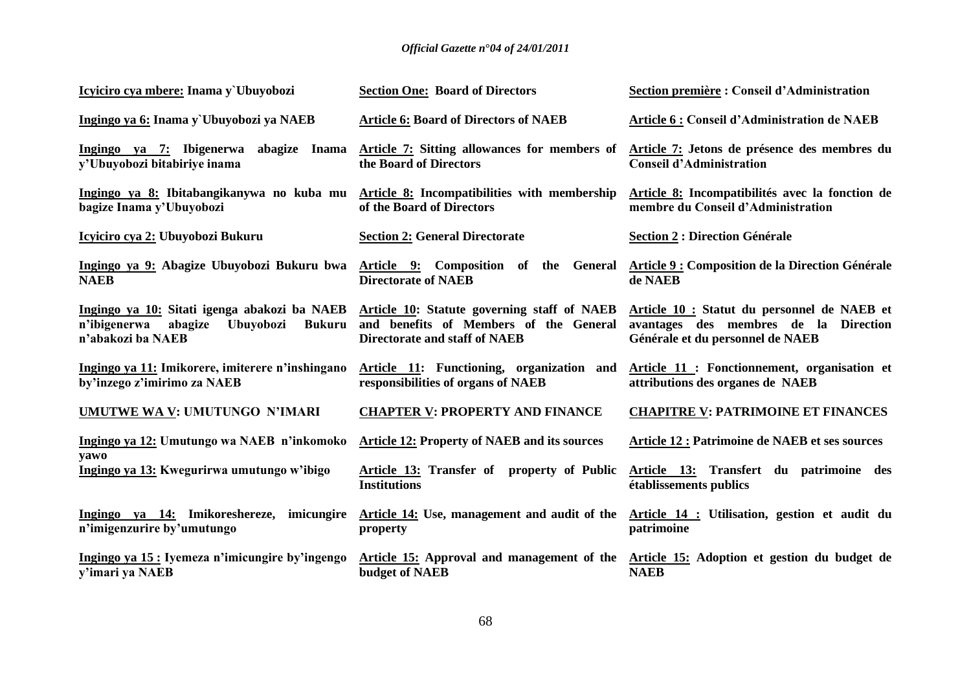| Icyiciro cya mbere: Inama y`Ubuyobozi                                                                                             | <b>Section One: Board of Directors</b>                                                                                        | Section première : Conseil d'Administration                                                                              |
|-----------------------------------------------------------------------------------------------------------------------------------|-------------------------------------------------------------------------------------------------------------------------------|--------------------------------------------------------------------------------------------------------------------------|
| Ingingo ya 6: Inama y`Ubuyobozi ya NAEB                                                                                           | <b>Article 6: Board of Directors of NAEB</b>                                                                                  | Article 6 : Conseil d'Administration de NAEB                                                                             |
| Ingingo ya 7: Ibigenerwa abagize Inama<br>y'Ubuyobozi bitabiriye inama                                                            | Article 7: Sitting allowances for members of<br>the Board of Directors                                                        | Article 7: Jetons de présence des membres du<br><b>Conseil d'Administration</b>                                          |
| Ingingo ya 8: Ibitabangikanywa no kuba mu<br>bagize Inama y'Ubuyobozi                                                             | Article 8: Incompatibilities with membership<br>of the Board of Directors                                                     | Article 8: Incompatibilités avec la fonction de<br>membre du Conseil d'Administration                                    |
| Icyiciro cya 2: Ubuyobozi Bukuru                                                                                                  | <b>Section 2: General Directorate</b>                                                                                         | <b>Section 2 : Direction Générale</b>                                                                                    |
| Ingingo ya 9: Abagize Ubuyobozi Bukuru bwa<br><b>NAEB</b>                                                                         | Article 9: Composition of the General<br><b>Directorate of NAEB</b>                                                           | Article 9 : Composition de la Direction Générale<br>de NAEB                                                              |
| Ingingo ya 10: Sitati igenga abakozi ba NAEB<br>n'ibigenerwa<br>abagize<br><b>Ubuyobozi</b><br><b>Bukuru</b><br>n'abakozi ba NAEB | Article 10: Statute governing staff of NAEB<br>and benefits of Members of the General<br><b>Directorate and staff of NAEB</b> | Article 10 : Statut du personnel de NAEB et<br>avantages des membres de la Direction<br>Générale et du personnel de NAEB |
| Ingingo ya 11: Imikorere, imiterere n'inshingano<br>by'inzego z'imirimo za NAEB                                                   | Article 11: Functioning, organization and<br>responsibilities of organs of NAEB                                               | Article 11: Fonctionnement, organisation et<br>attributions des organes de NAEB                                          |
| <b>UMUTWE WA V: UMUTUNGO N'IMARI</b>                                                                                              | <b>CHAPTER V: PROPERTY AND FINANCE</b>                                                                                        | <b>CHAPITRE V: PATRIMOINE ET FINANCES</b>                                                                                |
| Ingingo ya 12: Umutungo wa NAEB n'inkomoko<br>yawo                                                                                | <b>Article 12: Property of NAEB and its sources</b>                                                                           | <b>Article 12 : Patrimoine de NAEB et ses sources</b>                                                                    |
| Ingingo ya 13: Kwegurirwa umutungo w'ibigo                                                                                        | Article 13: Transfer of property of Public<br><b>Institutions</b>                                                             | Article 13: Transfert du patrimoine des<br>établissements publics                                                        |
| Ingingo ya 14: Imikoreshereze, imicungire<br>n'imigenzurire by'umutungo                                                           | property                                                                                                                      | Article 14: Use, management and audit of the Article 14: Utilisation, gestion et audit du<br>patrimoine                  |
| Ingingo ya 15 : Iyemeza n'imicungire by'ingengo<br>y'imari ya NAEB                                                                | Article 15: Approval and management of the<br><b>budget of NAEB</b>                                                           | Article 15: Adoption et gestion du budget de<br><b>NAEB</b>                                                              |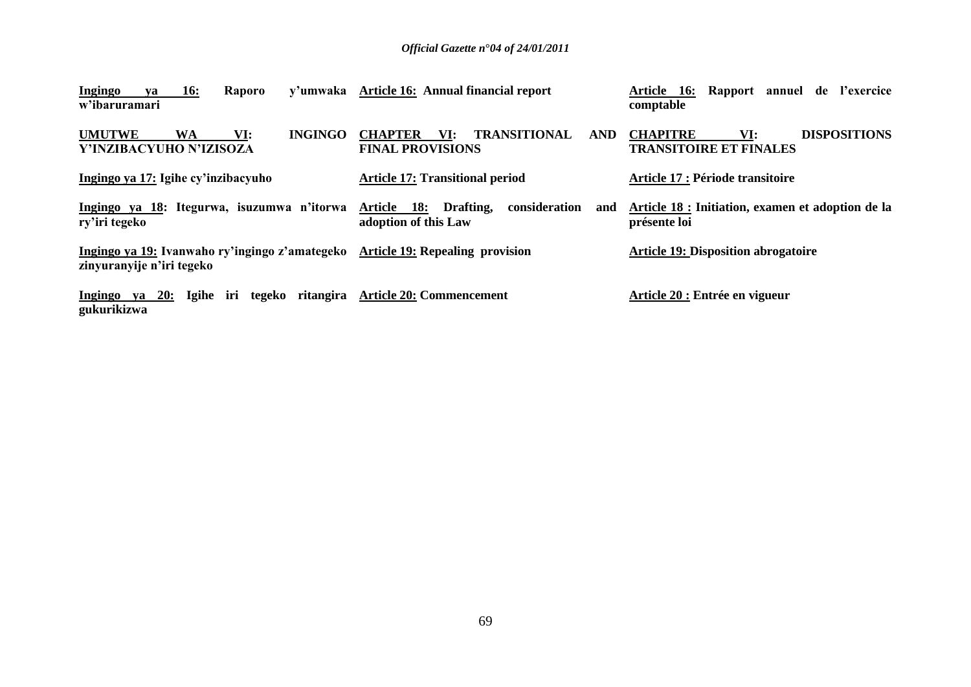| Ingingo<br><b>16:</b><br>Raporo<br>va<br>w'ibaruramari                            | y'umwaka Article 16: Annual financial report                                          | 16: Rapport annuel de l'exercice<br>Article<br>comptable                       |
|-----------------------------------------------------------------------------------|---------------------------------------------------------------------------------------|--------------------------------------------------------------------------------|
| <b>UMUTWE</b><br><b>INGINGO</b><br>WA<br>VI:<br>Y'INZIBACYUHO N'IZISOZA           | <b>TRANSITIONAL</b><br><b>CHAPTER</b><br>VI:<br><b>AND</b><br><b>FINAL PROVISIONS</b> | <b>DISPOSITIONS</b><br><b>CHAPITRE</b><br>VI:<br><b>TRANSITOIRE ET FINALES</b> |
| Ingingo ya 17: Igihe cy'inzibacyuho                                               | <b>Article 17: Transitional period</b>                                                | <b>Article 17 : Période transitoire</b>                                        |
| Ingingo ya 18: Itegurwa, isuzumwa n'itorwa<br>ry'iri tegeko                       | consideration<br>Article 18: Drafting,<br>and<br>adoption of this Law                 | Article 18 : Initiation, examen et adoption de la<br>présente loi              |
| Ingingo ya 19: Ivanwaho ry'ingingo z'amategeko<br>zinyuranyije n'iri tegeko       | <b>Article 19: Repealing provision</b>                                                | <b>Article 19: Disposition abrogatoire</b>                                     |
| Ingingo ya 20: Igihe iri tegeko ritangira Article 20: Commencement<br>gukurikizwa |                                                                                       | Article 20 : Entrée en vigueur                                                 |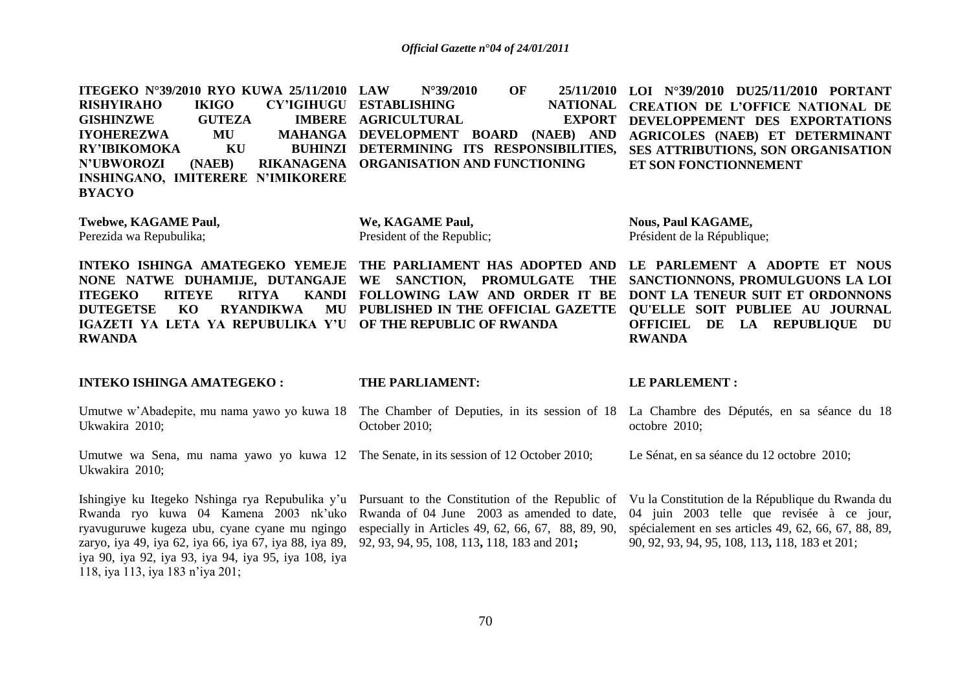**ITEGEKO N°39/2010 RYO KUWA 25/11/2010 RISHYIRAHO IKIGO GISHINZWE GUTEZA**<br>IYOHEREZWA MU **IYOHEREZWA RY'IBIKOMOKA KU N'UBWOROZI (NAEB) RIKANAGENA ORGANISATION AND FUNCTIONING INSHINGANO, IMITERERE N'IMIKORERE BYACYO LAW N°39/2010 OF 25/11/2010 LOI N°39/2010 DU25/11/2010 PORTANT CY'IGIHUGU ESTABLISHING IMBERE AGRICULTURAL MAHANGA DEVELOPMENT BOARD (NAEB) AND DETERMINING ITS RESPONSIBILITIES, NATIONAL CREATION DE L'OFFICE NATIONAL DE** EXPORT DEVELOPPEMENT DES EXPORTATIONS **AGRICOLES (NAEB) ET DETERMINANT SES ATTRIBUTIONS, SON ORGANISATION ET SON FONCTIONNEMENT Twebwe, KAGAME Paul,**  Perezida wa Repubulika; **INTEKO ISHINGA AMATEGEKO YEMEJE THE PARLIAMENT HAS ADOPTED AND LE PARLEMENT A ADOPTE ET NOUS NONE NATWE DUHAMIJE, DUTANGAJE WE SANCTION, PROMULGATE THE SANCTIONNONS, PROMULGUONS LA LOI ITEGEKO RITEYE RITYA DUTEGETSE KO RYANDIKWA IGAZETI YA LETA YA REPUBULIKA Y'U OF THE REPUBLIC OF RWANDA RWANDA INTEKO ISHINGA AMATEGEKO :** Umutwe w'Abadepite, mu nama yawo yo kuwa 18 The Chamber of Deputies, in its session of 18 La Chambre des Députés, en sa séance du 18 Ukwakira 2010; Umutwe wa Sena, mu nama yawo yo kuwa 12 The Senate, in its session of 12 October 2010; Ukwakira 2010; Ishingiye ku Itegeko Nshinga rya Repubulika y'u Pursuant to the Constitution of the Republic of Vula Constitution de la République du Rwanda du Rwanda ryo kuwa 04 Kamena 2003 nk"uko Rwanda of 04 June 2003 as amended to date, ryavuguruwe kugeza ubu, cyane cyane mu ngingo especially in Articles 49, 62, 66, 67, 88, 89, 90, zaryo, iya 49, iya 62, iya 66, iya 67, iya 88, iya 89, 92, 93, 94, 95, 108, 113**,** 118, 183 and 201**;**  iya 90, iya 92, iya 93, iya 94, iya 95, iya 108, iya **We, KAGAME Paul,**  President of the Republic; **FOLLOWING LAW AND ORDER IT BE DONT LA TENEUR SUIT ET ORDONNONS PUBLISHED IN THE OFFICIAL GAZETTE QU'ELLE SOIT PUBLIEE AU JOURNAL THE PARLIAMENT:** October 2010; **Nous, Paul KAGAME,**  Président de la République; **OFFICIEL DE LA REPUBLIQUE DU RWANDA LE PARLEMENT :** octobre 2010; Le Sénat, en sa séance du 12 octobre 2010; 04 juin 2003 telle que revisée à ce jour, spécialement en ses articles 49, 62, 66, 67, 88, 89, 90, 92, 93, 94, 95, 108, 113**,** 118, 183 et 201;

118, iya 113, iya 183 n"iya 201;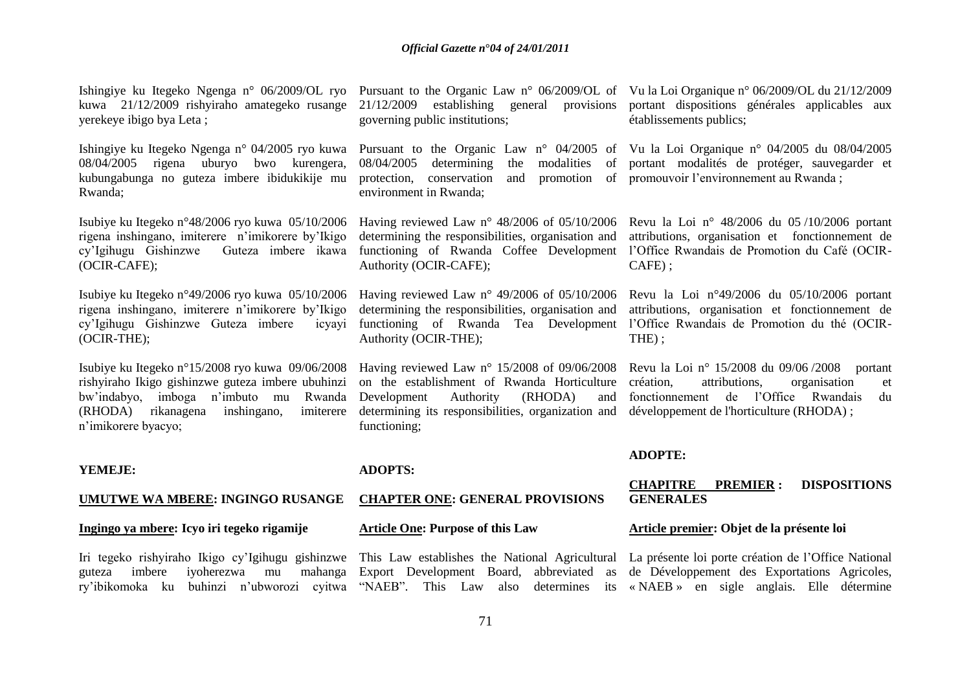kuwa 21/12/2009 rishyiraho amategeko rusange yerekeye ibigo bya Leta ;

Ishingiye ku Itegeko Ngenga n° 04/2005 ryo kuwa 08/04/2005 rigena uburyo bwo kurengera, kubungabunga no guteza imbere ibidukikije mu Rwanda;

Isubiye ku Itegeko n°48/2006 ryo kuwa 05/10/2006 rigena inshingano, imiterere n"imikorere by"Ikigo cy"Igihugu Gishinzwe Guteza imbere ikawa (OCIR-CAFE);

Isubiye ku Itegeko n°49/2006 ryo kuwa 05/10/2006 rigena inshingano, imiterere n"imikorere by"Ikigo cy"Igihugu Gishinzwe Guteza imbere icyayi (OCIR-THE);

Isubiye ku Itegeko n°15/2008 ryo kuwa 09/06/2008 rishyiraho Ikigo gishinzwe guteza imbere ubuhinzi bw"indabyo, imboga n"imbuto mu Rwanda  $(RHODA)$  rikanagena inshingano, n"imikorere byacyo;

#### **YEMEJE:**

#### **UMUTWE WA MBERE: INGINGO RUSANGE**

#### **Ingingo ya mbere: Icyo iri tegeko rigamije**

Iri tegeko rishyiraho Ikigo cy'Igihugu gishinzwe This Law establishes the National Agricultural La présente loi porte création de l'Office National ry'ibikomoka ku buhinzi n'ubworozi cyitwa "NAEB". This Law also determines its «NAEB» en sigle anglais. Elle détermine

governing public institutions;

protection, conservation environment in Rwanda;

determining the responsibilities, organisation and Authority (OCIR-CAFE);

Having reviewed Law n° 49/2006 of 05/10/2006 determining the responsibilities, organisation and Authority (OCIR-THE);

on the establishment of Rwanda Horticulture Development Authority (RHODA) and determining its responsibilities, organization and développement de l'horticulture (RHODA) ; functioning;

**ADOPTS:** 

#### **CHAPTER ONE: GENERAL PROVISIONS**

#### **Article One: Purpose of this Law**

Ishingiye ku Itegeko Ngenga n° 06/2009/OL ryo Pursuant to the Organic Law n° 06/2009/OL of Vu la Loi Organique n° 06/2009/OL du 21/12/2009 21/12/2009 establishing general provisions portant dispositions générales applicables aux établissements publics;

> Pursuant to the Organic Law n° 04/2005 of Vu la Loi Organique n° 04/2005 du 08/04/2005 08/04/2005 determining the modalities of portant modalités de protéger, sauvegarder et and promotion of promouvoir l'environnement au Rwanda ;

> Having reviewed Law n° 48/2006 of 05/10/2006 Revu la Loi n° 48/2006 du 05/10/2006 portant functioning of Rwanda Coffee Development l'Office Rwandais de Promotion du Café (OCIRattributions, organisation et fonctionnement de CAFE) ;

> functioning of Rwanda Tea Development l"Office Rwandais de Promotion du thé (OCIR-Revu la Loi n°49/2006 du 05/10/2006 portant attributions, organisation et fonctionnement de THE) ;

> Having reviewed Law n° 15/2008 of 09/06/2008 Revu la Loi n° 15/2008 du 09/06 /2008 portant attributions, organisation et fonctionnement de l"Office Rwandais du

#### **ADOPTE:**

#### **CHAPITRE PREMIER : DISPOSITIONS GENERALES**

#### **Article premier: Objet de la présente loi**

guteza imbere iyoherezwa mu mahanga Export Development Board, abbreviated as de Développement des Exportations Agricoles,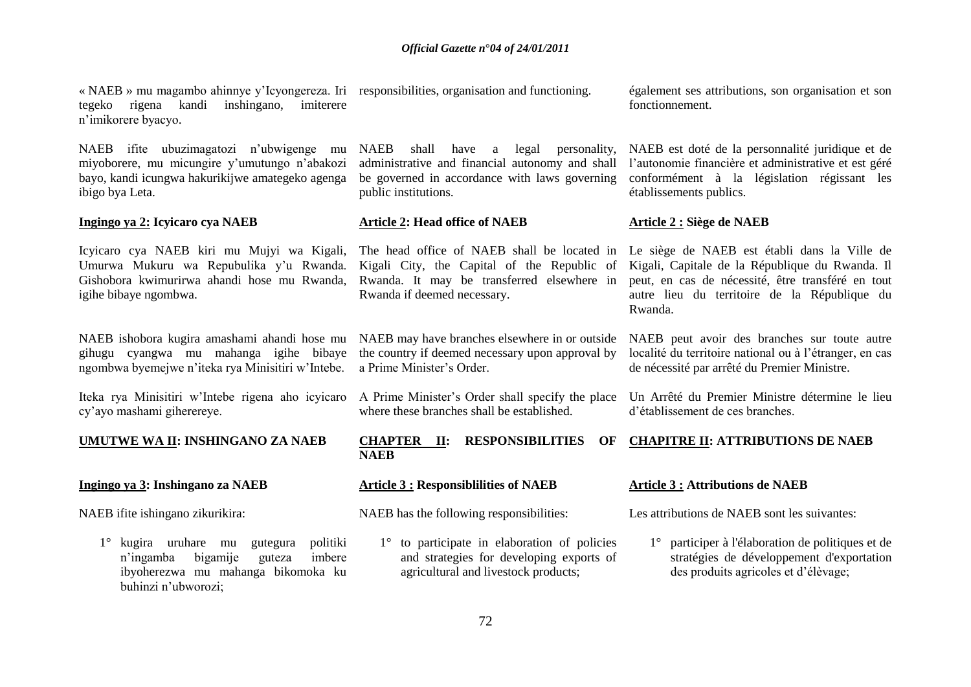« NAEB » mu magambo ahinnye y"Icyongereza. Iri responsibilities, organisation and functioning. tegeko rigena kandi inshingano, imiterere n"imikorere byacyo.

NAEB ifite ubuzimagatozi n"ubwigenge mu miyoborere, mu micungire y"umutungo n"abakozi bayo, kandi icungwa hakurikijwe amategeko agenga ibigo bya Leta.

#### **Ingingo ya 2: Icyicaro cya NAEB**

Icyicaro cya NAEB kiri mu Mujyi wa Kigali, Umurwa Mukuru wa Repubulika y"u Rwanda. Gishobora kwimurirwa ahandi hose mu Rwanda, igihe bibaye ngombwa.

gihugu cyangwa mu mahanga igihe bibaye the country if deemed necessary upon approval by ngombwa byemejwe n"iteka rya Minisitiri w"Intebe.

Iteka rya Minisitiri w"Intebe rigena aho icyicaro cy"ayo mashami giherereye.

#### **UMUTWE WA II: INSHINGANO ZA NAEB**

#### **Ingingo ya 3: Inshingano za NAEB**

NAEB ifite ishingano zikurikira:

1° kugira uruhare mu gutegura politiki n'ingamba bigamije guteza ibyoherezwa mu mahanga bikomoka ku buhinzi n"ubworozi;

NAEB shall have a legal personality, administrative and financial autonomy and shall be governed in accordance with laws governing public institutions.

#### **Article 2: Head office of NAEB**

Kigali City, the Capital of the Republic of Rwanda. It may be transferred elsewhere in Rwanda if deemed necessary.

NAEB ishobora kugira amashami ahandi hose mu NAEB may have branches elsewhere in or outside a Prime Minister"s Order.

> A Prime Minister"s Order shall specify the place where these branches shall be established.

> **CHAPTER II: RESPONSIBILITIES OF NAEB**

#### **Article 3 : Responsiblilities of NAEB**

NAEB has the following responsibilities:

1° to participate in elaboration of policies and strategies for developing exports of agricultural and livestock products;

également ses attributions, son organisation et son fonctionnement.

NAEB est doté de la personnalité juridique et de l"autonomie financière et administrative et est géré conformément à la législation régissant les établissements publics.

### **Article 2 : Siège de NAEB**

The head office of NAEB shall be located in Le siège de NAEB est établi dans la Ville de Kigali, Capitale de la République du Rwanda. Il peut, en cas de nécessité, être transféré en tout autre lieu du territoire de la République du Rwanda.

> NAEB peut avoir des branches sur toute autre localité du territoire national ou à l"étranger, en cas de nécessité par arrêté du Premier Ministre.

Un Arrêté du Premier Ministre détermine le lieu d"établissement de ces branches.

#### **CHAPITRE II: ATTRIBUTIONS DE NAEB**

#### **Article 3 : Attributions de NAEB**

Les attributions de NAEB sont les suivantes:

1° participer à l'élaboration de politiques et de stratégies de développement d'exportation des produits agricoles et d"élèvage;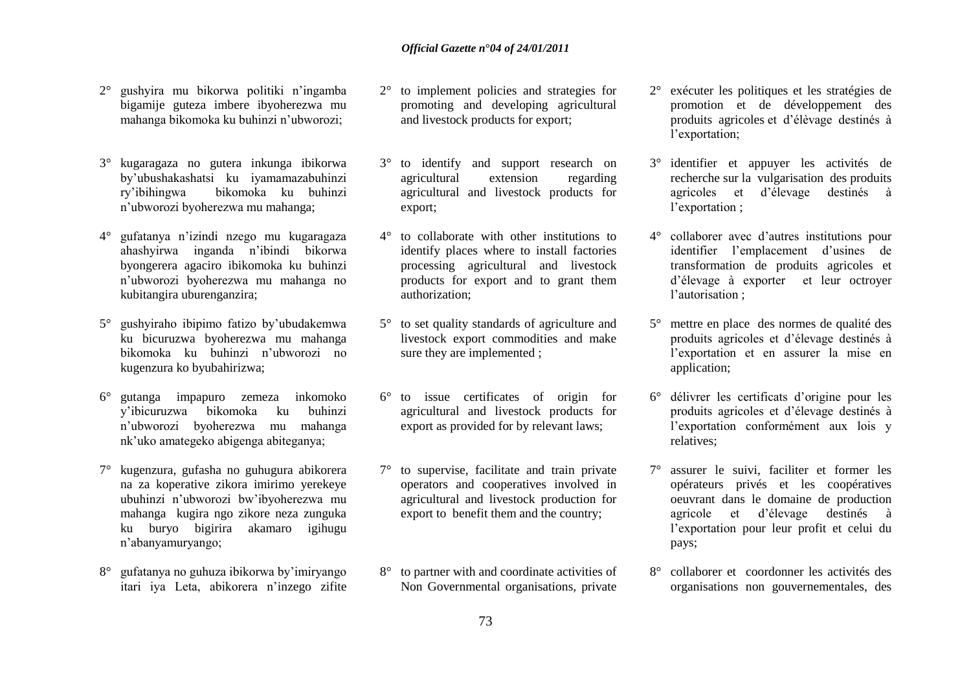- 2° gushyira mu bikorwa politiki n"ingamba bigamije guteza imbere ibyoherezwa mu mahanga bikomoka ku buhinzi n"ubworozi;
- 3° kugaragaza no gutera inkunga ibikorwa by"ubushakashatsi ku iyamamazabuhinzi hikomoka ku buhinzi n"ubworozi byoherezwa mu mahanga;
- 4° gufatanya n"izindi nzego mu kugaragaza ahashyirwa inganda n"ibindi bikorwa byongerera agaciro ibikomoka ku buhinzi n"ubworozi byoherezwa mu mahanga no kubitangira uburenganzira;
- 5° gushyiraho ibipimo fatizo by"ubudakemwa ku bicuruzwa byoherezwa mu mahanga bikomoka ku buhinzi n"ubworozi no kugenzura ko byubahirizwa;
- 6° gutanga impapuro zemeza inkomoko y"ibicuruzwa bikomoka ku buhinzi n"ubworozi byoherezwa mu mahanga nk"uko amategeko abigenga abiteganya;
- 7° kugenzura, gufasha no guhugura abikorera na za koperative zikora imirimo yerekeye ubuhinzi n"ubworozi bw"ibyoherezwa mu mahanga kugira ngo zikore neza zunguka ku buryo bigirira akamaro igihugu n"abanyamuryango;
- 8° gufatanya no guhuza ibikorwa by"imiryango itari iya Leta, abikorera n"inzego zifite
- 2° to implement policies and strategies for promoting and developing agricultural and livestock products for export;
- 3° to identify and support research on agricultural extension regarding agricultural and livestock products for export;
- 4° to collaborate with other institutions to identify places where to install factories processing agricultural and livestock products for export and to grant them authorization;
- 5° to set quality standards of agriculture and livestock export commodities and make sure they are implemented ;
- 6° to issue certificates of origin for agricultural and livestock products for export as provided for by relevant laws;
- 7° to supervise, facilitate and train private operators and cooperatives involved in agricultural and livestock production for export to benefit them and the country;
- 8° to partner with and coordinate activities of Non Governmental organisations, private
- 2° exécuter les politiques et les stratégies de promotion et de développement des produits agricoles et d"élèvage destinés à l'exportation;
- 3° identifier et appuyer les activités de recherche sur la vulgarisation des produits agricoles et d"élevage destinés à l'exportation ;
- 4° collaborer avec d"autres institutions pour identifier l"emplacement d"usines de transformation de produits agricoles et d"élevage à exporter et leur octroyer l'autorisation ;
- 5° mettre en place des normes de qualité des produits agricoles et d"élevage destinés à l"exportation et en assurer la mise en application;
- 6° délivrer les certificats d"origine pour les produits agricoles et d"élevage destinés à l"exportation conformément aux lois y relatives;
- 7° assurer le suivi, faciliter et former les opérateurs privés et les coopératives oeuvrant dans le domaine de production agricole et d"élevage destinés à l"exportation pour leur profit et celui du pays;
- 8° collaborer et coordonner les activités des organisations non gouvernementales, des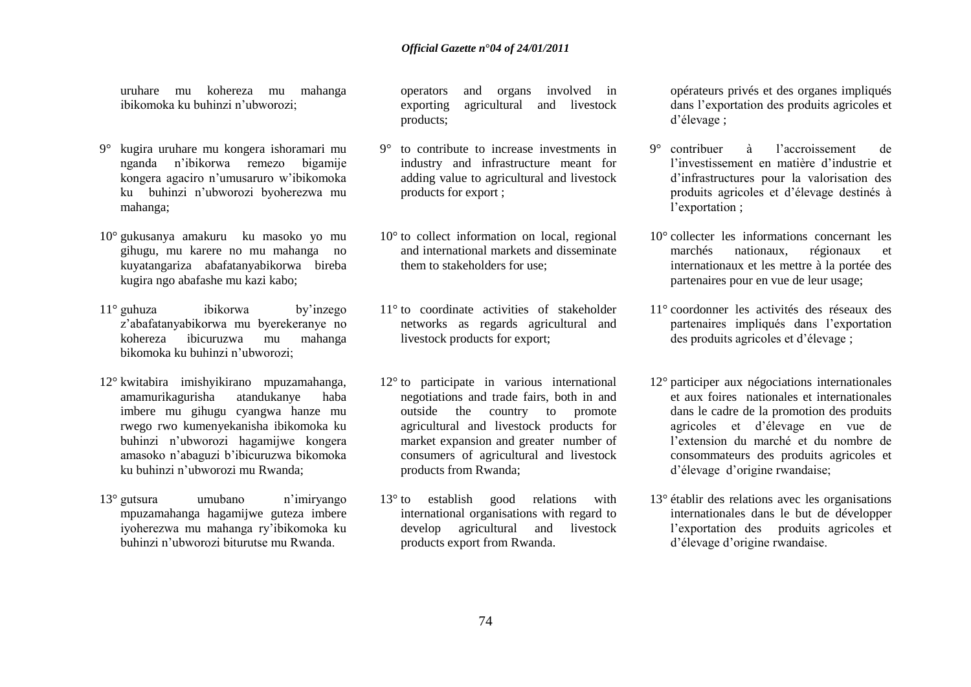uruhare mu kohereza mu mahanga ibikomoka ku buhinzi n"ubworozi;

- 9° kugira uruhare mu kongera ishoramari mu nganda n"ibikorwa remezo bigamije kongera agaciro n"umusaruro w"ibikomoka ku buhinzi n"ubworozi byoherezwa mu mahanga;
- 10° gukusanya amakuru ku masoko yo mu gihugu, mu karere no mu mahanga no kuyatangariza abafatanyabikorwa bireba kugira ngo abafashe mu kazi kabo;
- 11° guhuza ibikorwa by"inzego z"abafatanyabikorwa mu byerekeranye no kohereza ibicuruzwa mu mahanga bikomoka ku buhinzi n"ubworozi;
- 12° kwitabira imishyikirano mpuzamahanga, amamurikagurisha atandukanye haba imbere mu gihugu cyangwa hanze mu rwego rwo kumenyekanisha ibikomoka ku buhinzi n"ubworozi hagamijwe kongera amasoko n"abaguzi b"ibicuruzwa bikomoka ku buhinzi n"ubworozi mu Rwanda;
- 13° gutsura umubano n"imiryango mpuzamahanga hagamijwe guteza imbere iyoherezwa mu mahanga ry"ibikomoka ku buhinzi n"ubworozi biturutse mu Rwanda.

operators and organs involved in exporting agricultural and livestock products;

- 9° to contribute to increase investments in industry and infrastructure meant for adding value to agricultural and livestock products for export ;
- 10° to collect information on local, regional and international markets and disseminate them to stakeholders for use;
- 11° to coordinate activities of stakeholder networks as regards agricultural and livestock products for export;
- 12° to participate in various international negotiations and trade fairs, both in and outside the country to promote agricultural and livestock products for market expansion and greater number of consumers of agricultural and livestock products from Rwanda;
- 13° to establish good relations with international organisations with regard to develop agricultural and livestock products export from Rwanda.

opérateurs privés et des organes impliqués dans l"exportation des produits agricoles et d"élevage ;

- 9° contribuer à l"accroissement de l"investissement en matière d"industrie et d"infrastructures pour la valorisation des produits agricoles et d"élevage destinés à l'exportation ;
- 10° collecter les informations concernant les marchés nationaux, régionaux et internationaux et les mettre à la portée des partenaires pour en vue de leur usage;
- 11° coordonner les activités des réseaux des partenaires impliqués dans l"exportation des produits agricoles et d"élevage ;
- 12° participer aux négociations internationales et aux foires nationales et internationales dans le cadre de la promotion des produits agricoles et d"élevage en vue de l"extension du marché et du nombre de consommateurs des produits agricoles et d"élevage d"origine rwandaise;
- 13° établir des relations avec les organisations internationales dans le but de développer l"exportation des produits agricoles et d"élevage d"origine rwandaise.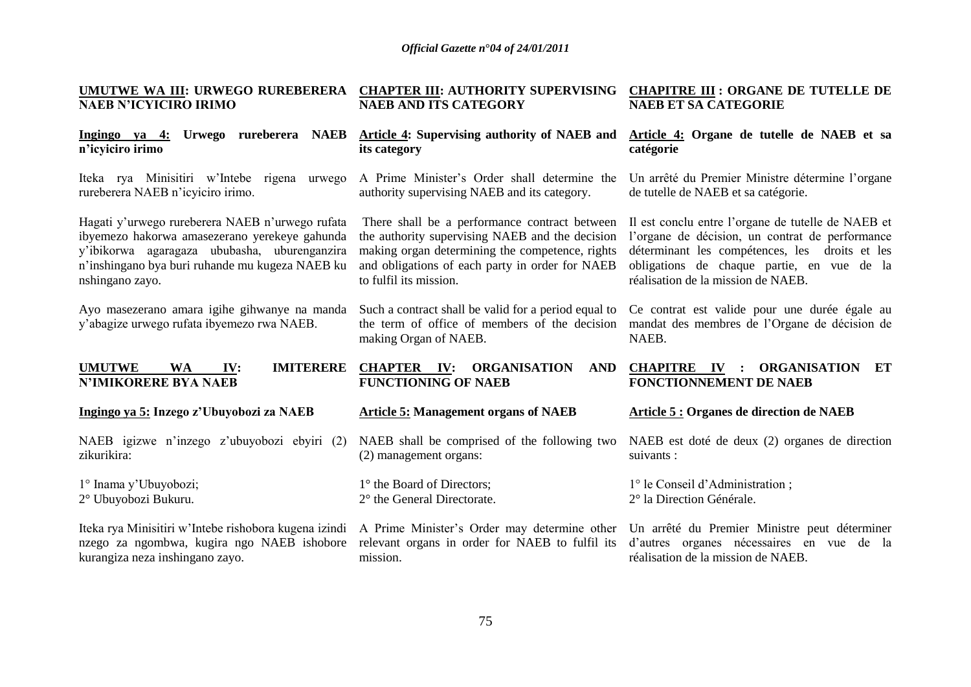| UMUTWE WA III: URWEGO RUREBERERA                                                                                                       | <b>CHAPTER III: AUTHORITY SUPERVISING</b>                                                                                      | <b>CHAPITRE III : ORGANE DE TUTELLE DE</b>                                                                                                                                    |  |  |  |  |  |  |
|----------------------------------------------------------------------------------------------------------------------------------------|--------------------------------------------------------------------------------------------------------------------------------|-------------------------------------------------------------------------------------------------------------------------------------------------------------------------------|--|--|--|--|--|--|
| <b>NAEB N'ICYICIRO IRIMO</b>                                                                                                           | <b>NAEB AND ITS CATEGORY</b>                                                                                                   | <b>NAEB ET SA CATEGORIE</b>                                                                                                                                                   |  |  |  |  |  |  |
| Ingingo ya 4: Urwego rureberera NAEB                                                                                                   | Article 4: Supervising authority of NAEB and                                                                                   | Article 4: Organe de tutelle de NAEB et sa                                                                                                                                    |  |  |  |  |  |  |
| n'icyiciro irimo                                                                                                                       | its category                                                                                                                   | catégorie                                                                                                                                                                     |  |  |  |  |  |  |
| Iteka rya Minisitiri w'Intebe rigena urwego                                                                                            | A Prime Minister's Order shall determine the                                                                                   | Un arrêté du Premier Ministre détermine l'organe                                                                                                                              |  |  |  |  |  |  |
| rureberera NAEB n'icyticiro irimo.                                                                                                     | authority supervising NAEB and its category.                                                                                   | de tutelle de NAEB et sa catégorie.                                                                                                                                           |  |  |  |  |  |  |
| Hagati y'urwego rureberera NAEB n'urwego rufata                                                                                        | There shall be a performance contract between                                                                                  | Il est conclu entre l'organe de tutelle de NAEB et                                                                                                                            |  |  |  |  |  |  |
| ibyemezo hakorwa amasezerano yerekeye gahunda                                                                                          | the authority supervising NAEB and the decision                                                                                | l'organe de décision, un contrat de performance                                                                                                                               |  |  |  |  |  |  |
| y'ibikorwa agaragaza ububasha, uburenganzira                                                                                           | making organ determining the competence, rights                                                                                | déterminant les compétences, les droits et les                                                                                                                                |  |  |  |  |  |  |
| n'inshingano bya buri ruhande mu kugeza NAEB ku                                                                                        | and obligations of each party in order for NAEB                                                                                | obligations de chaque partie, en vue de la                                                                                                                                    |  |  |  |  |  |  |
| nshingano zayo.                                                                                                                        | to fulfil its mission.                                                                                                         | réalisation de la mission de NAEB.                                                                                                                                            |  |  |  |  |  |  |
| Ayo masezerano amara igihe gihwanye na manda<br>y'abagize urwego rufata ibyemezo rwa NAEB.                                             | Such a contract shall be valid for a period equal to<br>the term of office of members of the decision<br>making Organ of NAEB. | Ce contrat est valide pour une durée égale au<br>mandat des membres de l'Organe de décision de<br>NAEB.                                                                       |  |  |  |  |  |  |
| <b>IMITERERE</b><br><b>UMUTWE</b><br><b>WA</b><br>IV:<br><b>N'IMIKORERE BYA NAEB</b>                                                   | <b>CHAPTER IV: ORGANISATION</b><br><b>AND</b><br><b>FUNCTIONING OF NAEB</b>                                                    | CHAPITRE IV : ORGANISATION<br>ET<br><b>FONCTIONNEMENT DE NAEB</b>                                                                                                             |  |  |  |  |  |  |
| Ingingo ya 5: Inzego z'Ubuyobozi za NAEB                                                                                               | <b>Article 5: Management organs of NAEB</b>                                                                                    | Article 5 : Organes de direction de NAEB                                                                                                                                      |  |  |  |  |  |  |
| NAEB igizwe n'inzego z'ubuyobozi ebyiri (2)                                                                                            | NAEB shall be comprised of the following two                                                                                   | NAEB est doté de deux (2) organes de direction                                                                                                                                |  |  |  |  |  |  |
| zikurikira:                                                                                                                            | (2) management organs:                                                                                                         | suivants :                                                                                                                                                                    |  |  |  |  |  |  |
| 1° Inama y'Ubuyobozi;                                                                                                                  | 1° the Board of Directors;                                                                                                     | 1° le Conseil d'Administration;                                                                                                                                               |  |  |  |  |  |  |
| 2° Ubuyobozi Bukuru.                                                                                                                   | 2° the General Directorate.                                                                                                    | 2° la Direction Générale.                                                                                                                                                     |  |  |  |  |  |  |
| Iteka rya Minisitiri w'Intebe rishobora kugena izindi<br>nzego za ngombwa, kugira ngo NAEB ishobore<br>kurangiza neza inshingano zayo. | relevant organs in order for NAEB to fulfil its<br>mission.                                                                    | A Prime Minister's Order may determine other Un arrêté du Premier Ministre peut déterminer<br>d'autres organes nécessaires en vue de la<br>réalisation de la mission de NAEB. |  |  |  |  |  |  |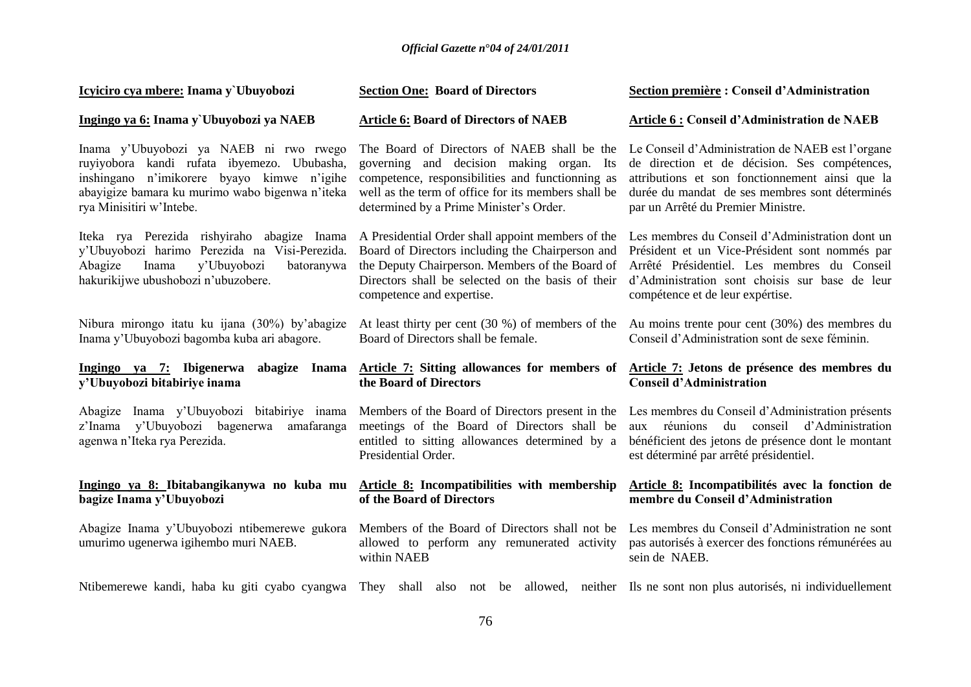| Icyiciro cya mbere: Inama y`Ubuyobozi                                                                                                                                                                              | <b>Section One: Board of Directors</b>                                                                                                                                                                                                        | Section première : Conseil d'Administration                                                                                                                                                                                                  |  |  |  |  |  |  |
|--------------------------------------------------------------------------------------------------------------------------------------------------------------------------------------------------------------------|-----------------------------------------------------------------------------------------------------------------------------------------------------------------------------------------------------------------------------------------------|----------------------------------------------------------------------------------------------------------------------------------------------------------------------------------------------------------------------------------------------|--|--|--|--|--|--|
| Ingingo ya 6: Inama y`Ubuyobozi ya NAEB                                                                                                                                                                            | <b>Article 6: Board of Directors of NAEB</b>                                                                                                                                                                                                  | <b>Article 6: Conseil d'Administration de NAEB</b>                                                                                                                                                                                           |  |  |  |  |  |  |
| Inama y'Ubuyobozi ya NAEB ni rwo rwego<br>ruyiyobora kandi rufata ibyemezo. Ububasha,<br>inshingano n'imikorere byayo kimwe n'igihe<br>abayigize bamara ku murimo wabo bigenwa n'iteka<br>rya Minisitiri w'Intebe. | The Board of Directors of NAEB shall be the<br>governing and decision making organ. Its<br>competence, responsibilities and functionning as<br>well as the term of office for its members shall be<br>determined by a Prime Minister's Order. | Le Conseil d'Administration de NAEB est l'organe<br>de direction et de décision. Ses compétences,<br>attributions et son fonctionnement ainsi que la<br>durée du mandat de ses membres sont déterminés<br>par un Arrêté du Premier Ministre. |  |  |  |  |  |  |
| Iteka rya Perezida rishyiraho abagize Inama<br>y'Ubuyobozi harimo Perezida na Visi-Perezida.<br>y'Ubuyobozi<br>Abagize<br>Inama<br>batoranywa<br>hakurikijwe ubushobozi n'ubuzobere.                               | A Presidential Order shall appoint members of the<br>Board of Directors including the Chairperson and<br>the Deputy Chairperson. Members of the Board of<br>Directors shall be selected on the basis of their<br>competence and expertise.    | Les membres du Conseil d'Administration dont un<br>Président et un Vice-Président sont nommés par<br>Arrêté Présidentiel. Les membres du Conseil<br>d'Administration sont choisis sur base de leur<br>compétence et de leur expértise.       |  |  |  |  |  |  |
| Nibura mirongo itatu ku ijana (30%) by'abagize<br>Inama y'Ubuyobozi bagomba kuba ari abagore.                                                                                                                      | At least thirty per cent $(30\%)$ of members of the<br>Board of Directors shall be female.                                                                                                                                                    | Au moins trente pour cent (30%) des membres du<br>Conseil d'Administration sont de sexe féminin.                                                                                                                                             |  |  |  |  |  |  |
| Ingingo ya 7: Ibigenerwa<br>abagize Inama<br>y'Ubuyobozi bitabiriye inama                                                                                                                                          | Article 7: Sitting allowances for members of<br>the Board of Directors                                                                                                                                                                        | Article 7: Jetons de présence des membres du<br><b>Conseil d'Administration</b>                                                                                                                                                              |  |  |  |  |  |  |
| Abagize Inama y'Ubuyobozi bitabiriye inama<br>z'Inama y'Ubuyobozi bagenerwa<br>amafaranga<br>agenwa n'Iteka rya Perezida.                                                                                          | Members of the Board of Directors present in the<br>meetings of the Board of Directors shall be<br>entitled to sitting allowances determined by a<br>Presidential Order.                                                                      | Les membres du Conseil d'Administration présents<br>aux réunions du conseil d'Administration<br>bénéficient des jetons de présence dont le montant<br>est déterminé par arrêté présidentiel.                                                 |  |  |  |  |  |  |
| Ingingo ya 8: Ibitabangikanywa no kuba mu<br>bagize Inama y'Ubuyobozi                                                                                                                                              | Article 8: Incompatibilities with membership<br>of the Board of Directors                                                                                                                                                                     | Article 8: Incompatibilités avec la fonction de<br>membre du Conseil d'Administration                                                                                                                                                        |  |  |  |  |  |  |
| Abagize Inama y'Ubuyobozi ntibemerewe gukora<br>umurimo ugenerwa igihembo muri NAEB.                                                                                                                               | Members of the Board of Directors shall not be<br>allowed to perform any remunerated activity<br>within NAEB                                                                                                                                  | Les membres du Conseil d'Administration ne sont<br>pas autorisés à exercer des fonctions rémunérées au<br>sein de NAEB.                                                                                                                      |  |  |  |  |  |  |
|                                                                                                                                                                                                                    |                                                                                                                                                                                                                                               | Ntibemerewe kandi, haba ku giti cyabo cyangwa They shall also not be allowed, neither Ils ne sont non plus autorisés, ni individuellement                                                                                                    |  |  |  |  |  |  |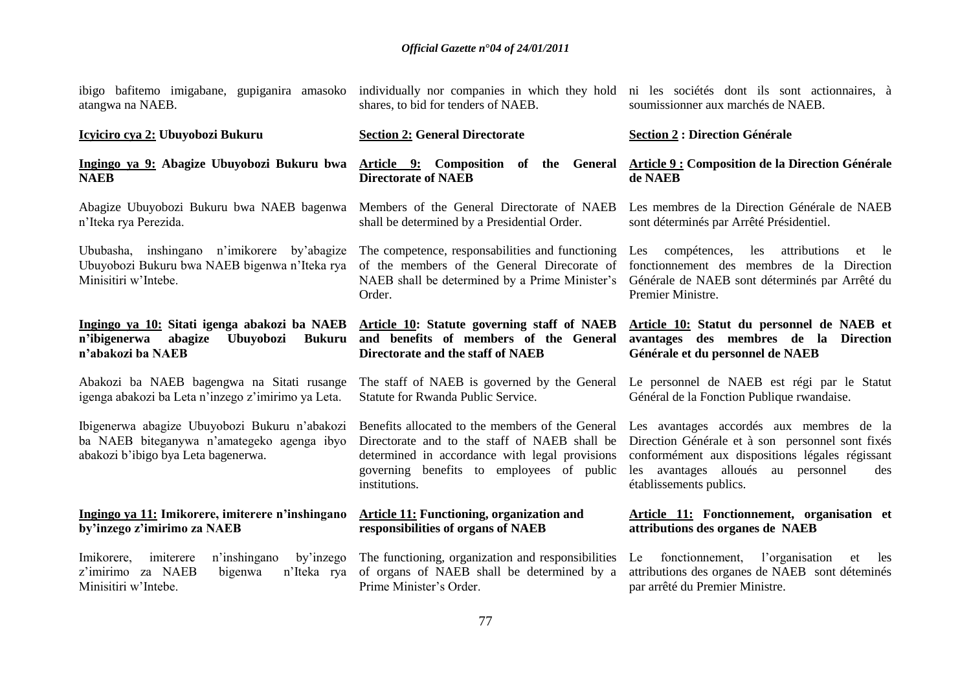| atangwa na NAEB.                                                                                                                   | shares, to bid for tenders of NAEB.                                                                                                                                                                                                                       | ibigo bafitemo imigabane, gupiganira amasoko individually nor companies in which they hold ni les sociétés dont ils sont actionnaires, à<br>soumissionner aux marchés de NAEB.                                          |  |  |  |  |  |
|------------------------------------------------------------------------------------------------------------------------------------|-----------------------------------------------------------------------------------------------------------------------------------------------------------------------------------------------------------------------------------------------------------|-------------------------------------------------------------------------------------------------------------------------------------------------------------------------------------------------------------------------|--|--|--|--|--|
| Icyiciro cya 2: Ubuyobozi Bukuru                                                                                                   | <b>Section 2: General Directorate</b>                                                                                                                                                                                                                     | <b>Section 2 : Direction Générale</b>                                                                                                                                                                                   |  |  |  |  |  |
| Ingingo ya 9: Abagize Ubuyobozi Bukuru bwa<br><b>NAEB</b>                                                                          | Article 9: Composition of the General<br><b>Directorate of NAEB</b>                                                                                                                                                                                       | <b>Article 9 : Composition de la Direction Générale</b><br>de NAEB                                                                                                                                                      |  |  |  |  |  |
| Abagize Ubuyobozi Bukuru bwa NAEB bagenwa<br>n'Iteka rya Perezida.                                                                 | Members of the General Directorate of NAEB<br>shall be determined by a Presidential Order.                                                                                                                                                                | Les membres de la Direction Générale de NAEB<br>sont déterminés par Arrêté Présidentiel.                                                                                                                                |  |  |  |  |  |
| Ububasha, inshingano n'imikorere by'abagize<br>Ubuyobozi Bukuru bwa NAEB bigenwa n'Iteka rya<br>Minisitiri w'Intebe.               | The competence, responsabilities and functioning<br>of the members of the General Direcorate of<br>NAEB shall be determined by a Prime Minister's<br>Order.                                                                                               | Les compétences,<br>les attributions<br>et le<br>fonctionnement des membres de la Direction<br>Générale de NAEB sont déterminés par Arrêté du<br>Premier Ministre.                                                      |  |  |  |  |  |
| Ingingo ya 10: Sitati igenga abakozi ba NAEB<br>n'ibigenerwa<br>abagize<br>Ubuyobozi<br><b>Bukuru</b><br>n'abakozi ba NAEB         | Article 10: Statute governing staff of NAEB<br>and benefits of members of the General<br>Directorate and the staff of NAEB                                                                                                                                | Article 10: Statut du personnel de NAEB et<br>avantages des membres de la Direction<br>Générale et du personnel de NAEB                                                                                                 |  |  |  |  |  |
| Abakozi ba NAEB bagengwa na Sitati rusange<br>igenga abakozi ba Leta n'inzego z'imirimo ya Leta.                                   | The staff of NAEB is governed by the General<br><b>Statute for Rwanda Public Service.</b>                                                                                                                                                                 | Le personnel de NAEB est régi par le Statut<br>Général de la Fonction Publique rwandaise.                                                                                                                               |  |  |  |  |  |
| Ibigenerwa abagize Ubuyobozi Bukuru n'abakozi<br>ba NAEB biteganywa n'amategeko agenga ibyo<br>abakozi b'ibigo bya Leta bagenerwa. | Benefits allocated to the members of the General<br>Directorate and to the staff of NAEB shall be<br>determined in accordance with legal provisions<br>governing benefits to employees of public<br>institutions.                                         | Les avantages accordés aux membres de la<br>Direction Générale et à son personnel sont fixés<br>conformément aux dispositions légales régissant<br>les avantages alloués au personnel<br>des<br>établissements publics. |  |  |  |  |  |
| Ingingo ya 11: Imikorere, imiterere n'inshingano<br>by'inzego z'imirimo za NAEB                                                    | <b>Article 11: Functioning, organization and</b><br>responsibilities of organs of NAEB                                                                                                                                                                    | Article 11: Fonctionnement, organisation et<br>attributions des organes de NAEB                                                                                                                                         |  |  |  |  |  |
| n'inshingano<br>by'inzego<br>Imikorere,<br>imiterere<br>z'imirimo za NAEB<br>bigenwa<br>n'Iteka rya<br>Minisitiri w'Intebe.        | The functioning, organization and responsibilities<br>fonctionnement, l'organisation<br>Le<br>of organs of NAEB shall be determined by a<br>attributions des organes de NAEB sont déteminés<br>Prime Minister's Order.<br>par arrêté du Premier Ministre. |                                                                                                                                                                                                                         |  |  |  |  |  |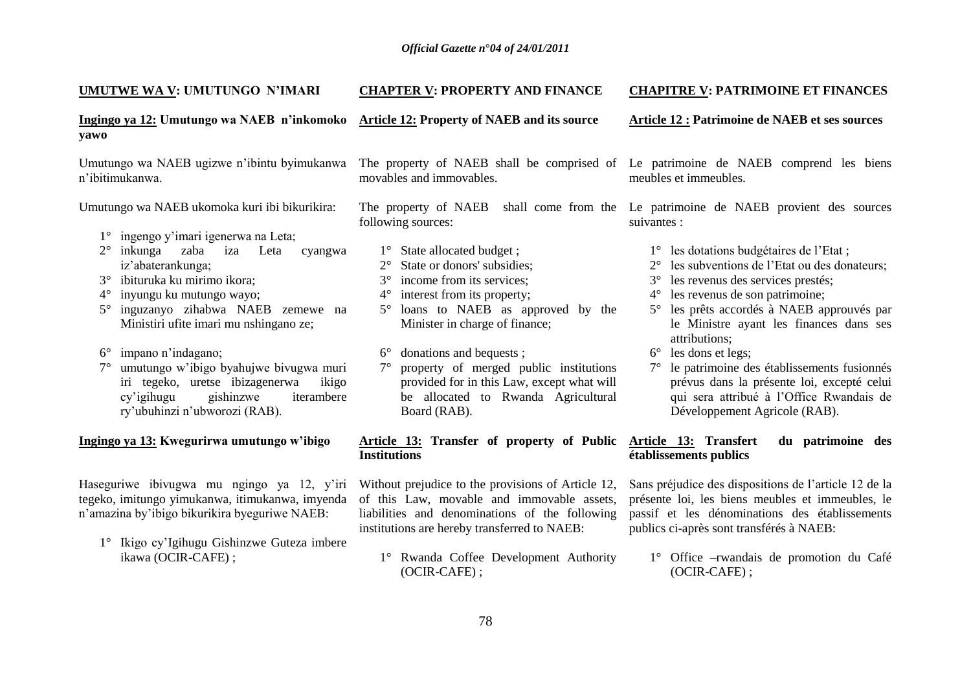| UMUTWE WA V: UMUTUNGO N'IMARI                                                                                                                                                                                                                                                                                                                                                                                                                                                                                                                                            | <b>CHAPTER V: PROPERTY AND FINANCE</b>                                                                                                                                                                                                                                                                                                                                                                                                                            | <b>CHAPITRE V: PATRIMOINE ET FINANCES</b>                                                                                                                                                                                                                                                                                                                                                                                                                                                                                                                                                                                        |  |  |  |  |  |  |
|--------------------------------------------------------------------------------------------------------------------------------------------------------------------------------------------------------------------------------------------------------------------------------------------------------------------------------------------------------------------------------------------------------------------------------------------------------------------------------------------------------------------------------------------------------------------------|-------------------------------------------------------------------------------------------------------------------------------------------------------------------------------------------------------------------------------------------------------------------------------------------------------------------------------------------------------------------------------------------------------------------------------------------------------------------|----------------------------------------------------------------------------------------------------------------------------------------------------------------------------------------------------------------------------------------------------------------------------------------------------------------------------------------------------------------------------------------------------------------------------------------------------------------------------------------------------------------------------------------------------------------------------------------------------------------------------------|--|--|--|--|--|--|
| Ingingo ya 12: Umutungo wa NAEB n'inkomoko<br>yawo                                                                                                                                                                                                                                                                                                                                                                                                                                                                                                                       | <b>Article 12: Property of NAEB and its source</b>                                                                                                                                                                                                                                                                                                                                                                                                                | <b>Article 12 : Patrimoine de NAEB et ses sources</b>                                                                                                                                                                                                                                                                                                                                                                                                                                                                                                                                                                            |  |  |  |  |  |  |
| Umutungo wa NAEB ugizwe n'ibintu byimukanwa<br>n'ibitimukanwa.                                                                                                                                                                                                                                                                                                                                                                                                                                                                                                           | movables and immovables.                                                                                                                                                                                                                                                                                                                                                                                                                                          | The property of NAEB shall be comprised of Le patrimoine de NAEB comprend les biens<br>meubles et immeubles.                                                                                                                                                                                                                                                                                                                                                                                                                                                                                                                     |  |  |  |  |  |  |
| Umutungo wa NAEB ukomoka kuri ibi bikurikira:<br>ingengo y'imari igenerwa na Leta;<br>$1^{\circ}$<br>inkunga<br>iza<br>$2^{\circ}$<br>zaba<br>Leta<br>cyangwa<br>iz'abaterankunga;<br>ibituruka ku mirimo ikora;<br>$3^\circ$<br>inyungu ku mutungo wayo;<br>$4^\circ$<br>inguzanyo zihabwa NAEB zemewe na<br>$5^{\circ}$<br>Ministiri ufite imari mu nshingano ze;<br>impano n'indagano;<br>$6^{\circ}$<br>umutungo w'ibigo byahujwe bivugwa muri<br>iri tegeko, uretse ibizagenerwa<br>ikigo<br>gishinzwe<br>iterambere<br>cy'igihugu<br>ry'ubuhinzi n'ubworozi (RAB). | following sources:<br>1° State allocated budget;<br>State or donors' subsidies;<br>income from its services;<br>$3^\circ$<br>interest from its property;<br>$4^{\circ}$<br>loans to NAEB as approved by the<br>$5^{\circ}$<br>Minister in charge of finance;<br>$6^{\circ}$ donations and bequests;<br>property of merged public institutions<br>$7^{\circ}$<br>provided for in this Law, except what will<br>be allocated to Rwanda Agricultural<br>Board (RAB). | The property of NAEB shall come from the Le patrimoine de NAEB provient des sources<br>suivantes :<br>1° les dotations budgétaires de l'Etat;<br>les subventions de l'Etat ou des donateurs;<br>les revenus des services prestés;<br>$3^\circ$<br>les revenus de son patrimoine;<br>$4^\circ$<br>les prêts accordés à NAEB approuvés par<br>$5^{\circ}$<br>le Ministre ayant les finances dans ses<br>attributions;<br>$6^{\circ}$ les dons et legs;<br>7° le patrimoine des établissements fusionnés<br>prévus dans la présente loi, excepté celui<br>qui sera attribué à l'Office Rwandais de<br>Développement Agricole (RAB). |  |  |  |  |  |  |
| Ingingo ya 13: Kwegurirwa umutungo w'ibigo                                                                                                                                                                                                                                                                                                                                                                                                                                                                                                                               | Article 13: Transfer of property of Public<br><b>Institutions</b>                                                                                                                                                                                                                                                                                                                                                                                                 | <b>Article 13: Transfert</b><br>du patrimoine des<br>établissements publics                                                                                                                                                                                                                                                                                                                                                                                                                                                                                                                                                      |  |  |  |  |  |  |
| Haseguriwe ibivugwa mu ngingo ya 12, y'iri<br>tegeko, imitungo yimukanwa, itimukanwa, imyenda<br>n'amazina by'ibigo bikurikira byeguriwe NAEB:<br>1° Ikigo cy'Igihugu Gishinzwe Guteza imbere<br>ikawa (OCIR-CAFE);                                                                                                                                                                                                                                                                                                                                                      | Without prejudice to the provisions of Article 12,<br>of this Law, movable and immovable assets,<br>liabilities and denominations of the following<br>institutions are hereby transferred to NAEB:<br>1° Rwanda Coffee Development Authority<br>(OCIR-CAFE);                                                                                                                                                                                                      | Sans préjudice des dispositions de l'article 12 de la<br>présente loi, les biens meubles et immeubles, le<br>passif et les dénominations des établissements<br>publics ci-après sont transférés à NAEB:<br>1° Office - rwandais de promotion du Café<br>(OCIR-CAFE);                                                                                                                                                                                                                                                                                                                                                             |  |  |  |  |  |  |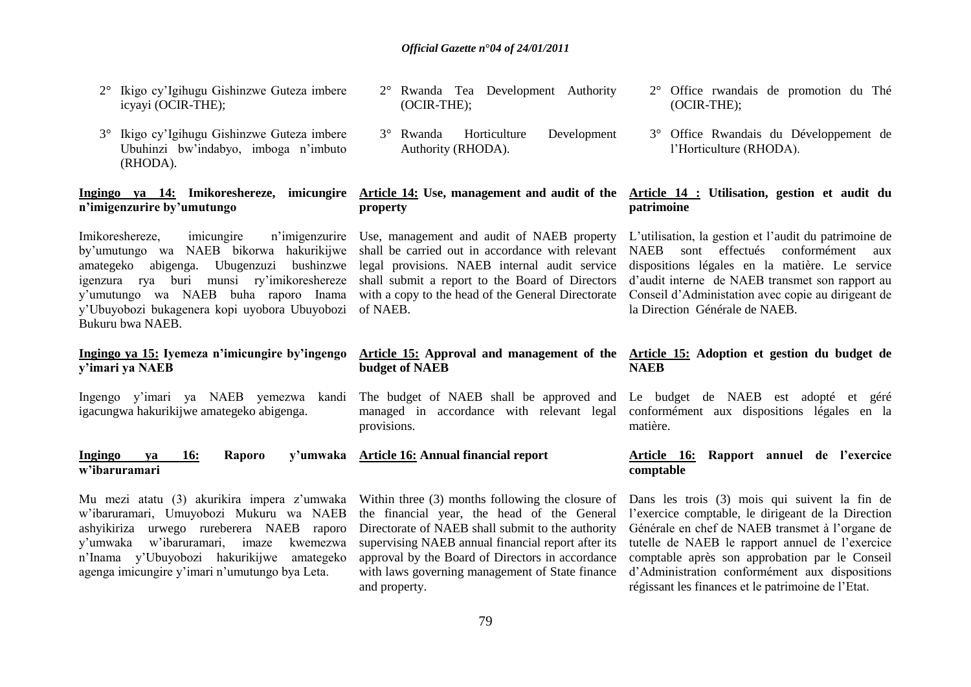- 2° Ikigo cy"Igihugu Gishinzwe Guteza imbere icyayi (OCIR-THE);
- 3° Ikigo cy"Igihugu Gishinzwe Guteza imbere Ubuhinzi bw"indabyo, imboga n"imbuto (RHODA).

# **n'imigenzurire by'umutungo**

Imikoreshereze, imicungire n"imigenzurire Use, management and audit of NAEB property by"umutungo wa NAEB bikorwa hakurikijwe amategeko abigenga. Ubugenzuzi bushinzwe igenzura rya buri munsi ry"imikoreshereze y"umutungo wa NAEB buha raporo Inama y"Ubuyobozi bukagenera kopi uyobora Ubuyobozi Bukuru bwa NAEB.

# **Ingingo ya 15: Iyemeza n'imicungire by'ingengo y'imari ya NAEB**

Ingengo y"imari ya NAEB yemezwa kandi igacungwa hakurikijwe amategeko abigenga.

# 2° Rwanda Tea Development Authority (OCIR-THE);

3° Rwanda Horticulture Development Authority (RHODA).

# **property**

shall be carried out in accordance with relevant legal provisions. NAEB internal audit service shall submit a report to the Board of Directors with a copy to the head of the General Directorate of NAEB.

# 2° Office rwandais de promotion du Thé (OCIR-THE);

3° Office Rwandais du Développement de l"Horticulture (RHODA).

# **Ingingo ya 14: Imikoreshereze, imicungire Article 14: Use, management and audit of the Article 14 : Utilisation, gestion et audit du patrimoine**

L"utilisation, la gestion et l"audit du patrimoine de NAEB sont effectués conformément aux dispositions légales en la matière. Le service d"audit interne de NAEB transmet son rapport au Conseil d"Administation avec copie au dirigeant de la Direction Générale de NAEB.

# **Article 15: Approval and management of the budget of NAEB**

The budget of NAEB shall be approved and managed in accordance with relevant legal provisions.

#### **Ingingo ya 16: Raporo y'umwaka Article 16: Annual financial report w'ibaruramari**

Mu mezi atatu (3) akurikira impera z'umwaka Within three (3) months following the closure of w"ibaruramari, Umuyobozi Mukuru wa NAEB ashyikiriza urwego rureberera NAEB raporo y"umwaka w"ibaruramari, imaze kwemezwa n"Inama y"Ubuyobozi hakurikijwe amategeko agenga imicungire y"imari n"umutungo bya Leta.

the financial year, the head of the General Directorate of NAEB shall submit to the authority supervising NAEB annual financial report after its approval by the Board of Directors in accordance with laws governing management of State finance and property.

# **Article 15: Adoption et gestion du budget de NAEB**

Le budget de NAEB est adopté et géré conformément aux dispositions légales en la matière.

# **Article 16: Rapport annuel de l'exercice comptable**

Dans les trois (3) mois qui suivent la fin de l"exercice comptable, le dirigeant de la Direction Générale en chef de NAEB transmet à l"organe de tutelle de NAEB le rapport annuel de l"exercice comptable après son approbation par le Conseil d"Administration conformément aux dispositions régissant les finances et le patrimoine de l"Etat.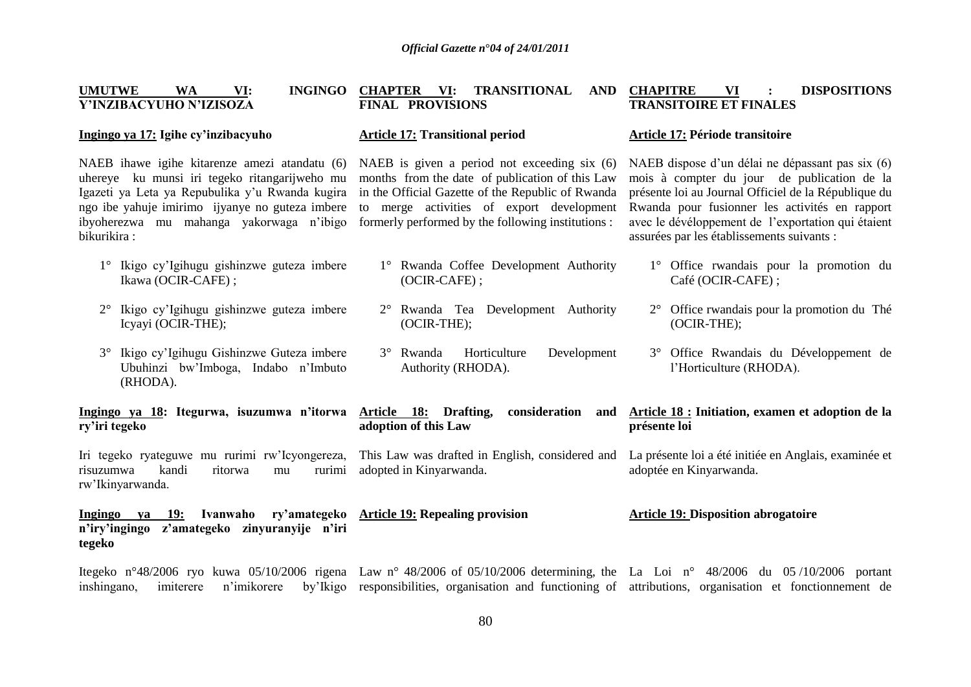**CHAPITRE VI : DISPOSITIONS** 

| <b>UMUTWE</b><br>VI:<br><b>INGINGO</b><br>WA<br>Y'INZIBACYUHO N'IZISOZA                                                                                                                                                                                         | <b>CHAPTER</b><br>VI:<br>TRANSITIONAL<br>AND<br><b>FINAL PROVISIONS</b>                                                                                                                                                                                 | <b>CHAPITRE</b><br><b>DISPOSITIONS</b><br>VI<br><b>TRANSITOIRE ET FINALES</b>                                                                                                                                                                                                                                 |  |  |  |  |  |  |  |  |
|-----------------------------------------------------------------------------------------------------------------------------------------------------------------------------------------------------------------------------------------------------------------|---------------------------------------------------------------------------------------------------------------------------------------------------------------------------------------------------------------------------------------------------------|---------------------------------------------------------------------------------------------------------------------------------------------------------------------------------------------------------------------------------------------------------------------------------------------------------------|--|--|--|--|--|--|--|--|
| Ingingo ya 17: Igihe cy'inzibacyuho                                                                                                                                                                                                                             | <b>Article 17: Transitional period</b>                                                                                                                                                                                                                  | Article 17: Période transitoire                                                                                                                                                                                                                                                                               |  |  |  |  |  |  |  |  |
| NAEB ihawe igihe kitarenze amezi atandatu (6)<br>uhereye ku munsi iri tegeko ritangarijweho mu<br>Igazeti ya Leta ya Repubulika y'u Rwanda kugira<br>ngo ibe yahuje imirimo ijyanye no guteza imbere<br>ibyoherezwa mu mahanga yakorwaga n'ibigo<br>bikurikira: | NAEB is given a period not exceeding six (6)<br>months from the date of publication of this Law<br>in the Official Gazette of the Republic of Rwanda<br>to merge activities of export development<br>formerly performed by the following institutions : | NAEB dispose d'un délai ne dépassant pas six (6)<br>mois à compter du jour de publication de la<br>présente loi au Journal Officiel de la République du<br>Rwanda pour fusionner les activités en rapport<br>avec le dévéloppement de l'exportation qui étaient<br>assurées par les établissements suivants : |  |  |  |  |  |  |  |  |
| 1° Ikigo cy'Igihugu gishinzwe guteza imbere<br>Ikawa (OCIR-CAFE);                                                                                                                                                                                               | 1° Rwanda Coffee Development Authority<br>(OCIR-CAFE);                                                                                                                                                                                                  | 1° Office rwandais pour la promotion du<br>Café (OCIR-CAFE);                                                                                                                                                                                                                                                  |  |  |  |  |  |  |  |  |
| Ikigo cy'Igihugu gishinzwe guteza imbere<br>Icyayi (OCIR-THE);                                                                                                                                                                                                  | 2° Rwanda Tea Development Authority<br>(OCIR-THE);                                                                                                                                                                                                      | 2° Office rwandais pour la promotion du Thé<br>$(OCIR-THE);$                                                                                                                                                                                                                                                  |  |  |  |  |  |  |  |  |
| Ikigo cy'Igihugu Gishinzwe Guteza imbere<br>Ubuhinzi bw'Imboga, Indabo n'Imbuto<br>(RHODA).                                                                                                                                                                     | 3° Rwanda<br>Horticulture<br>Development<br>Authority (RHODA).                                                                                                                                                                                          | 3° Office Rwandais du Développement de<br>l'Horticulture (RHODA).                                                                                                                                                                                                                                             |  |  |  |  |  |  |  |  |
| Ingingo ya 18: Itegurwa, isuzumwa n'itorwa<br>ry'iri tegeko                                                                                                                                                                                                     | Article 18: Drafting,<br>consideration<br>and<br>adoption of this Law                                                                                                                                                                                   | Article 18 : Initiation, examen et adoption de la<br>présente loi                                                                                                                                                                                                                                             |  |  |  |  |  |  |  |  |
| Iri tegeko ryateguwe mu rurimi rw'Icyongereza,<br>risuzumwa<br>kandi<br>ritorwa<br>rurimi<br>mu<br>rw'Ikinyarwanda.                                                                                                                                             | adopted in Kinyarwanda.                                                                                                                                                                                                                                 | This Law was drafted in English, considered and La présente loi a été initiée en Anglais, examinée et<br>adoptée en Kinyarwanda.                                                                                                                                                                              |  |  |  |  |  |  |  |  |
| Ingingo ya<br>Ivanwaho<br>ry'amategeko<br>- 19:<br>n'iry'ingingo<br>z'amategeko zinyuranyije n'iri<br>tegeko                                                                                                                                                    | <b>Article 19: Repealing provision</b>                                                                                                                                                                                                                  | <b>Article 19: Disposition abrogatoire</b>                                                                                                                                                                                                                                                                    |  |  |  |  |  |  |  |  |
| Itegeko n°48/2006 ryo kuwa 05/10/2006 rigena Law n° 48/2006 of 05/10/2006 determining, the La Loi n° 48/2006 du 05/10/2006 portant                                                                                                                              |                                                                                                                                                                                                                                                         |                                                                                                                                                                                                                                                                                                               |  |  |  |  |  |  |  |  |

inshingano, imiterere n'imikorere by'Ikigo responsibilities, organisation and functioning of attributions, organisation et fonctionnement de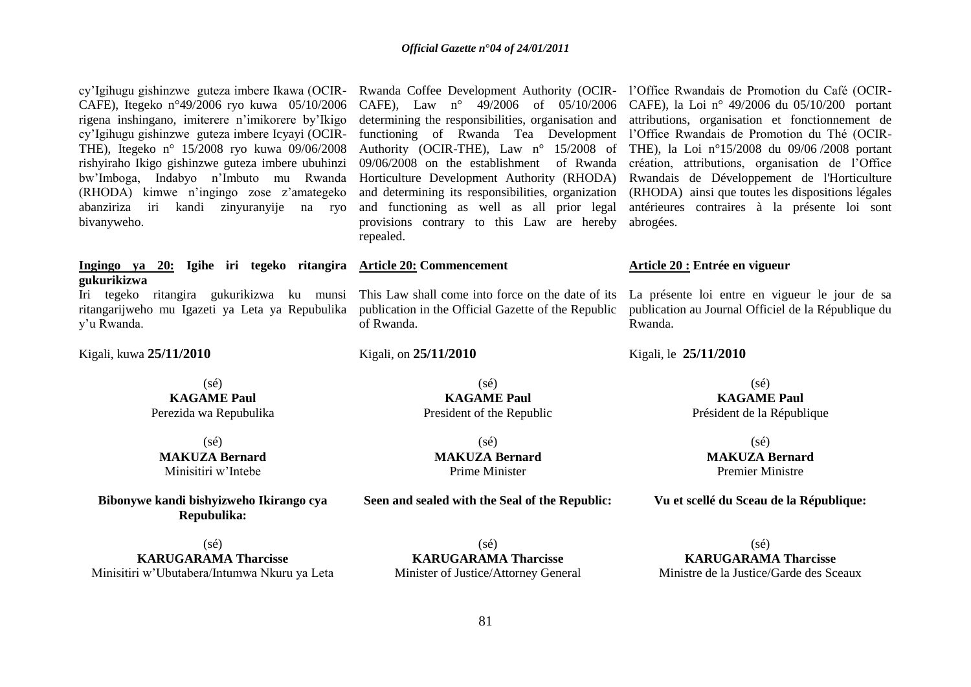| cy'Igihugu gishinzwe guteza imbere Ikawa (OCIR-<br>CAFE), Itegeko nº49/2006 ryo kuwa 05/10/2006<br>rigena inshingano, imiterere n'imikorere by'Ikigo<br>cy'Igihugu gishinzwe guteza imbere Icyayi (OCIR-<br>THE), Itegeko nº 15/2008 ryo kuwa 09/06/2008<br>rishyiraho Ikigo gishinzwe guteza imbere ubuhinzi<br>bw'Imboga, Indabyo n'Imbuto mu Rwanda<br>(RHODA) kimwe n'ingingo zose z'amategeko<br>abanziriza<br>iri<br>kandi<br>zinyuranyije<br>na ryo<br>bivanyweho. | CAFE), Law $n^{\circ}$ 49/2006 of 05/10/2006<br>determining the responsibilities, organisation and<br>functioning of Rwanda Tea Development<br>Authority (OCIR-THE), Law n° 15/2008 of<br>09/06/2008 on the establishment of Rwanda<br>Horticulture Development Authority (RHODA)<br>and determining its responsibilities, organization<br>and functioning as well as all prior legal<br>provisions contrary to this Law are hereby<br>repealed. | Rwanda Coffee Development Authority (OCIR- l'Office Rwandais de Promotion du Café (OCIR-<br>CAFE), la Loi nº 49/2006 du 05/10/200 portant<br>attributions, organisation et fonctionnement de<br>l'Office Rwandais de Promotion du Thé (OCIR-<br>THE), la Loi nº15/2008 du 09/06/2008 portant<br>création, attributions, organisation de l'Office<br>Rwandais de Développement de l'Horticulture<br>(RHODA) ainsi que toutes les dispositions légales<br>antérieures contraires à la présente loi sont<br>abrogées. |  |  |  |  |  |  |
|---------------------------------------------------------------------------------------------------------------------------------------------------------------------------------------------------------------------------------------------------------------------------------------------------------------------------------------------------------------------------------------------------------------------------------------------------------------------------|--------------------------------------------------------------------------------------------------------------------------------------------------------------------------------------------------------------------------------------------------------------------------------------------------------------------------------------------------------------------------------------------------------------------------------------------------|--------------------------------------------------------------------------------------------------------------------------------------------------------------------------------------------------------------------------------------------------------------------------------------------------------------------------------------------------------------------------------------------------------------------------------------------------------------------------------------------------------------------|--|--|--|--|--|--|
| Ingingo ya 20: Igihe iri tegeko ritangira Article 20: Commencement                                                                                                                                                                                                                                                                                                                                                                                                        |                                                                                                                                                                                                                                                                                                                                                                                                                                                  | Article 20 : Entrée en vigueur                                                                                                                                                                                                                                                                                                                                                                                                                                                                                     |  |  |  |  |  |  |
| gukurikizwa<br>Iri tegeko ritangira gukurikizwa ku munsi This Law shall come into force on the date of its<br>ritangarijweho mu Igazeti ya Leta ya Repubulika<br>y'u Rwanda.                                                                                                                                                                                                                                                                                              | publication in the Official Gazette of the Republic<br>of Rwanda.                                                                                                                                                                                                                                                                                                                                                                                | La présente loi entre en vigueur le jour de sa<br>publication au Journal Officiel de la République du<br>Rwanda.                                                                                                                                                                                                                                                                                                                                                                                                   |  |  |  |  |  |  |
| Kigali, kuwa 25/11/2010                                                                                                                                                                                                                                                                                                                                                                                                                                                   | Kigali, on 25/11/2010                                                                                                                                                                                                                                                                                                                                                                                                                            | Kigali, le 25/11/2010                                                                                                                                                                                                                                                                                                                                                                                                                                                                                              |  |  |  |  |  |  |
| $(s\acute{e})$                                                                                                                                                                                                                                                                                                                                                                                                                                                            | $(s\acute{e})$                                                                                                                                                                                                                                                                                                                                                                                                                                   | $(s\acute{e})$                                                                                                                                                                                                                                                                                                                                                                                                                                                                                                     |  |  |  |  |  |  |
| <b>KAGAME Paul</b>                                                                                                                                                                                                                                                                                                                                                                                                                                                        | <b>KAGAME Paul</b>                                                                                                                                                                                                                                                                                                                                                                                                                               | <b>KAGAME Paul</b>                                                                                                                                                                                                                                                                                                                                                                                                                                                                                                 |  |  |  |  |  |  |
| Perezida wa Repubulika                                                                                                                                                                                                                                                                                                                                                                                                                                                    | President of the Republic                                                                                                                                                                                                                                                                                                                                                                                                                        | Président de la République                                                                                                                                                                                                                                                                                                                                                                                                                                                                                         |  |  |  |  |  |  |
| $(s\acute{e})$                                                                                                                                                                                                                                                                                                                                                                                                                                                            | $(s\acute{e})$                                                                                                                                                                                                                                                                                                                                                                                                                                   | $(s\acute{e})$                                                                                                                                                                                                                                                                                                                                                                                                                                                                                                     |  |  |  |  |  |  |
| <b>MAKUZA Bernard</b>                                                                                                                                                                                                                                                                                                                                                                                                                                                     | <b>MAKUZA Bernard</b>                                                                                                                                                                                                                                                                                                                                                                                                                            | <b>MAKUZA Bernard</b>                                                                                                                                                                                                                                                                                                                                                                                                                                                                                              |  |  |  |  |  |  |
| Minisitiri w'Intebe                                                                                                                                                                                                                                                                                                                                                                                                                                                       | Prime Minister                                                                                                                                                                                                                                                                                                                                                                                                                                   | <b>Premier Ministre</b>                                                                                                                                                                                                                                                                                                                                                                                                                                                                                            |  |  |  |  |  |  |
| Bibonywe kandi bishyizweho Ikirango cya<br>Repubulika:                                                                                                                                                                                                                                                                                                                                                                                                                    | Seen and sealed with the Seal of the Republic:                                                                                                                                                                                                                                                                                                                                                                                                   | Vu et scellé du Sceau de la République:                                                                                                                                                                                                                                                                                                                                                                                                                                                                            |  |  |  |  |  |  |
| $(s\acute{e})$                                                                                                                                                                                                                                                                                                                                                                                                                                                            |                                                                                                                                                                                                                                                                                                                                                                                                                                                  | $(s\acute{e})$                                                                                                                                                                                                                                                                                                                                                                                                                                                                                                     |  |  |  |  |  |  |
|                                                                                                                                                                                                                                                                                                                                                                                                                                                                           | $(s\acute{e})$                                                                                                                                                                                                                                                                                                                                                                                                                                   |                                                                                                                                                                                                                                                                                                                                                                                                                                                                                                                    |  |  |  |  |  |  |
| <b>KARUGARAMA Tharcisse</b>                                                                                                                                                                                                                                                                                                                                                                                                                                               | <b>KARUGARAMA Tharcisse</b>                                                                                                                                                                                                                                                                                                                                                                                                                      | <b>KARUGARAMA Tharcisse</b>                                                                                                                                                                                                                                                                                                                                                                                                                                                                                        |  |  |  |  |  |  |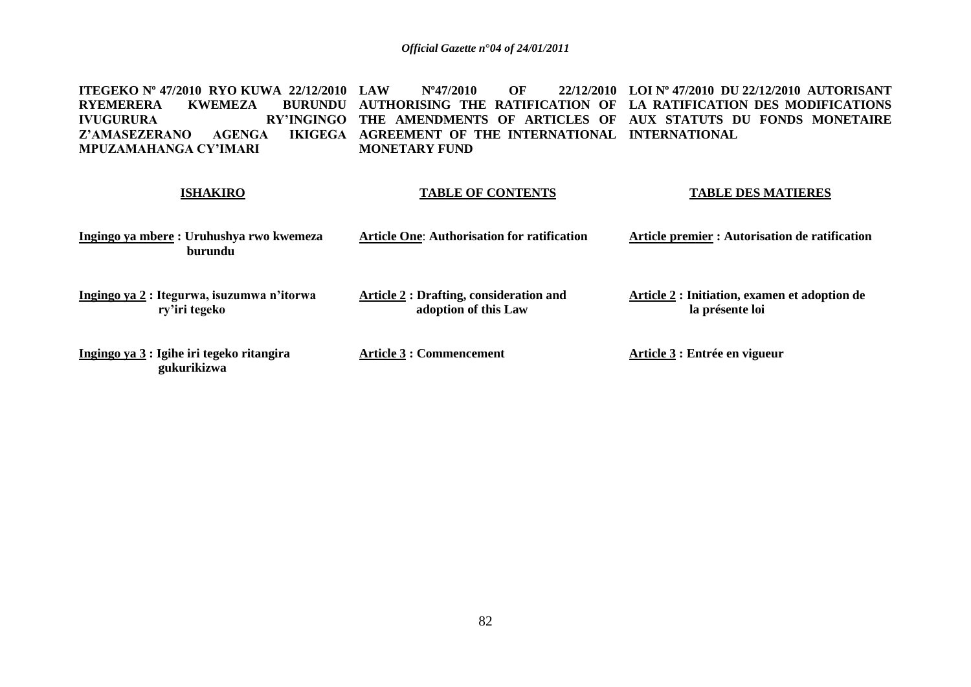**ITEGEKO Nº 47/2010 RYO KUWA 22/12/2010 LAW<br>
RYEMERERA KWEMEZA BURUNDU AUTE RYEMERERA<br>IVUGURURA IVUGURURA RY'INGINGO THE AMENDMENTS OF ARTICLES OF AUX STATUTS DU FONDS MONETAIRE Z'AMASEZERANO AGENGA MPUZAMAHANGA CY'IMARI LAW Nº47/2010 OF 22/12/2010 AUTHORISING THE RATIFICATION OF LA RATIFICATION DES MODIFICATIONS AGREEMENT OF THE INTERNATIONAL INTERNATIONAL MONETARY FUND LOI Nº 47/2010 DU 22/12/2010 AUTORISANT** 

# **ISHAKIRO**

# **TABLE OF CONTENTS**

**TABLE DES MATIERES**

| Ingingo ya mbere: Uruhushya rwo kwemeza<br>burundu          | <b>Article One: Authorisation for ratification</b>                     | Article premier : Autorisation de ratification                   |  |  |  |  |  |  |
|-------------------------------------------------------------|------------------------------------------------------------------------|------------------------------------------------------------------|--|--|--|--|--|--|
| Ingingo ya 2 : Itegurwa, isuzumwa n'itorwa<br>ry'iri tegeko | <b>Article 2 : Drafting, consideration and</b><br>adoption of this Law | Article 2 : Initiation, examen et adoption de<br>la présente loi |  |  |  |  |  |  |
| Ingingo ya 3 : Igihe iri tegeko ritangira<br>gukurikizwa    | <b>Article 3 : Commencement</b>                                        | Article 3 : Entrée en vigueur                                    |  |  |  |  |  |  |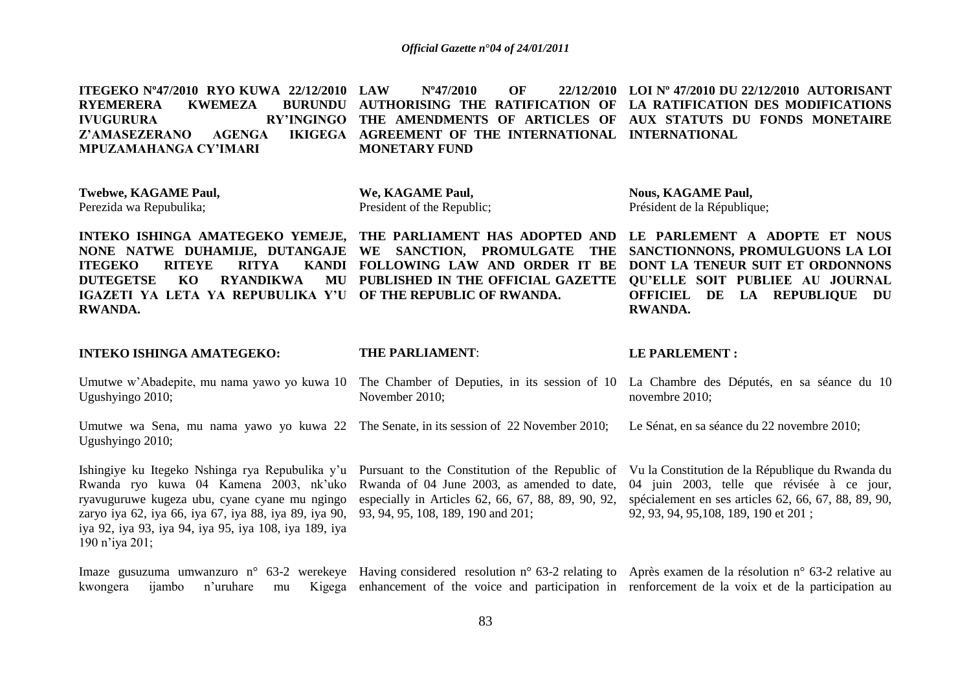| ITEGEKO N°47/2010 RYO KUWA 22/12/2010 LAW                                 | N°47/2010<br>OF      | $22/12/2010$ LOI N° 47/2010 DU 22/12/2010 AUTORISANT                      |
|---------------------------------------------------------------------------|----------------------|---------------------------------------------------------------------------|
| RYEMERERA<br>KWEMEZA                                                      |                      | BURUNDU AUTHORISING THE RATIFICATION OF LA RATIFICATION DES MODIFICATIONS |
| IVUGURURA                                                                 |                      | RY'INGINGO THE AMENDMENTS OF ARTICLES OF AUX STATUTS DU FONDS MONETAIRE   |
| Z'AMASEZERANO AGENGA IKIGEGA AGREEMENT OF THE INTERNATIONAL INTERNATIONAL |                      |                                                                           |
| MPUZAMAHANGA CY'IMARI                                                     | <b>MONETARY FUND</b> |                                                                           |

**Twebwe, KAGAME Paul,** Perezida wa Repubulika;

**We, KAGAME Paul,** President of the Republic; **Nous, KAGAME Paul,** Président de la République;

**INTEKO ISHINGA AMATEGEKO YEMEJE, THE PARLIAMENT HAS ADOPTED AND LE PARLEMENT A ADOPTE ET NOUS NONE NATWE DUHAMIJE, DUTANGAJE WE SANCTION, PROMULGATE THE ITEGEKO RITEYE RITYA DUTEGETSE KO RYANDIKWA IGAZETI YA LETA YA REPUBULIKA Y'U OF THE REPUBLIC OF RWANDA. RWANDA. FOLLOWING LAW AND ORDER IT BE PUBLISHED IN THE OFFICIAL GAZETTE QU'ELLE SOIT PUBLIEE AU JOURNAL SANCTIONNONS, PROMULGUONS LA LOI DONT LA TENEUR SUIT ET ORDONNONS OFFICIEL DE LA REPUBLIQUE DU RWANDA.**

| <b>INTEKO ISHINGA AMATEGEKO:</b>                                                                                                                                                                                                                                                                                                                                                                                                                                                                                  | <b>THE PARLIAMENT:</b> | <b>LE PARLEMENT :</b>                                                                                                                       |  |  |  |  |  |  |
|-------------------------------------------------------------------------------------------------------------------------------------------------------------------------------------------------------------------------------------------------------------------------------------------------------------------------------------------------------------------------------------------------------------------------------------------------------------------------------------------------------------------|------------------------|---------------------------------------------------------------------------------------------------------------------------------------------|--|--|--|--|--|--|
| Umutwe w'Abadepite, mu nama yawo yo kuwa 10 The Chamber of Deputies, in its session of 10 La Chambre des Députés, en sa séance du 10<br>Ugushyingo 2010;                                                                                                                                                                                                                                                                                                                                                          | November 2010;         | novembre 2010;                                                                                                                              |  |  |  |  |  |  |
| Umutwe wa Sena, mu nama yawo yo kuwa 22 The Senate, in its session of 22 November 2010;<br>Ugushyingo 2010;                                                                                                                                                                                                                                                                                                                                                                                                       |                        | Le Sénat, en sa séance du 22 novembre 2010;                                                                                                 |  |  |  |  |  |  |
| Ishingiye ku Itegeko Nshinga rya Repubulika y'u Pursuant to the Constitution of the Republic of Vu la Constitution de la République du Rwanda du<br>Rwanda ryo kuwa 04 Kamena 2003, nk'uko Rwanda of 04 June 2003, as amended to date,<br>ryavuguruwe kugeza ubu, cyane cyane mu ngingo especially in Articles 62, 66, 67, 88, 89, 90, 92,<br>zaryo iya 62, iya 66, iya 67, iya 88, iya 89, iya 90, 93, 94, 95, 108, 189, 190 and 201;<br>iya 92, iya 93, iya 94, iya 95, iya 108, iya 189, iya<br>190 n'iya 201: |                        | 04 juin 2003, telle que révisée à ce jour,<br>spécialement en ses articles 62, 66, 67, 88, 89, 90,<br>92, 93, 94, 95, 108, 189, 190 et 201; |  |  |  |  |  |  |

Imaze gusuzuma umwanzuro n° 63-2 werekeye Having considered resolution n° 63-2 relating to Après examen de la résolution n° 63-2 relative au kwongera ijambo n'uruhare enhancement of the voice and participation in renforcement de la voix et de la participation au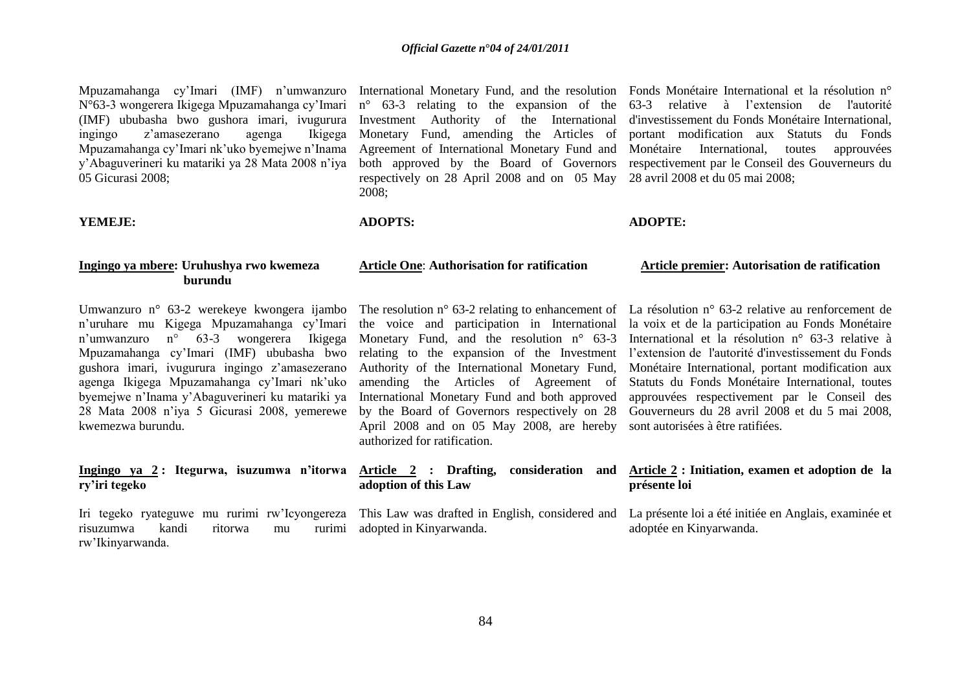Mpuzamahanga cy'Imari (IMF) n'umwanzuro International Monetary Fund, and the resolution Fonds Monétaire International et la résolution n° N°63-3 wongerera Ikigega Mpuzamahanga cy"Imari (IMF) ububasha bwo gushora imari, ivugurura Investment Authority of the International ingingo z"amasezerano agenga Ikigega Mpuzamahanga cy"Imari nk"uko byemejwe n"Inama y"Abaguverineri ku matariki ya 28 Mata 2008 n"iya 05 Gicurasi 2008;

# **YEMEJE:**

Monetary Fund, amending the Articles of Agreement of International Monetary Fund and respectively on 28 April 2008 and on 05 May 28 avril 2008 et du 05 mai 2008; 2008;

# **ADOPTS:**

**adoption of this Law** 

n° 63-3 relating to the expansion of the 63-3 relative à l"extension de l'autorité both approved by the Board of Governors respectivement par le Conseil des Gouverneurs du d'investissement du Fonds Monétaire International, portant modification aux Statuts du Fonds Monétaire International, toutes approuvées

# **ADOPTE:**

#### **Ingingo ya mbere: Uruhushya rwo kwemeza burundu Article One**: **Authorisation for ratification Article premier: Autorisation de ratification**

Umwanzuro n<sup>o</sup> 63-2 werekeye kwongera ijambo The resolution n<sup>o</sup> 63-2 relating to enhancement of La résolution n<sup>o</sup> 63-2 relative au renforcement de n"uruhare mu Kigega Mpuzamahanga cy"Imari n"umwanzuro n° 63-3 wongerera Ikigega Mpuzamahanga cy"Imari (IMF) ububasha bwo gushora imari, ivugurura ingingo z"amasezerano agenga Ikigega Mpuzamahanga cy"Imari nk"uko byemejwe n"Inama y"Abaguverineri ku matariki ya 28 Mata 2008 n"iya 5 Gicurasi 2008, yemerewe kwemezwa burundu.

# **Ingingo ya 2 : Itegurwa, isuzumwa n'itorwa Article 2 : Drafting, consideration and ry'iri tegeko**

Iri tegeko ryateguwe mu rurimi rw"Icyongereza risuzumwa kandi ritorwa mu rw"Ikinyarwanda.

the voice and participation in International Monetary Fund, and the resolution n° 63-3 relating to the expansion of the Investment Authority of the International Monetary Fund, amending the Articles of Agreement of International Monetary Fund and both approved by the Board of Governors respectively on 28 April 2008 and on 05 May 2008, are hereby authorized for ratification.

la voix et de la participation au Fonds Monétaire International et la résolution n° 63-3 relative à l'extension de l'autorité d'investissement du Fonds Monétaire International, portant modification aux Statuts du Fonds Monétaire International, toutes approuvées respectivement par le Conseil des Gouverneurs du 28 avril 2008 et du 5 mai 2008, sont autorisées à être ratifiées.

# **Article 2 : Initiation, examen et adoption de la présente loi**

This Law was drafted in English, considered and La présente loi a été initiée en Anglais, examinée et adopted in Kinyarwanda.

adoptée en Kinyarwanda.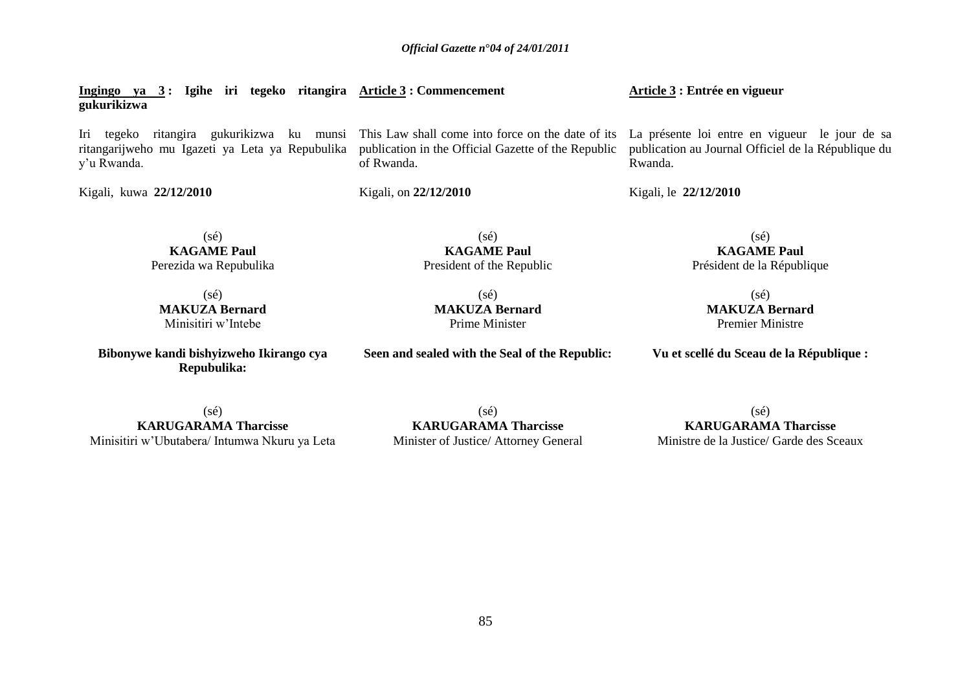**Ingingo ya 3 : Igihe iri tegeko ritangira Article 3 : Commencement gukurikizwa** Iri tegeko ritangira gukurikizwa ku munsi This Law shall come into force on the date of its La présente loi entre en vigueur le jour de sa ritangarijweho mu Igazeti ya Leta ya Repubulika y"u Rwanda. Kigali, kuwa **22/12/2010** (sé) **KAGAME Paul** Perezida wa Repubulika publication in the Official Gazette of the Republic of Rwanda. Kigali, on **22/12/2010** (sé) **KAGAME Paul** President of the Republic **Article 3 : Entrée en vigueur**  publication au Journal Officiel de la République du Rwanda. Kigali, le **22/12/2010** (sé) **KAGAME Paul** Président de la République  $(s\acute{e})$ **MAKUZA Bernard** Minisitiri w"Intebe  $(s\acute{e})$ **MAKUZA Bernard** Prime Minister (sé) **MAKUZA Bernard**

**Bibonywe kandi bishyizweho Ikirango cya Repubulika:**

**Seen and sealed with the Seal of the Republic:**

Premier Ministre

**Vu et scellé du Sceau de la République :**

(sé) **KARUGARAMA Tharcisse** Minisitiri w"Ubutabera/ Intumwa Nkuru ya Leta

(sé) **KARUGARAMA Tharcisse** Minister of Justice/ Attorney General

 $(sé)$ **KARUGARAMA Tharcisse** Ministre de la Justice/ Garde des Sceaux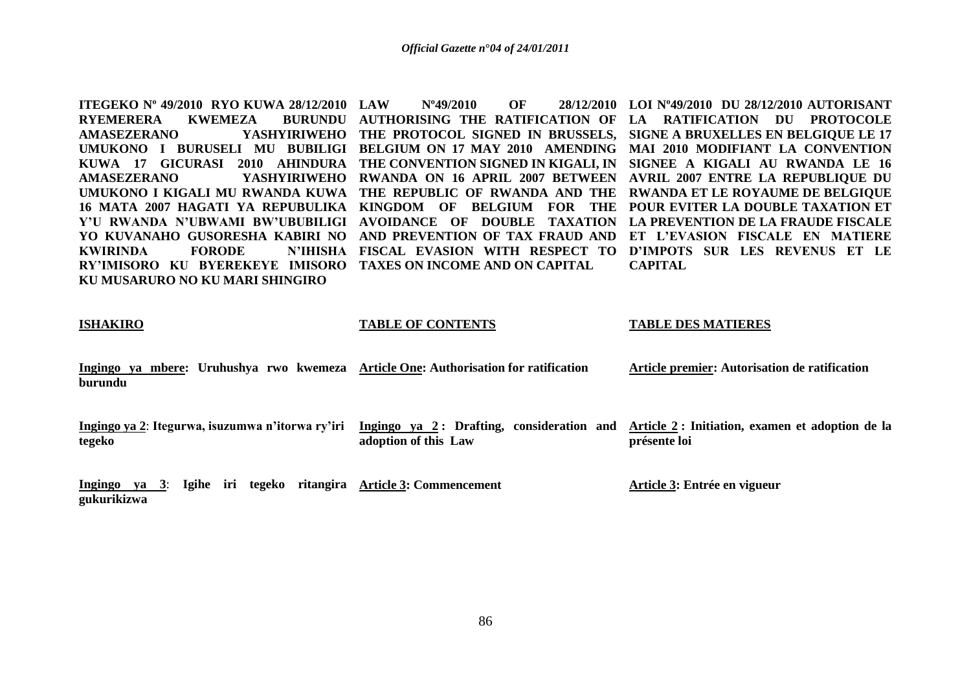**ITEGEKO Nº 49/2010 RYO KUWA 28/12/2010** RYEMERERA KWEMEZA **AMASEZERANO YASHYIRIWEHO THE PROTOCOL SIGNED IN BRUSSELS, SIGNE A BRUXELLES EN BELGIQUE LE 17**  UMUKONO I BURUSELI MU BUBILIGI BELGIUM ON 17 MAY 2010 AMENDING MAI 2010 MODIFIANT LA CONVENTION **KUWA 17 GICURASI 2010 AHINDURA THE CONVENTION SIGNED IN KIGALI, IN SIGNEE A KIGALI AU RWANDA LE 16 AMASEZERANO YASHYIRIWEHO RWANDA ON 16 APRIL 2007 BETWEEN AVRIL 2007 ENTRE LA REPUBLIQUE DU UMUKONO I KIGALI MU RWANDA KUWA THE REPUBLIC OF RWANDA AND THE RWANDA ET LE ROYAUME DE BELGIQUE 16 MATA 2007 HAGATI YA REPUBULIKA KINGDOM OF BELGIUM FOR THE POUR EVITER LA DOUBLE TAXATION ET Y'U RWANDA N'UBWAMI BW'UBUBILIGI AVOIDANCE OF DOUBLE TAXATION LA PREVENTION DE LA FRAUDE FISCALE YO KUVANAHO GUSORESHA KABIRI NO AND PREVENTION OF TAX FRAUD AND ET L'EVASION FISCALE EN MATIERE KWIRINDA FORODE RY'IMISORO KU BYEREKEYE IMISORO TAXES ON INCOME AND ON CAPITAL KU MUSARURO NO KU MARI SHINGIRO LAW Nº49/2010 OF 28/12/2010 LOI Nº49/2010 DU 28/12/2010 AUTORISANT AUTHORISING THE RATIFICATION OF LA RATIFICATION DU PROTOCOLE FISCAL EVASION WITH RESPECT TO D'IMPOTS SUR LES REVENUS ET LE CAPITAL**

#### **ISHAKIRO**

#### **TABLE OF CONTENTS**

#### **TABLE DES MATIERES**

**Ingingo ya mbere: Uruhushya rwo kwemeza Article One: Authorisation for ratification burundu Article premier: Autorisation de ratification** 

**Ingingo ya 2**: **Itegurwa, isuzumwa n'itorwa ry'iri tegeko Ingingo ya 2 : Drafting, consideration and Article 2 : Initiation, examen et adoption de la adoption of this Law présente loi**

**Ingingo ya 3**: **Igihe iri tegeko ritangira Article 3: Commencement gukurikizwa**

**Article 3: Entrée en vigueur**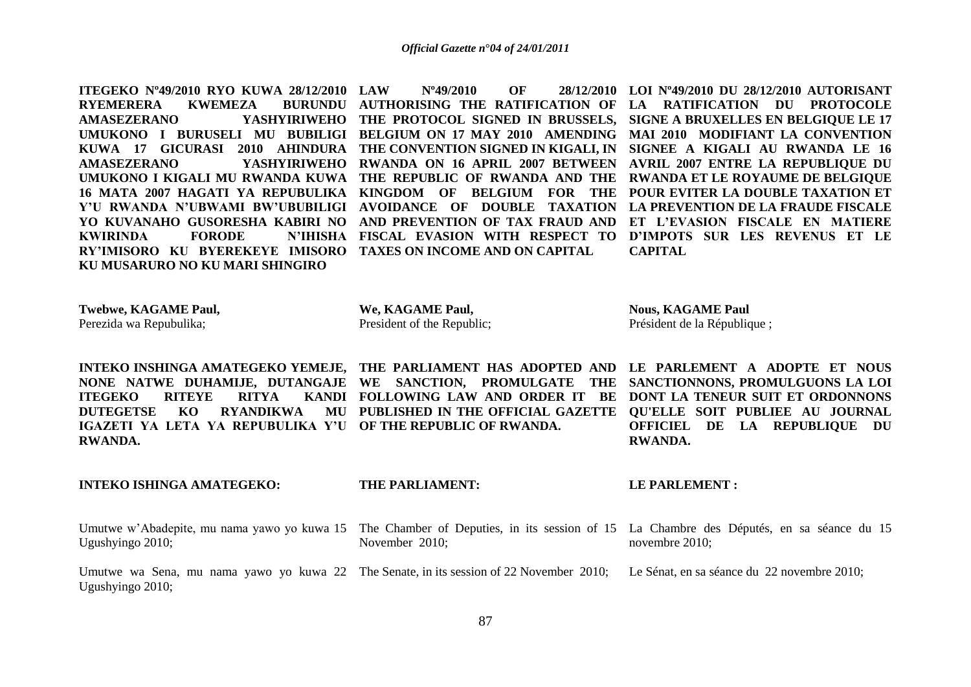**ITEGEKO Nº49/2010 RYO KUWA 28/12/2010 RYEMERERA KWEMEZA<br>AMASEZERANO** YA **KWIRINDA FORODE RY'IMISORO KU BYEREKEYE IMISORO TAXES ON INCOME AND ON CAPITAL KU MUSARURO NO KU MARI SHINGIRO** 

**AMASEZERANO YASHYIRIWEHO THE PROTOCOL SIGNED IN BRUSSELS, SIGNE A BRUXELLES EN BELGIQUE LE 17**  UMUKONO I BURUSELI MU BUBILIGI BELGIUM ON 17 MAY 2010 AMENDING MAI 2010 MODIFIANT LA CONVENTION **KUWA 17 GICURASI 2010 AHINDURA THE CONVENTION SIGNED IN KIGALI, IN SIGNEE A KIGALI AU RWANDA LE 16 AMASEZERANO YASHYIRIWEHO RWANDA ON 16 APRIL 2007 BETWEEN AVRIL 2007 ENTRE LA REPUBLIQUE DU UMUKONO I KIGALI MU RWANDA KUWA THE REPUBLIC OF RWANDA AND THE RWANDA ET LE ROYAUME DE BELGIQUE 16 MATA 2007 HAGATI YA REPUBULIKA KINGDOM OF BELGIUM FOR THE POUR EVITER LA DOUBLE TAXATION ET Y'U RWANDA N'UBWAMI BW'UBUBILIGI AVOIDANCE OF DOUBLE TAXATION LA PREVENTION DE LA FRAUDE FISCALE YO KUVANAHO GUSORESHA KABIRI NO AND PREVENTION OF TAX FRAUD AND ET L'EVASION FISCALE EN MATIERE LAW Nº49/2010 OF 28/12/2010 LOI Nº49/2010 DU 28/12/2010 AUTORISANT AUTHORISING THE RATIFICATION OF LA RATIFICATION DU PROTOCOLE FISCAL EVASION WITH RESPECT TO D'IMPOTS SUR LES REVENUS ET LE CAPITAL**

**Twebwe, KAGAME Paul,** Perezida wa Repubulika;

**We, KAGAME Paul,** President of the Republic;

**Nous, KAGAME Paul** Président de la République ;

**ITEGEKO RITEYE RITYA DUTEGETSE KO RYANDIKWA IGAZETI YA LETA YA REPUBULIKA Y'U OF THE REPUBLIC OF RWANDA. RWANDA.**

**NONE NATWE DUHAMIJE, DUTANGAJE WE SANCTION, PROMULGATE THE** 

**INTEKO INSHINGA AMATEGEKO YEMEJE, THE PARLIAMENT HAS ADOPTED AND LE PARLEMENT A ADOPTE ET NOUS FOLLOWING LAW AND ORDER IT BE DONT LA TENEUR SUIT ET ORDONNONS PUBLISHED IN THE OFFICIAL GAZETTE QU'ELLE SOIT PUBLIEE AU JOURNAL SANCTIONNONS, PROMULGUONS LA LOI OFFICIEL DE LA REPUBLIQUE DU RWANDA.**

**INTEKO ISHINGA AMATEGEKO:**

# **THE PARLIAMENT:**

**LE PARLEMENT :**

- Umutwe w'Abadepite, mu nama yawo yo kuwa 15 The Chamber of Deputies, in its session of 15 La Chambre des Députés, en sa séance du 15 Ugushyingo 2010; November 2010; novembre 2010;
- Umutwe wa Sena, mu nama yawo yo kuwa 22 The Senate, in its session of 22 November 2010; Ugushyingo 2010; Le Sénat, en sa séance du 22 novembre 2010;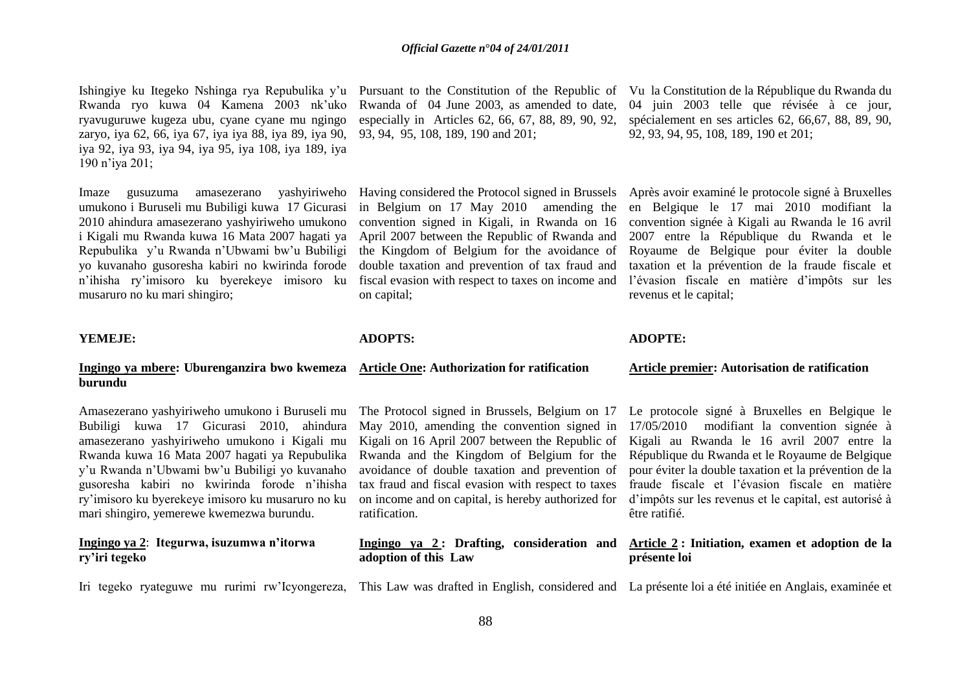Ishingiye ku Itegeko Nshinga rya Repubulika y'u Pursuant to the Constitution of the Republic of Vu la Constitution de la République du Rwanda du Rwanda ryo kuwa 04 Kamena 2003 nk"uko ryavuguruwe kugeza ubu, cyane cyane mu ngingo zaryo, iya 62, 66, iya 67, iya iya 88, iya 89, iya 90, iya 92, iya 93, iya 94, iya 95, iya 108, iya 189, iya 190 n"iya 201;

Imaze gusuzuma amasezerano yashyiriweho umukono i Buruseli mu Bubiligi kuwa 17 Gicurasi 2010 ahindura amasezerano yashyiriweho umukono i Kigali mu Rwanda kuwa 16 Mata 2007 hagati ya Repubulika y"u Rwanda n"Ubwami bw"u Bubiligi yo kuvanaho gusoresha kabiri no kwirinda forode n"ihisha ry"imisoro ku byerekeye imisoro ku musaruro no ku mari shingiro;

## **YEMEJE:**

# **Ingingo ya mbere: Uburenganzira bwo kwemeza burundu**

Amasezerano yashyiriweho umukono i Buruseli mu Bubiligi kuwa 17 Gicurasi 2010, ahindura amasezerano yashyiriweho umukono i Kigali mu Rwanda kuwa 16 Mata 2007 hagati ya Repubulika y"u Rwanda n"Ubwami bw"u Bubiligi yo kuvanaho gusoresha kabiri no kwirinda forode n"ihisha ry"imisoro ku byerekeye imisoro ku musaruro no ku mari shingiro, yemerewe kwemezwa burundu.

# **Ingingo ya 2**: **Itegurwa, isuzumwa n'itorwa ry'iri tegeko**

Rwanda of 04 June 2003, as amended to date, especially in Articles 62, 66, 67, 88, 89, 90, 92, 93, 94, 95, 108, 189, 190 and 201;

Having considered the Protocol signed in Brussels Après avoir examiné le protocole signé à Bruxelles in Belgium on 17 May 2010amending the convention signed in Kigali, in Rwanda on 16 April 2007 between the Republic of Rwanda and the Kingdom of Belgium for the avoidance of double taxation and prevention of tax fraud and fiscal evasion with respect to taxes on income and on capital;

# **ADOPTS:**

#### **Article One: Authorization for ratification**

The Protocol signed in Brussels, Belgium on 17 May 2010, amending the convention signed in Kigali on 16 April 2007 between the Republic of Rwanda and the Kingdom of Belgium for the avoidance of double taxation and prevention of tax fraud and fiscal evasion with respect to taxes on income and on capital, is hereby authorized for ratification.

# **Ingingo ya 2 : Drafting, consideration and adoption of this Law**

Iri tegeko ryateguwe mu rurimi rw"Icyongereza, This Law was drafted in English, considered and La présente loi a été initiée en Anglais, examinée et

convention signée à Kigali au Rwanda le 16 avril 2007 entre la République du Rwanda et le Royaume de Belgique pour éviter la double taxation et la prévention de la fraude fiscale et l"évasion fiscale en matière d"impôts sur les revenus et le capital;

## **ADOPTE:**

#### **Article premier: Autorisation de ratification**

Le protocole signé à Bruxelles en Belgique le 17/05/2010modifiant la convention signée à Kigali au Rwanda le 16 avril 2007 entre la République du Rwanda et le Royaume de Belgique pour éviter la double taxation et la prévention de la fraude fiscale et l"évasion fiscale en matière d"impôts sur les revenus et le capital, est autorisé à être ratifié.

# **Article 2 : Initiation, examen et adoption de la présente loi**

04 juin 2003 telle que révisée à ce jour, spécialement en ses articles 62, 66,67, 88, 89, 90, 92, 93, 94, 95, 108, 189, 190 et 201;

en Belgique le 17 mai 2010 modifiant la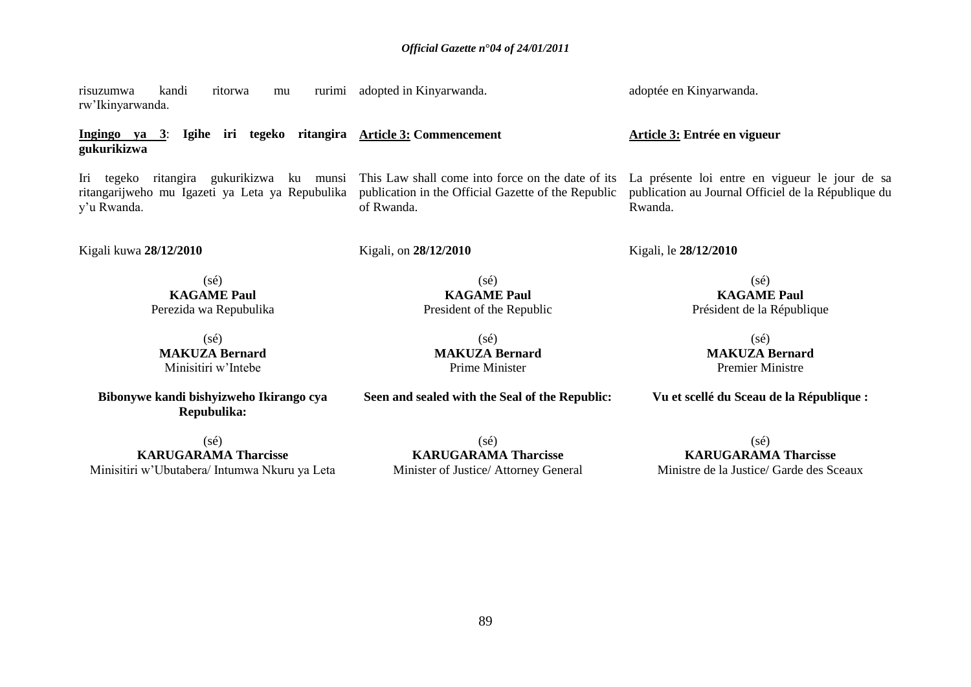This Law shall come into force on the date of its publication in the Official Gazette of the Republic

President of the Republic

(sé) **MAKUZA Bernard** Prime Minister

**Seen and sealed with the Seal of the Republic:**

risuzumwa kandi ritorwa mu rw"Ikinyarwanda. adopted in Kinyarwanda.

**Ingingo ya 3**: **Igihe iri tegeko ritangira Article 3: Commencement gukurikizwa**

Iri tegeko ritangira gukurikizwa ku munsi ritangarijweho mu Igazeti ya Leta ya Repubulika y"u Rwanda.

Kigali kuwa **28/12/2010**

Kigali, on **28/12/2010**

of Rwanda.

(sé) **KAGAME Paul** Perezida wa Repubulika

(sé) **MAKUZA Bernard** Minisitiri w"Intebe

**Bibonywe kandi bishyizweho Ikirango cya Repubulika:**

(sé) **KARUGARAMA Tharcisse** Minisitiri w"Ubutabera/ Intumwa Nkuru ya Leta

(sé) **KARUGARAMA Tharcisse** Minister of Justice/ Attorney General

**KAGAME Paul** Président de la République (sé)

(sé)

**MAKUZA Bernard** Premier Ministre

**Vu et scellé du Sceau de la République :**

 $(sé)$ **KARUGARAMA Tharcisse** Ministre de la Justice/ Garde des Sceaux

**Article 3: Entrée en vigueur**

adoptée en Kinyarwanda.

Kigali, le **28/12/2010**

La présente loi entre en vigueur le jour de sa publication au Journal Officiel de la République du Rwanda.

(sé) **KAGAME Paul**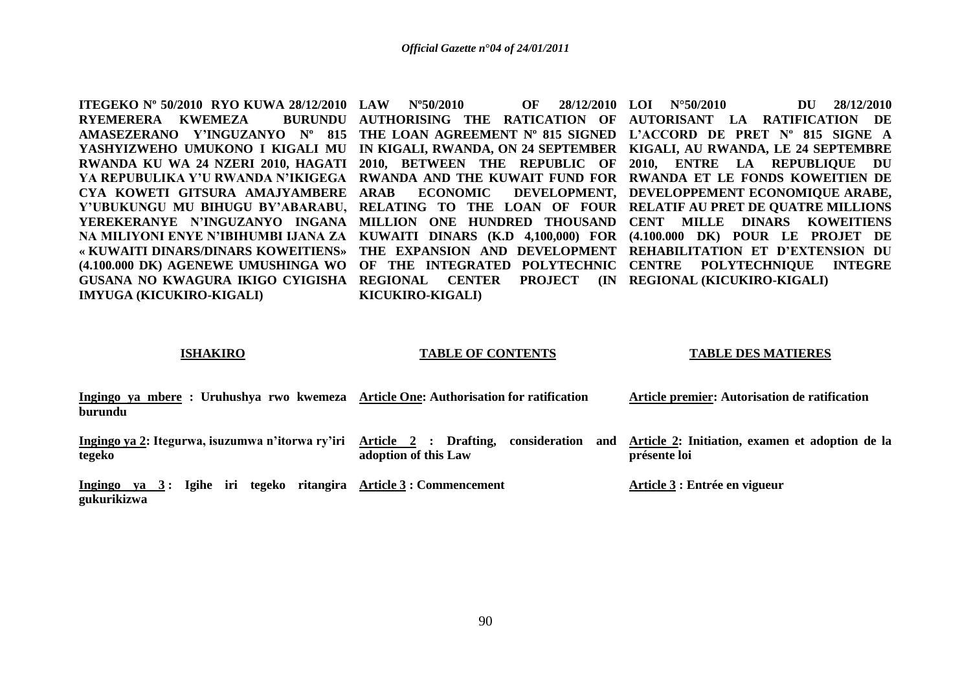**ITEGEKO Nº 50/2010 RYO KUWA 28/12/2010 LAW Nº50/2010 OF 28/12/2010 RYEMERERA KWEMEZA GUSANA NO KWAGURA IKIGO CYIGISHA REGIONAL CENTER PROJECT (IN REGIONAL (KICUKIRO-KIGALI) IMYUGA (KICUKIRO-KIGALI)**

**KICUKIRO-KIGALI) LOI N°50/2010 DU 28/12/2010 DU** 28/12/2010

**AMASEZERANO Y'INGUZANYO Nº 815 THE LOAN AGREEMENT Nº 815 SIGNED L'ACCORD DE PRET Nº 815 SIGNE A YASHYIZWEHO UMUKONO I KIGALI MU IN KIGALI, RWANDA, ON 24 SEPTEMBER KIGALI, AU RWANDA, LE 24 SEPTEMBRE RWANDA KU WA 24 NZERI 2010, HAGATI 2010, BETWEEN THE REPUBLIC OF 2010, ENTRE LA REPUBLIQUE DU YA REPUBULIKA Y'U RWANDA N'IKIGEGA RWANDA AND THE KUWAIT FUND FOR RWANDA ET LE FONDS KOWEITIEN DE CYA KOWETI GITSURA AMAJYAMBERE ARAB ECONOMIC DEVELOPMENT, DEVELOPPEMENT ECONOMIQUE ARABE, Y'UBUKUNGU MU BIHUGU BY'ABARABU, RELATING TO THE LOAN OF FOUR RELATIF AU PRET DE QUATRE MILLIONS YEREKERANYE N'INGUZANYO INGANA MILLION ONE HUNDRED THOUSAND CENT MILLE DINARS KOWEITIENS NA MILIYONI ENYE N'IBIHUMBI IJANA ZA KUWAITI DINARS (K.D 4,100,000) FOR (4.100.000 DK) POUR LE PROJET DE « KUWAITI DINARS/DINARS KOWEITIENS» THE EXPANSION AND DEVELOPMENT REHABILITATION ET D'EXTENSION DU (4.100.000 DK) AGENEWE UMUSHINGA WO OF THE INTEGRATED POLYTECHNIC CENTRE POLYTECHNIQUE INTEGRE AUTHORISING THE RATICATION OF AUTORISANT LA RATIFICATION DE** 

### **ISHAKIRO**

#### **TABLE OF CONTENTS**

### **TABLE DES MATIERES**

| Ingingo ya mbere : Uruhushya rwo kwemeza Article One: Authorisation for ratification |  |  |      |  |  |  |  |  |  |  |  | Article premier: Autorisation de ratification |  |  |  |  |  |  |  |  |  |
|--------------------------------------------------------------------------------------|--|--|------|--|--|--|--|--|--|--|--|-----------------------------------------------|--|--|--|--|--|--|--|--|--|
| burundu                                                                              |  |  |      |  |  |  |  |  |  |  |  |                                               |  |  |  |  |  |  |  |  |  |
| __                                                                                   |  |  | $ -$ |  |  |  |  |  |  |  |  |                                               |  |  |  |  |  |  |  |  |  |

**Ingingo ya 2: Itegurwa, isuzumwa n'itorwa ry'iri Article 2 : Drafting, consideration and tegeko adoption of this Law**

**Ingingo ya 3 : Igihe iri tegeko ritangira Article 3 : Commencement gukurikizwa** 

**Article 2: Initiation, examen et adoption de la présente loi**

**Article 3 : Entrée en vigueur**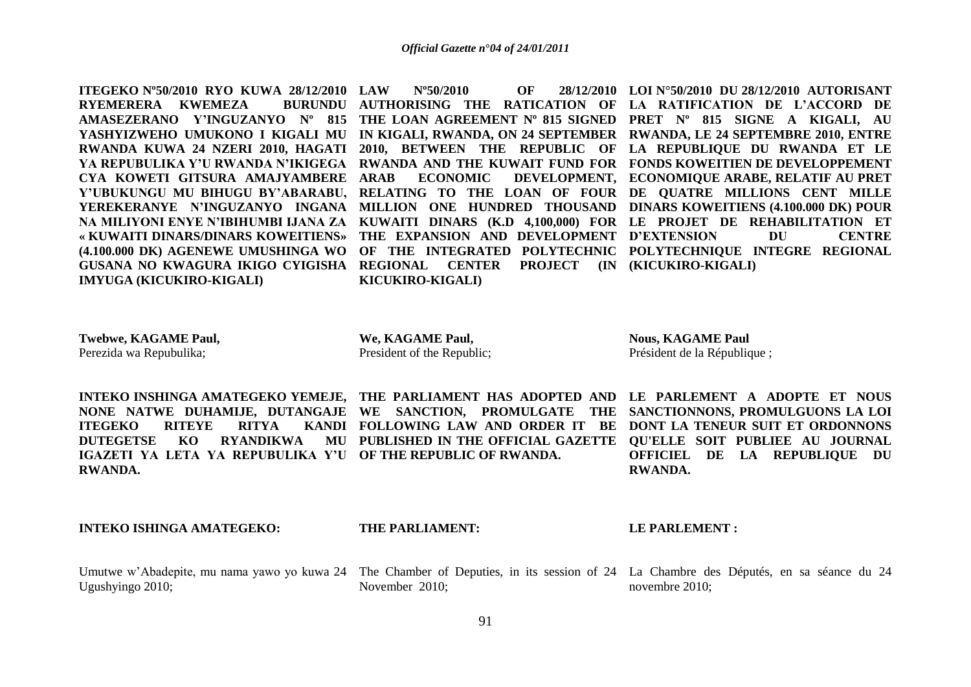**LAU ASSEMBLE OF 28/2010 DE** 

**ITEGEKO Nº50/2010 RYO KUWA 28/12/2010 RYEMERERA KWEMEZA CYA KOWETI GITSURA AMAJYAMBERE ARAB ECONOMIC DEVELOPMENT, GUSANA NO KWAGURA IKIGO CYIGISHA REGIONAL CENTER PROJECT (IN (KICUKIRO-KIGALI) IMYUGA (KICUKIRO-KIGALI)**

**KICUKIRO-KIGALI)**

**AMASEZERANO Y'INGUZANYO Nº 815 THE LOAN AGREEMENT Nº 815 SIGNED PRET Nº 815 SIGNE A KIGALI, AU YASHYIZWEHO UMUKONO I KIGALI MU IN KIGALI, RWANDA, ON 24 SEPTEMBER RWANDA, LE 24 SEPTEMBRE 2010, ENTRE RWANDA KUWA 24 NZERI 2010, HAGATI 2010, BETWEEN THE REPUBLIC OF LA REPUBLIQUE DU RWANDA ET LE YA REPUBULIKA Y'U RWANDA N'IKIGEGA RWANDA AND THE KUWAIT FUND FOR FONDS KOWEITIEN DE DEVELOPPEMENT Y'UBUKUNGU MU BIHUGU BY'ABARABU, RELATING TO THE LOAN OF FOUR DE QUATRE MILLIONS CENT MILLE YEREKERANYE N'INGUZANYO INGANA MILLION ONE HUNDRED THOUSAND DINARS KOWEITIENS (4.100.000 DK) POUR NA MILIYONI ENYE N'IBIHUMBI IJANA ZA KUWAITI DINARS (K.D 4,100,000) FOR LE PROJET DE REHABILITATION ET « KUWAITI DINARS/DINARS KOWEITIENS» THE EXPANSION AND DEVELOPMENT D'EXTENSION DU CENTRE (4.100.000 DK) AGENEWE UMUSHINGA WO OF THE INTEGRATED POLYTECHNIC POLYTECHNIQUE INTEGRE REGIONAL AUTHORISING THE RATICATION OF LA RATIFICATION DE L'ACCORD DE LOI N°50/2010 DU 28/12/2010 AUTORISANT ECONOMIQUE ARABE, RELATIF AU PRET** 

**Twebwe, KAGAME Paul,** Perezida wa Repubulika;

**We, KAGAME Paul,** President of the Republic;

**Nous, KAGAME Paul** Président de la République ;

**ITEGEKO RITEYE RITYA DUTEGETSE KO RYANDIKWA IGAZETI YA LETA YA REPUBULIKA Y'U OF THE REPUBLIC OF RWANDA. RWANDA.**

**INTEKO INSHINGA AMATEGEKO YEMEJE, THE PARLIAMENT HAS ADOPTED AND LE PARLEMENT A ADOPTE ET NOUS NONE NATWE DUHAMIJE, DUTANGAJE WE SANCTION, PROMULGATE THE SANCTIONNONS, PROMULGUONS LA LOI FOLLOWING LAW AND ORDER IT BE DONT LA TENEUR SUIT ET ORDONNONS PUBLISHED IN THE OFFICIAL GAZETTE QU'ELLE SOIT PUBLIEE AU JOURNAL OFFICIEL DE LA REPUBLIQUE DU RWANDA.**

**INTEKO ISHINGA AMATEGEKO:**

**THE PARLIAMENT:**

**LE PARLEMENT :**

Umutwe w'Abadepite, mu nama yawo yo kuwa 24 The Chamber of Deputies, in its session of 24 La Chambre des Députés, en sa séance du 24 Ugushyingo 2010;

November 2010;

novembre 2010;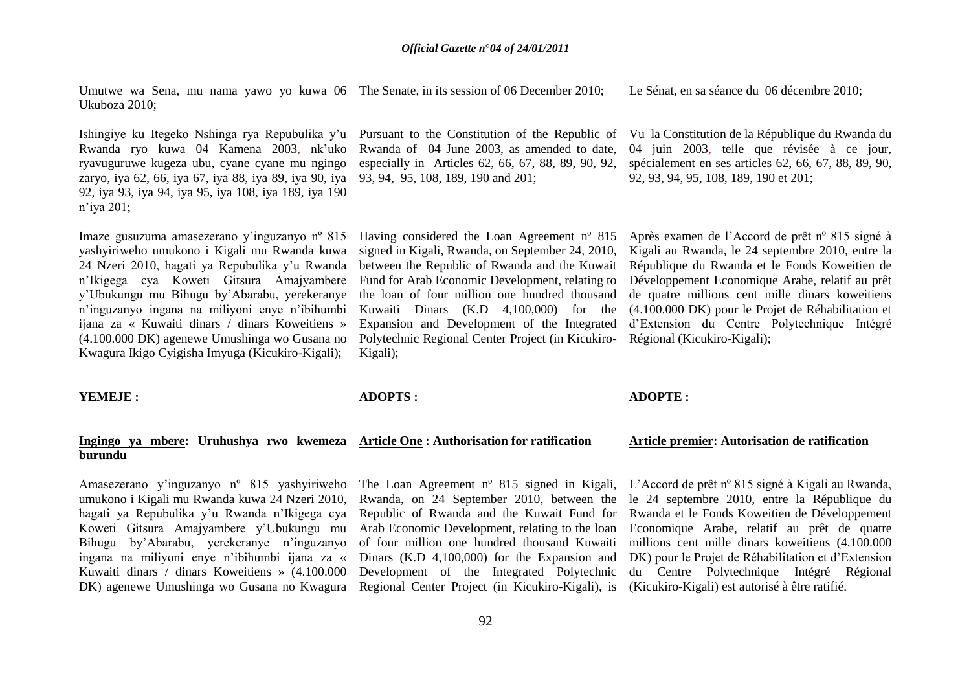Umutwe wa Sena, mu nama yawo yo kuwa 06 The Senate, in its session of 06 December 2010; Ukuboza 2010; Le Sénat, en sa séance du 06 décembre 2010;

Ishingiye ku Itegeko Nshinga rya Repubulika y'u Pursuant to the Constitution of the Republic of Rwanda ryo kuwa 04 Kamena 2003, nk"uko ryavuguruwe kugeza ubu, cyane cyane mu ngingo zaryo, iya 62, 66, iya 67, iya 88, iya 89, iya 90, iya 92, iya 93, iya 94, iya 95, iya 108, iya 189, iya 190 n"iya 201;

Imaze gusuzuma amasezerano y"inguzanyo nº 815 yashyiriweho umukono i Kigali mu Rwanda kuwa 24 Nzeri 2010, hagati ya Repubulika y"u Rwanda n"Ikigega cya Koweti Gitsura Amajyambere y"Ubukungu mu Bihugu by"Abarabu, yerekeranye n"inguzanyo ingana na miliyoni enye n"ibihumbi ijana za « Kuwaiti dinars / dinars Koweitiens » (4.100.000 DK) agenewe Umushinga wo Gusana no Kwagura Ikigo Cyigisha Imyuga (Kicukiro-Kigali);

Rwanda of 04 June 2003, as amended to date, especially in Articles 62, 66, 67, 88, 89, 90, 92, 93, 94, 95, 108, 189, 190 and 201;

Having considered the Loan Agreement nº 815 signed in Kigali, Rwanda, on September 24, 2010, between the Republic of Rwanda and the Kuwait Fund for Arab Economic Development, relating to the loan of four million one hundred thousand Kuwaiti Dinars (K.D 4,100,000) for the Expansion and Development of the Integrated Polytechnic Regional Center Project (in Kicukiro-Régional (Kicukiro-Kigali); Kigali);

Vu la Constitution de la République du Rwanda du 04 juin 2003, telle que révisée à ce jour, spécialement en ses articles 62, 66, 67, 88, 89, 90, 92, 93, 94, 95, 108, 189, 190 et 201;

Après examen de l"Accord de prêt nº 815 signé à Kigali au Rwanda, le 24 septembre 2010, entre la République du Rwanda et le Fonds Koweitien de Développement Economique Arabe, relatif au prêt de quatre millions cent mille dinars koweitiens (4.100.000 DK) pour le Projet de Réhabilitation et d"Extension du Centre Polytechnique Intégré

#### **YEMEJE :**

**ADOPTS :**

#### **ADOPTE :**

#### **Ingingo ya mbere: Uruhushya rwo kwemeza Article One : Authorisation for ratification burundu Article premier: Autorisation de ratification**

Amasezerano y"inguzanyo nº 815 yashyiriweho umukono i Kigali mu Rwanda kuwa 24 Nzeri 2010, hagati ya Repubulika y"u Rwanda n"Ikigega cya Koweti Gitsura Amajyambere y"Ubukungu mu Bihugu by"Abarabu, yerekeranye n"inguzanyo ingana na miliyoni enye n"ibihumbi ijana za « Kuwaiti dinars / dinars Koweitiens » (4.100.000 DK) agenewe Umushinga wo Gusana no Kwagura Regional Center Project (in Kicukiro-Kigali), is (Kicukiro-Kigali) est autorisé à être ratifié.

The Loan Agreement nº 815 signed in Kigali, L"Accord de prêt nº 815 signé à Kigali au Rwanda, Rwanda, on 24 September 2010, between the Republic of Rwanda and the Kuwait Fund for Arab Economic Development, relating to the loan of four million one hundred thousand Kuwaiti Dinars (K.D 4,100,000) for the Expansion and Development of the Integrated Polytechnic

le 24 septembre 2010, entre la République du Rwanda et le Fonds Koweitien de Développement Economique Arabe, relatif au prêt de quatre millions cent mille dinars koweitiens (4.100.000 DK) pour le Projet de Réhabilitation et d"Extension du Centre Polytechnique Intégré Régional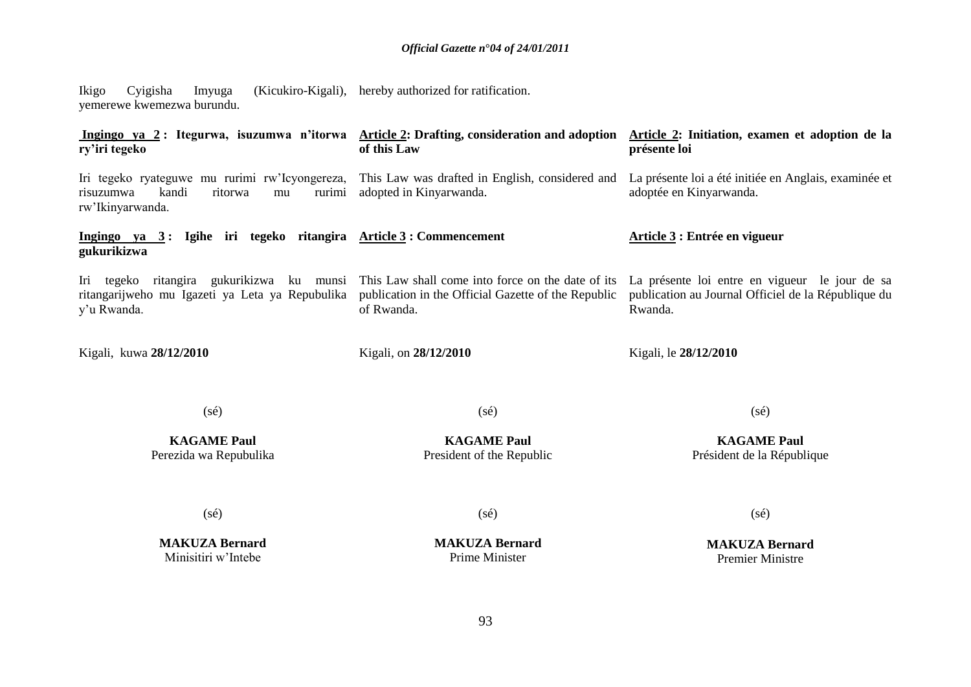Ikigo Cyigisha Imyuga (Kicukiro-Kigali), hereby authorized for ratification. yemerewe kwemezwa burundu.

**Ingingo ya 2 : Itegurwa, isuzumwa n'itorwa Article 2: Drafting, consideration and adoption Article 2: Initiation, examen et adoption de la ry'iri tegeko** Iri tegeko ryateguwe mu rurimi rw"Icyongereza, risuzumwa kandi ritorwa mu rw"Ikinyarwanda. **Ingingo ya 3 : Igihe iri tegeko ritangira Article 3 : Commencement gukurikizwa** Iri tegeko ritangira gukurikizwa ku munsi This Law shall come into force on the date of its La présente loi entre en vigueur le jour de sa ritangarijweho mu Igazeti ya Leta ya Repubulika y"u Rwanda. Kigali, kuwa **28/12/2010 of this Law** This Law was drafted in English, considered and La présente loi a été initiée en Anglais, examinée et adopted in Kinyarwanda. publication in the Official Gazette of the Republic of Rwanda. Kigali, on **28/12/2010 présente loi** adoptée en Kinyarwanda. **Article 3 : Entrée en vigueur**  publication au Journal Officiel de la République du Rwanda. Kigali, le **28/12/2010**

(sé)

(sé)

**KAGAME Paul** Perezida wa Repubulika

**KAGAME Paul** President of the Republic

(sé)

**KAGAME Paul** Président de la République

(sé)

**MAKUZA Bernard** Minisitiri w"Intebe

(sé)

**MAKUZA Bernard** Prime Minister

(sé)

**MAKUZA Bernard** Premier Ministre